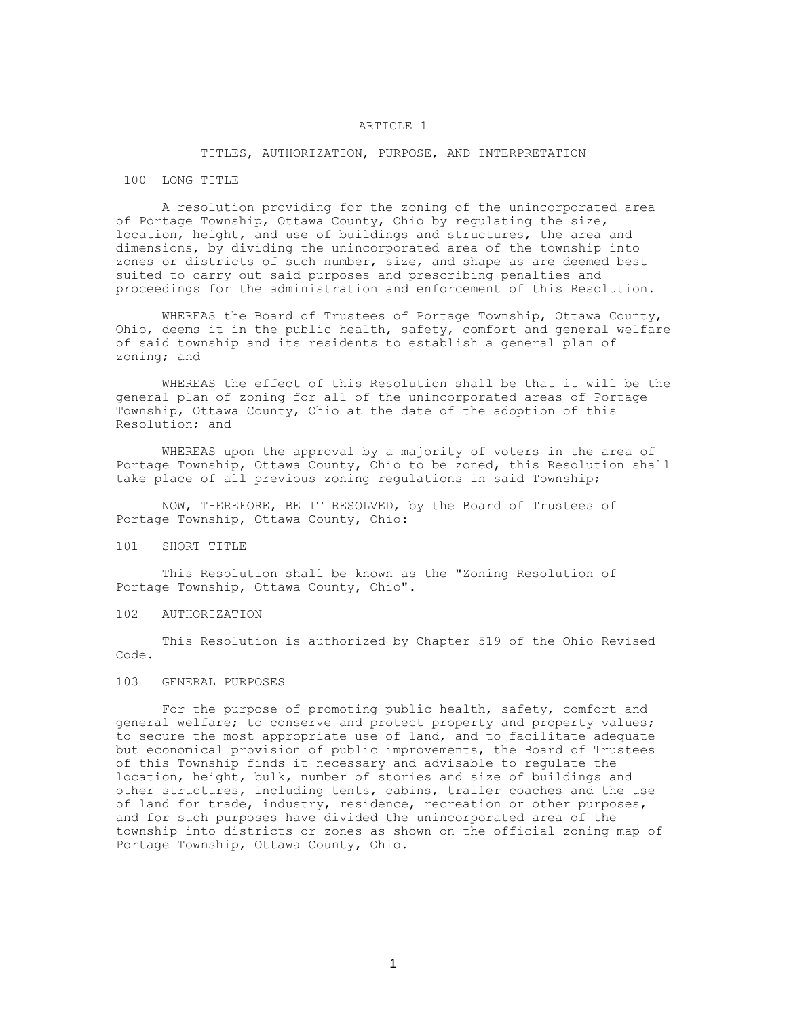# ARTICLE 1

## TITLES, AUTHORIZATION, PURPOSE, AND INTERPRETATION

#### 100 LONG TITLE

A resolution providing for the zoning of the unincorporated area of Portage Township, Ottawa County, Ohio by regulating the size, location, height, and use of buildings and structures, the area and dimensions, by dividing the unincorporated area of the township into zones or districts of such number, size, and shape as are deemed best suited to carry out said purposes and prescribing penalties and proceedings for the administration and enforcement of this Resolution.

WHEREAS the Board of Trustees of Portage Township, Ottawa County, Ohio, deems it in the public health, safety, comfort and general welfare of said township and its residents to establish a general plan of zoning; and

WHEREAS the effect of this Resolution shall be that it will be the general plan of zoning for all of the unincorporated areas of Portage Township, Ottawa County, Ohio at the date of the adoption of this Resolution; and

WHEREAS upon the approval by a majority of voters in the area of Portage Township, Ottawa County, Ohio to be zoned, this Resolution shall take place of all previous zoning regulations in said Township;

NOW, THEREFORE, BE IT RESOLVED, by the Board of Trustees of Portage Township, Ottawa County, Ohio:

### 101 SHORT TITLE

This Resolution shall be known as the "Zoning Resolution of Portage Township, Ottawa County, Ohio".

# 102 AUTHORIZATION

This Resolution is authorized by Chapter 519 of the Ohio Revised Code.

## 103 GENERAL PURPOSES

For the purpose of promoting public health, safety, comfort and general welfare; to conserve and protect property and property values; to secure the most appropriate use of land, and to facilitate adequate but economical provision of public improvements, the Board of Trustees of this Township finds it necessary and advisable to regulate the location, height, bulk, number of stories and size of buildings and other structures, including tents, cabins, trailer coaches and the use of land for trade, industry, residence, recreation or other purposes, and for such purposes have divided the unincorporated area of the township into districts or zones as shown on the official zoning map of Portage Township, Ottawa County, Ohio.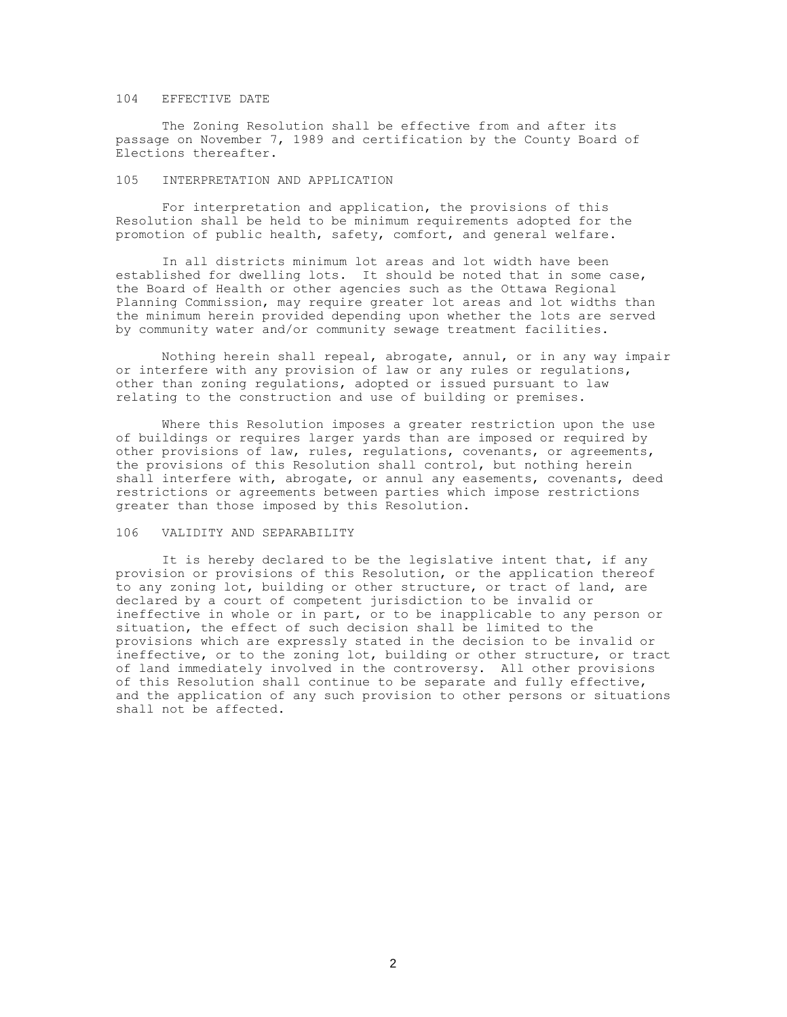#### 104 EFFECTIVE DATE

The Zoning Resolution shall be effective from and after its passage on November 7, 1989 and certification by the County Board of Elections thereafter.

### 105 INTERPRETATION AND APPLICATION

For interpretation and application, the provisions of this Resolution shall be held to be minimum requirements adopted for the promotion of public health, safety, comfort, and general welfare.

In all districts minimum lot areas and lot width have been established for dwelling lots. It should be noted that in some case, the Board of Health or other agencies such as the Ottawa Regional Planning Commission, may require greater lot areas and lot widths than the minimum herein provided depending upon whether the lots are served by community water and/or community sewage treatment facilities.

Nothing herein shall repeal, abrogate, annul, or in any way impair or interfere with any provision of law or any rules or regulations, other than zoning regulations, adopted or issued pursuant to law relating to the construction and use of building or premises.

Where this Resolution imposes a greater restriction upon the use of buildings or requires larger yards than are imposed or required by other provisions of law, rules, regulations, covenants, or agreements, the provisions of this Resolution shall control, but nothing herein shall interfere with, abrogate, or annul any easements, covenants, deed restrictions or agreements between parties which impose restrictions greater than those imposed by this Resolution.

## 106 VALIDITY AND SEPARABILITY

It is hereby declared to be the legislative intent that, if any provision or provisions of this Resolution, or the application thereof to any zoning lot, building or other structure, or tract of land, are declared by a court of competent jurisdiction to be invalid or ineffective in whole or in part, or to be inapplicable to any person or situation, the effect of such decision shall be limited to the provisions which are expressly stated in the decision to be invalid or ineffective, or to the zoning lot, building or other structure, or tract of land immediately involved in the controversy. All other provisions of this Resolution shall continue to be separate and fully effective, and the application of any such provision to other persons or situations shall not be affected.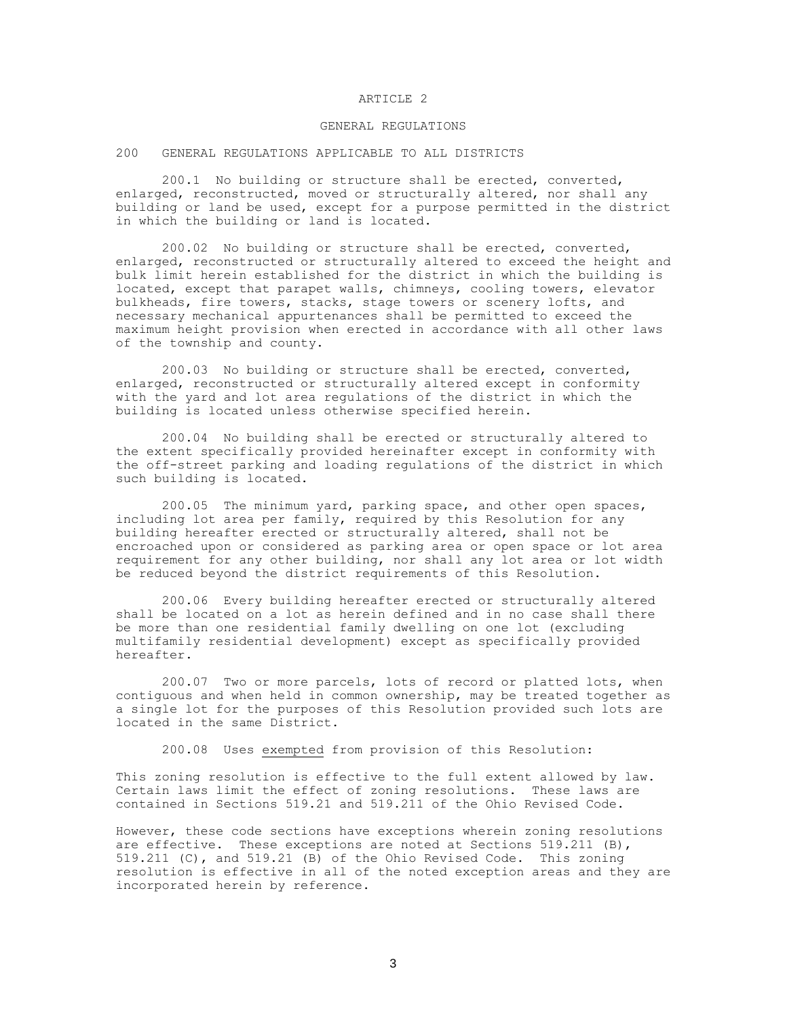### ARTICLE 2

## GENERAL REGULATIONS

### 200 GENERAL REGULATIONS APPLICABLE TO ALL DISTRICTS

200.1 No building or structure shall be erected, converted, enlarged, reconstructed, moved or structurally altered, nor shall any building or land be used, except for a purpose permitted in the district in which the building or land is located.

200.02 No building or structure shall be erected, converted, enlarged, reconstructed or structurally altered to exceed the height and bulk limit herein established for the district in which the building is located, except that parapet walls, chimneys, cooling towers, elevator bulkheads, fire towers, stacks, stage towers or scenery lofts, and necessary mechanical appurtenances shall be permitted to exceed the maximum height provision when erected in accordance with all other laws of the township and county.

200.03 No building or structure shall be erected, converted, enlarged, reconstructed or structurally altered except in conformity with the yard and lot area regulations of the district in which the building is located unless otherwise specified herein.

200.04 No building shall be erected or structurally altered to the extent specifically provided hereinafter except in conformity with the off-street parking and loading regulations of the district in which such building is located.

200.05 The minimum yard, parking space, and other open spaces, including lot area per family, required by this Resolution for any building hereafter erected or structurally altered, shall not be encroached upon or considered as parking area or open space or lot area requirement for any other building, nor shall any lot area or lot width be reduced beyond the district requirements of this Resolution.

200.06 Every building hereafter erected or structurally altered shall be located on a lot as herein defined and in no case shall there be more than one residential family dwelling on one lot (excluding multifamily residential development) except as specifically provided hereafter.

200.07 Two or more parcels, lots of record or platted lots, when contiguous and when held in common ownership, may be treated together as a single lot for the purposes of this Resolution provided such lots are located in the same District.

200.08 Uses exempted from provision of this Resolution:

This zoning resolution is effective to the full extent allowed by law. Certain laws limit the effect of zoning resolutions. These laws are contained in Sections 519.21 and 519.211 of the Ohio Revised Code.

However, these code sections have exceptions wherein zoning resolutions are effective. These exceptions are noted at Sections 519.211 (B), 519.211 (C), and 519.21 (B) of the Ohio Revised Code. This zoning resolution is effective in all of the noted exception areas and they are incorporated herein by reference.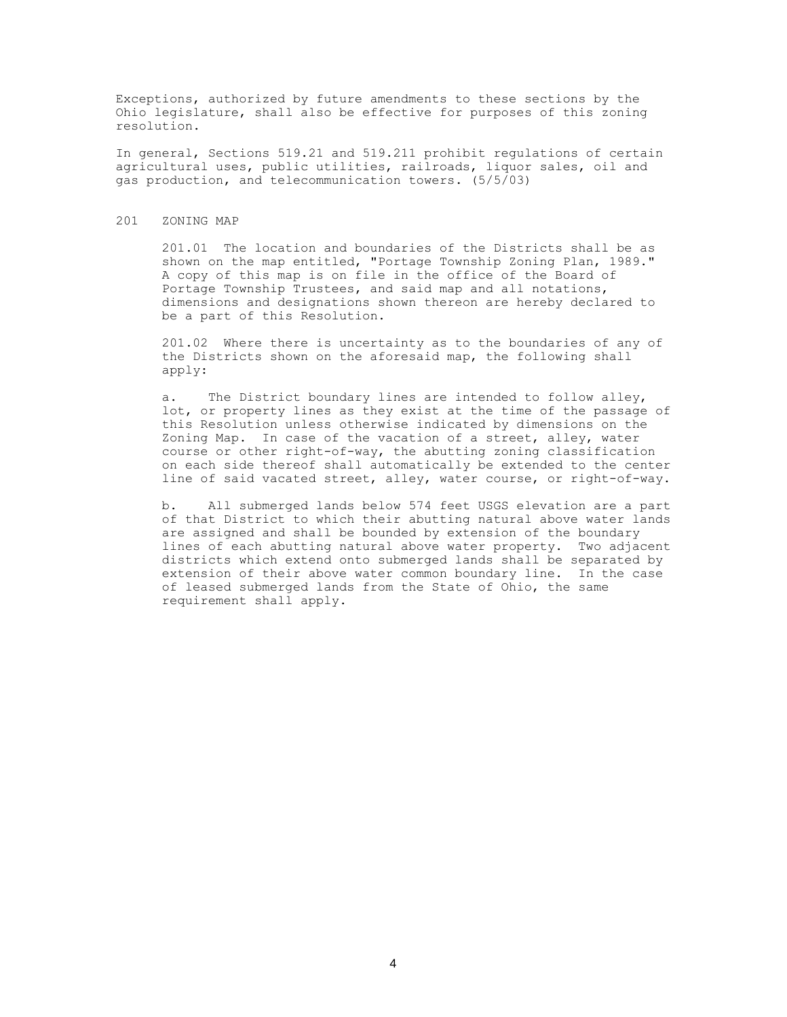Exceptions, authorized by future amendments to these sections by the Ohio legislature, shall also be effective for purposes of this zoning resolution.

In general, Sections 519.21 and 519.211 prohibit regulations of certain agricultural uses, public utilities, railroads, liquor sales, oil and gas production, and telecommunication towers. (5/5/03)

### 201 ZONING MAP

201.01 The location and boundaries of the Districts shall be as shown on the map entitled, "Portage Township Zoning Plan, 1989." A copy of this map is on file in the office of the Board of Portage Township Trustees, and said map and all notations, dimensions and designations shown thereon are hereby declared to be a part of this Resolution.

201.02 Where there is uncertainty as to the boundaries of any of the Districts shown on the aforesaid map, the following shall apply:

a. The District boundary lines are intended to follow alley, lot, or property lines as they exist at the time of the passage of this Resolution unless otherwise indicated by dimensions on the Zoning Map. In case of the vacation of a street, alley, water course or other right-of-way, the abutting zoning classification on each side thereof shall automatically be extended to the center line of said vacated street, alley, water course, or right-of-way.

b. All submerged lands below 574 feet USGS elevation are a part of that District to which their abutting natural above water lands are assigned and shall be bounded by extension of the boundary lines of each abutting natural above water property. Two adjacent districts which extend onto submerged lands shall be separated by extension of their above water common boundary line. In the case of leased submerged lands from the State of Ohio, the same requirement shall apply.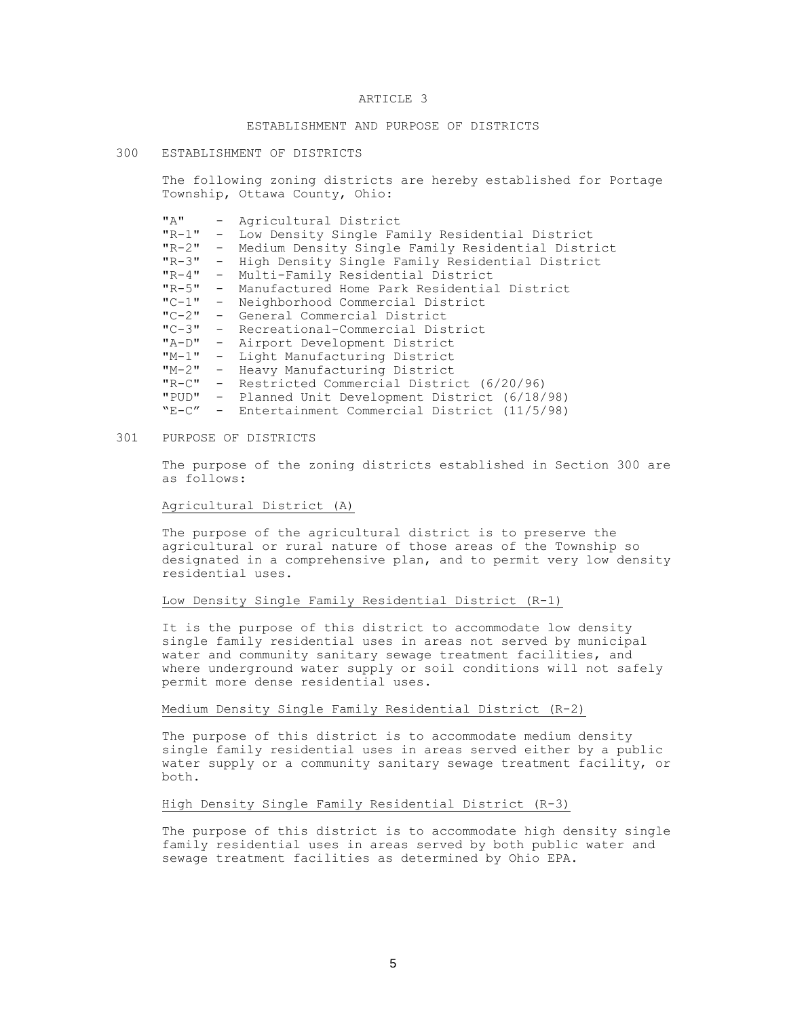### ARTICLE 3

# ESTABLISHMENT AND PURPOSE OF DISTRICTS

#### 300 ESTABLISHMENT OF DISTRICTS

The following zoning districts are hereby established for Portage Township, Ottawa County, Ohio:

| $\mathbf{u} \times \mathbf{u}$ |       | - Agricultural District                             |
|--------------------------------|-------|-----------------------------------------------------|
| $"R-1"$                        |       | - Low Density Single Family Residential District    |
| $"R-2" -$                      |       | Medium Density Single Family Residential District   |
| $"R-3"$                        |       | - High Density Single Family Residential District   |
| $"R-4"$                        | $ \,$ | Multi-Family Residential District                   |
| $"R-5"$                        |       | - Manufactured Home Park Residential District       |
|                                |       | "C-1" - Neighborhood Commercial District            |
|                                |       | "C-2" - General Commercial District                 |
|                                |       | "C-3" - Recreational-Commercial District            |
|                                |       | "A-D" - Airport Development District                |
| $"M-1"$                        |       | - Light Manufacturing District                      |
| $M - 2$ $-$                    |       | Heavy Manufacturing District                        |
|                                |       | "R-C" - Restricted Commercial District (6/20/96)    |
|                                |       | "PUD" - Planned Unit Development District (6/18/98) |
| $"F-C"$                        |       | - Entertainment Commercial District (11/5/98)       |

### 301 PURPOSE OF DISTRICTS

The purpose of the zoning districts established in Section 300 are as follows:

## Agricultural District (A)

The purpose of the agricultural district is to preserve the agricultural or rural nature of those areas of the Township so designated in a comprehensive plan, and to permit very low density residential uses.

### Low Density Single Family Residential District (R-1)

It is the purpose of this district to accommodate low density single family residential uses in areas not served by municipal water and community sanitary sewage treatment facilities, and where underground water supply or soil conditions will not safely permit more dense residential uses.

# Medium Density Single Family Residential District (R-2)

The purpose of this district is to accommodate medium density single family residential uses in areas served either by a public water supply or a community sanitary sewage treatment facility, or both.

# High Density Single Family Residential District (R-3)

The purpose of this district is to accommodate high density single family residential uses in areas served by both public water and sewage treatment facilities as determined by Ohio EPA.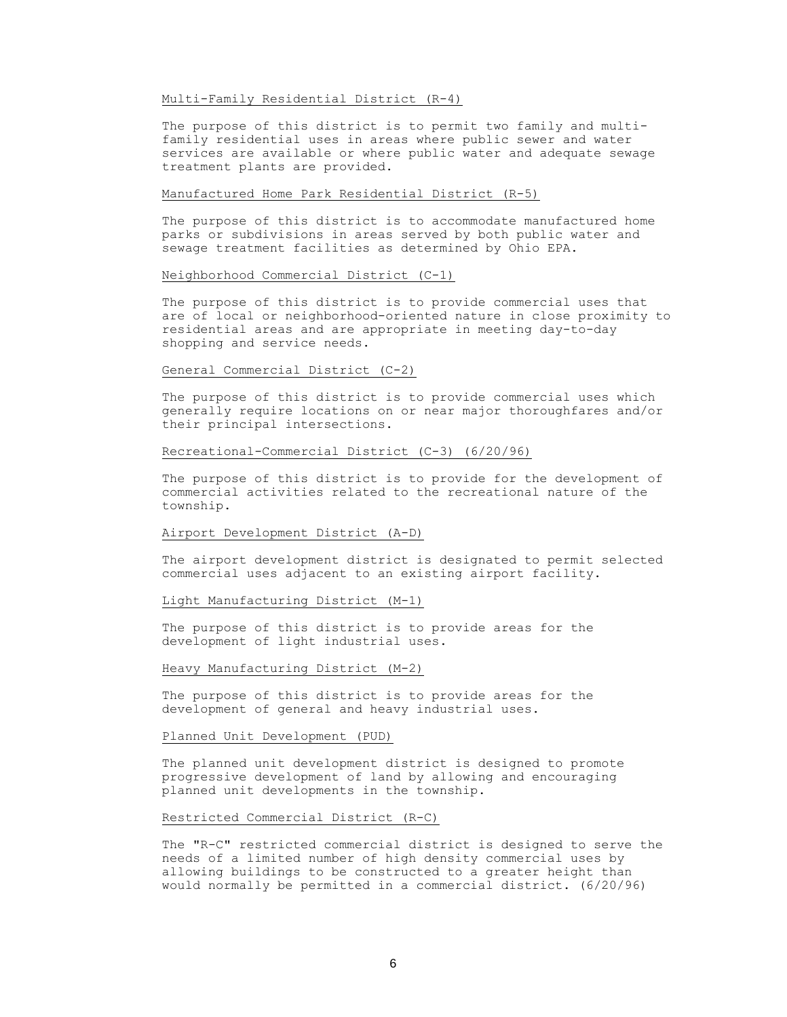# Multi-Family Residential District (R-4)

The purpose of this district is to permit two family and multifamily residential uses in areas where public sewer and water services are available or where public water and adequate sewage treatment plants are provided.

### Manufactured Home Park Residential District (R-5)

The purpose of this district is to accommodate manufactured home parks or subdivisions in areas served by both public water and sewage treatment facilities as determined by Ohio EPA.

## Neighborhood Commercial District (C-1)

The purpose of this district is to provide commercial uses that are of local or neighborhood-oriented nature in close proximity to residential areas and are appropriate in meeting day-to-day shopping and service needs.

# General Commercial District (C-2)

The purpose of this district is to provide commercial uses which generally require locations on or near major thoroughfares and/or their principal intersections.

# Recreational-Commercial District (C-3) (6/20/96)

The purpose of this district is to provide for the development of commercial activities related to the recreational nature of the township.

## Airport Development District (A-D)

The airport development district is designated to permit selected commercial uses adjacent to an existing airport facility.

## Light Manufacturing District (M-1)

The purpose of this district is to provide areas for the development of light industrial uses.

### Heavy Manufacturing District (M-2)

The purpose of this district is to provide areas for the development of general and heavy industrial uses.

# Planned Unit Development (PUD)

The planned unit development district is designed to promote progressive development of land by allowing and encouraging planned unit developments in the township.

### Restricted Commercial District (R-C)

The "R-C" restricted commercial district is designed to serve the needs of a limited number of high density commercial uses by allowing buildings to be constructed to a greater height than would normally be permitted in a commercial district. (6/20/96)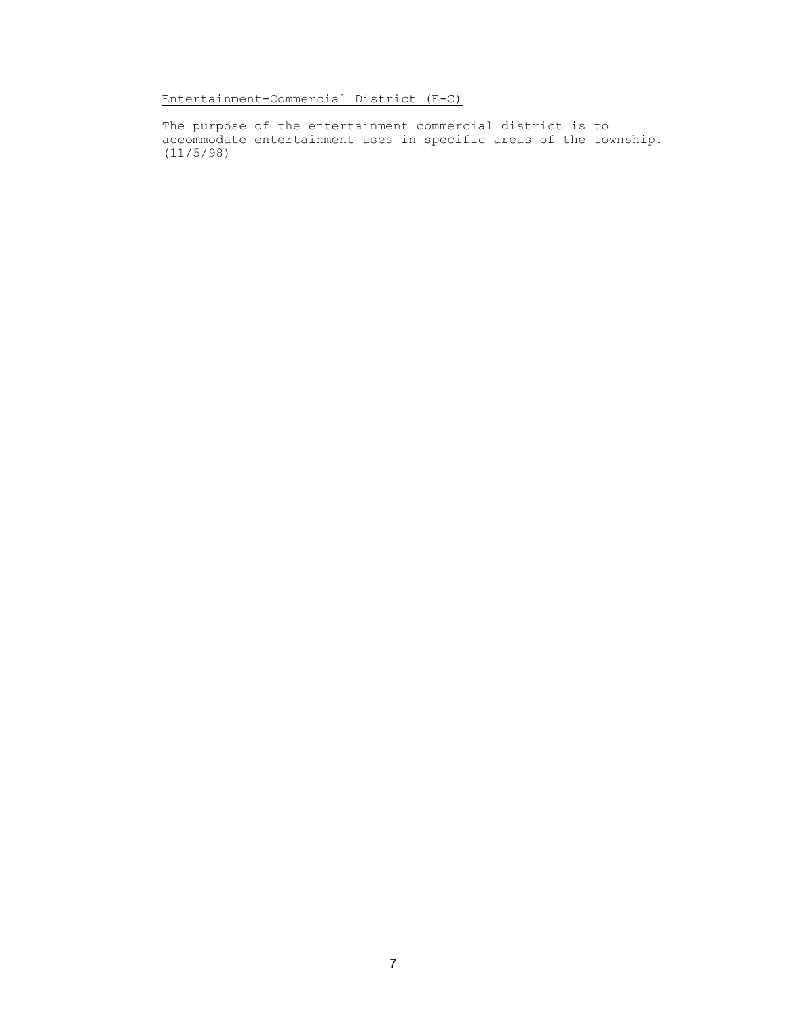Entertainment-Commercial District (E-C)

The purpose of the entertainment commercial district is to accommodate entertainment uses in specific areas of the township. (11/5/98)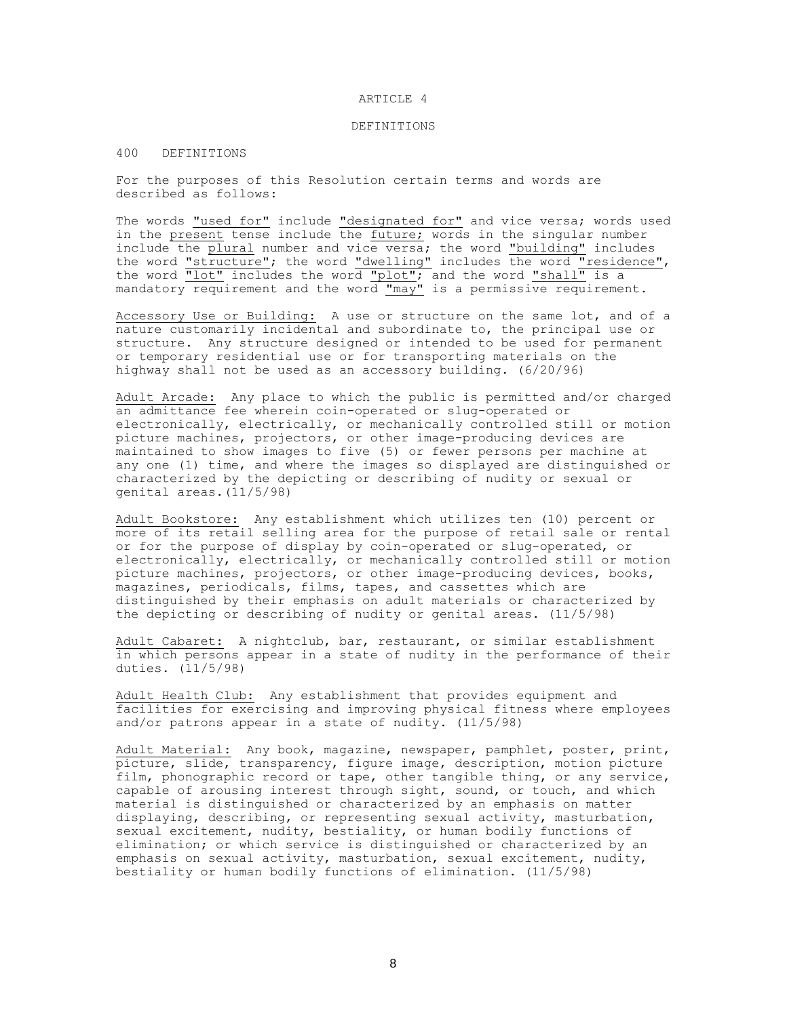#### ARTICLE 4

### DEFINITIONS

## 400 DEFINITIONS

For the purposes of this Resolution certain terms and words are described as follows:

The words "used for" include "designated for" and vice versa; words used in the present tense include the future; words in the singular number include the plural number and vice versa; the word "building" includes the word "structure"; the word "dwelling" includes the word "residence", the word  $\overline{``lot"}$  includes the word "plot"; and the word "shall" is a mandatory requirement and the word "may" is a permissive requirement.

Accessory Use or Building: A use or structure on the same lot, and of a nature customarily incidental and subordinate to, the principal use or structure. Any structure designed or intended to be used for permanent or temporary residential use or for transporting materials on the highway shall not be used as an accessory building. (6/20/96)

Adult Arcade: Any place to which the public is permitted and/or charged an admittance fee wherein coin-operated or slug-operated or electronically, electrically, or mechanically controlled still or motion picture machines, projectors, or other image-producing devices are maintained to show images to five (5) or fewer persons per machine at any one (1) time, and where the images so displayed are distinguished or characterized by the depicting or describing of nudity or sexual or genital areas.(11/5/98)

Adult Bookstore: Any establishment which utilizes ten (10) percent or more of its retail selling area for the purpose of retail sale or rental or for the purpose of display by coin-operated or slug-operated, or electronically, electrically, or mechanically controlled still or motion picture machines, projectors, or other image-producing devices, books, magazines, periodicals, films, tapes, and cassettes which are distinguished by their emphasis on adult materials or characterized by the depicting or describing of nudity or genital areas. (11/5/98)

Adult Cabaret: A nightclub, bar, restaurant, or similar establishment in which persons appear in a state of nudity in the performance of their duties. (11/5/98)

Adult Health Club: Any establishment that provides equipment and facilities for exercising and improving physical fitness where employees and/or patrons appear in a state of nudity. (11/5/98)

Adult Material: Any book, magazine, newspaper, pamphlet, poster, print, picture, slide, transparency, figure image, description, motion picture film, phonographic record or tape, other tangible thing, or any service, capable of arousing interest through sight, sound, or touch, and which material is distinguished or characterized by an emphasis on matter displaying, describing, or representing sexual activity, masturbation, sexual excitement, nudity, bestiality, or human bodily functions of elimination; or which service is distinguished or characterized by an emphasis on sexual activity, masturbation, sexual excitement, nudity, bestiality or human bodily functions of elimination. (11/5/98)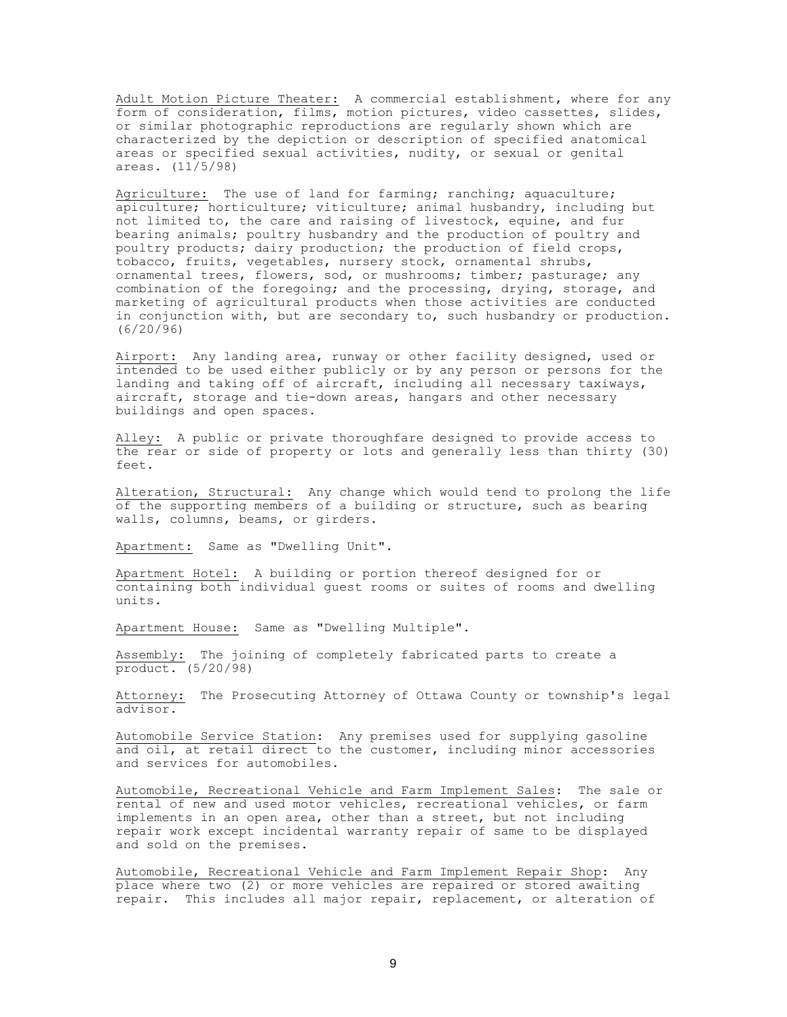Adult Motion Picture Theater: A commercial establishment, where for any form of consideration, films, motion pictures, video cassettes, slides, or similar photographic reproductions are regularly shown which are characterized by the depiction or description of specified anatomical areas or specified sexual activities, nudity, or sexual or genital areas. (11/5/98)

Agriculture: The use of land for farming; ranching; aquaculture; apiculture; horticulture; viticulture; animal husbandry, including but not limited to, the care and raising of livestock, equine, and fur bearing animals; poultry husbandry and the production of poultry and poultry products; dairy production; the production of field crops, tobacco, fruits, vegetables, nursery stock, ornamental shrubs, ornamental trees, flowers, sod, or mushrooms; timber; pasturage; any combination of the foregoing; and the processing, drying, storage, and marketing of agricultural products when those activities are conducted in conjunction with, but are secondary to, such husbandry or production. (6/20/96)

Airport: Any landing area, runway or other facility designed, used or intended to be used either publicly or by any person or persons for the landing and taking off of aircraft, including all necessary taxiways, aircraft, storage and tie-down areas, hangars and other necessary buildings and open spaces.

Alley: A public or private thoroughfare designed to provide access to the rear or side of property or lots and generally less than thirty (30) feet.

Alteration, Structural: Any change which would tend to prolong the life of the supporting members of a building or structure, such as bearing walls, columns, beams, or girders.

Apartment: Same as "Dwelling Unit".

Apartment Hotel: A building or portion thereof designed for or containing both individual guest rooms or suites of rooms and dwelling units.

Apartment House: Same as "Dwelling Multiple".

Assembly: The joining of completely fabricated parts to create a product. (5/20/98)

Attorney: The Prosecuting Attorney of Ottawa County or township's legal advisor.

Automobile Service Station: Any premises used for supplying gasoline and oil, at retail direct to the customer, including minor accessories and services for automobiles.

Automobile, Recreational Vehicle and Farm Implement Sales: The sale or rental of new and used motor vehicles, recreational vehicles, or farm implements in an open area, other than a street, but not including repair work except incidental warranty repair of same to be displayed and sold on the premises.

Automobile, Recreational Vehicle and Farm Implement Repair Shop: Any place where two (2) or more vehicles are repaired or stored awaiting repair. This includes all major repair, replacement, or alteration of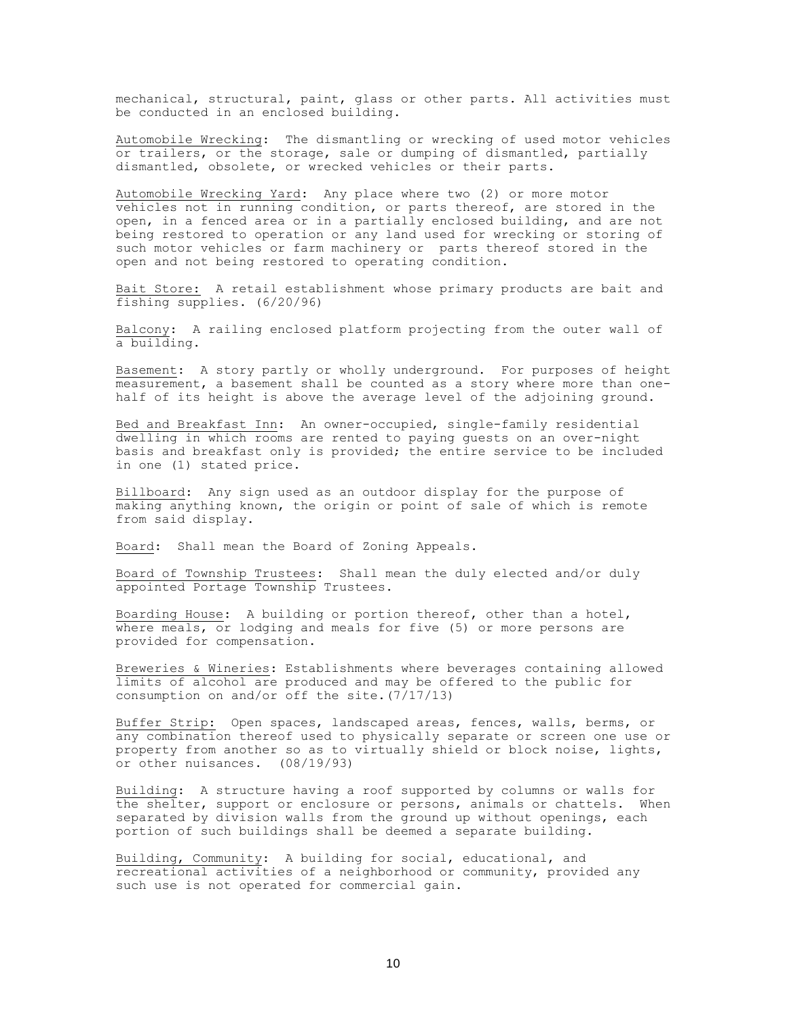mechanical, structural, paint, glass or other parts. All activities must be conducted in an enclosed building.

Automobile Wrecking: The dismantling or wrecking of used motor vehicles or trailers, or the storage, sale or dumping of dismantled, partially dismantled, obsolete, or wrecked vehicles or their parts.

Automobile Wrecking Yard: Any place where two (2) or more motor vehicles not in running condition, or parts thereof, are stored in the open, in a fenced area or in a partially enclosed building, and are not being restored to operation or any land used for wrecking or storing of such motor vehicles or farm machinery or parts thereof stored in the open and not being restored to operating condition.

Bait Store: A retail establishment whose primary products are bait and fishing supplies. (6/20/96)

Balcony: A railing enclosed platform projecting from the outer wall of a building.

Basement: A story partly or wholly underground. For purposes of height measurement, a basement shall be counted as a story where more than onehalf of its height is above the average level of the adjoining ground.

Bed and Breakfast Inn: An owner-occupied, single-family residential dwelling in which rooms are rented to paying guests on an over-night basis and breakfast only is provided; the entire service to be included in one (1) stated price.

Billboard: Any sign used as an outdoor display for the purpose of making anything known, the origin or point of sale of which is remote from said display.

Board: Shall mean the Board of Zoning Appeals.

Board of Township Trustees: Shall mean the duly elected and/or duly appointed Portage Township Trustees.

Boarding House: A building or portion thereof, other than a hotel, where meals, or lodging and meals for five (5) or more persons are provided for compensation.

Breweries & Wineries: Establishments where beverages containing allowed limits of alcohol are produced and may be offered to the public for consumption on and/or off the site.(7/17/13)

Buffer Strip: Open spaces, landscaped areas, fences, walls, berms, or any combination thereof used to physically separate or screen one use or property from another so as to virtually shield or block noise, lights, or other nuisances. (08/19/93)

Building: A structure having a roof supported by columns or walls for the shelter, support or enclosure or persons, animals or chattels. When separated by division walls from the ground up without openings, each portion of such buildings shall be deemed a separate building.

Building, Community: A building for social, educational, and recreational activities of a neighborhood or community, provided any such use is not operated for commercial gain.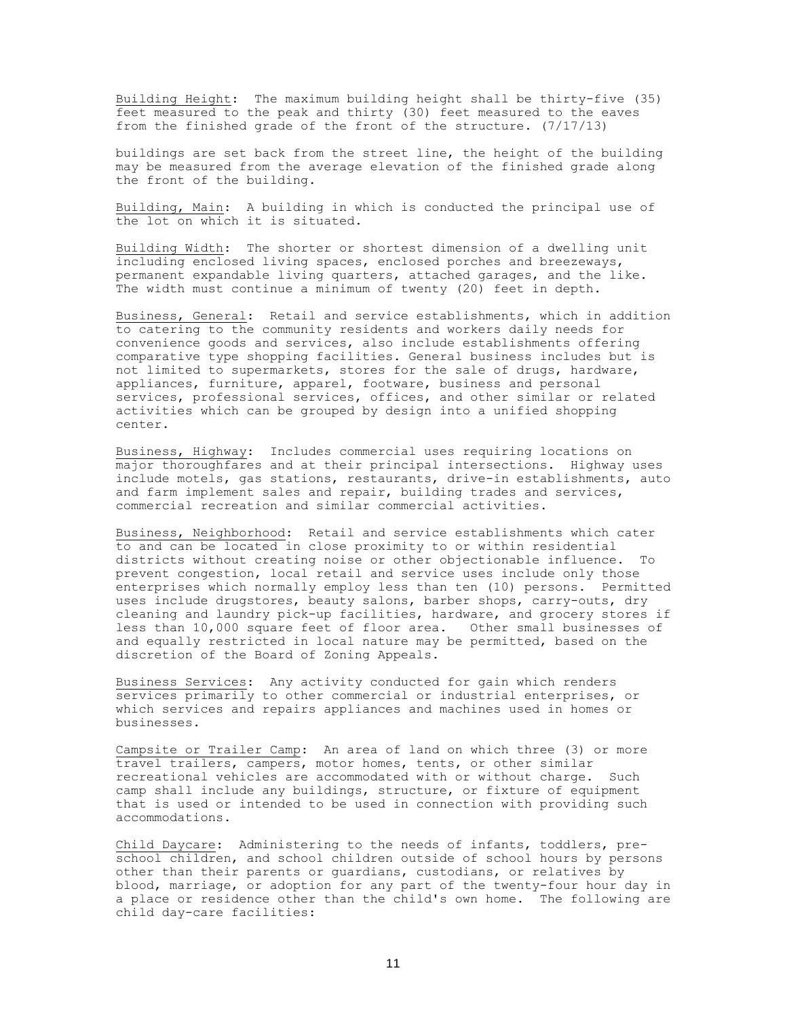Building Height: The maximum building height shall be thirty-five (35) feet measured to the peak and thirty (30) feet measured to the eaves from the finished grade of the front of the structure. (7/17/13)

buildings are set back from the street line, the height of the building may be measured from the average elevation of the finished grade along the front of the building.

Building, Main: A building in which is conducted the principal use of the lot on which it is situated.

Building Width: The shorter or shortest dimension of a dwelling unit including enclosed living spaces, enclosed porches and breezeways, permanent expandable living quarters, attached garages, and the like. The width must continue a minimum of twenty (20) feet in depth.

Business, General: Retail and service establishments, which in addition to catering to the community residents and workers daily needs for convenience goods and services, also include establishments offering comparative type shopping facilities. General business includes but is not limited to supermarkets, stores for the sale of drugs, hardware, appliances, furniture, apparel, footware, business and personal services, professional services, offices, and other similar or related activities which can be grouped by design into a unified shopping center.

Business, Highway: Includes commercial uses requiring locations on major thoroughfares and at their principal intersections. Highway uses include motels, gas stations, restaurants, drive-in establishments, auto and farm implement sales and repair, building trades and services, commercial recreation and similar commercial activities.

Business, Neighborhood: Retail and service establishments which cater to and can be located in close proximity to or within residential districts without creating noise or other objectionable influence. To prevent congestion, local retail and service uses include only those enterprises which normally employ less than ten (10) persons. Permitted uses include drugstores, beauty salons, barber shops, carry-outs, dry cleaning and laundry pick-up facilities, hardware, and grocery stores if less than 10,000 square feet of floor area. Other small businesses of and equally restricted in local nature may be permitted, based on the discretion of the Board of Zoning Appeals.

Business Services: Any activity conducted for gain which renders services primarily to other commercial or industrial enterprises, or which services and repairs appliances and machines used in homes or businesses.

Campsite or Trailer Camp: An area of land on which three (3) or more travel trailers, campers, motor homes, tents, or other similar recreational vehicles are accommodated with or without charge. Such camp shall include any buildings, structure, or fixture of equipment that is used or intended to be used in connection with providing such accommodations.

Child Daycare: Administering to the needs of infants, toddlers, preschool children, and school children outside of school hours by persons other than their parents or guardians, custodians, or relatives by blood, marriage, or adoption for any part of the twenty-four hour day in a place or residence other than the child's own home. The following are child day-care facilities: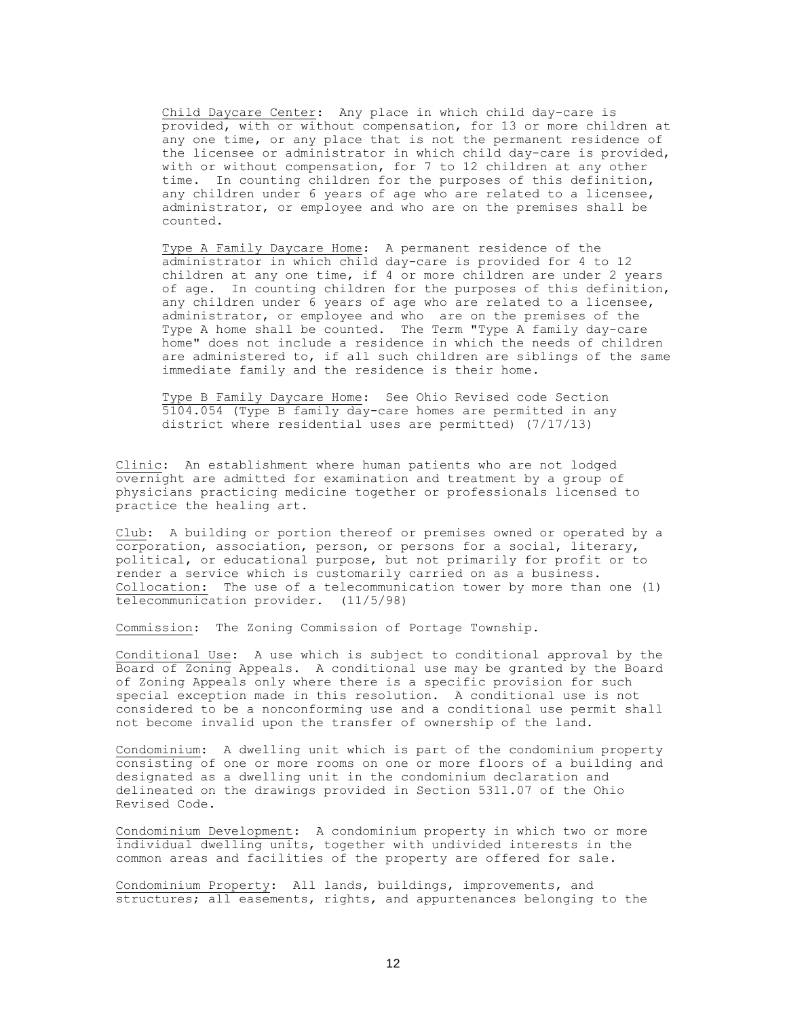Child Daycare Center: Any place in which child day-care is provided, with or without compensation, for 13 or more children at any one time, or any place that is not the permanent residence of the licensee or administrator in which child day-care is provided, with or without compensation, for 7 to 12 children at any other time. In counting children for the purposes of this definition, any children under 6 years of age who are related to a licensee, administrator, or employee and who are on the premises shall be counted.

Type A Family Daycare Home: A permanent residence of the administrator in which child day-care is provided for 4 to 12 children at any one time, if 4 or more children are under 2 years of age. In counting children for the purposes of this definition, any children under 6 years of age who are related to a licensee, administrator, or employee and who are on the premises of the Type A home shall be counted. The Term "Type A family day-care home" does not include a residence in which the needs of children are administered to, if all such children are siblings of the same immediate family and the residence is their home.

Type B Family Daycare Home: See Ohio Revised code Section 5104.054 (Type B family day-care homes are permitted in any district where residential uses are permitted) (7/17/13)

Clinic: An establishment where human patients who are not lodged overnight are admitted for examination and treatment by a group of physicians practicing medicine together or professionals licensed to practice the healing art.

Club: A building or portion thereof or premises owned or operated by a corporation, association, person, or persons for a social, literary, political, or educational purpose, but not primarily for profit or to render a service which is customarily carried on as a business. Collocation: The use of a telecommunication tower by more than one (1) telecommunication provider. (11/5/98)

Commission: The Zoning Commission of Portage Township.

Conditional Use: A use which is subject to conditional approval by the Board of Zoning Appeals. A conditional use may be granted by the Board of Zoning Appeals only where there is a specific provision for such special exception made in this resolution. A conditional use is not considered to be a nonconforming use and a conditional use permit shall not become invalid upon the transfer of ownership of the land.

Condominium: A dwelling unit which is part of the condominium property consisting of one or more rooms on one or more floors of a building and designated as a dwelling unit in the condominium declaration and delineated on the drawings provided in Section 5311.07 of the Ohio Revised Code.

Condominium Development: A condominium property in which two or more individual dwelling units, together with undivided interests in the common areas and facilities of the property are offered for sale.

Condominium Property: All lands, buildings, improvements, and structures; all easements, rights, and appurtenances belonging to the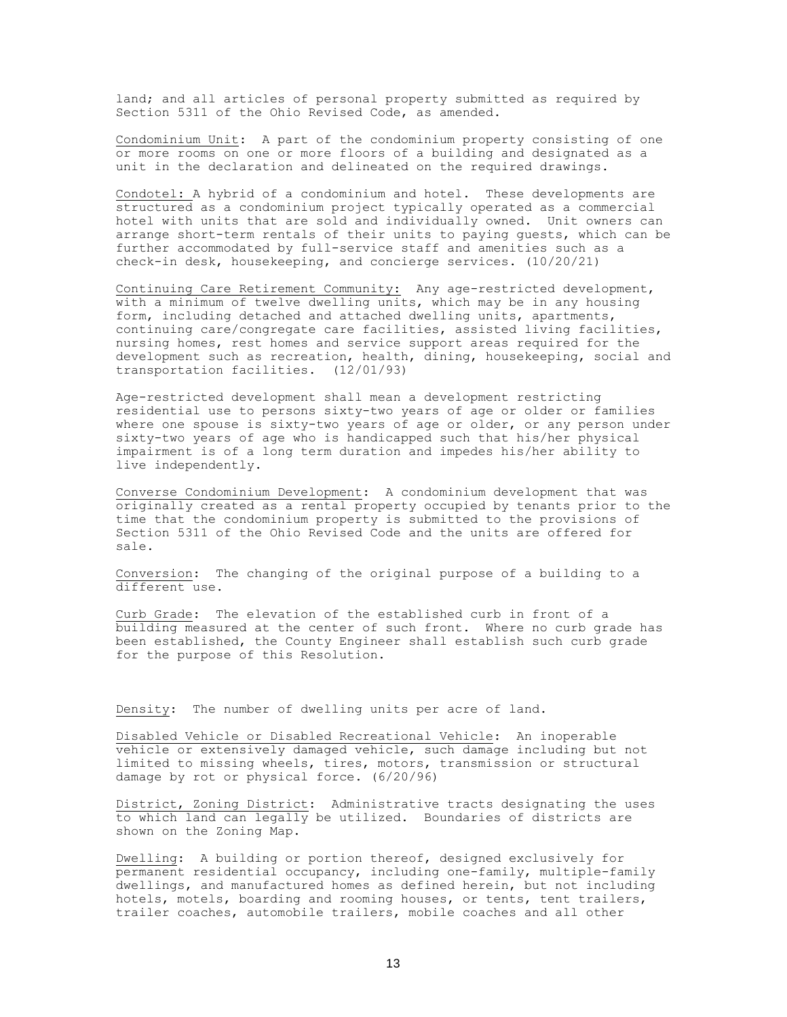land; and all articles of personal property submitted as required by Section 5311 of the Ohio Revised Code, as amended.

Condominium Unit: A part of the condominium property consisting of one or more rooms on one or more floors of a building and designated as a unit in the declaration and delineated on the required drawings.

Condotel: A hybrid of a condominium and hotel. These developments are structured as a condominium project typically operated as a commercial hotel with units that are sold and individually owned. Unit owners can arrange short-term rentals of their units to paying guests, which can be further accommodated by full-service staff and amenities such as a check-in desk, housekeeping, and concierge services. (10/20/21)

Continuing Care Retirement Community: Any age-restricted development, with a minimum of twelve dwelling units, which may be in any housing form, including detached and attached dwelling units, apartments, continuing care/congregate care facilities, assisted living facilities, nursing homes, rest homes and service support areas required for the development such as recreation, health, dining, housekeeping, social and transportation facilities. (12/01/93)

Age-restricted development shall mean a development restricting residential use to persons sixty-two years of age or older or families where one spouse is sixty-two years of age or older, or any person under sixty-two years of age who is handicapped such that his/her physical impairment is of a long term duration and impedes his/her ability to live independently.

Converse Condominium Development: A condominium development that was originally created as a rental property occupied by tenants prior to the time that the condominium property is submitted to the provisions of Section 5311 of the Ohio Revised Code and the units are offered for sale.

Conversion: The changing of the original purpose of a building to a different use.

Curb Grade: The elevation of the established curb in front of a building measured at the center of such front. Where no curb grade has been established, the County Engineer shall establish such curb grade for the purpose of this Resolution.

Density: The number of dwelling units per acre of land.

Disabled Vehicle or Disabled Recreational Vehicle: An inoperable vehicle or extensively damaged vehicle, such damage including but not limited to missing wheels, tires, motors, transmission or structural damage by rot or physical force. (6/20/96)

District, Zoning District: Administrative tracts designating the uses to which land can legally be utilized. Boundaries of districts are shown on the Zoning Map.

Dwelling: A building or portion thereof, designed exclusively for permanent residential occupancy, including one-family, multiple-family dwellings, and manufactured homes as defined herein, but not including hotels, motels, boarding and rooming houses, or tents, tent trailers, trailer coaches, automobile trailers, mobile coaches and all other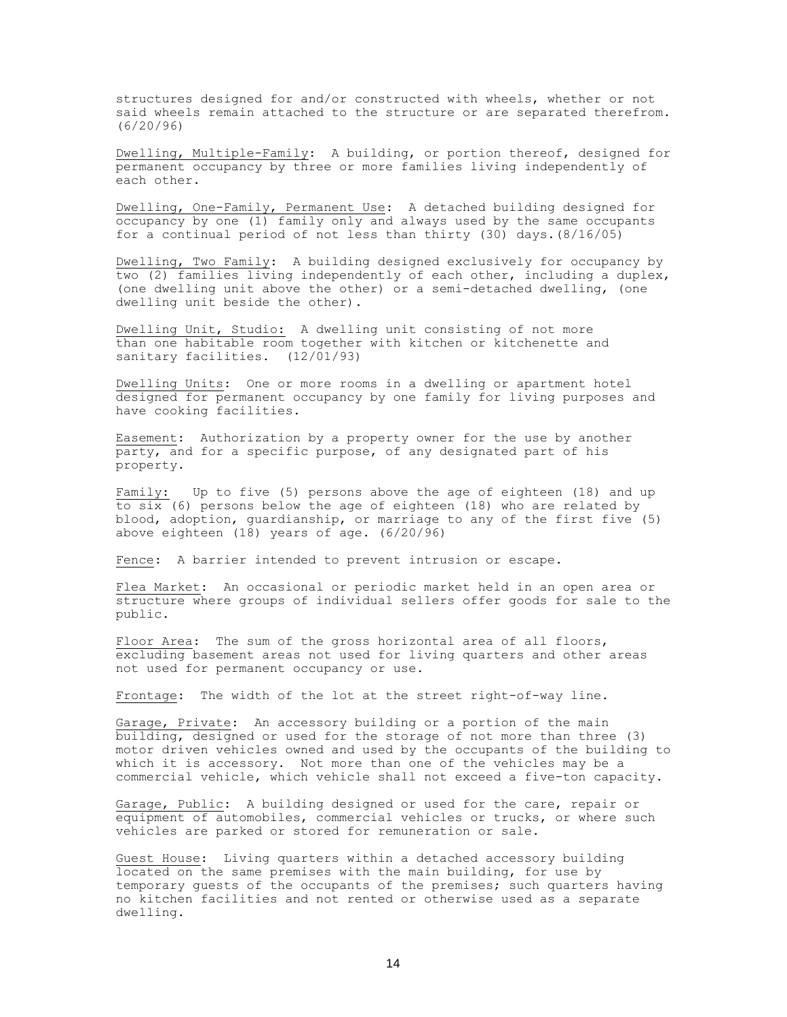structures designed for and/or constructed with wheels, whether or not said wheels remain attached to the structure or are separated therefrom. (6/20/96)

Dwelling, Multiple-Family: A building, or portion thereof, designed for permanent occupancy by three or more families living independently of each other.

Dwelling, One-Family, Permanent Use: A detached building designed for occupancy by one (1) family only and always used by the same occupants for a continual period of not less than thirty (30) days.(8/16/05)

Dwelling, Two Family: A building designed exclusively for occupancy by two (2) families living independently of each other, including a duplex, (one dwelling unit above the other) or a semi-detached dwelling, (one dwelling unit beside the other).

Dwelling Unit, Studio: A dwelling unit consisting of not more than one habitable room together with kitchen or kitchenette and sanitary facilities. (12/01/93)

Dwelling Units: One or more rooms in a dwelling or apartment hotel designed for permanent occupancy by one family for living purposes and have cooking facilities.

Easement: Authorization by a property owner for the use by another party, and for a specific purpose, of any designated part of his property.

Family: Up to five (5) persons above the age of eighteen (18) and up to six (6) persons below the age of eighteen (18) who are related by blood, adoption, guardianship, or marriage to any of the first five (5) above eighteen (18) years of age. (6/20/96)

Fence: A barrier intended to prevent intrusion or escape.

Flea Market: An occasional or periodic market held in an open area or structure where groups of individual sellers offer goods for sale to the public.

Floor Area: The sum of the gross horizontal area of all floors, excluding basement areas not used for living quarters and other areas not used for permanent occupancy or use.

Frontage: The width of the lot at the street right-of-way line.

Garage, Private: An accessory building or a portion of the main building, designed or used for the storage of not more than three (3) motor driven vehicles owned and used by the occupants of the building to which it is accessory. Not more than one of the vehicles may be a commercial vehicle, which vehicle shall not exceed a five-ton capacity.

Garage, Public: A building designed or used for the care, repair or equipment of automobiles, commercial vehicles or trucks, or where such vehicles are parked or stored for remuneration or sale.

Guest House: Living quarters within a detached accessory building located on the same premises with the main building, for use by temporary guests of the occupants of the premises; such quarters having no kitchen facilities and not rented or otherwise used as a separate dwelling.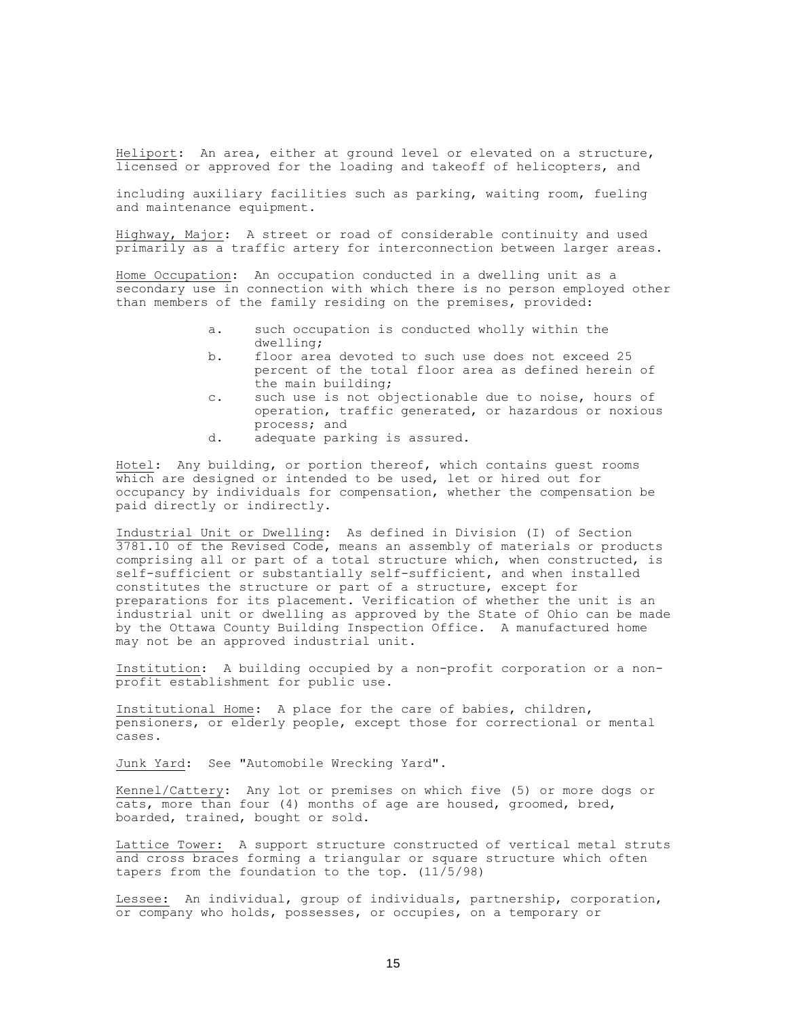Heliport: An area, either at ground level or elevated on a structure, licensed or approved for the loading and takeoff of helicopters, and

including auxiliary facilities such as parking, waiting room, fueling and maintenance equipment.

Highway, Major: A street or road of considerable continuity and used primarily as a traffic artery for interconnection between larger areas.

Home Occupation: An occupation conducted in a dwelling unit as a secondary use in connection with which there is no person employed other than members of the family residing on the premises, provided:

- a. such occupation is conducted wholly within the dwelling;
- b. floor area devoted to such use does not exceed 25 percent of the total floor area as defined herein of the main building;
- c. such use is not objectionable due to noise, hours of operation, traffic generated, or hazardous or noxious process; and
- d. adequate parking is assured.

Hotel: Any building, or portion thereof, which contains guest rooms which are designed or intended to be used, let or hired out for occupancy by individuals for compensation, whether the compensation be paid directly or indirectly.

Industrial Unit or Dwelling: As defined in Division (I) of Section 3781.10 of the Revised Code, means an assembly of materials or products comprising all or part of a total structure which, when constructed, is self-sufficient or substantially self-sufficient, and when installed constitutes the structure or part of a structure, except for preparations for its placement. Verification of whether the unit is an industrial unit or dwelling as approved by the State of Ohio can be made by the Ottawa County Building Inspection Office. A manufactured home may not be an approved industrial unit.

Institution: A building occupied by a non-profit corporation or a nonprofit establishment for public use.

Institutional Home: A place for the care of babies, children, pensioners, or elderly people, except those for correctional or mental cases.

Junk Yard: See "Automobile Wrecking Yard".

Kennel/Cattery: Any lot or premises on which five (5) or more dogs or cats, more than four (4) months of age are housed, groomed, bred, boarded, trained, bought or sold.

Lattice Tower: A support structure constructed of vertical metal struts and cross braces forming a triangular or square structure which often tapers from the foundation to the top. (11/5/98)

Lessee: An individual, group of individuals, partnership, corporation, or company who holds, possesses, or occupies, on a temporary or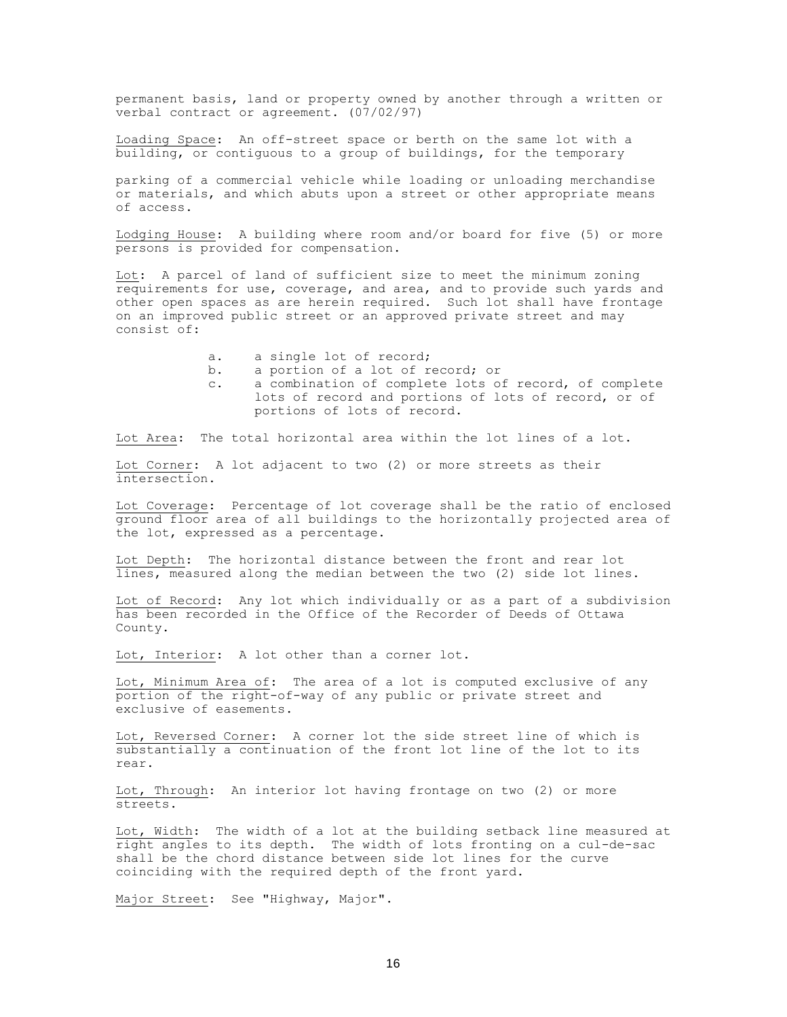permanent basis, land or property owned by another through a written or verbal contract or agreement. (07/02/97)

Loading Space: An off-street space or berth on the same lot with a building, or contiguous to a group of buildings, for the temporary

parking of a commercial vehicle while loading or unloading merchandise or materials, and which abuts upon a street or other appropriate means of access.

Lodging House: A building where room and/or board for five (5) or more persons is provided for compensation.

Lot: A parcel of land of sufficient size to meet the minimum zoning requirements for use, coverage, and area, and to provide such yards and other open spaces as are herein required. Such lot shall have frontage on an improved public street or an approved private street and may consist of:

- a. a single lot of record;
- b. a portion of a lot of record; or
- c. a combination of complete lots of record, of complete lots of record and portions of lots of record, or of portions of lots of record.

Lot Area: The total horizontal area within the lot lines of a lot.

Lot Corner: A lot adjacent to two (2) or more streets as their intersection.

Lot Coverage: Percentage of lot coverage shall be the ratio of enclosed ground floor area of all buildings to the horizontally projected area of the lot, expressed as a percentage.

Lot Depth: The horizontal distance between the front and rear lot lines, measured along the median between the two (2) side lot lines.

Lot of Record: Any lot which individually or as a part of a subdivision has been recorded in the Office of the Recorder of Deeds of Ottawa County.

Lot, Interior: A lot other than a corner lot.

Lot, Minimum Area of: The area of a lot is computed exclusive of any portion of the right-of-way of any public or private street and exclusive of easements.

Lot, Reversed Corner: A corner lot the side street line of which is substantially a continuation of the front lot line of the lot to its rear.

Lot, Through: An interior lot having frontage on two (2) or more streets.

Lot, Width: The width of a lot at the building setback line measured at right angles to its depth. The width of lots fronting on a cul-de-sac shall be the chord distance between side lot lines for the curve coinciding with the required depth of the front yard.

Major Street: See "Highway, Major".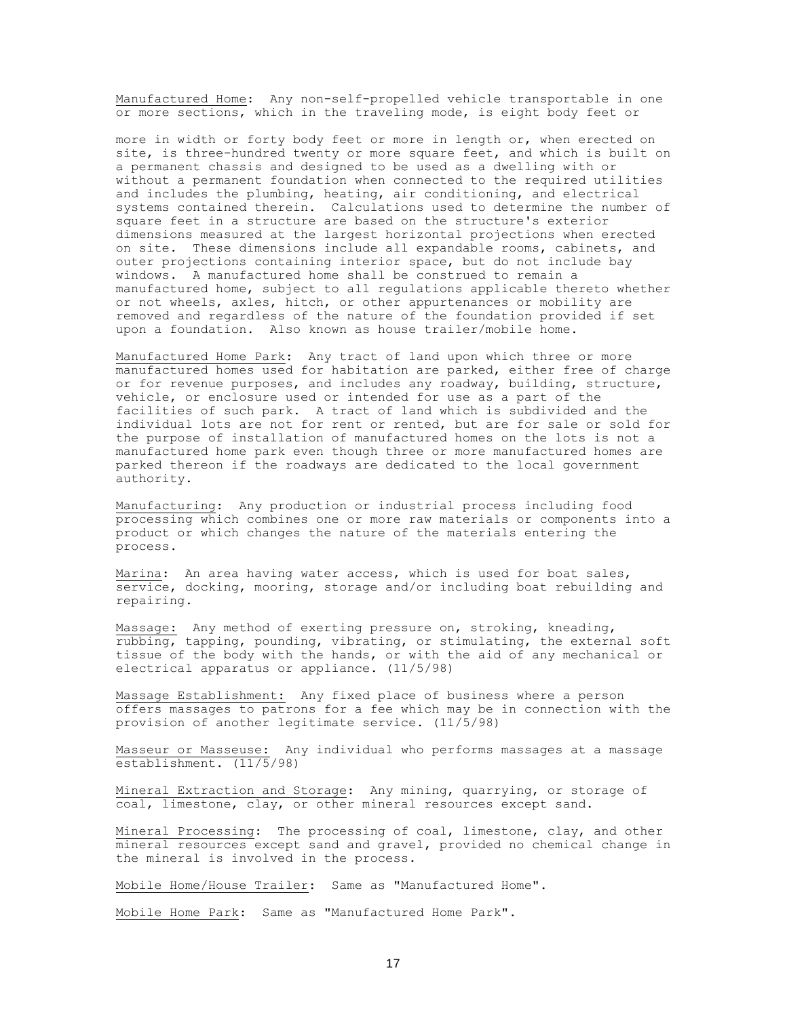Manufactured Home: Any non-self-propelled vehicle transportable in one or more sections, which in the traveling mode, is eight body feet or

more in width or forty body feet or more in length or, when erected on site, is three-hundred twenty or more square feet, and which is built on a permanent chassis and designed to be used as a dwelling with or without a permanent foundation when connected to the required utilities and includes the plumbing, heating, air conditioning, and electrical systems contained therein. Calculations used to determine the number of square feet in a structure are based on the structure's exterior dimensions measured at the largest horizontal projections when erected on site. These dimensions include all expandable rooms, cabinets, and outer projections containing interior space, but do not include bay windows. A manufactured home shall be construed to remain a manufactured home, subject to all regulations applicable thereto whether or not wheels, axles, hitch, or other appurtenances or mobility are removed and regardless of the nature of the foundation provided if set upon a foundation. Also known as house trailer/mobile home.

Manufactured Home Park: Any tract of land upon which three or more manufactured homes used for habitation are parked, either free of charge or for revenue purposes, and includes any roadway, building, structure, vehicle, or enclosure used or intended for use as a part of the facilities of such park. A tract of land which is subdivided and the individual lots are not for rent or rented, but are for sale or sold for the purpose of installation of manufactured homes on the lots is not a manufactured home park even though three or more manufactured homes are parked thereon if the roadways are dedicated to the local government authority.

Manufacturing: Any production or industrial process including food processing which combines one or more raw materials or components into a product or which changes the nature of the materials entering the process.

Marina: An area having water access, which is used for boat sales, service, docking, mooring, storage and/or including boat rebuilding and repairing.

Massage: Any method of exerting pressure on, stroking, kneading, rubbing, tapping, pounding, vibrating, or stimulating, the external soft tissue of the body with the hands, or with the aid of any mechanical or electrical apparatus or appliance. (11/5/98)

Massage Establishment: Any fixed place of business where a person offers massages to patrons for a fee which may be in connection with the provision of another legitimate service. (11/5/98)

Masseur or Masseuse: Any individual who performs massages at a massage establishment. (11/5/98)

Mineral Extraction and Storage: Any mining, quarrying, or storage of coal, limestone, clay, or other mineral resources except sand.

Mineral Processing: The processing of coal, limestone, clay, and other mineral resources except sand and gravel, provided no chemical change in the mineral is involved in the process.

Mobile Home/House Trailer: Same as "Manufactured Home".

Mobile Home Park: Same as "Manufactured Home Park".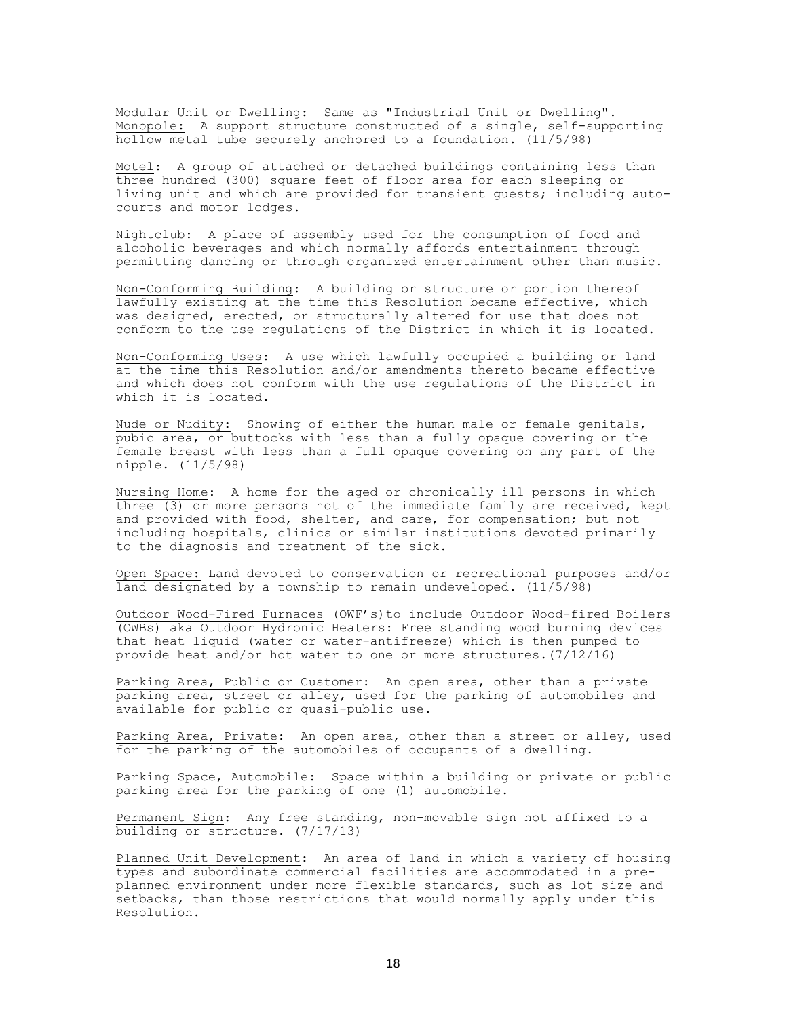Modular Unit or Dwelling: Same as "Industrial Unit or Dwelling". Monopole: A support structure constructed of a single, self-supporting hollow metal tube securely anchored to a foundation. (11/5/98)

Motel: A group of attached or detached buildings containing less than three hundred (300) square feet of floor area for each sleeping or living unit and which are provided for transient guests; including autocourts and motor lodges.

Nightclub: A place of assembly used for the consumption of food and alcoholic beverages and which normally affords entertainment through permitting dancing or through organized entertainment other than music.

Non-Conforming Building: A building or structure or portion thereof lawfully existing at the time this Resolution became effective, which was designed, erected, or structurally altered for use that does not conform to the use regulations of the District in which it is located.

Non-Conforming Uses: A use which lawfully occupied a building or land at the time this Resolution and/or amendments thereto became effective and which does not conform with the use regulations of the District in which it is located.

Nude or Nudity: Showing of either the human male or female genitals, pubic area, or buttocks with less than a fully opaque covering or the female breast with less than a full opaque covering on any part of the nipple. (11/5/98)

Nursing Home: A home for the aged or chronically ill persons in which three (3) or more persons not of the immediate family are received, kept and provided with food, shelter, and care, for compensation; but not including hospitals, clinics or similar institutions devoted primarily to the diagnosis and treatment of the sick.

Open Space: Land devoted to conservation or recreational purposes and/or land designated by a township to remain undeveloped. (11/5/98)

Outdoor Wood-Fired Furnaces (OWF's)to include Outdoor Wood-fired Boilers (OWBs) aka Outdoor Hydronic Heaters: Free standing wood burning devices that heat liquid (water or water-antifreeze) which is then pumped to provide heat and/or hot water to one or more structures.(7/12/16)

Parking Area, Public or Customer: An open area, other than a private parking area, street or alley, used for the parking of automobiles and available for public or quasi-public use.

Parking Area, Private: An open area, other than a street or alley, used for the parking of the automobiles of occupants of a dwelling.

Parking Space, Automobile: Space within a building or private or public parking area for the parking of one (1) automobile.

Permanent Sign: Any free standing, non-movable sign not affixed to a building or structure. (7/17/13)

Planned Unit Development: An area of land in which a variety of housing types and subordinate commercial facilities are accommodated in a preplanned environment under more flexible standards, such as lot size and setbacks, than those restrictions that would normally apply under this Resolution.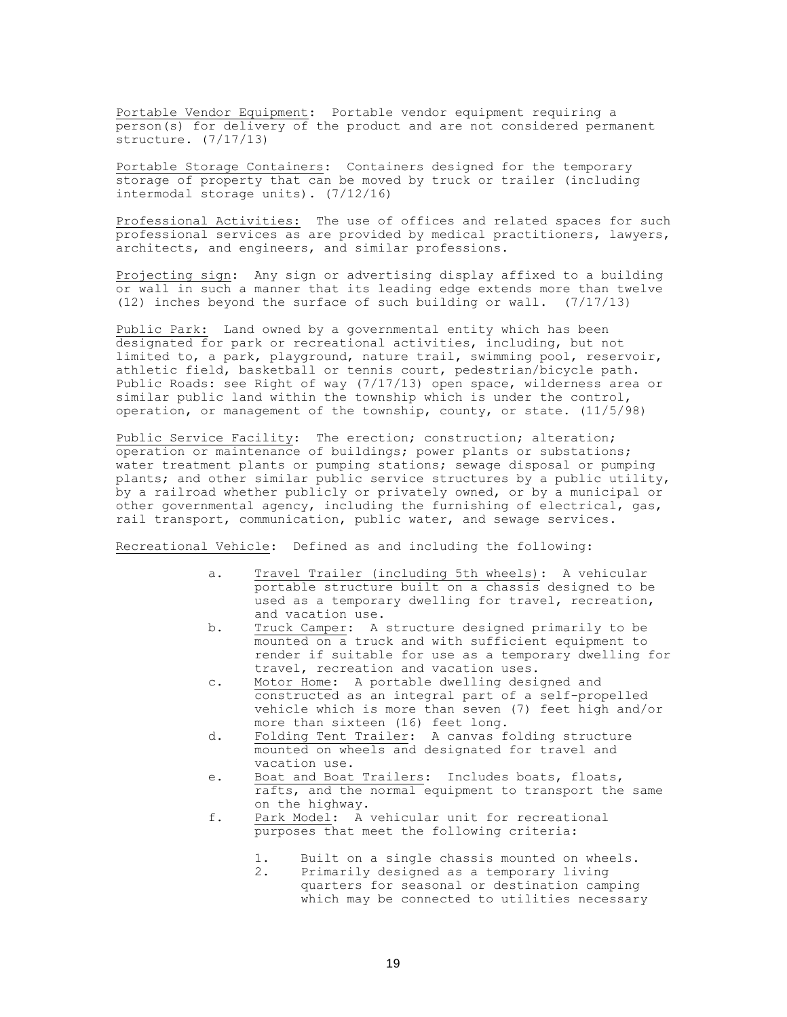Portable Vendor Equipment: Portable vendor equipment requiring a person(s) for delivery of the product and are not considered permanent structure. (7/17/13)

Portable Storage Containers: Containers designed for the temporary storage of property that can be moved by truck or trailer (including intermodal storage units). (7/12/16)

Professional Activities: The use of offices and related spaces for such professional services as are provided by medical practitioners, lawyers, architects, and engineers, and similar professions.

Projecting sign: Any sign or advertising display affixed to a building or wall in such a manner that its leading edge extends more than twelve (12) inches beyond the surface of such building or wall. (7/17/13)

Public Park: Land owned by a governmental entity which has been designated for park or recreational activities, including, but not limited to, a park, playground, nature trail, swimming pool, reservoir, athletic field, basketball or tennis court, pedestrian/bicycle path. Public Roads: see Right of way (7/17/13) open space, wilderness area or similar public land within the township which is under the control, operation, or management of the township, county, or state. (11/5/98)

Public Service Facility: The erection; construction; alteration; operation or maintenance of buildings; power plants or substations; water treatment plants or pumping stations; sewage disposal or pumping plants; and other similar public service structures by a public utility, by a railroad whether publicly or privately owned, or by a municipal or other governmental agency, including the furnishing of electrical, gas, rail transport, communication, public water, and sewage services.

Recreational Vehicle: Defined as and including the following:

- a. Travel Trailer (including 5th wheels): A vehicular portable structure built on a chassis designed to be used as a temporary dwelling for travel, recreation, and vacation use.
- b. Truck Camper: A structure designed primarily to be mounted on a truck and with sufficient equipment to render if suitable for use as a temporary dwelling for travel, recreation and vacation uses.
- c. Motor Home: A portable dwelling designed and constructed as an integral part of a self-propelled vehicle which is more than seven (7) feet high and/or more than sixteen (16) feet long.
- d. Folding Tent Trailer: A canvas folding structure mounted on wheels and designated for travel and vacation use.
- e. Boat and Boat Trailers: Includes boats, floats, rafts, and the normal equipment to transport the same on the highway.
- f. Park Model: A vehicular unit for recreational purposes that meet the following criteria:
	- 1. Built on a single chassis mounted on wheels.
	- 2. Primarily designed as a temporary living quarters for seasonal or destination camping which may be connected to utilities necessary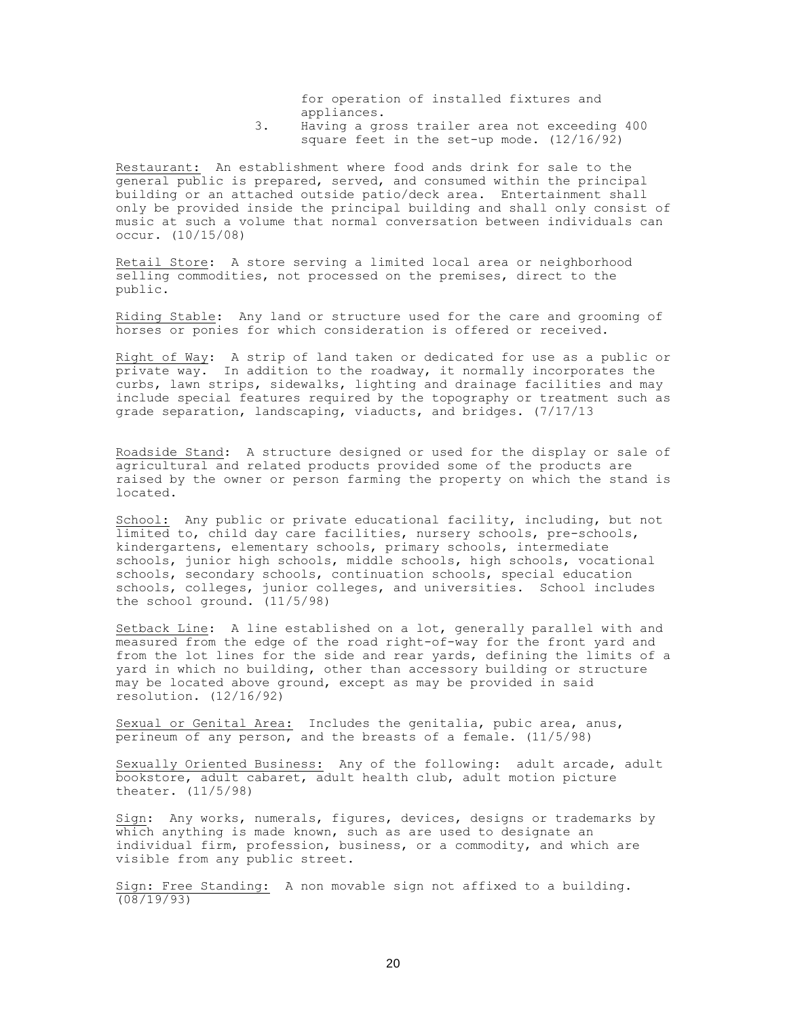for operation of installed fixtures and appliances.

3. Having a gross trailer area not exceeding 400 square feet in the set-up mode. (12/16/92)

Restaurant: An establishment where food ands drink for sale to the general public is prepared, served, and consumed within the principal building or an attached outside patio/deck area. Entertainment shall only be provided inside the principal building and shall only consist of music at such a volume that normal conversation between individuals can occur. (10/15/08)

Retail Store: A store serving a limited local area or neighborhood selling commodities, not processed on the premises, direct to the public.

Riding Stable: Any land or structure used for the care and grooming of horses or ponies for which consideration is offered or received.

Right of Way: A strip of land taken or dedicated for use as a public or private way. In addition to the roadway, it normally incorporates the curbs, lawn strips, sidewalks, lighting and drainage facilities and may include special features required by the topography or treatment such as grade separation, landscaping, viaducts, and bridges. (7/17/13

Roadside Stand: A structure designed or used for the display or sale of agricultural and related products provided some of the products are raised by the owner or person farming the property on which the stand is located.

School: Any public or private educational facility, including, but not limited to, child day care facilities, nursery schools, pre-schools, kindergartens, elementary schools, primary schools, intermediate schools, junior high schools, middle schools, high schools, vocational schools, secondary schools, continuation schools, special education schools, colleges, junior colleges, and universities. School includes the school ground. (11/5/98)

Setback Line: A line established on a lot, generally parallel with and measured from the edge of the road right-of-way for the front yard and from the lot lines for the side and rear yards, defining the limits of a yard in which no building, other than accessory building or structure may be located above ground, except as may be provided in said resolution. (12/16/92)

Sexual or Genital Area: Includes the genitalia, pubic area, anus, perineum of any person, and the breasts of a female. (11/5/98)

Sexually Oriented Business: Any of the following: adult arcade, adult bookstore, adult cabaret, adult health club, adult motion picture theater. (11/5/98)

Sign: Any works, numerals, figures, devices, designs or trademarks by which anything is made known, such as are used to designate an individual firm, profession, business, or a commodity, and which are visible from any public street.

Sign: Free Standing: A non movable sign not affixed to a building. (08/19/93)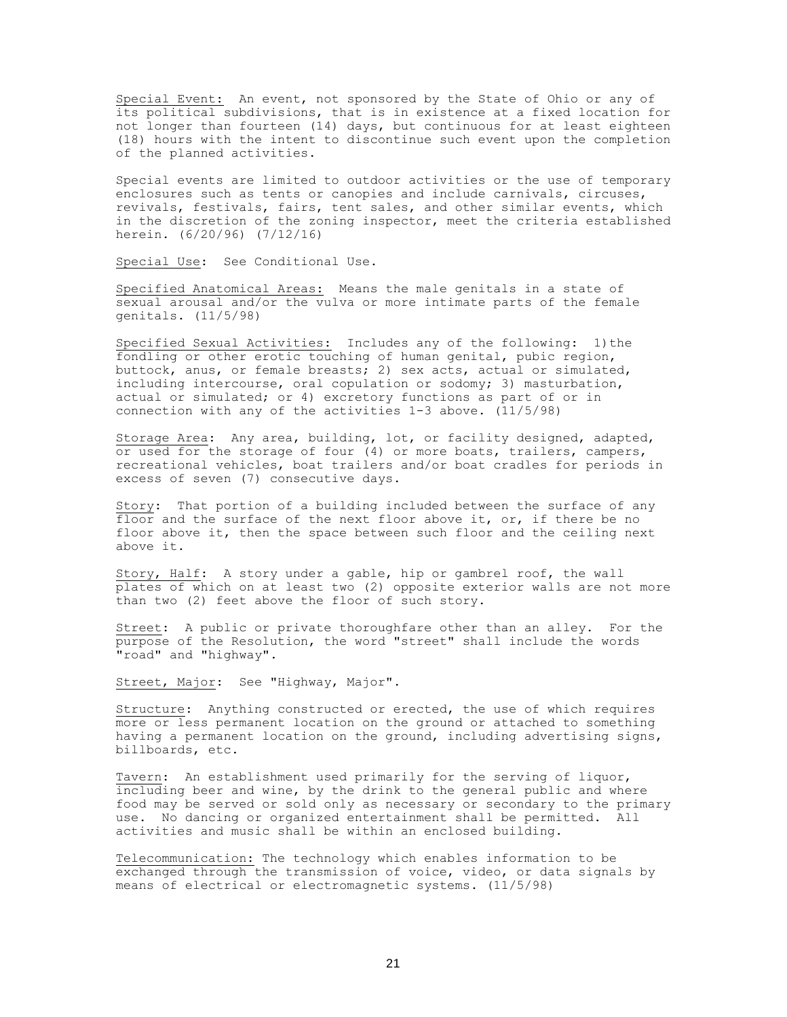Special Event: An event, not sponsored by the State of Ohio or any of its political subdivisions, that is in existence at a fixed location for not longer than fourteen (14) days, but continuous for at least eighteen (18) hours with the intent to discontinue such event upon the completion of the planned activities.

Special events are limited to outdoor activities or the use of temporary enclosures such as tents or canopies and include carnivals, circuses, revivals, festivals, fairs, tent sales, and other similar events, which in the discretion of the zoning inspector, meet the criteria established herein. (6/20/96) (7/12/16)

Special Use: See Conditional Use.

Specified Anatomical Areas: Means the male genitals in a state of sexual arousal and/or the vulva or more intimate parts of the female genitals. (11/5/98)

Specified Sexual Activities: Includes any of the following: 1) the fondling or other erotic touching of human genital, pubic region, buttock, anus, or female breasts; 2) sex acts, actual or simulated, including intercourse, oral copulation or sodomy; 3) masturbation, actual or simulated; or 4) excretory functions as part of or in connection with any of the activities 1-3 above. (11/5/98)

Storage Area: Any area, building, lot, or facility designed, adapted, or used for the storage of four (4) or more boats, trailers, campers, recreational vehicles, boat trailers and/or boat cradles for periods in excess of seven (7) consecutive days.

Story: That portion of a building included between the surface of any floor and the surface of the next floor above it, or, if there be no floor above it, then the space between such floor and the ceiling next above it.

Story, Half: A story under a gable, hip or gambrel roof, the wall plates of which on at least two (2) opposite exterior walls are not more than two (2) feet above the floor of such story.

Street: A public or private thoroughfare other than an alley. For the purpose of the Resolution, the word "street" shall include the words "road" and "highway".

Street, Major: See "Highway, Major".

Structure: Anything constructed or erected, the use of which requires more or less permanent location on the ground or attached to something having a permanent location on the ground, including advertising signs, billboards, etc.

Tavern: An establishment used primarily for the serving of liquor, including beer and wine, by the drink to the general public and where food may be served or sold only as necessary or secondary to the primary use. No dancing or organized entertainment shall be permitted. All activities and music shall be within an enclosed building.

Telecommunication: The technology which enables information to be exchanged through the transmission of voice, video, or data signals by means of electrical or electromagnetic systems. (11/5/98)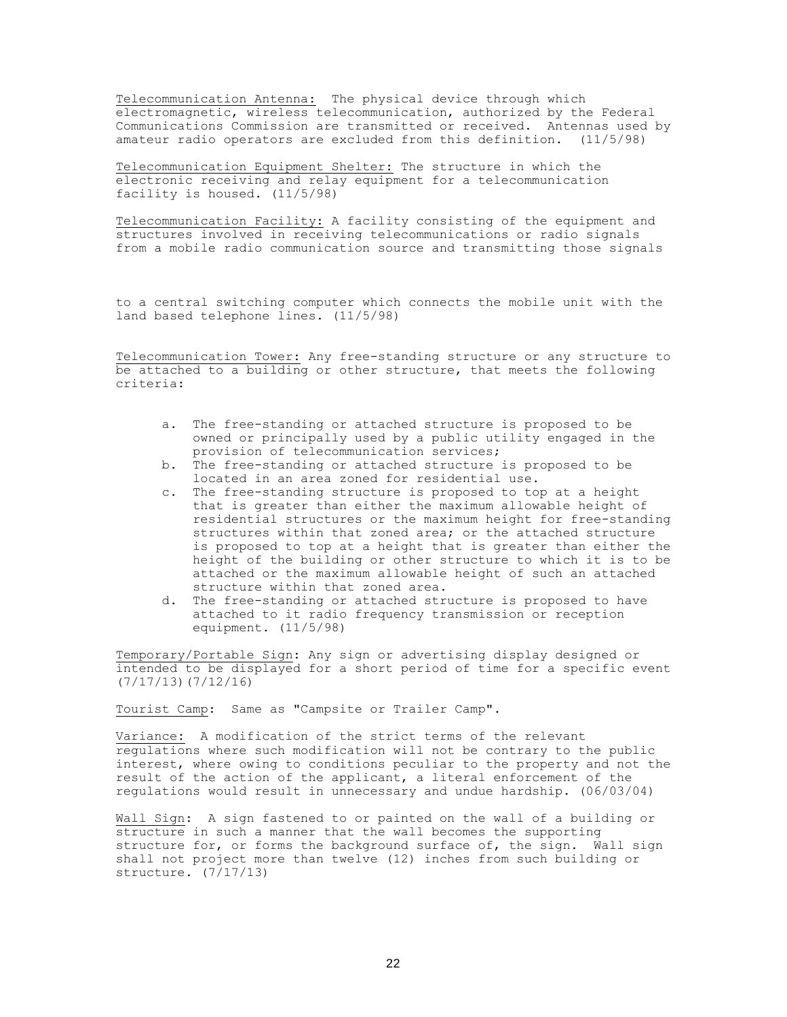Telecommunication Antenna: The physical device through which electromagnetic, wireless telecommunication, authorized by the Federal Communications Commission are transmitted or received. Antennas used by amateur radio operators are excluded from this definition. (11/5/98)

Telecommunication Equipment Shelter: The structure in which the electronic receiving and relay equipment for a telecommunication facility is housed. (11/5/98)

Telecommunication Facility: A facility consisting of the equipment and structures involved in receiving telecommunications or radio signals from a mobile radio communication source and transmitting those signals

to a central switching computer which connects the mobile unit with the land based telephone lines. (11/5/98)

Telecommunication Tower: Any free-standing structure or any structure to be attached to a building or other structure, that meets the following criteria:

- a. The free-standing or attached structure is proposed to be owned or principally used by a public utility engaged in the provision of telecommunication services;
- b. The free-standing or attached structure is proposed to be located in an area zoned for residential use.
- c. The free-standing structure is proposed to top at a height that is greater than either the maximum allowable height of residential structures or the maximum height for free-standing structures within that zoned area; or the attached structure is proposed to top at a height that is greater than either the height of the building or other structure to which it is to be attached or the maximum allowable height of such an attached structure within that zoned area.
- d. The free-standing or attached structure is proposed to have attached to it radio frequency transmission or reception equipment. (11/5/98)

Temporary/Portable Sign: Any sign or advertising display designed or intended to be displayed for a short period of time for a specific event (7/17/13)(7/12/16)

Tourist Camp: Same as "Campsite or Trailer Camp".

Variance**:** A modification of the strict terms of the relevant regulations where such modification will not be contrary to the public interest, where owing to conditions peculiar to the property and not the result of the action of the applicant, a literal enforcement of the regulations would result in unnecessary and undue hardship. (06/03/04)

Wall Sign: A sign fastened to or painted on the wall of a building or structure in such a manner that the wall becomes the supporting structure for, or forms the background surface of, the sign. Wall sign shall not project more than twelve (12) inches from such building or structure. (7/17/13)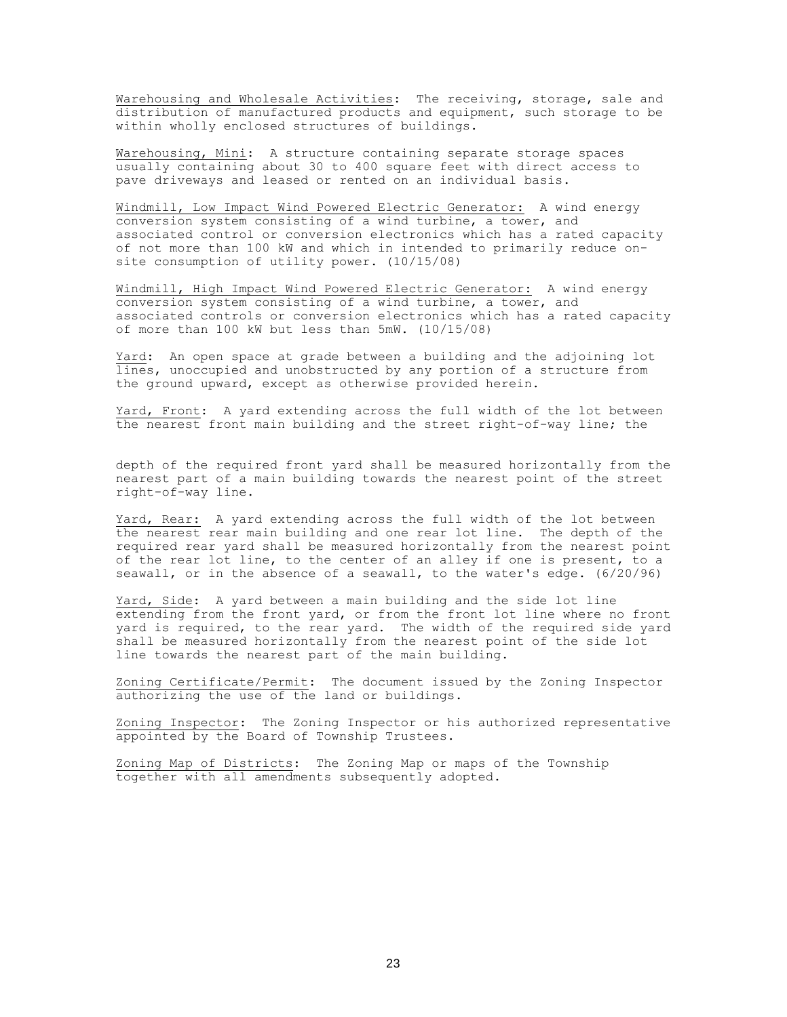Warehousing and Wholesale Activities: The receiving, storage, sale and distribution of manufactured products and equipment, such storage to be within wholly enclosed structures of buildings.

Warehousing, Mini: A structure containing separate storage spaces usually containing about 30 to 400 square feet with direct access to pave driveways and leased or rented on an individual basis.

Windmill, Low Impact Wind Powered Electric Generator: A wind energy conversion system consisting of a wind turbine, a tower, and associated control or conversion electronics which has a rated capacity of not more than 100 kW and which in intended to primarily reduce onsite consumption of utility power. (10/15/08)

Windmill, High Impact Wind Powered Electric Generator: A wind energy conversion system consisting of a wind turbine, a tower, and associated controls or conversion electronics which has a rated capacity of more than 100 kW but less than 5mW. (10/15/08)

Yard: An open space at grade between a building and the adjoining lot lines, unoccupied and unobstructed by any portion of a structure from the ground upward, except as otherwise provided herein.

Yard, Front: A yard extending across the full width of the lot between the nearest front main building and the street right-of-way line; the

depth of the required front yard shall be measured horizontally from the nearest part of a main building towards the nearest point of the street right-of-way line.

Yard, Rear: A yard extending across the full width of the lot between the nearest rear main building and one rear lot line. The depth of the required rear yard shall be measured horizontally from the nearest point of the rear lot line, to the center of an alley if one is present, to a seawall, or in the absence of a seawall, to the water's edge. (6/20/96)

Yard, Side: A yard between a main building and the side lot line extending from the front yard, or from the front lot line where no front yard is required, to the rear yard. The width of the required side yard shall be measured horizontally from the nearest point of the side lot line towards the nearest part of the main building.

Zoning Certificate/Permit: The document issued by the Zoning Inspector authorizing the use of the land or buildings.

Zoning Inspector: The Zoning Inspector or his authorized representative appointed by the Board of Township Trustees.

Zoning Map of Districts: The Zoning Map or maps of the Township together with all amendments subsequently adopted.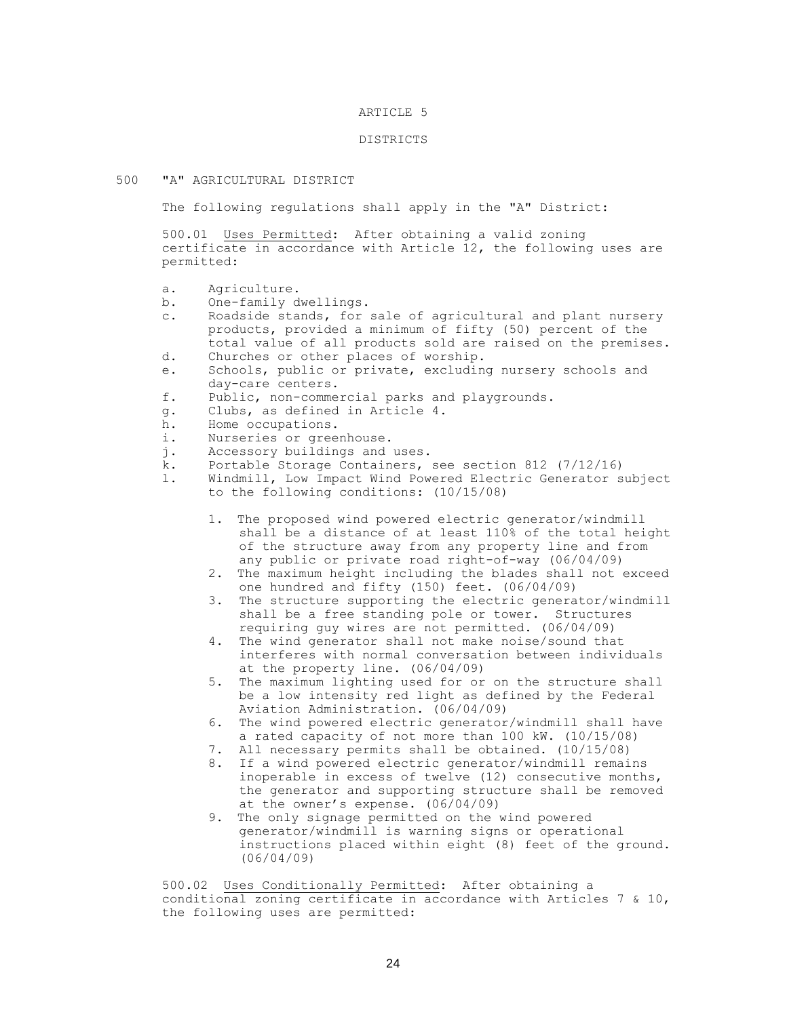## ARTICLE 5

### DISTRICTS

#### 500 "A" AGRICULTURAL DISTRICT

The following regulations shall apply in the "A" District:

500.01 Uses Permitted: After obtaining a valid zoning certificate in accordance with Article 12, the following uses are permitted:

- a. Agriculture.
- b. One-family dwellings.
- c. Roadside stands, for sale of agricultural and plant nursery products, provided a minimum of fifty (50) percent of the total value of all products sold are raised on the premises.
- d. Churches or other places of worship.
- e. Schools, public or private, excluding nursery schools and day-care centers.
- f. Public, non-commercial parks and playgrounds.
- g. Clubs, as defined in Article 4.
- h. Home occupations.
- i. Nurseries or greenhouse.
- j. Accessory buildings and uses.
- k. Portable Storage Containers, see section 812 (7/12/16)
- l. Windmill, Low Impact Wind Powered Electric Generator subject to the following conditions: (10/15/08)
	- 1. The proposed wind powered electric generator/windmill shall be a distance of at least 110% of the total height of the structure away from any property line and from any public or private road right-of-way (06/04/09)
	- 2. The maximum height including the blades shall not exceed one hundred and fifty (150) feet. (06/04/09)
	- 3. The structure supporting the electric generator/windmill shall be a free standing pole or tower. Structures requiring guy wires are not permitted. (06/04/09)
	- 4. The wind generator shall not make noise/sound that interferes with normal conversation between individuals at the property line. (06/04/09)
	- 5. The maximum lighting used for or on the structure shall be a low intensity red light as defined by the Federal Aviation Administration. (06/04/09)
	- 6. The wind powered electric generator/windmill shall have a rated capacity of not more than 100 kW. (10/15/08)
	- 7. All necessary permits shall be obtained. (10/15/08)
	- 8. If a wind powered electric generator/windmill remains inoperable in excess of twelve (12) consecutive months, the generator and supporting structure shall be removed at the owner's expense. (06/04/09)
	- 9. The only signage permitted on the wind powered generator/windmill is warning signs or operational instructions placed within eight (8) feet of the ground. (06/04/09)

500.02 Uses Conditionally Permitted: After obtaining a conditional zoning certificate in accordance with Articles 7 & 10, the following uses are permitted: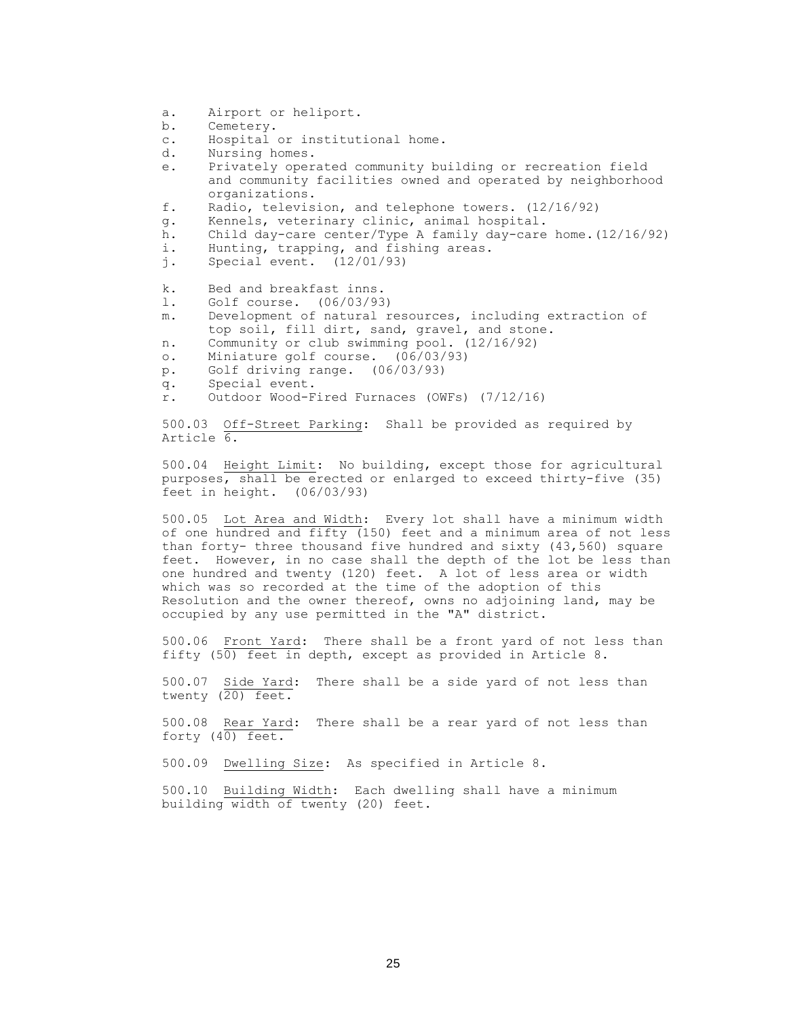- a. Airport or heliport.
- b. Cemetery.
- c. Hospital or institutional home.
- d. Nursing homes.
- e. Privately operated community building or recreation field and community facilities owned and operated by neighborhood organizations.
- f. Radio, television, and telephone towers. (12/16/92)
- g. Kennels, veterinary clinic, animal hospital.
- h. Child day-care center/Type A family day-care home.(12/16/92)
- i. Hunting, trapping, and fishing areas.
- j. Special event. (12/01/93)
- k. Bed and breakfast inns.
- l. Golf course. (06/03/93)
- m. Development of natural resources, including extraction of top soil, fill dirt, sand, gravel, and stone.
- n. Community or club swimming pool. (12/16/92)
- o. Miniature golf course. (06/03/93)
- p. Golf driving range. (06/03/93)
- q. Special event.
- r. Outdoor Wood-Fired Furnaces (OWFs) (7/12/16)

500.03 Off-Street Parking: Shall be provided as required by Article 6.

500.04 Height Limit: No building, except those for agricultural purposes, shall be erected or enlarged to exceed thirty-five (35) feet in height. (06/03/93)

500.05 Lot Area and Width: Every lot shall have a minimum width of one hundred and fifty (150) feet and a minimum area of not less than forty- three thousand five hundred and sixty (43,560) square feet. However, in no case shall the depth of the lot be less than one hundred and twenty (120) feet. A lot of less area or width which was so recorded at the time of the adoption of this Resolution and the owner thereof, owns no adjoining land, may be occupied by any use permitted in the "A" district.

500.06 Front Yard: There shall be a front yard of not less than fifty (50) feet in depth, except as provided in Article 8.

500.07 Side Yard: There shall be a side yard of not less than twenty (20) feet.

500.08 Rear Yard: There shall be a rear yard of not less than forty  $(40)$  feet.

500.09 Dwelling Size: As specified in Article 8.

500.10 Building Width: Each dwelling shall have a minimum building width of twenty (20) feet.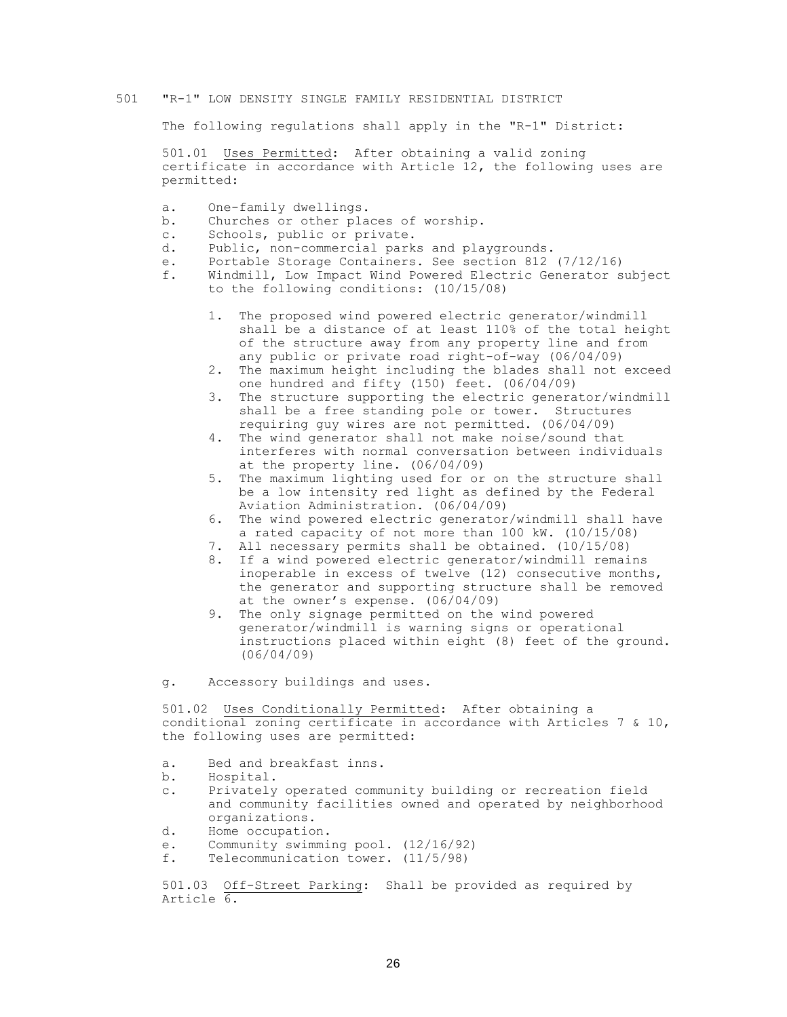#### 501 "R-1" LOW DENSITY SINGLE FAMILY RESIDENTIAL DISTRICT

The following regulations shall apply in the "R-1" District:

501.01 Uses Permitted: After obtaining a valid zoning certificate in accordance with Article 12, the following uses are permitted:

- a. One-family dwellings.
- b. Churches or other places of worship.
- c. Schools, public or private.
- d. Public, non-commercial parks and playgrounds.
- e. Portable Storage Containers. See section 812 (7/12/16)
- f. Windmill, Low Impact Wind Powered Electric Generator subject to the following conditions: (10/15/08)
	- 1. The proposed wind powered electric generator/windmill shall be a distance of at least 110% of the total height of the structure away from any property line and from any public or private road right-of-way (06/04/09)
	- 2. The maximum height including the blades shall not exceed one hundred and fifty (150) feet. (06/04/09)
	- 3. The structure supporting the electric generator/windmill shall be a free standing pole or tower. Structures requiring guy wires are not permitted. (06/04/09)
	- 4. The wind generator shall not make noise/sound that interferes with normal conversation between individuals at the property line. (06/04/09)
	- 5. The maximum lighting used for or on the structure shall be a low intensity red light as defined by the Federal Aviation Administration. (06/04/09)
	- 6. The wind powered electric generator/windmill shall have a rated capacity of not more than 100 kW. (10/15/08)
	- 7. All necessary permits shall be obtained. (10/15/08)
	- 8. If a wind powered electric generator/windmill remains inoperable in excess of twelve (12) consecutive months, the generator and supporting structure shall be removed at the owner's expense. (06/04/09)
	- 9. The only signage permitted on the wind powered generator/windmill is warning signs or operational instructions placed within eight (8) feet of the ground. (06/04/09)
- g. Accessory buildings and uses.

501.02 Uses Conditionally Permitted: After obtaining a conditional zoning certificate in accordance with Articles 7 & 10, the following uses are permitted:

- a. Bed and breakfast inns.
- b. Hospital.
- c. Privately operated community building or recreation field and community facilities owned and operated by neighborhood organizations.
- d. Home occupation.
- e. Community swimming pool. (12/16/92)
- f. Telecommunication tower. (11/5/98)

501.03 Off-Street Parking: Shall be provided as required by Article 6.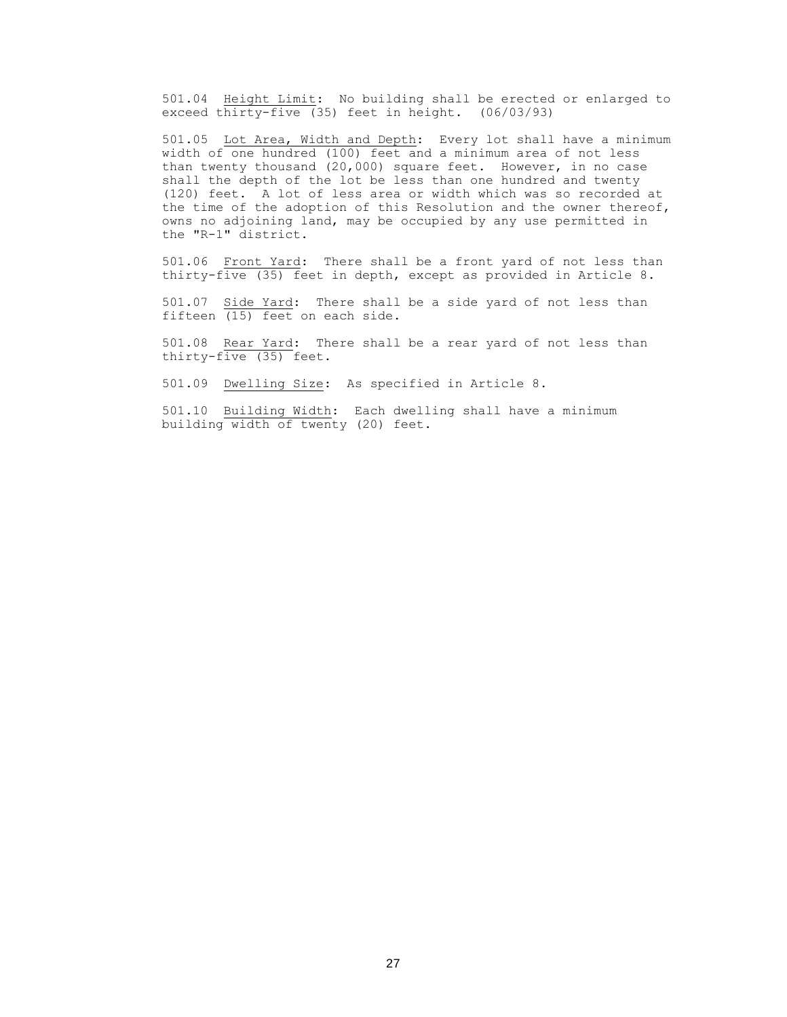501.04 Height Limit: No building shall be erected or enlarged to exceed thirty-five (35) feet in height. (06/03/93)

501.05 Lot Area, Width and Depth: Every lot shall have a minimum width of one hundred (100) feet and a minimum area of not less than twenty thousand (20,000) square feet. However, in no case shall the depth of the lot be less than one hundred and twenty (120) feet. A lot of less area or width which was so recorded at the time of the adoption of this Resolution and the owner thereof, owns no adjoining land, may be occupied by any use permitted in the "R-1" district.

501.06 Front Yard: There shall be a front yard of not less than thirty-five (35) feet in depth, except as provided in Article 8.

501.07 Side Yard: There shall be a side yard of not less than fifteen (15) feet on each side.

501.08 Rear Yard: There shall be a rear yard of not less than thirty-five (35) feet.

501.09 Dwelling Size: As specified in Article 8.

501.10 Building Width: Each dwelling shall have a minimum building width of twenty (20) feet.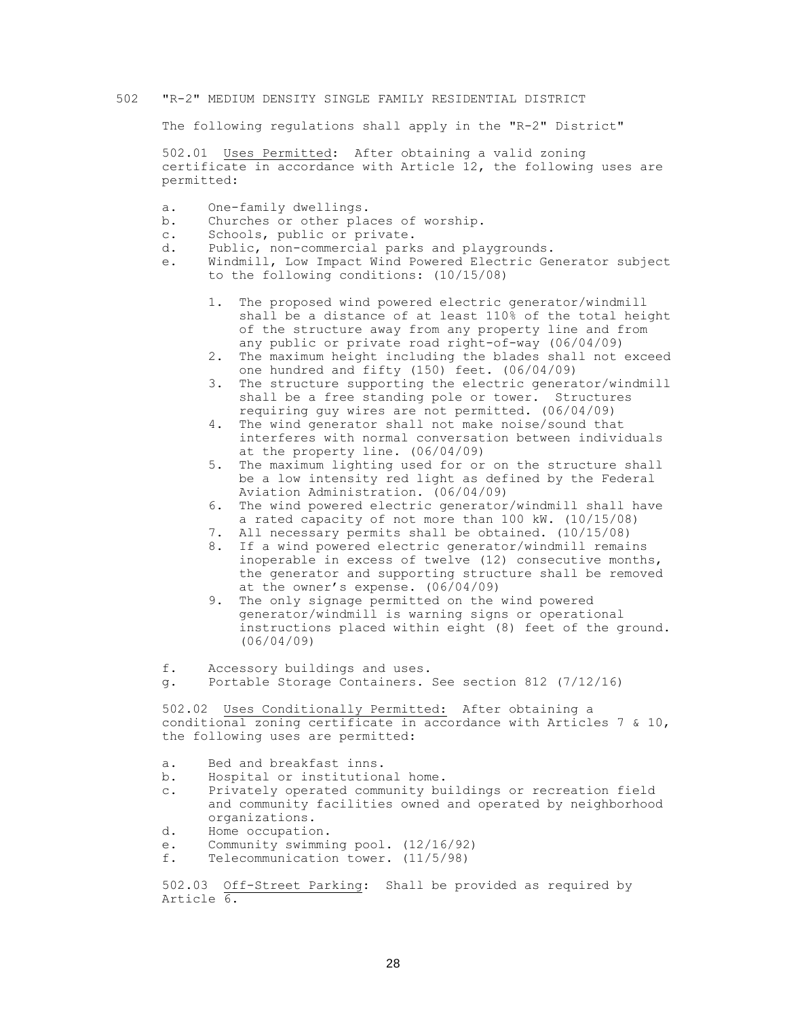#### 502 "R-2" MEDIUM DENSITY SINGLE FAMILY RESIDENTIAL DISTRICT

The following regulations shall apply in the "R-2" District"

502.01 Uses Permitted: After obtaining a valid zoning certificate in accordance with Article 12, the following uses are permitted:

- a. One-family dwellings.
- b. Churches or other places of worship.
- c. Schools, public or private.
- d. Public, non-commercial parks and playgrounds.
- e. Windmill, Low Impact Wind Powered Electric Generator subject to the following conditions: (10/15/08)
	- 1. The proposed wind powered electric generator/windmill shall be a distance of at least 110% of the total height of the structure away from any property line and from any public or private road right-of-way (06/04/09)
	- 2. The maximum height including the blades shall not exceed one hundred and fifty (150) feet. (06/04/09)
	- 3. The structure supporting the electric generator/windmill shall be a free standing pole or tower. Structures requiring guy wires are not permitted. (06/04/09)
	- 4. The wind generator shall not make noise/sound that interferes with normal conversation between individuals at the property line. (06/04/09)
	- 5. The maximum lighting used for or on the structure shall be a low intensity red light as defined by the Federal Aviation Administration. (06/04/09)
	- 6. The wind powered electric generator/windmill shall have a rated capacity of not more than 100 kW. (10/15/08)
	- 7. All necessary permits shall be obtained. (10/15/08)
	- 8. If a wind powered electric generator/windmill remains inoperable in excess of twelve (12) consecutive months, the generator and supporting structure shall be removed at the owner's expense. (06/04/09)
	- 9. The only signage permitted on the wind powered generator/windmill is warning signs or operational instructions placed within eight (8) feet of the ground. (06/04/09)

f. Accessory buildings and uses.

g. Portable Storage Containers. See section 812 (7/12/16)

502.02 Uses Conditionally Permitted: After obtaining a conditional zoning certificate in accordance with Articles 7 & 10, the following uses are permitted:

- a. Bed and breakfast inns.
- b. Hospital or institutional home.
- c. Privately operated community buildings or recreation field and community facilities owned and operated by neighborhood organizations.
- d. Home occupation.
- e. Community swimming pool. (12/16/92)
- f. Telecommunication tower. (11/5/98)

502.03 Off-Street Parking: Shall be provided as required by Article 6.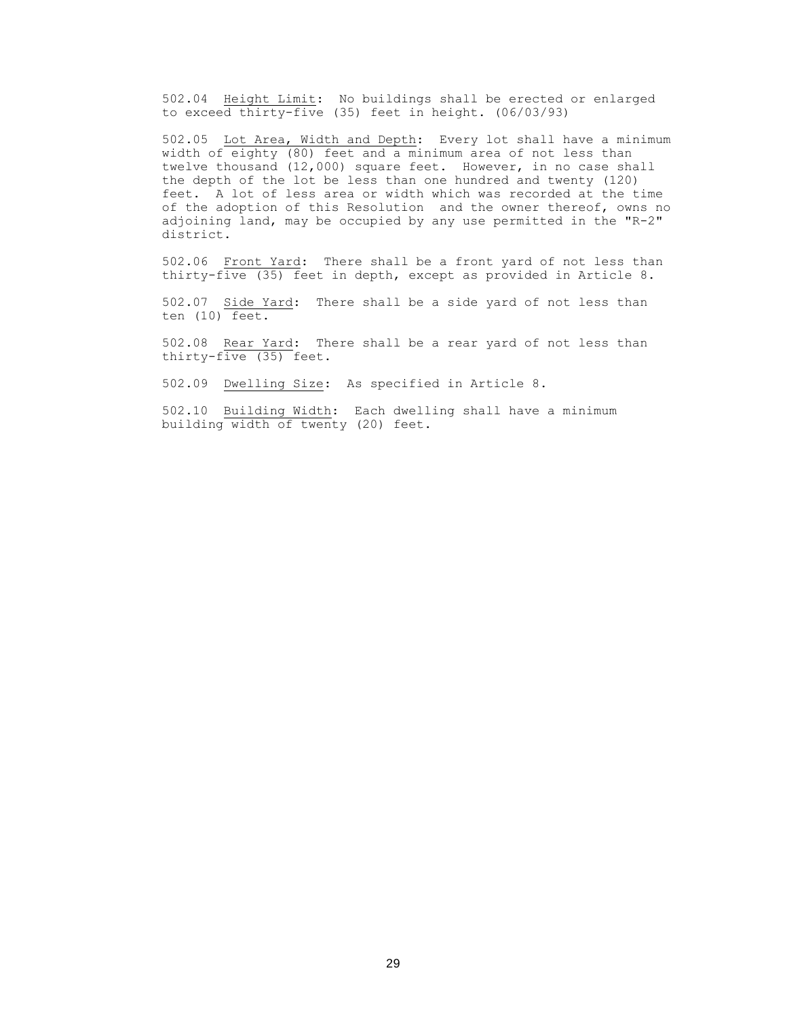502.04 Height Limit: No buildings shall be erected or enlarged to exceed thirty-five (35) feet in height. (06/03/93)

502.05 Lot Area, Width and Depth: Every lot shall have a minimum width of eighty (80) feet and a minimum area of not less than twelve thousand (12,000) square feet. However, in no case shall the depth of the lot be less than one hundred and twenty (120) feet. A lot of less area or width which was recorded at the time of the adoption of this Resolution and the owner thereof, owns no adjoining land, may be occupied by any use permitted in the "R-2" district.

502.06 Front Yard: There shall be a front yard of not less than thirty-five (35) feet in depth, except as provided in Article 8.

502.07 Side Yard: There shall be a side yard of not less than ten (10) feet.

502.08 Rear Yard: There shall be a rear yard of not less than thirty-five (35) feet.

502.09 Dwelling Size: As specified in Article 8.

502.10 Building Width: Each dwelling shall have a minimum building width of twenty (20) feet.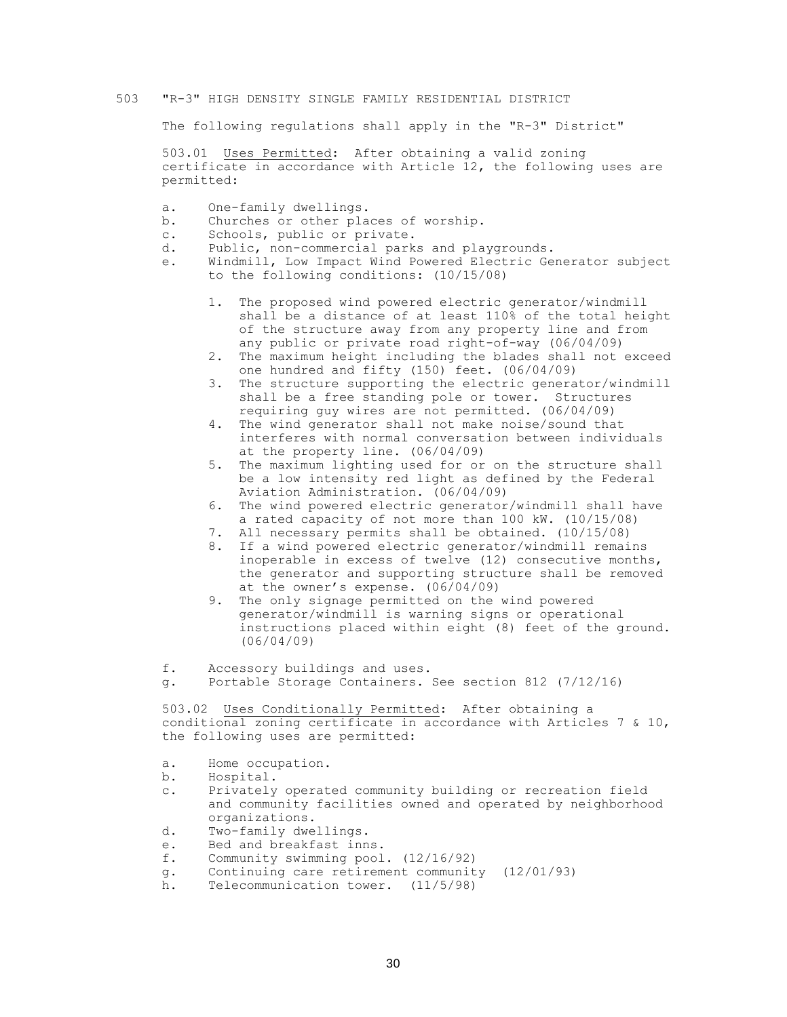#### 503 "R-3" HIGH DENSITY SINGLE FAMILY RESIDENTIAL DISTRICT

The following regulations shall apply in the "R-3" District"

503.01 Uses Permitted: After obtaining a valid zoning certificate in accordance with Article 12, the following uses are permitted:

- a. One-family dwellings.
- b. Churches or other places of worship.
- c. Schools, public or private.
- d. Public, non-commercial parks and playgrounds.
- e. Windmill, Low Impact Wind Powered Electric Generator subject to the following conditions: (10/15/08)
	- 1. The proposed wind powered electric generator/windmill shall be a distance of at least 110% of the total height of the structure away from any property line and from any public or private road right-of-way (06/04/09)
	- 2. The maximum height including the blades shall not exceed one hundred and fifty (150) feet. (06/04/09)
	- 3. The structure supporting the electric generator/windmill shall be a free standing pole or tower. Structures requiring guy wires are not permitted. (06/04/09)
	- 4. The wind generator shall not make noise/sound that interferes with normal conversation between individuals at the property line. (06/04/09)
	- 5. The maximum lighting used for or on the structure shall be a low intensity red light as defined by the Federal Aviation Administration. (06/04/09)
	- 6. The wind powered electric generator/windmill shall have a rated capacity of not more than 100 kW. (10/15/08)
	- 7. All necessary permits shall be obtained. (10/15/08)
	- 8. If a wind powered electric generator/windmill remains inoperable in excess of twelve (12) consecutive months, the generator and supporting structure shall be removed at the owner's expense. (06/04/09)
	- 9. The only signage permitted on the wind powered generator/windmill is warning signs or operational instructions placed within eight (8) feet of the ground. (06/04/09)

f. Accessory buildings and uses.

g. Portable Storage Containers. See section 812 (7/12/16)

503.02 Uses Conditionally Permitted: After obtaining a conditional zoning certificate in accordance with Articles 7 & 10, the following uses are permitted:

- a. Home occupation.
- b. Hospital.
- c. Privately operated community building or recreation field and community facilities owned and operated by neighborhood organizations.
- d. Two-family dwellings.
- e. Bed and breakfast inns.
- f. Community swimming pool. (12/16/92)
- g. Continuing care retirement community (12/01/93)
- h. Telecommunication tower. (11/5/98)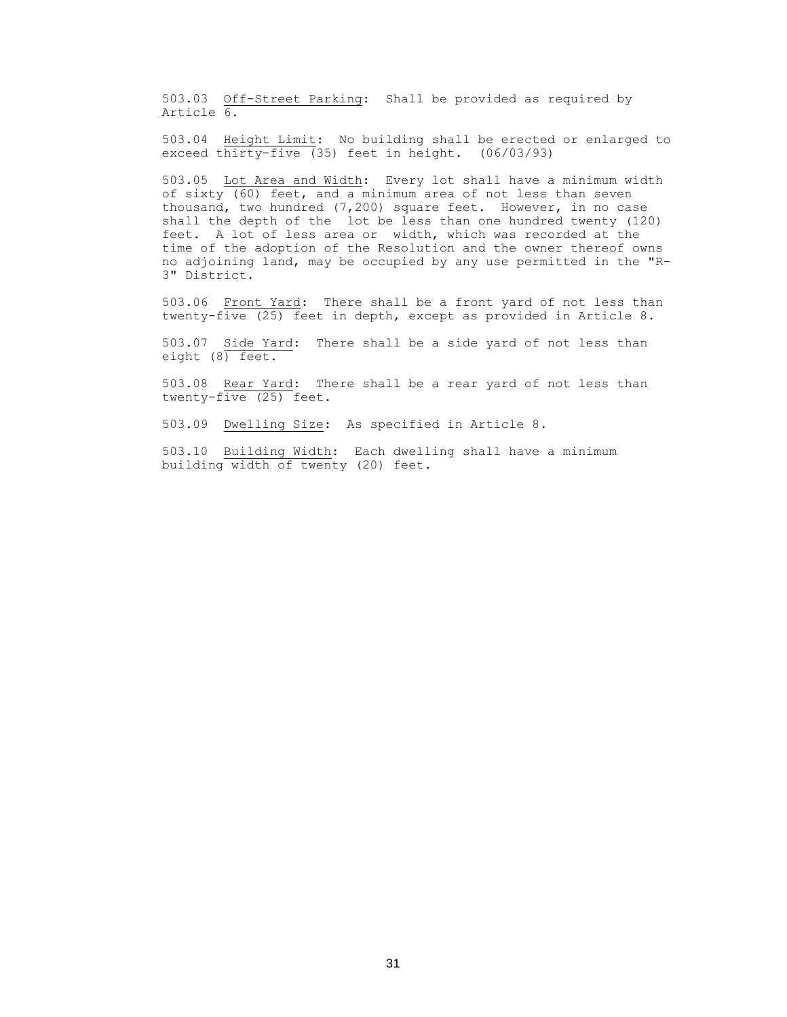503.03 Off-Street Parking: Shall be provided as required by Article 6.

503.04 Height Limit: No building shall be erected or enlarged to exceed thirty-five (35) feet in height. (06/03/93)

503.05 Lot Area and Width: Every lot shall have a minimum width of sixty (60) feet, and a minimum area of not less than seven thousand, two hundred (7,200) square feet. However, in no case shall the depth of the lot be less than one hundred twenty (120) feet. A lot of less area or width, which was recorded at the time of the adoption of the Resolution and the owner thereof owns no adjoining land, may be occupied by any use permitted in the "R-3" District.

503.06 Front Yard: There shall be a front yard of not less than twenty-five (25) feet in depth, except as provided in Article 8.

503.07 Side Yard: There shall be a side yard of not less than eight (8) feet.

503.08 Rear Yard: There shall be a rear yard of not less than twenty-five (25) feet.

503.09 Dwelling Size: As specified in Article 8.

503.10 Building Width: Each dwelling shall have a minimum building width of twenty (20) feet.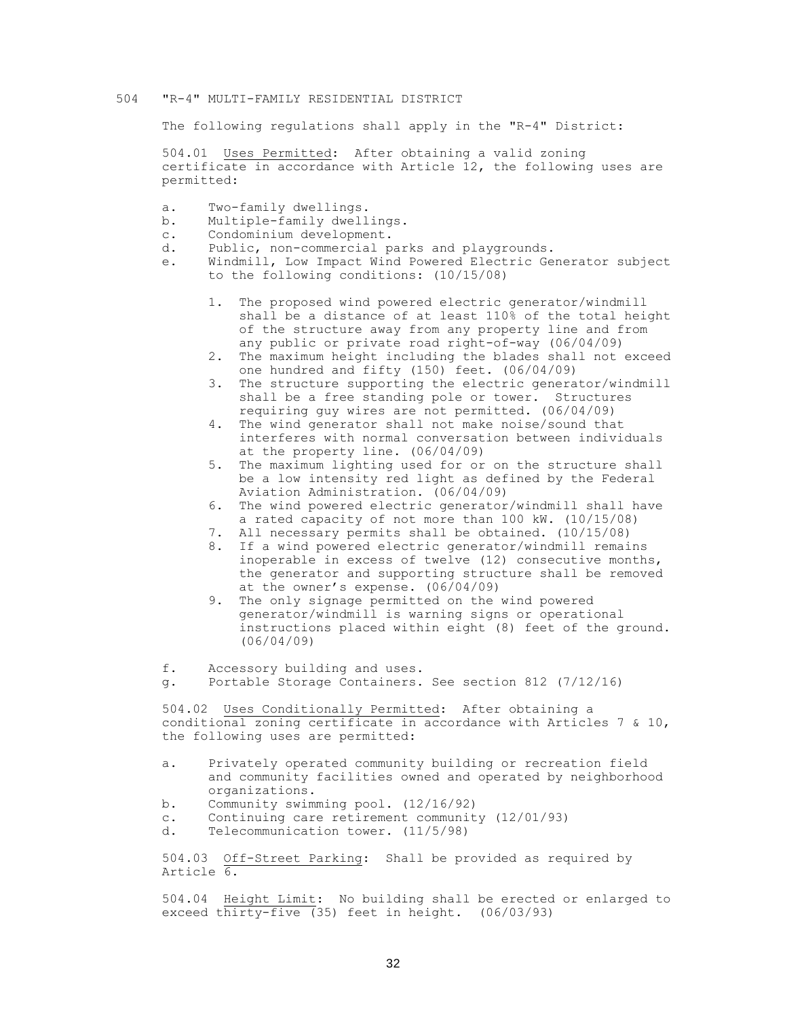#### 504 "R-4" MULTI-FAMILY RESIDENTIAL DISTRICT

The following regulations shall apply in the "R-4" District:

504.01 Uses Permitted: After obtaining a valid zoning certificate in accordance with Article 12, the following uses are permitted:

- a. Two-family dwellings.
- b. Multiple-family dwellings.
- c. Condominium development.
- d. Public, non-commercial parks and playgrounds.
- e. Windmill, Low Impact Wind Powered Electric Generator subject to the following conditions: (10/15/08)
	- 1. The proposed wind powered electric generator/windmill shall be a distance of at least 110% of the total height of the structure away from any property line and from any public or private road right-of-way (06/04/09)
	- 2. The maximum height including the blades shall not exceed one hundred and fifty (150) feet. (06/04/09)
	- 3. The structure supporting the electric generator/windmill shall be a free standing pole or tower. Structures requiring guy wires are not permitted. (06/04/09)
	- 4. The wind generator shall not make noise/sound that interferes with normal conversation between individuals at the property line. (06/04/09)
	- 5. The maximum lighting used for or on the structure shall be a low intensity red light as defined by the Federal Aviation Administration. (06/04/09)
	- 6. The wind powered electric generator/windmill shall have a rated capacity of not more than 100 kW. (10/15/08)
	- 7. All necessary permits shall be obtained. (10/15/08)
	- 8. If a wind powered electric generator/windmill remains inoperable in excess of twelve (12) consecutive months, the generator and supporting structure shall be removed at the owner's expense. (06/04/09)
	- 9. The only signage permitted on the wind powered generator/windmill is warning signs or operational instructions placed within eight (8) feet of the ground. (06/04/09)

f. Accessory building and uses.

g. Portable Storage Containers. See section 812 (7/12/16)

504.02 Uses Conditionally Permitted: After obtaining a conditional zoning certificate in accordance with Articles 7 & 10, the following uses are permitted:

- a. Privately operated community building or recreation field and community facilities owned and operated by neighborhood organizations.
- b. Community swimming pool. (12/16/92)
- c. Continuing care retirement community (12/01/93)
- d. Telecommunication tower. (11/5/98)

504.03 Off-Street Parking: Shall be provided as required by Article 6.

504.04 Height Limit: No building shall be erected or enlarged to exceed thirty-five  $(35)$  feet in height.  $(06/03/93)$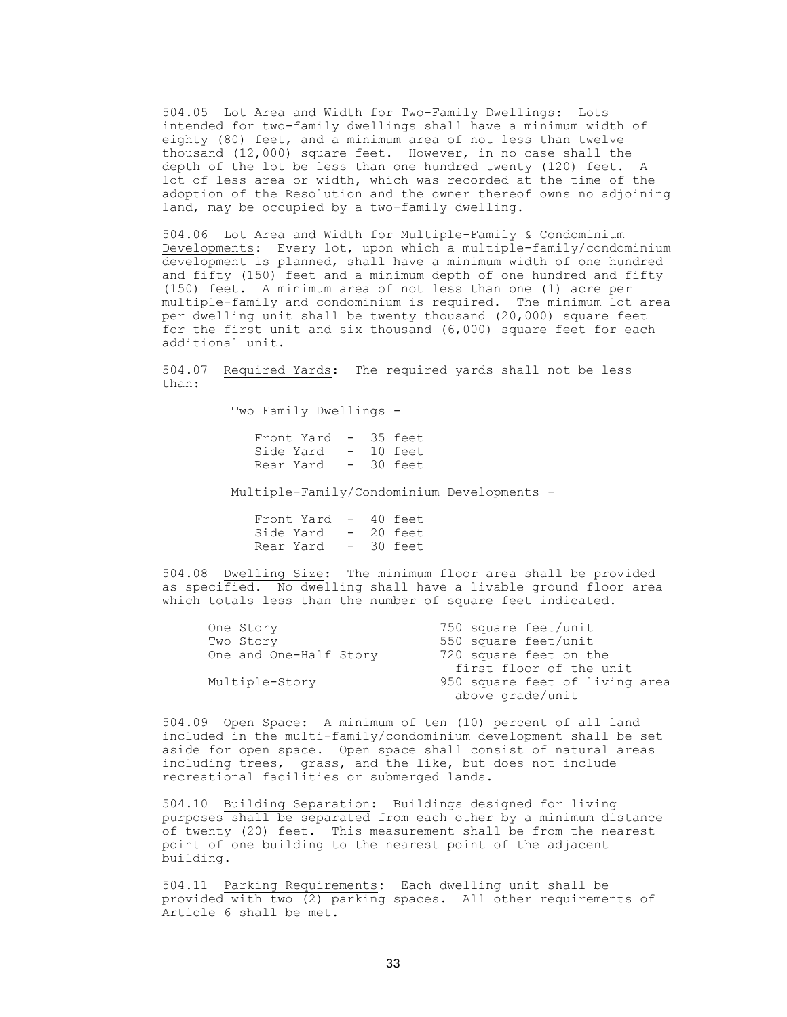504.05 Lot Area and Width for Two-Family Dwellings: Lots intended for two-family dwellings shall have a minimum width of eighty (80) feet, and a minimum area of not less than twelve thousand (12,000) square feet. However, in no case shall the depth of the lot be less than one hundred twenty (120) feet. A lot of less area or width, which was recorded at the time of the adoption of the Resolution and the owner thereof owns no adjoining land, may be occupied by a two-family dwelling.

504.06 Lot Area and Width for Multiple-Family & Condominium Developments: Every lot, upon which a multiple-family/condominium development is planned, shall have a minimum width of one hundred and fifty (150) feet and a minimum depth of one hundred and fifty (150) feet. A minimum area of not less than one (1) acre per multiple-family and condominium is required. The minimum lot area per dwelling unit shall be twenty thousand (20,000) square feet for the first unit and six thousand (6,000) square feet for each additional unit.

504.07 Required Yards: The required yards shall not be less than:

Two Family Dwellings -

Front Yard - 35 feet Side Yard - 10 feet Rear Yard - 30 feet

Multiple-Family/Condominium Developments -

| Front Yard | $-$ | 40 feet |
|------------|-----|---------|
| Side Yard  | $-$ | 20 feet |
| Rear Yard  |     | 30 feet |

504.08 Dwelling Size: The minimum floor area shall be provided as specified. No dwelling shall have a livable ground floor area which totals less than the number of square feet indicated.

| One Story              | 750 square feet/unit           |
|------------------------|--------------------------------|
| Two Story              | 550 square feet/unit           |
| One and One-Half Story | 720 square feet on the         |
|                        | first floor of the unit        |
| Multiple-Story         | 950 square feet of living area |
|                        | above grade/unit               |

504.09 Open Space: A minimum of ten (10) percent of all land included in the multi-family/condominium development shall be set aside for open space. Open space shall consist of natural areas including trees, grass, and the like, but does not include recreational facilities or submerged lands.

504.10 Building Separation: Buildings designed for living purposes shall be separated from each other by a minimum distance of twenty (20) feet. This measurement shall be from the nearest point of one building to the nearest point of the adjacent building.

504.11 Parking Requirements: Each dwelling unit shall be provided with two (2) parking spaces. All other requirements of Article 6 shall be met.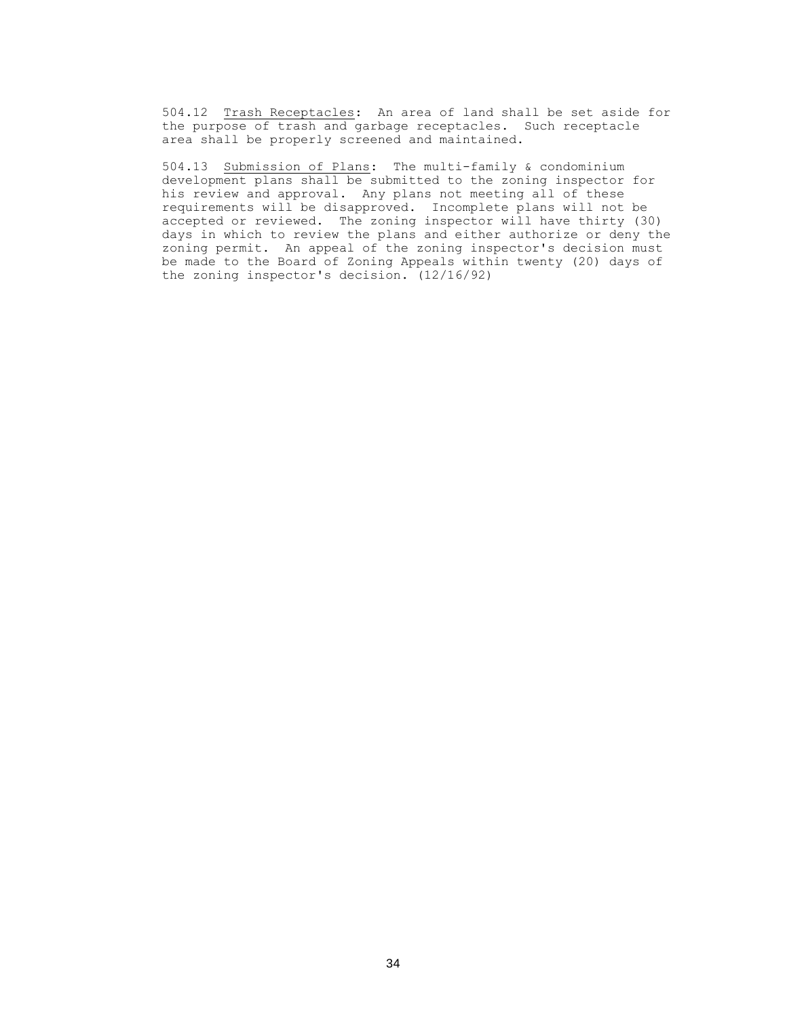504.12 Trash Receptacles: An area of land shall be set aside for the purpose of trash and garbage receptacles. Such receptacle area shall be properly screened and maintained.

504.13 Submission of Plans: The multi-family & condominium development plans shall be submitted to the zoning inspector for his review and approval. Any plans not meeting all of these requirements will be disapproved. Incomplete plans will not be accepted or reviewed. The zoning inspector will have thirty (30) days in which to review the plans and either authorize or deny the zoning permit. An appeal of the zoning inspector's decision must be made to the Board of Zoning Appeals within twenty (20) days of the zoning inspector's decision. (12/16/92)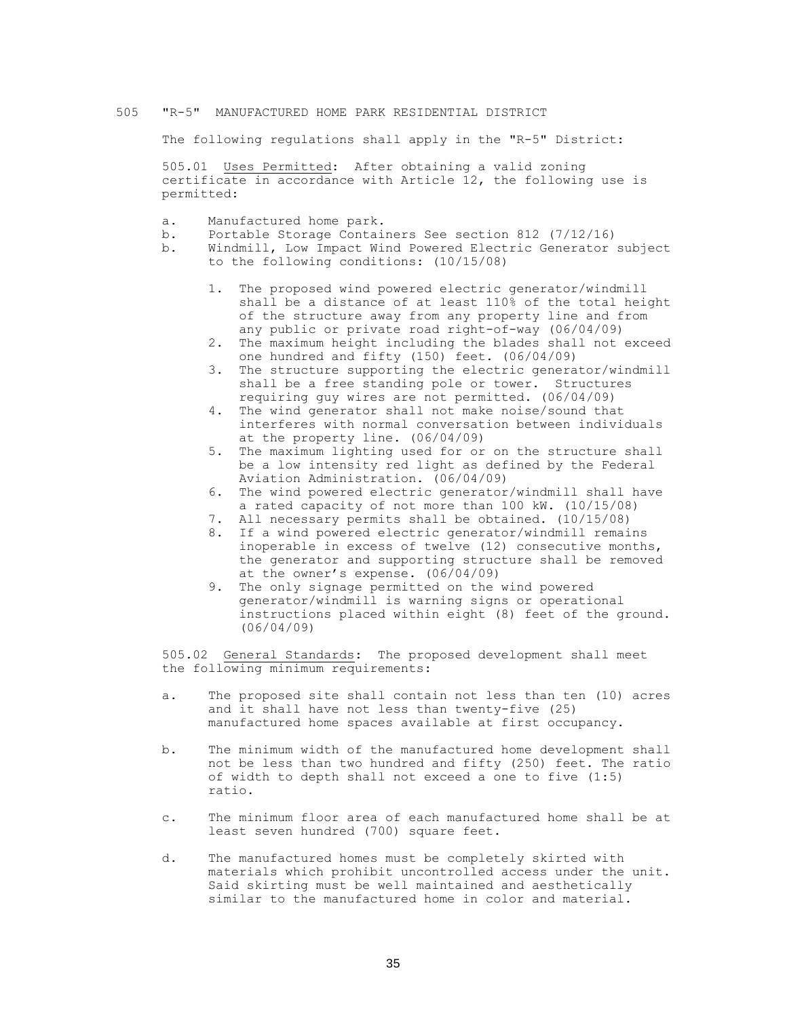## 505 "R-5" MANUFACTURED HOME PARK RESIDENTIAL DISTRICT

The following regulations shall apply in the "R-5" District:

505.01 Uses Permitted: After obtaining a valid zoning certificate in accordance with Article 12, the following use is permitted:

- a. Manufactured home park.
- b. Portable Storage Containers See section 812 (7/12/16)
- b. Windmill, Low Impact Wind Powered Electric Generator subject to the following conditions: (10/15/08)
	- 1. The proposed wind powered electric generator/windmill shall be a distance of at least 110% of the total height of the structure away from any property line and from any public or private road right-of-way (06/04/09)
	- 2. The maximum height including the blades shall not exceed one hundred and fifty (150) feet. (06/04/09)
	- 3. The structure supporting the electric generator/windmill shall be a free standing pole or tower. Structures requiring guy wires are not permitted. (06/04/09)
	- 4. The wind generator shall not make noise/sound that interferes with normal conversation between individuals at the property line. (06/04/09)
	- 5. The maximum lighting used for or on the structure shall be a low intensity red light as defined by the Federal Aviation Administration. (06/04/09)
	- 6. The wind powered electric generator/windmill shall have a rated capacity of not more than 100 kW. (10/15/08)
	- 7. All necessary permits shall be obtained. (10/15/08)
	- 8. If a wind powered electric generator/windmill remains inoperable in excess of twelve (12) consecutive months, the generator and supporting structure shall be removed at the owner's expense. (06/04/09)
	- 9. The only signage permitted on the wind powered generator/windmill is warning signs or operational instructions placed within eight (8) feet of the ground. (06/04/09)

505.02 General Standards: The proposed development shall meet the following minimum requirements:

- a. The proposed site shall contain not less than ten (10) acres and it shall have not less than twenty-five (25) manufactured home spaces available at first occupancy.
- b. The minimum width of the manufactured home development shall not be less than two hundred and fifty (250) feet. The ratio of width to depth shall not exceed a one to five (1:5) ratio.
- c. The minimum floor area of each manufactured home shall be at least seven hundred (700) square feet.
- d. The manufactured homes must be completely skirted with materials which prohibit uncontrolled access under the unit. Said skirting must be well maintained and aesthetically similar to the manufactured home in color and material.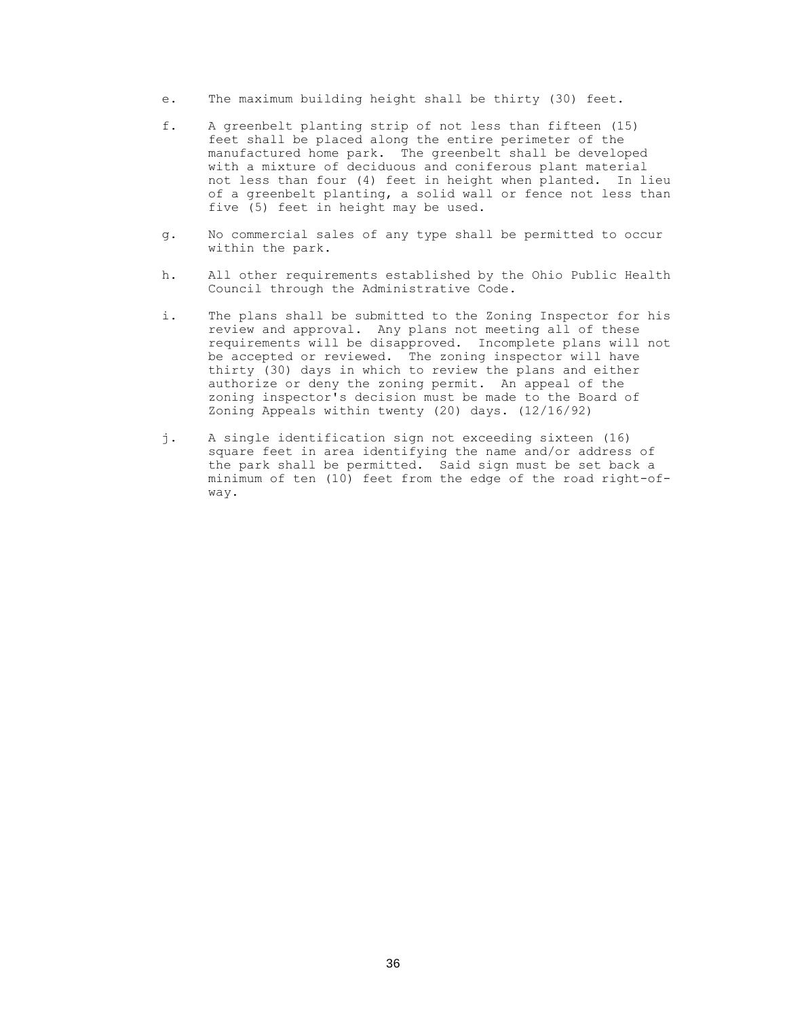- e. The maximum building height shall be thirty (30) feet.
- f. A greenbelt planting strip of not less than fifteen (15) feet shall be placed along the entire perimeter of the manufactured home park. The greenbelt shall be developed with a mixture of deciduous and coniferous plant material not less than four (4) feet in height when planted. In lieu of a greenbelt planting, a solid wall or fence not less than five (5) feet in height may be used.
- g. No commercial sales of any type shall be permitted to occur within the park.
- h. All other requirements established by the Ohio Public Health Council through the Administrative Code.
- i. The plans shall be submitted to the Zoning Inspector for his review and approval. Any plans not meeting all of these requirements will be disapproved. Incomplete plans will not be accepted or reviewed. The zoning inspector will have thirty (30) days in which to review the plans and either authorize or deny the zoning permit. An appeal of the zoning inspector's decision must be made to the Board of Zoning Appeals within twenty (20) days. (12/16/92)
- j. A single identification sign not exceeding sixteen (16) square feet in area identifying the name and/or address of the park shall be permitted. Said sign must be set back a minimum of ten (10) feet from the edge of the road right-ofway.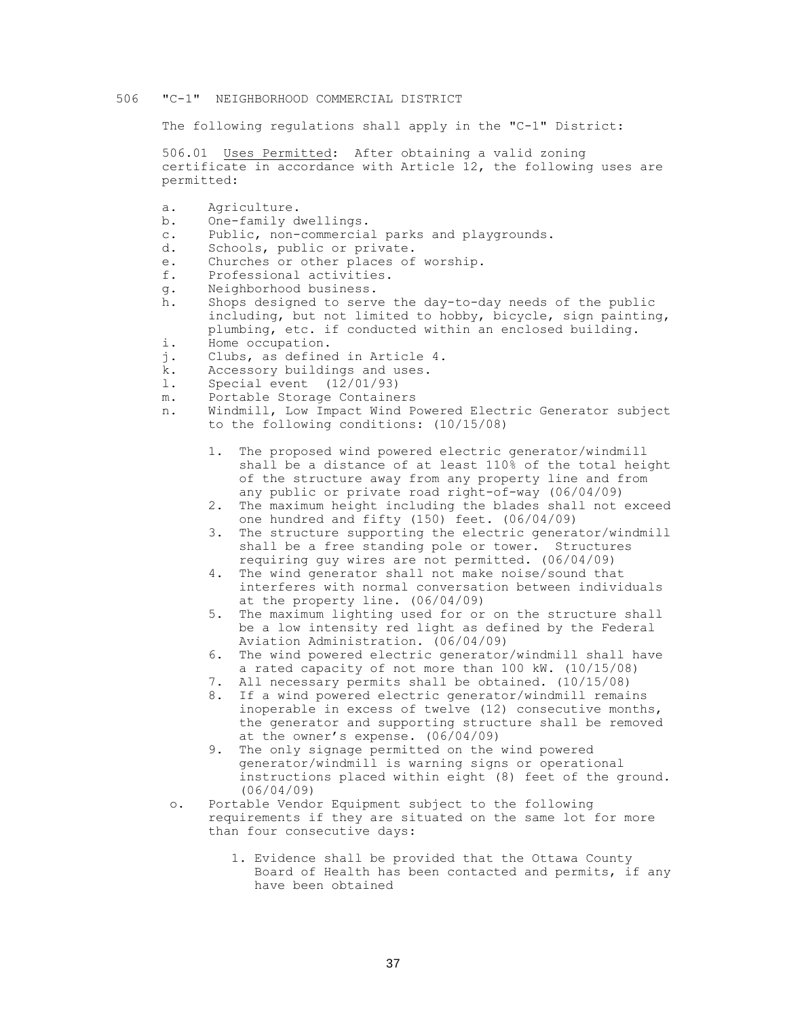#### 506 "C-1" NEIGHBORHOOD COMMERCIAL DISTRICT

The following regulations shall apply in the "C-1" District:

506.01 Uses Permitted: After obtaining a valid zoning certificate in accordance with Article 12, the following uses are permitted:

- a. Agriculture.
- b. One-family dwellings.
- c. Public, non-commercial parks and playgrounds.
- d. Schools, public or private.
- e. Churches or other places of worship.
- f. Professional activities.
- g. Neighborhood business.
- h. Shops designed to serve the day-to-day needs of the public including, but not limited to hobby, bicycle, sign painting, plumbing, etc. if conducted within an enclosed building.
- i. Home occupation.
- j. Clubs, as defined in Article 4.
- k. Accessory buildings and uses.
- l. Special event (12/01/93)
- m. Portable Storage Containers
- n. Windmill, Low Impact Wind Powered Electric Generator subject to the following conditions: (10/15/08)
	- 1. The proposed wind powered electric generator/windmill shall be a distance of at least 110% of the total height of the structure away from any property line and from any public or private road right-of-way (06/04/09)
	- 2. The maximum height including the blades shall not exceed one hundred and fifty (150) feet. (06/04/09)
	- 3. The structure supporting the electric generator/windmill shall be a free standing pole or tower. Structures requiring guy wires are not permitted. (06/04/09)
	- 4. The wind generator shall not make noise/sound that interferes with normal conversation between individuals at the property line. (06/04/09)
	- 5. The maximum lighting used for or on the structure shall be a low intensity red light as defined by the Federal Aviation Administration. (06/04/09)
	- 6. The wind powered electric generator/windmill shall have a rated capacity of not more than 100 kW. (10/15/08)
	- 7. All necessary permits shall be obtained. (10/15/08)
	- 8. If a wind powered electric generator/windmill remains inoperable in excess of twelve (12) consecutive months, the generator and supporting structure shall be removed at the owner's expense. (06/04/09)
	- 9. The only signage permitted on the wind powered generator/windmill is warning signs or operational instructions placed within eight (8) feet of the ground. (06/04/09)
	- o. Portable Vendor Equipment subject to the following requirements if they are situated on the same lot for more than four consecutive days:
		- 1. Evidence shall be provided that the Ottawa County Board of Health has been contacted and permits, if any have been obtained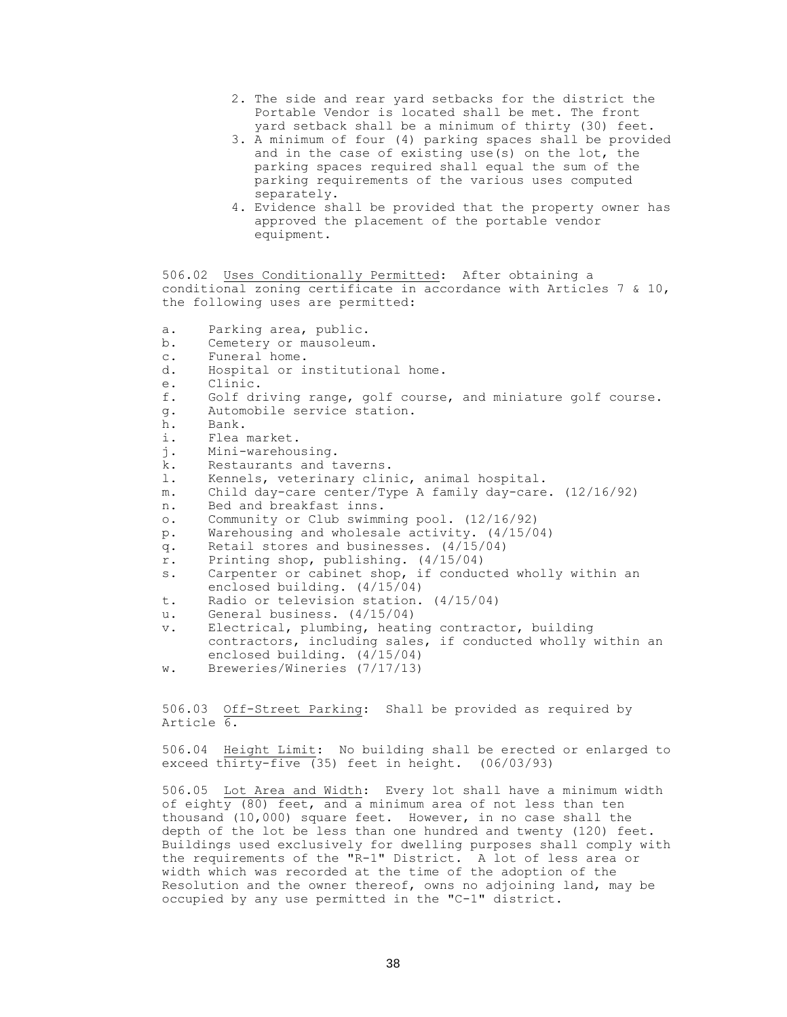- 2. The side and rear yard setbacks for the district the Portable Vendor is located shall be met. The front yard setback shall be a minimum of thirty (30) feet.
- 3. A minimum of four (4) parking spaces shall be provided and in the case of existing use(s) on the lot, the parking spaces required shall equal the sum of the parking requirements of the various uses computed separately.
- 4. Evidence shall be provided that the property owner has approved the placement of the portable vendor equipment.

506.02 Uses Conditionally Permitted: After obtaining a conditional zoning certificate in accordance with Articles 7 & 10, the following uses are permitted:

- a. Parking area, public.
- b. Cemetery or mausoleum.
- c. Funeral home.
- d. Hospital or institutional home.
- e. Clinic.
- f. Golf driving range, golf course, and miniature golf course.
- g. Automobile service station.
- h. Bank.
- i. Flea market.
- j. Mini-warehousing.
- k. Restaurants and taverns.
- l. Kennels, veterinary clinic, animal hospital.
- m. Child day-care center/Type A family day-care. (12/16/92)
- n. Bed and breakfast inns.
- o. Community or Club swimming pool. (12/16/92)
- p. Warehousing and wholesale activity. (4/15/04)
- q. Retail stores and businesses. (4/15/04)
- r. Printing shop, publishing. (4/15/04)
- s. Carpenter or cabinet shop, if conducted wholly within an enclosed building. (4/15/04)
- t. Radio or television station. (4/15/04)
- u. General business. (4/15/04)
- v. Electrical, plumbing, heating contractor, building contractors, including sales, if conducted wholly within an enclosed building. (4/15/04)
- w. Breweries/Wineries (7/17/13)

506.03 Off-Street Parking: Shall be provided as required by Article 6.

506.04 Height Limit: No building shall be erected or enlarged to exceed thirty-five (35) feet in height. (06/03/93)

506.05 Lot Area and Width: Every lot shall have a minimum width of eighty  $(80)$  feet, and a minimum area of not less than ten thousand (10,000) square feet. However, in no case shall the depth of the lot be less than one hundred and twenty (120) feet. Buildings used exclusively for dwelling purposes shall comply with the requirements of the "R-1" District. A lot of less area or width which was recorded at the time of the adoption of the Resolution and the owner thereof, owns no adjoining land, may be occupied by any use permitted in the "C-1" district.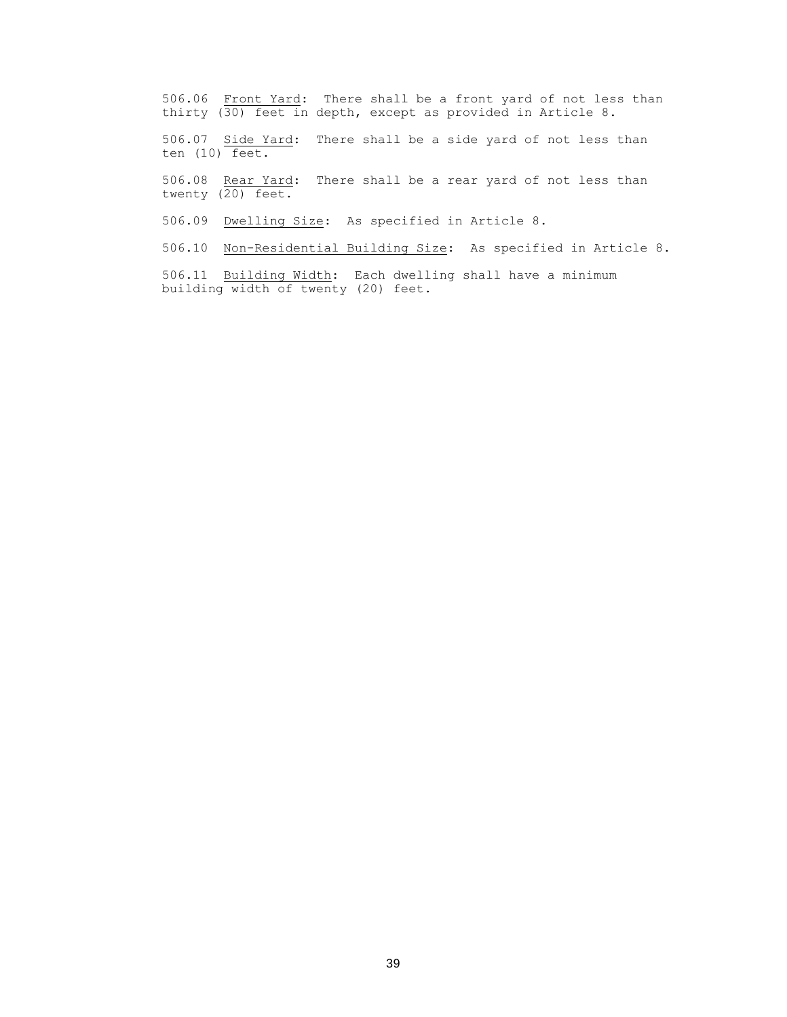506.06 Front Yard: There shall be a front yard of not less than thirty (30) feet in depth, except as provided in Article 8.

506.07 Side Yard: There shall be a side yard of not less than ten (10) feet.

506.08 Rear Yard: There shall be a rear yard of not less than twenty (20) feet.

506.09 Dwelling Size: As specified in Article 8.

506.10 Non-Residential Building Size: As specified in Article 8.

506.11 Building Width: Each dwelling shall have a minimum building width of twenty (20) feet.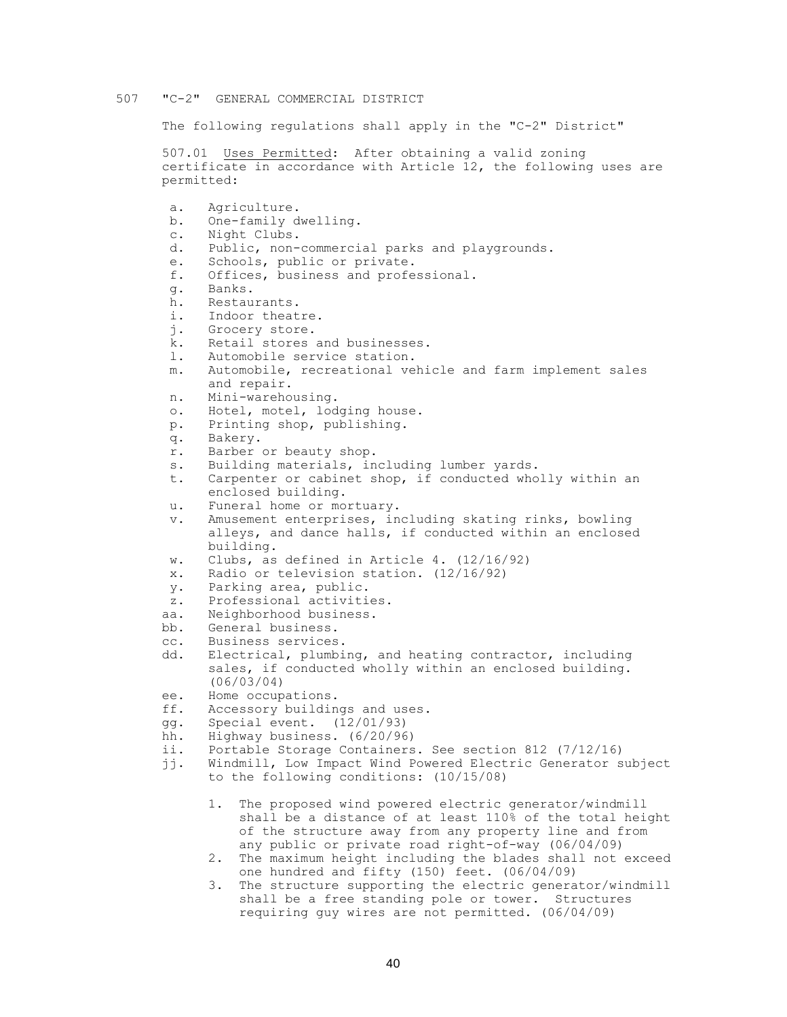#### 507 "C-2" GENERAL COMMERCIAL DISTRICT

The following regulations shall apply in the "C-2" District"

507.01 Uses Permitted: After obtaining a valid zoning certificate in accordance with Article 12, the following uses are permitted:

a. Agriculture. b. One-family dwelling. c. Night Clubs. d. Public, non-commercial parks and playgrounds. e. Schools, public or private. f. Offices, business and professional. g. Banks. h. Restaurants. i. Indoor theatre.<br>i. Grocery store. Grocery store. k. Retail stores and businesses. l. Automobile service station. m. Automobile, recreational vehicle and farm implement sales and repair. n. Mini-warehousing. o. Hotel, motel, lodging house. p. Printing shop, publishing. q. Bakery. r. Barber or beauty shop. s. Building materials, including lumber yards. t. Carpenter or cabinet shop, if conducted wholly within an enclosed building. u. Funeral home or mortuary. v. Amusement enterprises, including skating rinks, bowling alleys, and dance halls, if conducted within an enclosed building. w. Clubs, as defined in Article 4. (12/16/92) x. Radio or television station. (12/16/92) y. Parking area, public. z. Professional activities. aa. Neighborhood business. bb. General business. cc. Business services. dd. Electrical, plumbing, and heating contractor, including sales, if conducted wholly within an enclosed building. (06/03/04) ee. Home occupations. ff. Accessory buildings and uses. gg. Special event. (12/01/93) hh. Highway business. (6/20/96) ii. Portable Storage Containers. See section 812 (7/12/16) jj. Windmill, Low Impact Wind Powered Electric Generator subject to the following conditions: (10/15/08) 1. The proposed wind powered electric generator/windmill shall be a distance of at least 110% of the total height of the structure away from any property line and from any public or private road right-of-way (06/04/09) 2. The maximum height including the blades shall not exceed one hundred and fifty (150) feet. (06/04/09)

3. The structure supporting the electric generator/windmill shall be a free standing pole or tower. Structures requiring guy wires are not permitted. (06/04/09)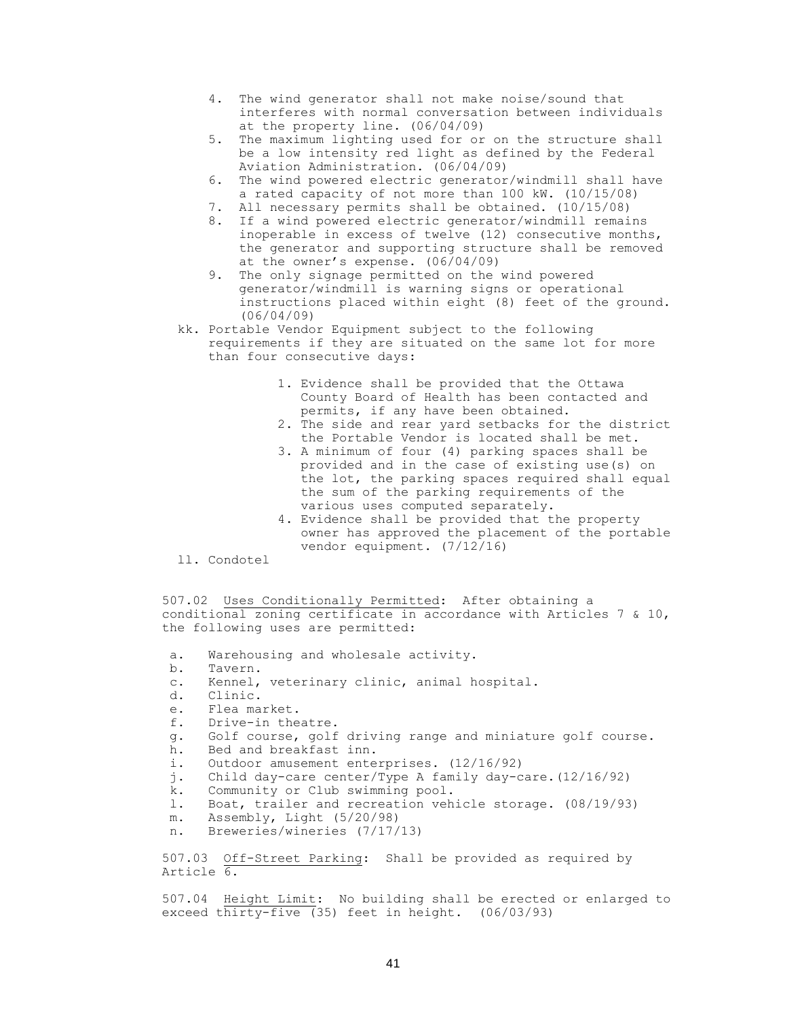- 4. The wind generator shall not make noise/sound that interferes with normal conversation between individuals at the property line. (06/04/09)
- 5. The maximum lighting used for or on the structure shall be a low intensity red light as defined by the Federal Aviation Administration. (06/04/09)
- 6. The wind powered electric generator/windmill shall have a rated capacity of not more than 100 kW. (10/15/08)
- 7. All necessary permits shall be obtained. (10/15/08)
- 8. If a wind powered electric generator/windmill remains inoperable in excess of twelve (12) consecutive months, the generator and supporting structure shall be removed at the owner's expense. (06/04/09)
- 9. The only signage permitted on the wind powered generator/windmill is warning signs or operational instructions placed within eight (8) feet of the ground. (06/04/09)
- kk. Portable Vendor Equipment subject to the following requirements if they are situated on the same lot for more than four consecutive days:
	- 1. Evidence shall be provided that the Ottawa County Board of Health has been contacted and permits, if any have been obtained.
	- 2. The side and rear yard setbacks for the district the Portable Vendor is located shall be met.
	- 3. A minimum of four (4) parking spaces shall be provided and in the case of existing use(s) on the lot, the parking spaces required shall equal the sum of the parking requirements of the various uses computed separately.
	- 4. Evidence shall be provided that the property owner has approved the placement of the portable vendor equipment. (7/12/16)
- ll. Condotel

507.02 Uses Conditionally Permitted: After obtaining a conditional zoning certificate in accordance with Articles 7 & 10, the following uses are permitted:

- a. Warehousing and wholesale activity.
- b. Tavern.
- c. Kennel, veterinary clinic, animal hospital.
- d. Clinic.
- e. Flea market.
- f. Drive-in theatre.
- g. Golf course, golf driving range and miniature golf course.
- h. Bed and breakfast inn.
- i. Outdoor amusement enterprises. (12/16/92)
- j. Child day-care center/Type A family day-care.(12/16/92)
- k. Community or Club swimming pool.
- l. Boat, trailer and recreation vehicle storage. (08/19/93)
- m. Assembly, Light (5/20/98)
- n. Breweries/wineries (7/17/13)

507.03 Off-Street Parking: Shall be provided as required by Article 6.

507.04 Height Limit: No building shall be erected or enlarged to exceed thirty-five  $(35)$  feet in height.  $(06/03/93)$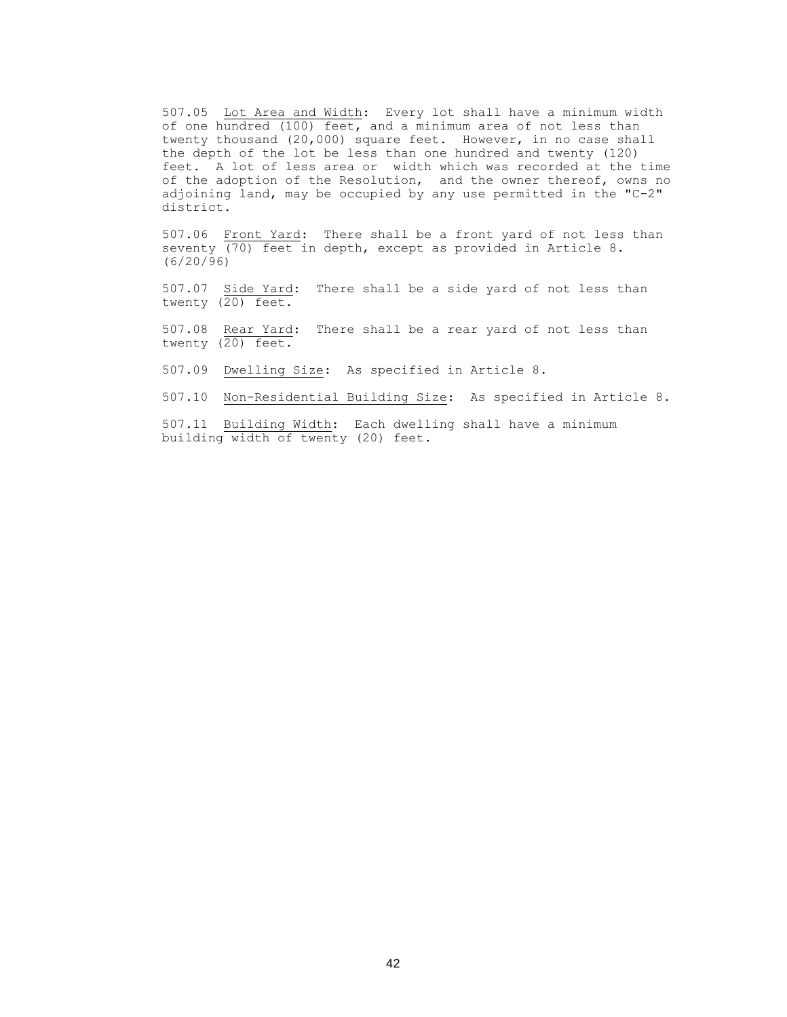507.05 Lot Area and Width: Every lot shall have a minimum width of one hundred (100) feet, and a minimum area of not less than twenty thousand (20,000) square feet. However, in no case shall the depth of the lot be less than one hundred and twenty (120) feet. A lot of less area or width which was recorded at the time of the adoption of the Resolution, and the owner thereof, owns no adjoining land, may be occupied by any use permitted in the "C-2" district.

507.06 Front Yard: There shall be a front yard of not less than seventy (70) feet in depth, except as provided in Article 8. (6/20/96)

507.07 Side Yard: There shall be a side yard of not less than twenty (20) feet.

507.08 Rear Yard: There shall be a rear yard of not less than twenty (20) feet.

507.09 Dwelling Size: As specified in Article 8.

507.10 Non-Residential Building Size: As specified in Article 8.

507.11 Building Width: Each dwelling shall have a minimum building width of twenty (20) feet.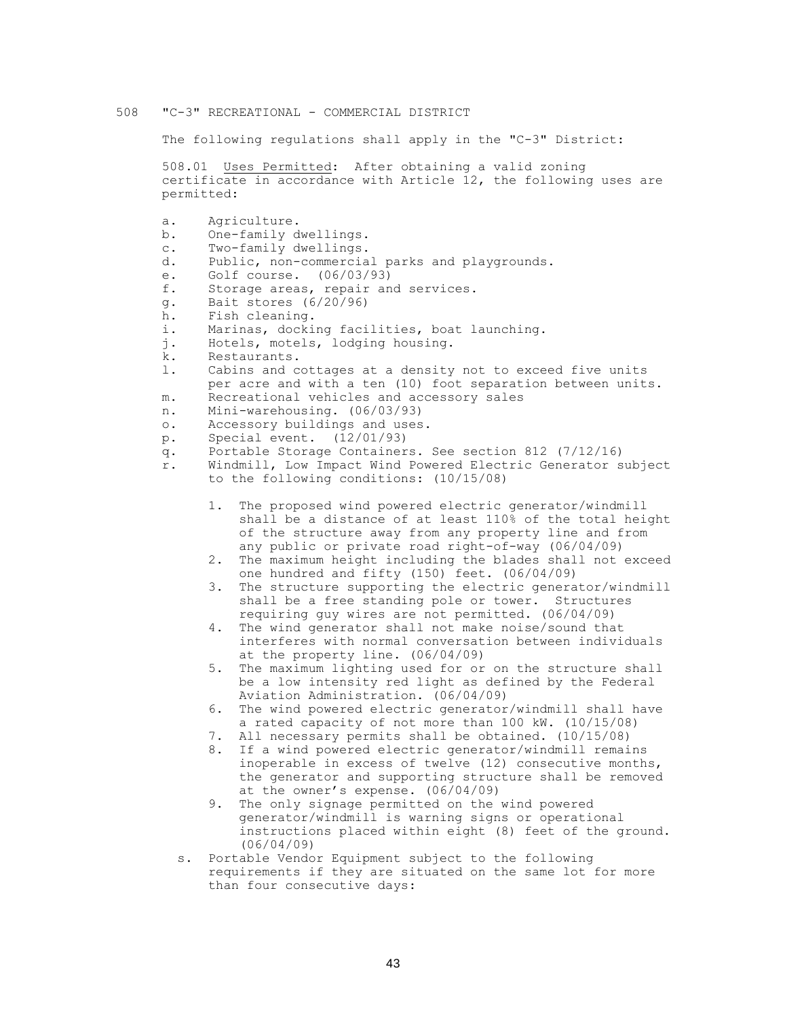### 508 "C-3" RECREATIONAL - COMMERCIAL DISTRICT

The following regulations shall apply in the "C-3" District:

508.01 Uses Permitted: After obtaining a valid zoning certificate in accordance with Article 12, the following uses are permitted:

- a. Agriculture.
- b. One-family dwellings.
- c. Two-family dwellings.
- d. Public, non-commercial parks and playgrounds.
- e. Golf course. (06/03/93)
- f. Storage areas, repair and services.
- g. Bait stores (6/20/96)
- h. Fish cleaning.
- i. Marinas, docking facilities, boat launching.
- j. Hotels, motels, lodging housing.
- k. Restaurants.

l. Cabins and cottages at a density not to exceed five units per acre and with a ten (10) foot separation between units. m. Recreational vehicles and accessory sales

- n. Mini-warehousing. (06/03/93)
- o. Accessory buildings and uses.
- p. Special event. (12/01/93)
- q. Portable Storage Containers. See section 812 (7/12/16)
- r. Windmill, Low Impact Wind Powered Electric Generator subject to the following conditions: (10/15/08)
	- 1. The proposed wind powered electric generator/windmill shall be a distance of at least 110% of the total height of the structure away from any property line and from any public or private road right-of-way (06/04/09)
	- 2. The maximum height including the blades shall not exceed one hundred and fifty (150) feet. (06/04/09)
	- 3. The structure supporting the electric generator/windmill shall be a free standing pole or tower. Structures requiring guy wires are not permitted. (06/04/09)
	- 4. The wind generator shall not make noise/sound that interferes with normal conversation between individuals at the property line. (06/04/09)
	- 5. The maximum lighting used for or on the structure shall be a low intensity red light as defined by the Federal Aviation Administration. (06/04/09)
	- 6. The wind powered electric generator/windmill shall have a rated capacity of not more than 100 kW. (10/15/08)
	- 7. All necessary permits shall be obtained. (10/15/08)
	- 8. If a wind powered electric generator/windmill remains inoperable in excess of twelve (12) consecutive months, the generator and supporting structure shall be removed at the owner's expense. (06/04/09)
	- 9. The only signage permitted on the wind powered generator/windmill is warning signs or operational instructions placed within eight (8) feet of the ground. (06/04/09)
	- s. Portable Vendor Equipment subject to the following requirements if they are situated on the same lot for more than four consecutive days: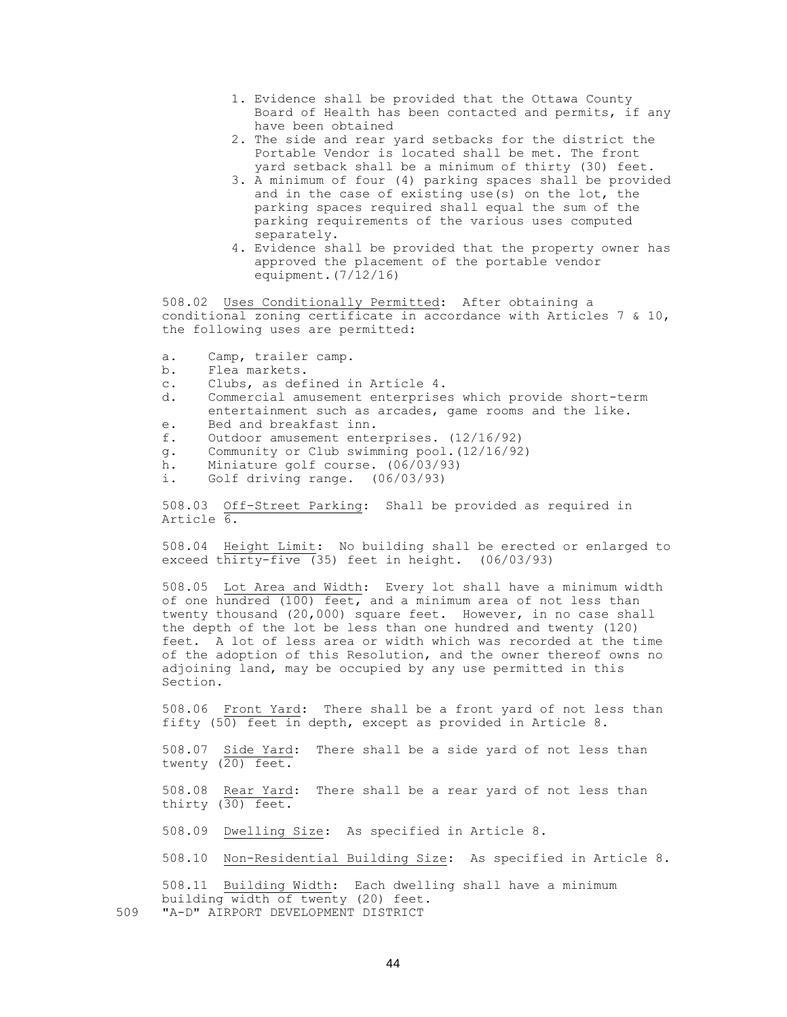- 1. Evidence shall be provided that the Ottawa County Board of Health has been contacted and permits, if any have been obtained
- 2. The side and rear yard setbacks for the district the Portable Vendor is located shall be met. The front yard setback shall be a minimum of thirty (30) feet.
- 3. A minimum of four (4) parking spaces shall be provided and in the case of existing use(s) on the lot, the parking spaces required shall equal the sum of the parking requirements of the various uses computed separately.
- 4. Evidence shall be provided that the property owner has approved the placement of the portable vendor equipment.(7/12/16)

508.02 Uses Conditionally Permitted: After obtaining a conditional zoning certificate in accordance with Articles 7 & 10, the following uses are permitted:

- a. Camp, trailer camp.
- b. Flea markets.
- c. Clubs, as defined in Article 4.
- d. Commercial amusement enterprises which provide short-term entertainment such as arcades, game rooms and the like. e. Bed and breakfast inn.
- 
- f. Outdoor amusement enterprises. (12/16/92)
- g. Community or Club swimming pool.(12/16/92)
- h. Miniature golf course. (06/03/93)
- i. Golf driving range. (06/03/93)

508.03 Off-Street Parking: Shall be provided as required in Article 6.

508.04 Height Limit: No building shall be erected or enlarged to exceed thirty-five (35) feet in height. (06/03/93)

508.05 Lot Area and Width: Every lot shall have a minimum width of one hundred (100) feet, and a minimum area of not less than twenty thousand (20,000) square feet. However, in no case shall the depth of the lot be less than one hundred and twenty (120) feet. A lot of less area or width which was recorded at the time of the adoption of this Resolution, and the owner thereof owns no adjoining land, may be occupied by any use permitted in this Section.

508.06 Front Yard: There shall be a front yard of not less than fifty (50) feet in depth, except as provided in Article 8.

508.07 Side Yard: There shall be a side yard of not less than twenty (20) feet.

508.08 Rear Yard: There shall be a rear yard of not less than thirty (30) feet.

508.09 Dwelling Size: As specified in Article 8.

508.10 Non-Residential Building Size: As specified in Article 8.

508.11 Building Width: Each dwelling shall have a minimum building width of twenty (20) feet. 509 "A-D" AIRPORT DEVELOPMENT DISTRICT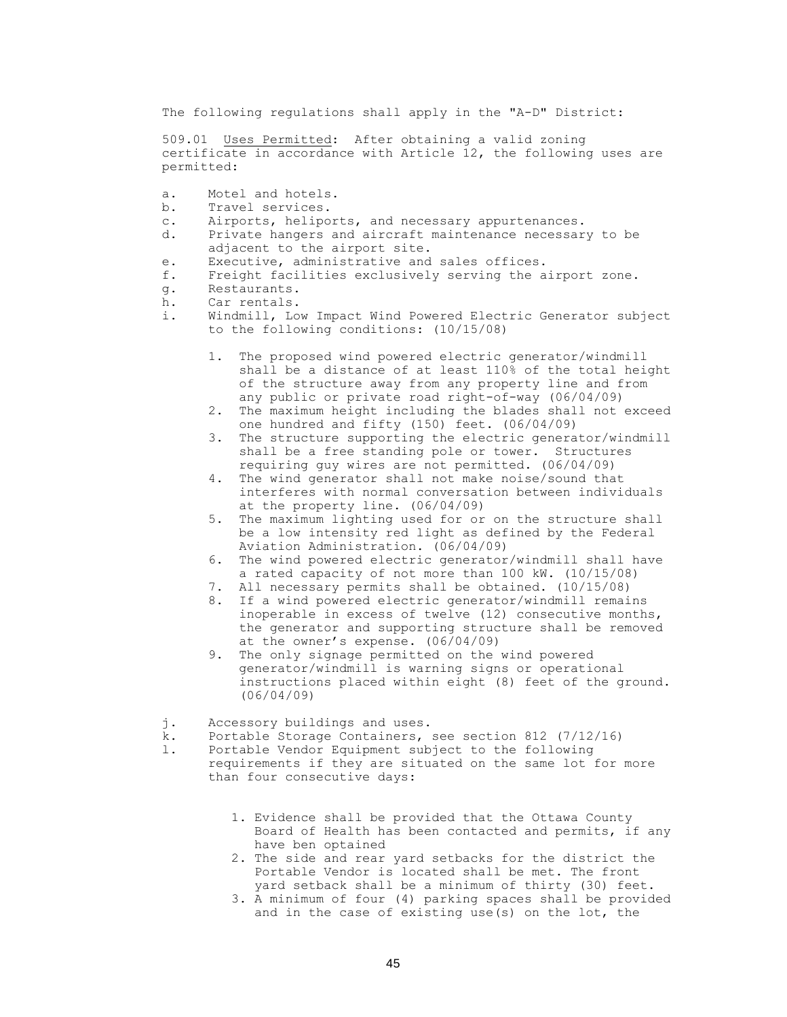The following regulations shall apply in the "A-D" District:

509.01 Uses Permitted: After obtaining a valid zoning certificate in accordance with Article 12, the following uses are permitted:

- a. Motel and hotels.
- b. Travel services.
- c. Airports, heliports, and necessary appurtenances.
- d. Private hangers and aircraft maintenance necessary to be adjacent to the airport site.
- e. Executive, administrative and sales offices.
- f. Freight facilities exclusively serving the airport zone.
- g. Restaurants.
- h. Car rentals.
- i. Windmill, Low Impact Wind Powered Electric Generator subject to the following conditions: (10/15/08)
	- 1. The proposed wind powered electric generator/windmill shall be a distance of at least 110% of the total height of the structure away from any property line and from any public or private road right-of-way (06/04/09)
	- 2. The maximum height including the blades shall not exceed one hundred and fifty (150) feet. (06/04/09)
	- 3. The structure supporting the electric generator/windmill shall be a free standing pole or tower. Structures requiring guy wires are not permitted. (06/04/09)
	- 4. The wind generator shall not make noise/sound that interferes with normal conversation between individuals at the property line. (06/04/09)
	- 5. The maximum lighting used for or on the structure shall be a low intensity red light as defined by the Federal Aviation Administration. (06/04/09)
	- 6. The wind powered electric generator/windmill shall have a rated capacity of not more than 100 kW. (10/15/08)
	- 7. All necessary permits shall be obtained. (10/15/08)
	- 8. If a wind powered electric generator/windmill remains inoperable in excess of twelve (12) consecutive months, the generator and supporting structure shall be removed at the owner's expense. (06/04/09)
	- 9. The only signage permitted on the wind powered generator/windmill is warning signs or operational instructions placed within eight (8) feet of the ground. (06/04/09)
- j. Accessory buildings and uses.
- k. Portable Storage Containers, see section 812 (7/12/16)
- l. Portable Vendor Equipment subject to the following requirements if they are situated on the same lot for more than four consecutive days:
	- 1. Evidence shall be provided that the Ottawa County Board of Health has been contacted and permits, if any have ben optained
	- 2. The side and rear yard setbacks for the district the Portable Vendor is located shall be met. The front yard setback shall be a minimum of thirty (30) feet.
	- 3. A minimum of four (4) parking spaces shall be provided and in the case of existing use(s) on the lot, the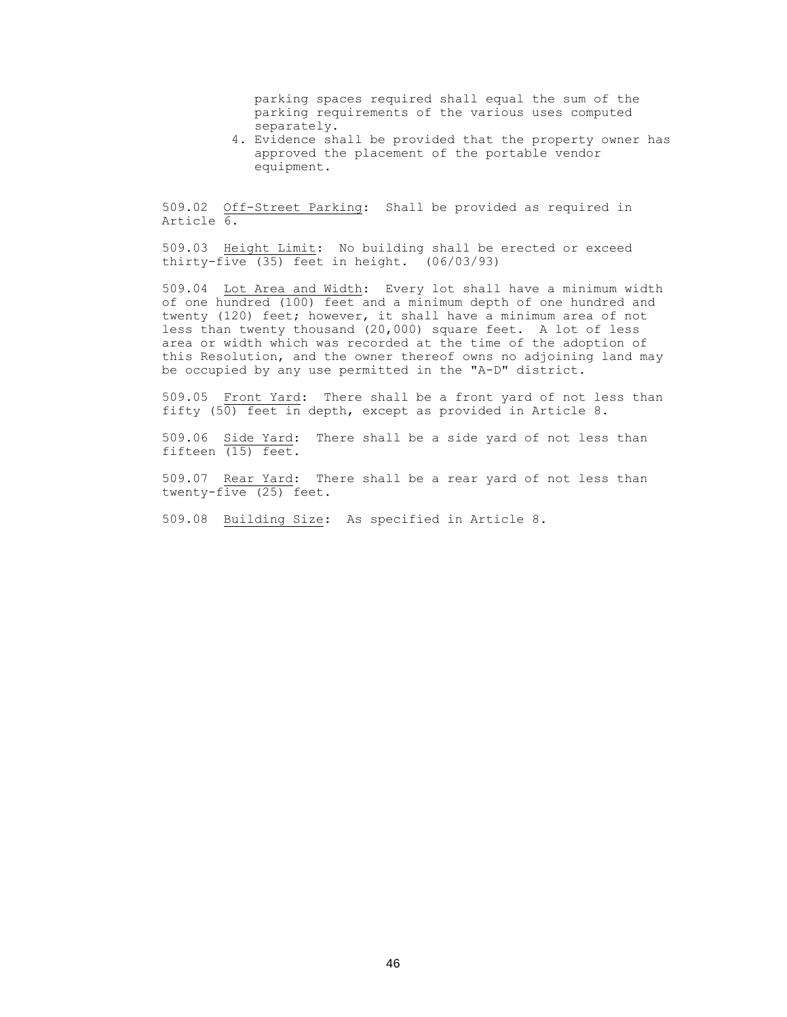parking spaces required shall equal the sum of the parking requirements of the various uses computed separately.

4. Evidence shall be provided that the property owner has approved the placement of the portable vendor equipment.

509.02 Off-Street Parking: Shall be provided as required in Article 6.

509.03 Height Limit: No building shall be erected or exceed thirty-five  $(35)$  feet in height.  $(06/03/93)$ 

509.04 Lot Area and Width: Every lot shall have a minimum width of one hundred (100) feet and a minimum depth of one hundred and twenty (120) feet; however, it shall have a minimum area of not less than twenty thousand (20,000) square feet. A lot of less area or width which was recorded at the time of the adoption of this Resolution, and the owner thereof owns no adjoining land may be occupied by any use permitted in the "A-D" district.

509.05 Front Yard: There shall be a front yard of not less than fifty  $(50)$  feet in depth, except as provided in Article 8.

509.06 Side Yard: There shall be a side yard of not less than fifteen (15) feet.

509.07 Rear Yard: There shall be a rear yard of not less than twenty-five (25) feet.

509.08 Building Size: As specified in Article 8.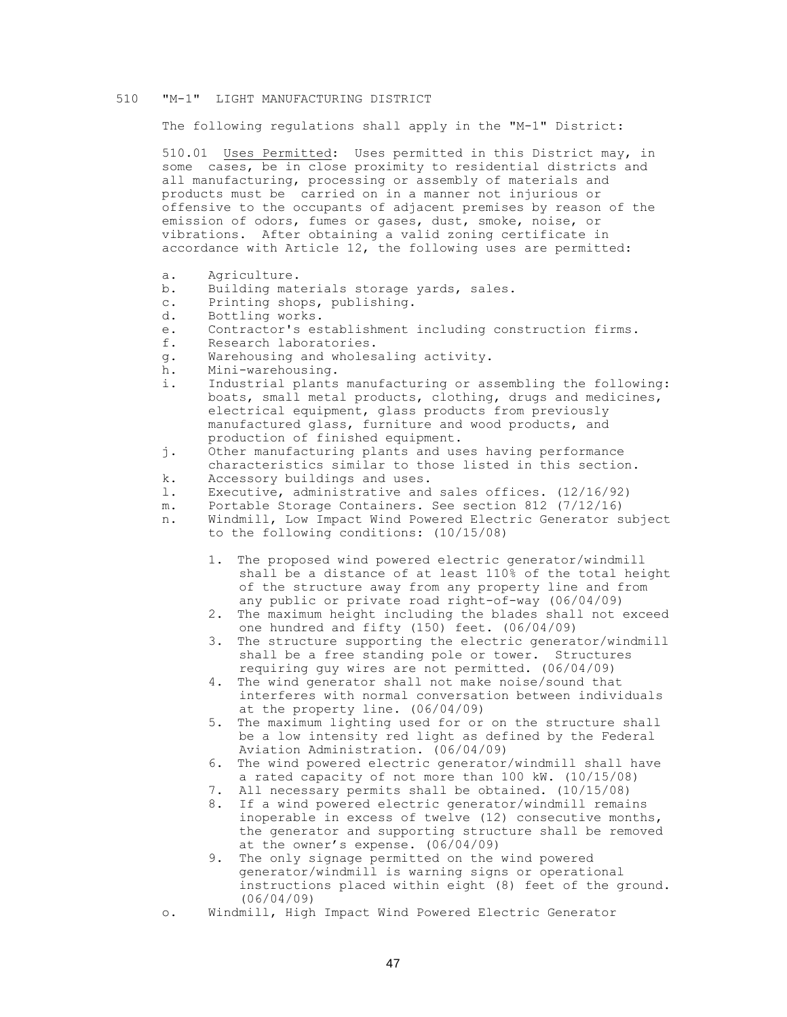#### 510 "M-1" LIGHT MANUFACTURING DISTRICT

The following regulations shall apply in the "M-1" District:

510.01 Uses Permitted: Uses permitted in this District may, in some cases, be in close proximity to residential districts and all manufacturing, processing or assembly of materials and products must be carried on in a manner not injurious or offensive to the occupants of adjacent premises by reason of the emission of odors, fumes or gases, dust, smoke, noise, or vibrations. After obtaining a valid zoning certificate in accordance with Article 12, the following uses are permitted:

- a. Agriculture.
- b. Building materials storage yards, sales.
- c. Printing shops, publishing.
- d. Bottling works.
- e. Contractor's establishment including construction firms.
- f. Research laboratories.
- g. Warehousing and wholesaling activity.
- h. Mini-warehousing.
- i. Industrial plants manufacturing or assembling the following: boats, small metal products, clothing, drugs and medicines, electrical equipment, glass products from previously manufactured glass, furniture and wood products, and production of finished equipment.
- j. Other manufacturing plants and uses having performance characteristics similar to those listed in this section.
- k. Accessory buildings and uses.
- l. Executive, administrative and sales offices. (12/16/92)
- m. Portable Storage Containers. See section 812 (7/12/16)
- n. Windmill, Low Impact Wind Powered Electric Generator subject
	- to the following conditions: (10/15/08)
		- 1. The proposed wind powered electric generator/windmill shall be a distance of at least 110% of the total height of the structure away from any property line and from any public or private road right-of-way (06/04/09)
		- 2. The maximum height including the blades shall not exceed one hundred and fifty (150) feet. (06/04/09)
		- 3. The structure supporting the electric generator/windmill shall be a free standing pole or tower. Structures requiring guy wires are not permitted. (06/04/09)
		- 4. The wind generator shall not make noise/sound that interferes with normal conversation between individuals at the property line. (06/04/09)
		- 5. The maximum lighting used for or on the structure shall be a low intensity red light as defined by the Federal Aviation Administration. (06/04/09)
		- 6. The wind powered electric generator/windmill shall have a rated capacity of not more than 100 kW. (10/15/08)
		- 7. All necessary permits shall be obtained. (10/15/08)
		- 8. If a wind powered electric generator/windmill remains inoperable in excess of twelve (12) consecutive months, the generator and supporting structure shall be removed at the owner's expense. (06/04/09)
		- 9. The only signage permitted on the wind powered generator/windmill is warning signs or operational instructions placed within eight (8) feet of the ground. (06/04/09)
- o. Windmill, High Impact Wind Powered Electric Generator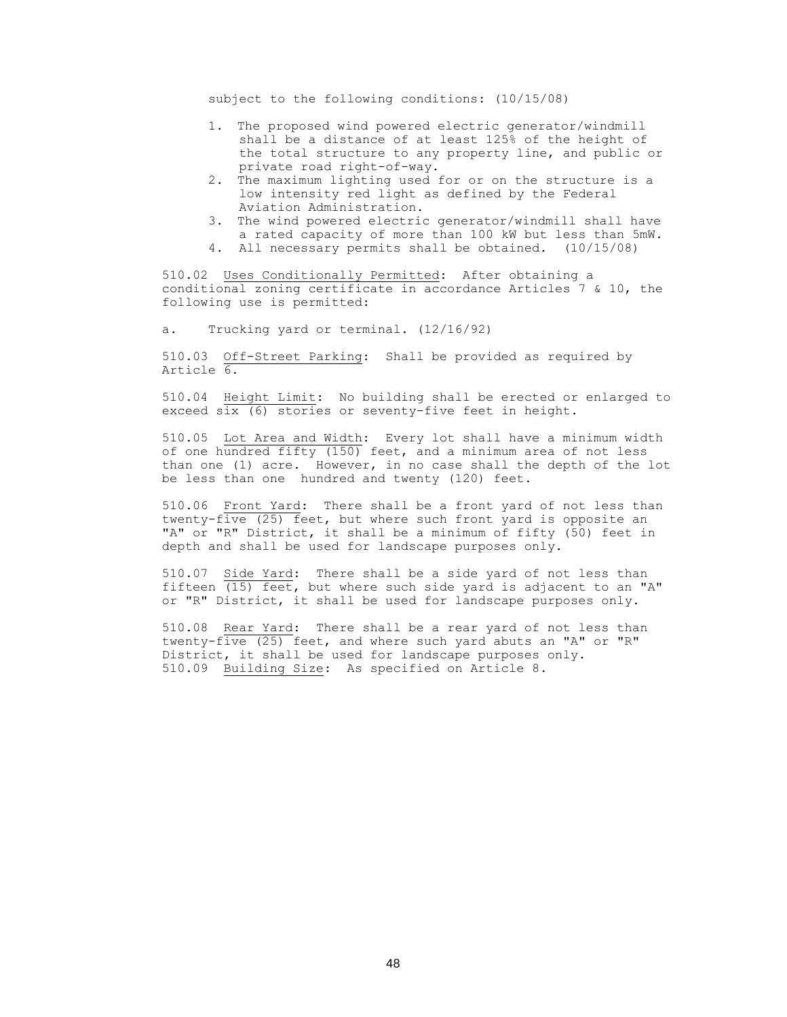subject to the following conditions: (10/15/08)

- 1. The proposed wind powered electric generator/windmill shall be a distance of at least 125% of the height of the total structure to any property line, and public or private road right-of-way.
- 2. The maximum lighting used for or on the structure is a low intensity red light as defined by the Federal Aviation Administration.
- 3. The wind powered electric generator/windmill shall have a rated capacity of more than 100 kW but less than 5mW.

4. All necessary permits shall be obtained. (10/15/08)

510.02 Uses Conditionally Permitted: After obtaining a conditional zoning certificate in accordance Articles 7 & 10, the following use is permitted:

a. Trucking yard or terminal. (12/16/92)

510.03 Off-Street Parking: Shall be provided as required by Article 6.

510.04 Height Limit: No building shall be erected or enlarged to exceed six (6) stories or seventy-five feet in height.

510.05 Lot Area and Width: Every lot shall have a minimum width of one hundred fifty (150) feet, and a minimum area of not less than one (1) acre. However, in no case shall the depth of the lot be less than one hundred and twenty (120) feet.

510.06 Front Yard: There shall be a front yard of not less than twenty-five (25) feet, but where such front yard is opposite an "A" or "R" District, it shall be a minimum of fifty (50) feet in depth and shall be used for landscape purposes only.

510.07 Side Yard: There shall be a side yard of not less than fifteen  $(15)$  feet, but where such side yard is adjacent to an "A" or "R" District, it shall be used for landscape purposes only.

510.08 Rear Yard: There shall be a rear yard of not less than twenty-five (25) feet, and where such yard abuts an "A" or "R" District, it shall be used for landscape purposes only. 510.09 Building Size: As specified on Article 8.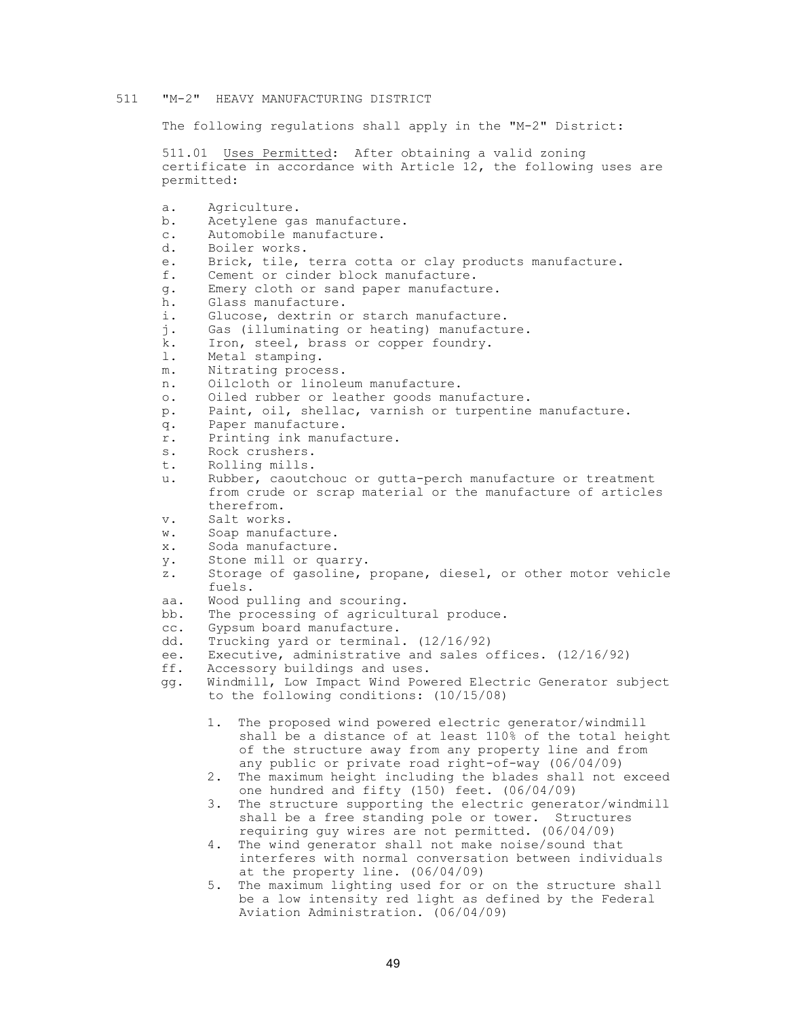#### 511 "M-2" HEAVY MANUFACTURING DISTRICT

The following regulations shall apply in the "M-2" District:

511.01 Uses Permitted: After obtaining a valid zoning certificate in accordance with Article 12, the following uses are permitted:

a. Agriculture. b. Acetylene gas manufacture. c. Automobile manufacture. d. Boiler works. e. Brick, tile, terra cotta or clay products manufacture. f. Cement or cinder block manufacture. g. Emery cloth or sand paper manufacture. h. Glass manufacture. i. Glucose, dextrin or starch manufacture. j. Gas (illuminating or heating) manufacture. k. Iron, steel, brass or copper foundry. l. Metal stamping. m. Nitrating process. n. Oilcloth or linoleum manufacture. o. Oiled rubber or leather goods manufacture. p. Paint, oil, shellac, varnish or turpentine manufacture. q. Paper manufacture. r. Printing ink manufacture. s. Rock crushers. t. Rolling mills. u. Rubber, caoutchouc or gutta-perch manufacture or treatment from crude or scrap material or the manufacture of articles therefrom. v. Salt works. w. Soap manufacture. x. Soda manufacture. y. Stone mill or quarry. z. Storage of gasoline, propane, diesel, or other motor vehicle fuels. aa. Wood pulling and scouring. bb. The processing of agricultural produce. cc. Gypsum board manufacture. dd. Trucking yard or terminal. (12/16/92) ee. Executive, administrative and sales offices. (12/16/92) ff. Accessory buildings and uses. gg. Windmill, Low Impact Wind Powered Electric Generator subject to the following conditions: (10/15/08) 1. The proposed wind powered electric generator/windmill shall be a distance of at least 110% of the total height of the structure away from any property line and from any public or private road right-of-way (06/04/09) 2. The maximum height including the blades shall not exceed one hundred and fifty (150) feet. (06/04/09) 3. The structure supporting the electric generator/windmill shall be a free standing pole or tower. Structures requiring guy wires are not permitted. (06/04/09) 4. The wind generator shall not make noise/sound that interferes with normal conversation between individuals at the property line. (06/04/09)

5. The maximum lighting used for or on the structure shall be a low intensity red light as defined by the Federal Aviation Administration. (06/04/09)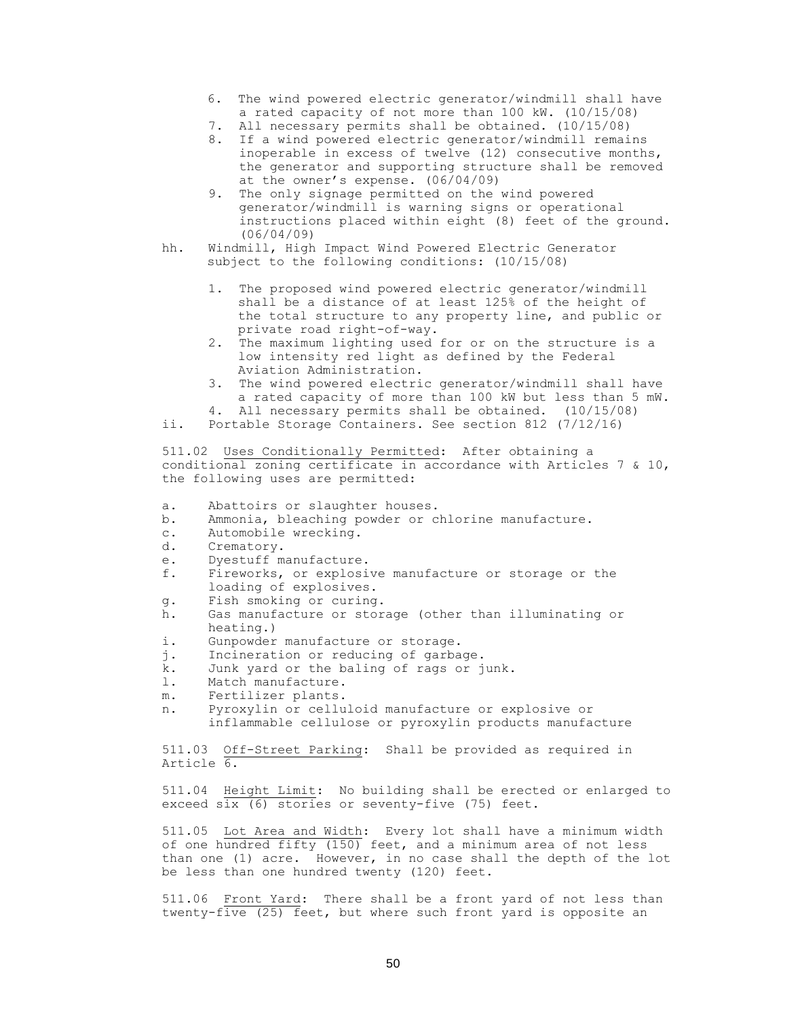- 6. The wind powered electric generator/windmill shall have a rated capacity of not more than 100 kW. (10/15/08)
- 7. All necessary permits shall be obtained. (10/15/08)
- 8. If a wind powered electric generator/windmill remains inoperable in excess of twelve (12) consecutive months, the generator and supporting structure shall be removed at the owner's expense. (06/04/09)
- 9. The only signage permitted on the wind powered generator/windmill is warning signs or operational instructions placed within eight (8) feet of the ground. (06/04/09)
- hh. Windmill, High Impact Wind Powered Electric Generator subject to the following conditions: (10/15/08)
	- 1. The proposed wind powered electric generator/windmill shall be a distance of at least 125% of the height of the total structure to any property line, and public or private road right-of-way.
	- 2. The maximum lighting used for or on the structure is a low intensity red light as defined by the Federal Aviation Administration.
	- 3. The wind powered electric generator/windmill shall have a rated capacity of more than 100 kW but less than 5 mW.
	- 4. All necessary permits shall be obtained. (10/15/08)
- ii. Portable Storage Containers. See section 812 (7/12/16)

511.02 Uses Conditionally Permitted: After obtaining a conditional zoning certificate in accordance with Articles 7 & 10, the following uses are permitted:

- a. Abattoirs or slaughter houses.
- b. Ammonia, bleaching powder or chlorine manufacture.
- c. Automobile wrecking.
- d. Crematory.
- e. Dyestuff manufacture.
- f. Fireworks, or explosive manufacture or storage or the loading of explosives.
- g. Fish smoking or curing.
- h. Gas manufacture or storage (other than illuminating or heating.)
- i. Gunpowder manufacture or storage.
- j. Incineration or reducing of garbage.
- k. Junk yard or the baling of rags or junk.
- l. Match manufacture.
- m. Fertilizer plants.
- n. Pyroxylin or celluloid manufacture or explosive or inflammable cellulose or pyroxylin products manufacture

511.03 Off-Street Parking: Shall be provided as required in Article 6.

511.04 Height Limit: No building shall be erected or enlarged to exceed six (6) stories or seventy-five (75) feet.

511.05 Lot Area and Width: Every lot shall have a minimum width of one hundred fifty (150) feet, and a minimum area of not less than one (1) acre. However, in no case shall the depth of the lot be less than one hundred twenty (120) feet.

511.06 Front Yard: There shall be a front yard of not less than twenty-five (25) feet, but where such front yard is opposite an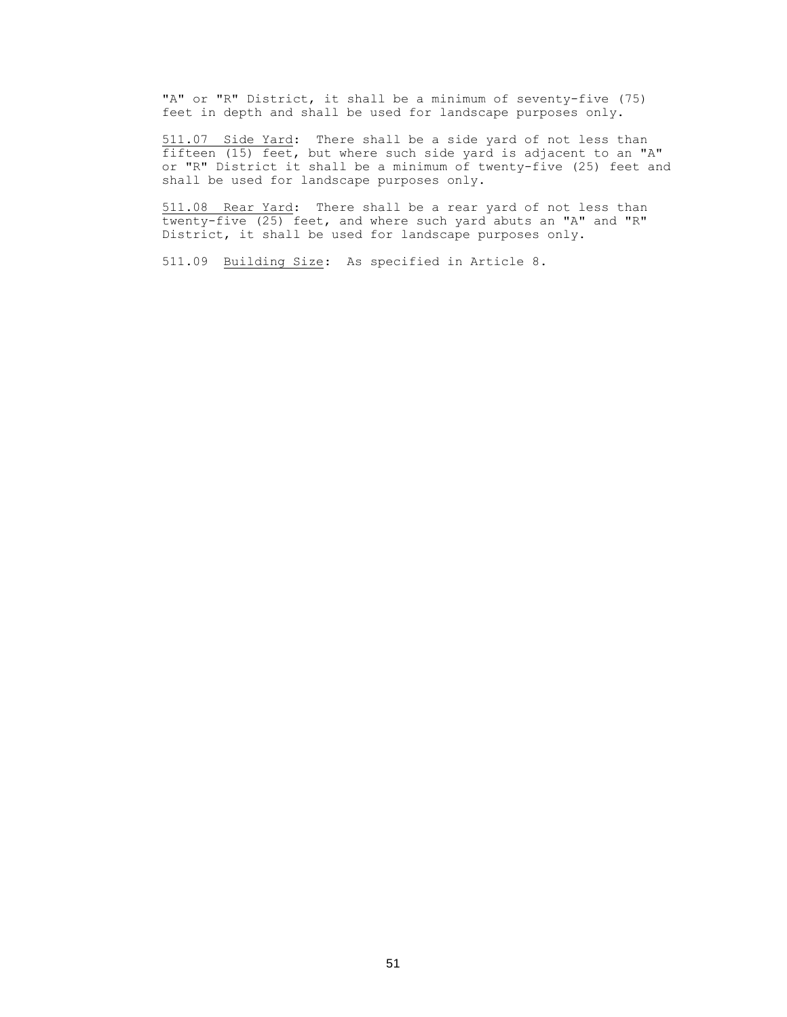"A" or "R" District, it shall be a minimum of seventy-five (75) feet in depth and shall be used for landscape purposes only.

511.07 Side Yard: There shall be a side yard of not less than fifteen (15) feet, but where such side yard is adjacent to an "A" or "R" District it shall be a minimum of twenty-five (25) feet and shall be used for landscape purposes only.

511.08 Rear Yard: There shall be a rear yard of not less than twenty-five (25) feet, and where such yard abuts an "A" and "R" District, it shall be used for landscape purposes only.

511.09 Building Size: As specified in Article 8.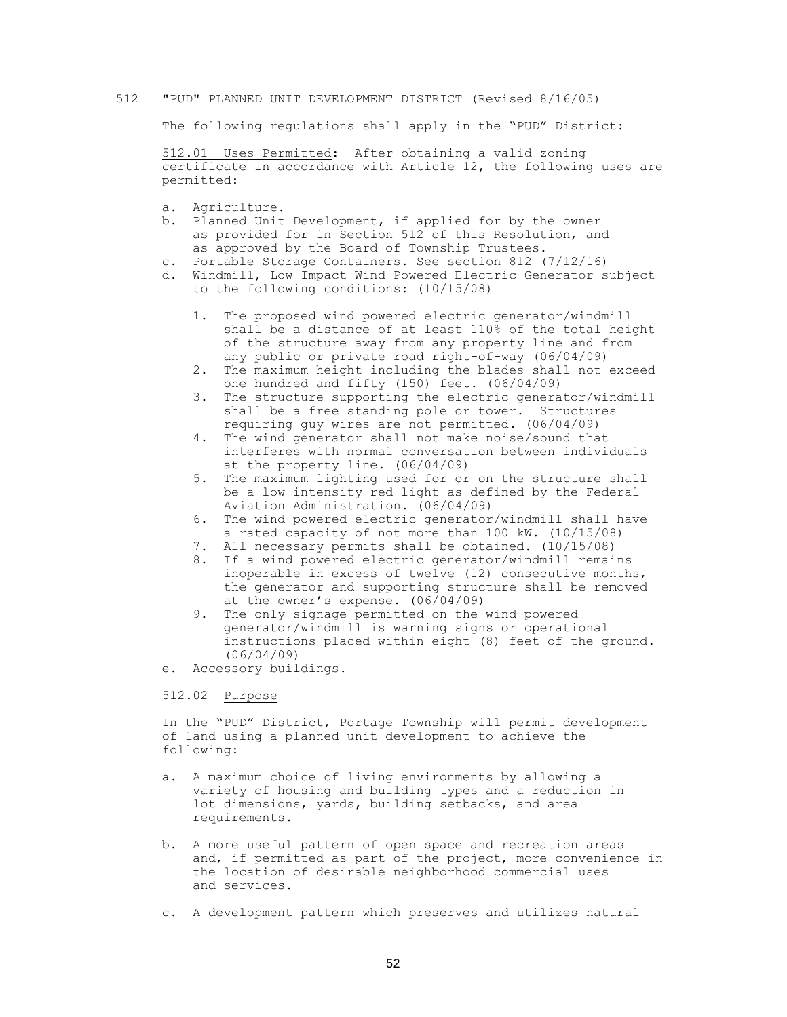#### 512 "PUD" PLANNED UNIT DEVELOPMENT DISTRICT (Revised 8/16/05)

The following regulations shall apply in the "PUD" District:

512.01 Uses Permitted: After obtaining a valid zoning certificate in accordance with Article 12, the following uses are permitted:

- a. Agriculture.
- b. Planned Unit Development, if applied for by the owner as provided for in Section 512 of this Resolution, and as approved by the Board of Township Trustees.
- c. Portable Storage Containers. See section 812 (7/12/16)
- d. Windmill, Low Impact Wind Powered Electric Generator subject to the following conditions: (10/15/08)
	- 1. The proposed wind powered electric generator/windmill shall be a distance of at least 110% of the total height of the structure away from any property line and from any public or private road right-of-way (06/04/09)
	- 2. The maximum height including the blades shall not exceed one hundred and fifty (150) feet. (06/04/09)
	- 3. The structure supporting the electric generator/windmill shall be a free standing pole or tower. Structures requiring guy wires are not permitted. (06/04/09)
	- 4. The wind generator shall not make noise/sound that interferes with normal conversation between individuals at the property line. (06/04/09)
	- 5. The maximum lighting used for or on the structure shall be a low intensity red light as defined by the Federal Aviation Administration. (06/04/09)
	- 6. The wind powered electric generator/windmill shall have a rated capacity of not more than 100 kW. (10/15/08)
	- 7. All necessary permits shall be obtained. (10/15/08)
	- 8. If a wind powered electric generator/windmill remains inoperable in excess of twelve (12) consecutive months, the generator and supporting structure shall be removed at the owner's expense. (06/04/09)
	- 9. The only signage permitted on the wind powered generator/windmill is warning signs or operational instructions placed within eight (8) feet of the ground. (06/04/09)
- e. Accessory buildings.

#### 512.02 Purpose

In the "PUD" District, Portage Township will permit development of land using a planned unit development to achieve the following:

- a. A maximum choice of living environments by allowing a variety of housing and building types and a reduction in lot dimensions, yards, building setbacks, and area requirements.
- b. A more useful pattern of open space and recreation areas and, if permitted as part of the project, more convenience in the location of desirable neighborhood commercial uses and services.
- c. A development pattern which preserves and utilizes natural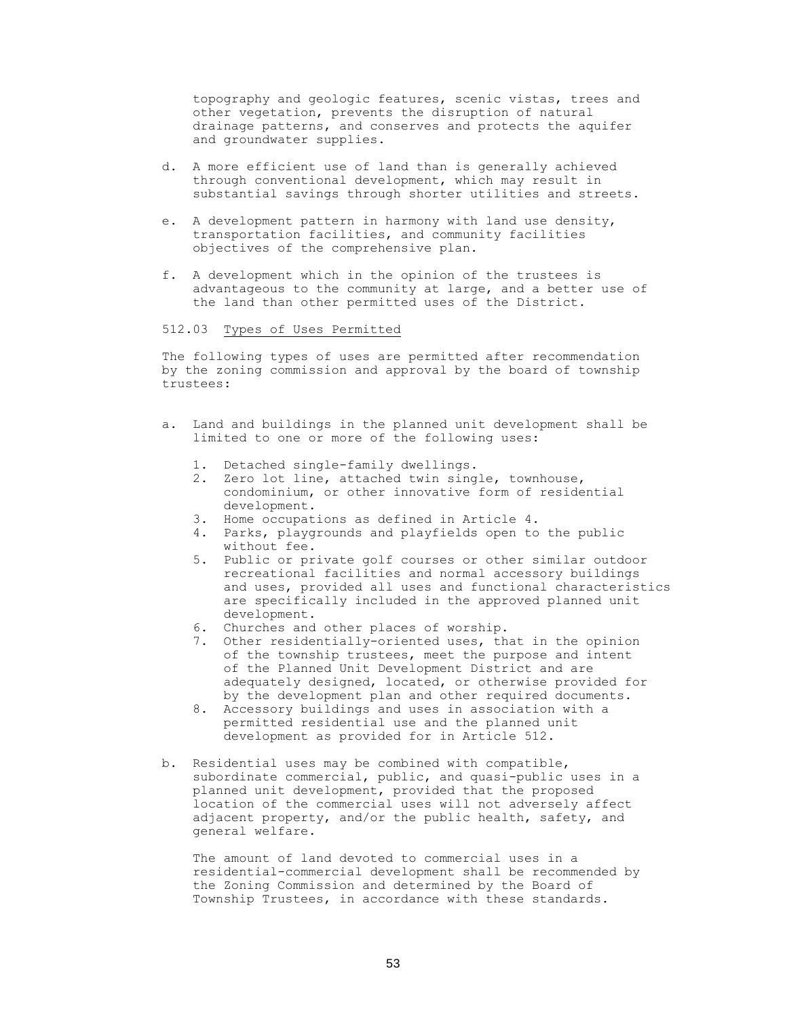topography and geologic features, scenic vistas, trees and other vegetation, prevents the disruption of natural drainage patterns, and conserves and protects the aquifer and groundwater supplies.

- d. A more efficient use of land than is generally achieved through conventional development, which may result in substantial savings through shorter utilities and streets.
- e. A development pattern in harmony with land use density, transportation facilities, and community facilities objectives of the comprehensive plan.
- f. A development which in the opinion of the trustees is advantageous to the community at large, and a better use of the land than other permitted uses of the District.

## 512.03 Types of Uses Permitted

The following types of uses are permitted after recommendation by the zoning commission and approval by the board of township trustees:

- a. Land and buildings in the planned unit development shall be limited to one or more of the following uses:
	- 1. Detached single-family dwellings.
	- 2. Zero lot line, attached twin single, townhouse, condominium, or other innovative form of residential development.
	- 3. Home occupations as defined in Article 4.
	- 4. Parks, playgrounds and playfields open to the public without fee.
	- 5. Public or private golf courses or other similar outdoor recreational facilities and normal accessory buildings and uses, provided all uses and functional characteristics are specifically included in the approved planned unit development.
	- 6. Churches and other places of worship.
	- 7. Other residentially-oriented uses, that in the opinion of the township trustees, meet the purpose and intent of the Planned Unit Development District and are adequately designed, located, or otherwise provided for by the development plan and other required documents.
	- 8. Accessory buildings and uses in association with a permitted residential use and the planned unit development as provided for in Article 512.
- b. Residential uses may be combined with compatible, subordinate commercial, public, and quasi-public uses in a planned unit development, provided that the proposed location of the commercial uses will not adversely affect adjacent property, and/or the public health, safety, and general welfare.

 The amount of land devoted to commercial uses in a residential-commercial development shall be recommended by the Zoning Commission and determined by the Board of Township Trustees, in accordance with these standards.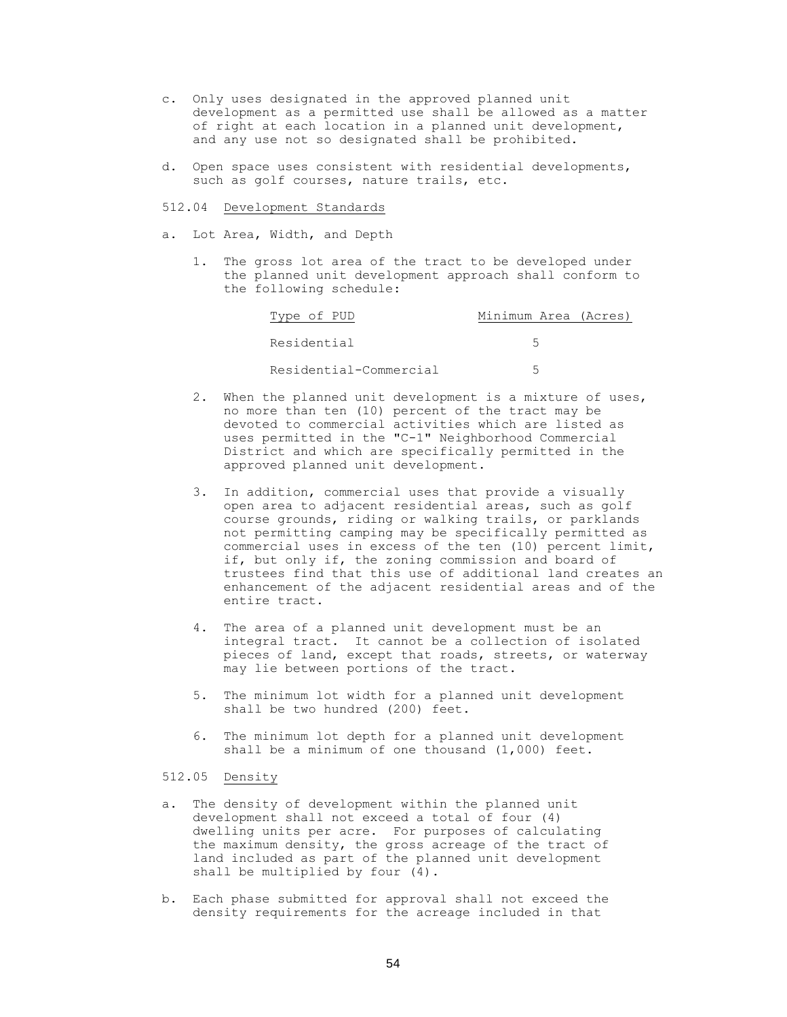- c. Only uses designated in the approved planned unit development as a permitted use shall be allowed as a matter of right at each location in a planned unit development, and any use not so designated shall be prohibited.
- d. Open space uses consistent with residential developments, such as golf courses, nature trails, etc.

512.04 Development Standards

a. Lot Area, Width, and Depth

1. The gross lot area of the tract to be developed under the planned unit development approach shall conform to the following schedule:

| Type of PUD            | Minimum Area (Acres) |
|------------------------|----------------------|
| Residential            |                      |
| Residential-Commercial |                      |

- 2. When the planned unit development is a mixture of uses, no more than ten (10) percent of the tract may be devoted to commercial activities which are listed as uses permitted in the "C-1" Neighborhood Commercial District and which are specifically permitted in the approved planned unit development.
- 3. In addition, commercial uses that provide a visually open area to adjacent residential areas, such as golf course grounds, riding or walking trails, or parklands not permitting camping may be specifically permitted as commercial uses in excess of the ten (10) percent limit, if, but only if, the zoning commission and board of trustees find that this use of additional land creates an enhancement of the adjacent residential areas and of the entire tract.
- 4. The area of a planned unit development must be an integral tract. It cannot be a collection of isolated pieces of land, except that roads, streets, or waterway may lie between portions of the tract.
- 5. The minimum lot width for a planned unit development shall be two hundred (200) feet.
- 6. The minimum lot depth for a planned unit development shall be a minimum of one thousand (1,000) feet.

# 512.05 Density

- a. The density of development within the planned unit development shall not exceed a total of four (4) dwelling units per acre. For purposes of calculating the maximum density, the gross acreage of the tract of land included as part of the planned unit development shall be multiplied by four (4).
- b. Each phase submitted for approval shall not exceed the density requirements for the acreage included in that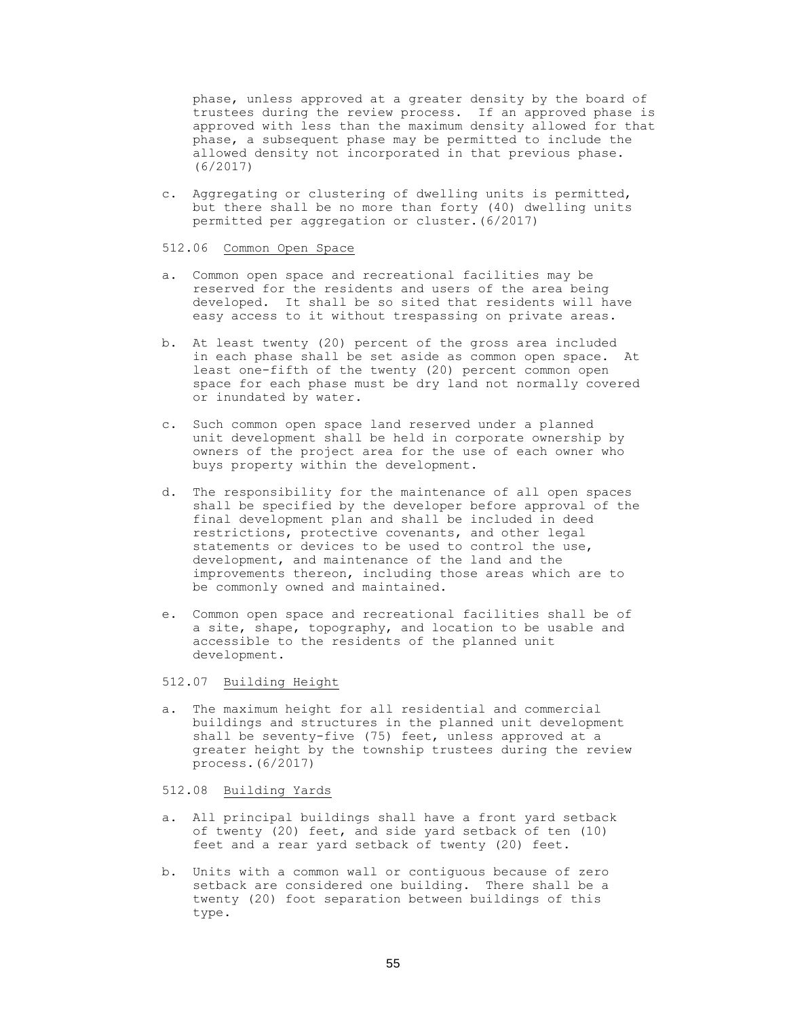phase, unless approved at a greater density by the board of trustees during the review process. If an approved phase is approved with less than the maximum density allowed for that phase, a subsequent phase may be permitted to include the allowed density not incorporated in that previous phase. (6/2017)

c. Aggregating or clustering of dwelling units is permitted, but there shall be no more than forty (40) dwelling units permitted per aggregation or cluster.(6/2017)

### 512.06 Common Open Space

- a. Common open space and recreational facilities may be reserved for the residents and users of the area being developed. It shall be so sited that residents will have easy access to it without trespassing on private areas.
- b. At least twenty (20) percent of the gross area included in each phase shall be set aside as common open space. At least one-fifth of the twenty (20) percent common open space for each phase must be dry land not normally covered or inundated by water.
- c. Such common open space land reserved under a planned unit development shall be held in corporate ownership by owners of the project area for the use of each owner who buys property within the development.
- d. The responsibility for the maintenance of all open spaces shall be specified by the developer before approval of the final development plan and shall be included in deed restrictions, protective covenants, and other legal statements or devices to be used to control the use, development, and maintenance of the land and the improvements thereon, including those areas which are to be commonly owned and maintained.
- e. Common open space and recreational facilities shall be of a site, shape, topography, and location to be usable and accessible to the residents of the planned unit development.

# 512.07 Building Height

a. The maximum height for all residential and commercial buildings and structures in the planned unit development shall be seventy-five (75) feet, unless approved at a greater height by the township trustees during the review process.(6/2017)

# 512.08 Building Yards

- a. All principal buildings shall have a front yard setback of twenty (20) feet, and side yard setback of ten (10) feet and a rear yard setback of twenty (20) feet.
- b. Units with a common wall or contiguous because of zero setback are considered one building. There shall be a twenty (20) foot separation between buildings of this type.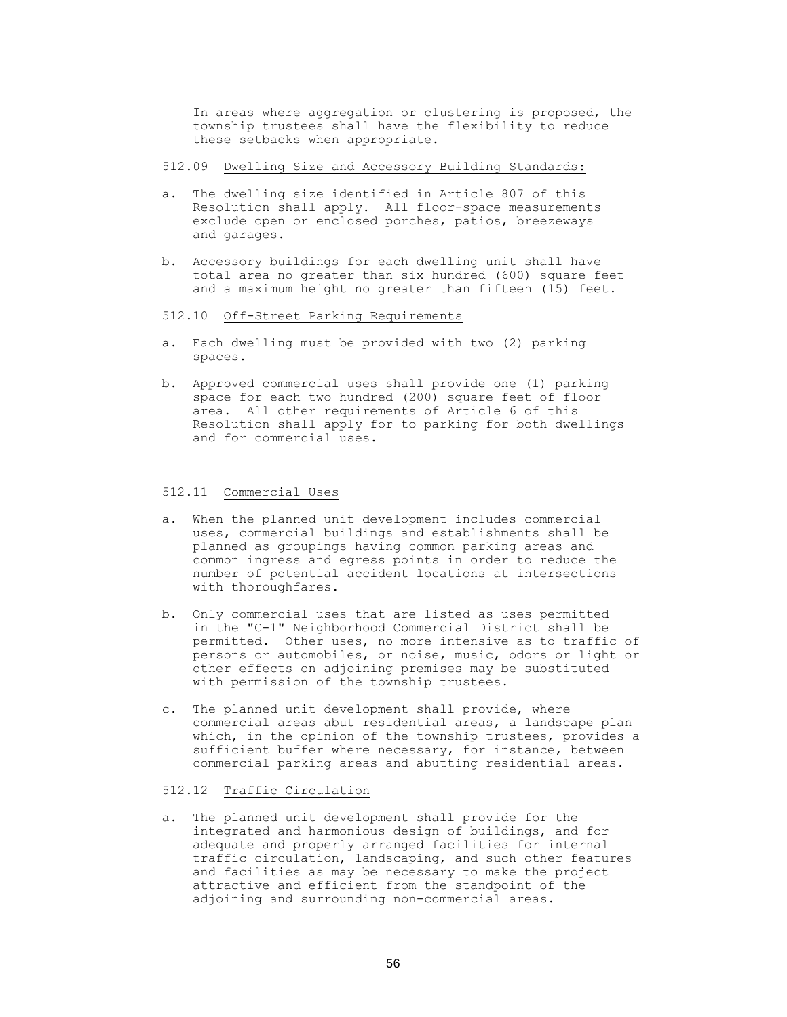In areas where aggregation or clustering is proposed, the township trustees shall have the flexibility to reduce these setbacks when appropriate.

- 512.09 Dwelling Size and Accessory Building Standards:
- a. The dwelling size identified in Article 807 of this Resolution shall apply. All floor-space measurements exclude open or enclosed porches, patios, breezeways and garages.
- b. Accessory buildings for each dwelling unit shall have total area no greater than six hundred (600) square feet and a maximum height no greater than fifteen (15) feet.
- 512.10 Off-Street Parking Requirements
- a. Each dwelling must be provided with two (2) parking spaces.
- b. Approved commercial uses shall provide one (1) parking space for each two hundred (200) square feet of floor area. All other requirements of Article 6 of this Resolution shall apply for to parking for both dwellings and for commercial uses.

#### 512.11 Commercial Uses

- a. When the planned unit development includes commercial uses, commercial buildings and establishments shall be planned as groupings having common parking areas and common ingress and egress points in order to reduce the number of potential accident locations at intersections with thoroughfares.
- b. Only commercial uses that are listed as uses permitted in the "C-1" Neighborhood Commercial District shall be permitted. Other uses, no more intensive as to traffic of persons or automobiles, or noise, music, odors or light or other effects on adjoining premises may be substituted with permission of the township trustees.
- c. The planned unit development shall provide, where commercial areas abut residential areas, a landscape plan which, in the opinion of the township trustees, provides a sufficient buffer where necessary, for instance, between commercial parking areas and abutting residential areas.

### 512.12 Traffic Circulation

a. The planned unit development shall provide for the integrated and harmonious design of buildings, and for adequate and properly arranged facilities for internal traffic circulation, landscaping, and such other features and facilities as may be necessary to make the project attractive and efficient from the standpoint of the adjoining and surrounding non-commercial areas.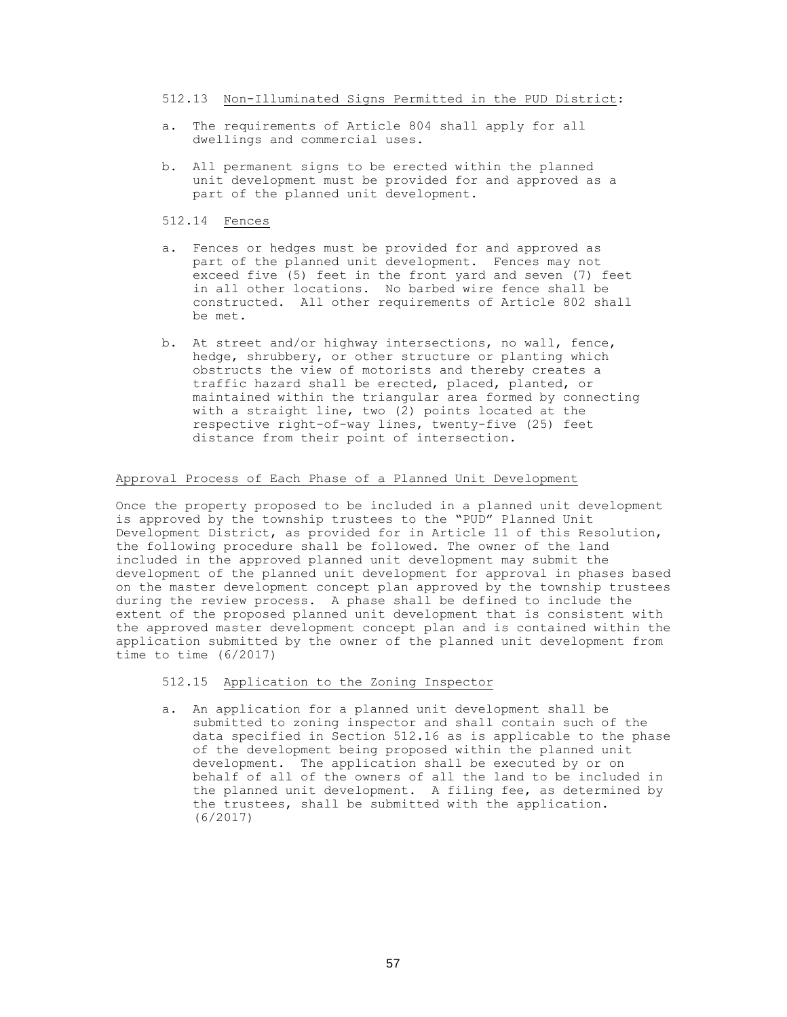512.13 Non-Illuminated Signs Permitted in the PUD District:

- a. The requirements of Article 804 shall apply for all dwellings and commercial uses.
- b. All permanent signs to be erected within the planned unit development must be provided for and approved as a part of the planned unit development.
- 512.14 Fences
- a. Fences or hedges must be provided for and approved as part of the planned unit development. Fences may not exceed five (5) feet in the front yard and seven (7) feet in all other locations. No barbed wire fence shall be constructed. All other requirements of Article 802 shall be met.
- b. At street and/or highway intersections, no wall, fence, hedge, shrubbery, or other structure or planting which obstructs the view of motorists and thereby creates a traffic hazard shall be erected, placed, planted, or maintained within the triangular area formed by connecting with a straight line, two (2) points located at the respective right-of-way lines, twenty-five (25) feet distance from their point of intersection.

# Approval Process of Each Phase of a Planned Unit Development

Once the property proposed to be included in a planned unit development is approved by the township trustees to the "PUD" Planned Unit Development District, as provided for in Article 11 of this Resolution, the following procedure shall be followed. The owner of the land included in the approved planned unit development may submit the development of the planned unit development for approval in phases based on the master development concept plan approved by the township trustees during the review process. A phase shall be defined to include the extent of the proposed planned unit development that is consistent with the approved master development concept plan and is contained within the application submitted by the owner of the planned unit development from time to time (6/2017)

# 512.15 Application to the Zoning Inspector

a. An application for a planned unit development shall be submitted to zoning inspector and shall contain such of the data specified in Section 512.16 as is applicable to the phase of the development being proposed within the planned unit development. The application shall be executed by or on behalf of all of the owners of all the land to be included in the planned unit development. A filing fee, as determined by the trustees, shall be submitted with the application. (6/2017)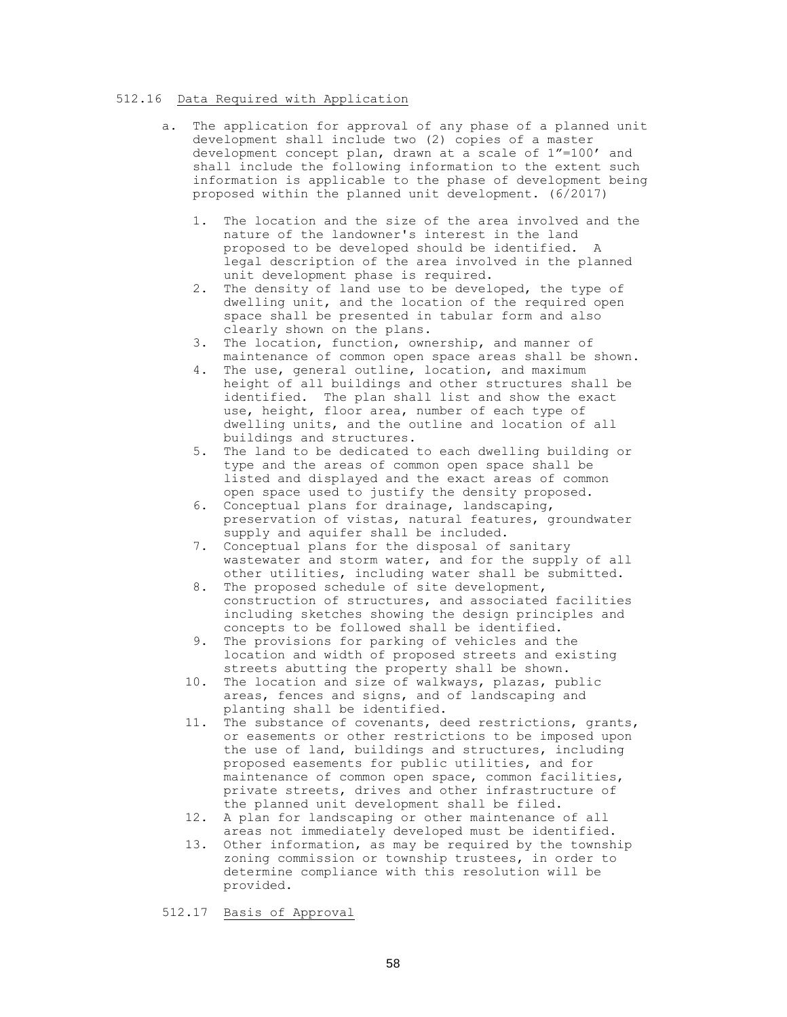### 512.16 Data Required with Application

- a. The application for approval of any phase of a planned unit development shall include two (2) copies of a master development concept plan, drawn at a scale of 1"=100' and shall include the following information to the extent such information is applicable to the phase of development being proposed within the planned unit development. (6/2017)
	- 1. The location and the size of the area involved and the nature of the landowner's interest in the land proposed to be developed should be identified. A legal description of the area involved in the planned unit development phase is required.
	- 2. The density of land use to be developed, the type of dwelling unit, and the location of the required open space shall be presented in tabular form and also clearly shown on the plans.
	- 3. The location, function, ownership, and manner of maintenance of common open space areas shall be shown.
	- 4. The use, general outline, location, and maximum height of all buildings and other structures shall be identified. The plan shall list and show the exact use, height, floor area, number of each type of dwelling units, and the outline and location of all buildings and structures.
	- 5. The land to be dedicated to each dwelling building or type and the areas of common open space shall be listed and displayed and the exact areas of common open space used to justify the density proposed.
	- 6. Conceptual plans for drainage, landscaping, preservation of vistas, natural features, groundwater supply and aquifer shall be included.
	- 7. Conceptual plans for the disposal of sanitary wastewater and storm water, and for the supply of all other utilities, including water shall be submitted.
	- 8. The proposed schedule of site development, construction of structures, and associated facilities including sketches showing the design principles and concepts to be followed shall be identified.
	- 9. The provisions for parking of vehicles and the location and width of proposed streets and existing streets abutting the property shall be shown.
	- 10. The location and size of walkways, plazas, public areas, fences and signs, and of landscaping and planting shall be identified.
	- 11. The substance of covenants, deed restrictions, grants, or easements or other restrictions to be imposed upon the use of land, buildings and structures, including proposed easements for public utilities, and for maintenance of common open space, common facilities, private streets, drives and other infrastructure of the planned unit development shall be filed.
	- 12. A plan for landscaping or other maintenance of all areas not immediately developed must be identified.
	- 13. Other information, as may be required by the township zoning commission or township trustees, in order to determine compliance with this resolution will be provided.

512.17 Basis of Approval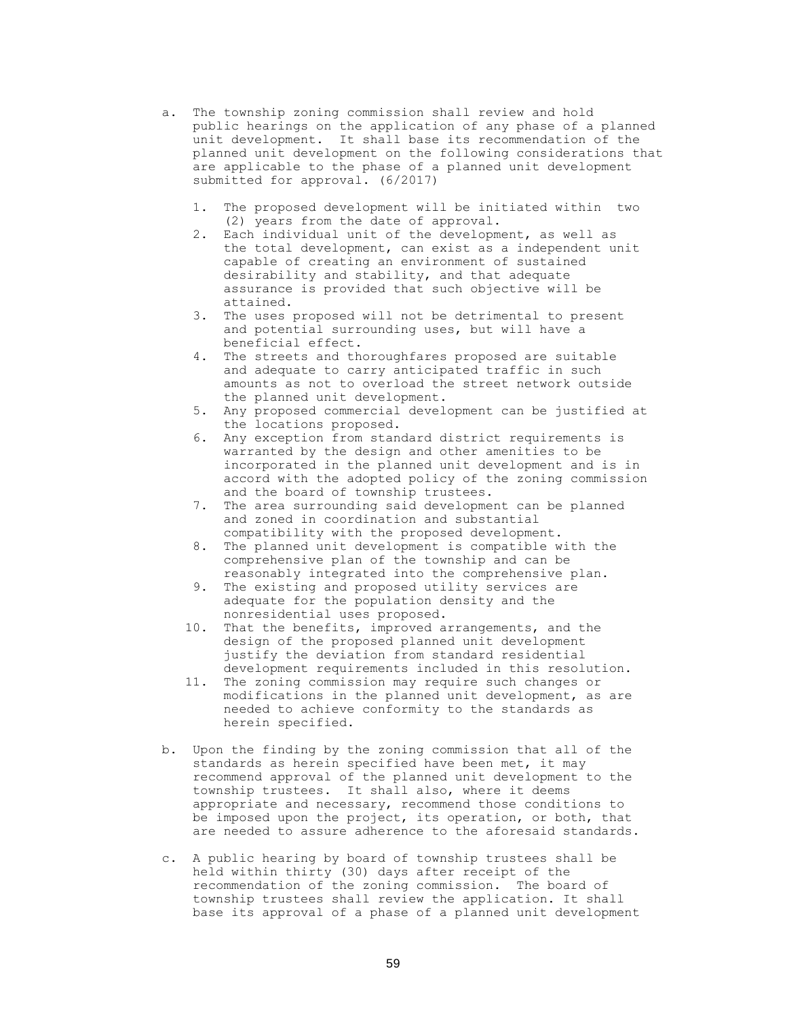- a. The township zoning commission shall review and hold public hearings on the application of any phase of a planned unit development. It shall base its recommendation of the planned unit development on the following considerations that are applicable to the phase of a planned unit development submitted for approval. (6/2017)
	- 1. The proposed development will be initiated within two (2) years from the date of approval.
	- 2. Each individual unit of the development, as well as the total development, can exist as a independent unit capable of creating an environment of sustained desirability and stability, and that adequate assurance is provided that such objective will be attained.
	- 3. The uses proposed will not be detrimental to present and potential surrounding uses, but will have a beneficial effect.
	- 4. The streets and thoroughfares proposed are suitable and adequate to carry anticipated traffic in such amounts as not to overload the street network outside the planned unit development.
	- 5. Any proposed commercial development can be justified at the locations proposed.
	- 6. Any exception from standard district requirements is warranted by the design and other amenities to be incorporated in the planned unit development and is in accord with the adopted policy of the zoning commission and the board of township trustees.
	- 7. The area surrounding said development can be planned and zoned in coordination and substantial compatibility with the proposed development.
	- 8. The planned unit development is compatible with the comprehensive plan of the township and can be reasonably integrated into the comprehensive plan.
	- 9. The existing and proposed utility services are adequate for the population density and the nonresidential uses proposed.
	- 10. That the benefits, improved arrangements, and the design of the proposed planned unit development justify the deviation from standard residential development requirements included in this resolution.
	- 11. The zoning commission may require such changes or modifications in the planned unit development, as are needed to achieve conformity to the standards as herein specified.
- b. Upon the finding by the zoning commission that all of the standards as herein specified have been met, it may recommend approval of the planned unit development to the township trustees. It shall also, where it deems appropriate and necessary, recommend those conditions to be imposed upon the project, its operation, or both, that are needed to assure adherence to the aforesaid standards.
- c. A public hearing by board of township trustees shall be held within thirty (30) days after receipt of the recommendation of the zoning commission. The board of township trustees shall review the application. It shall base its approval of a phase of a planned unit development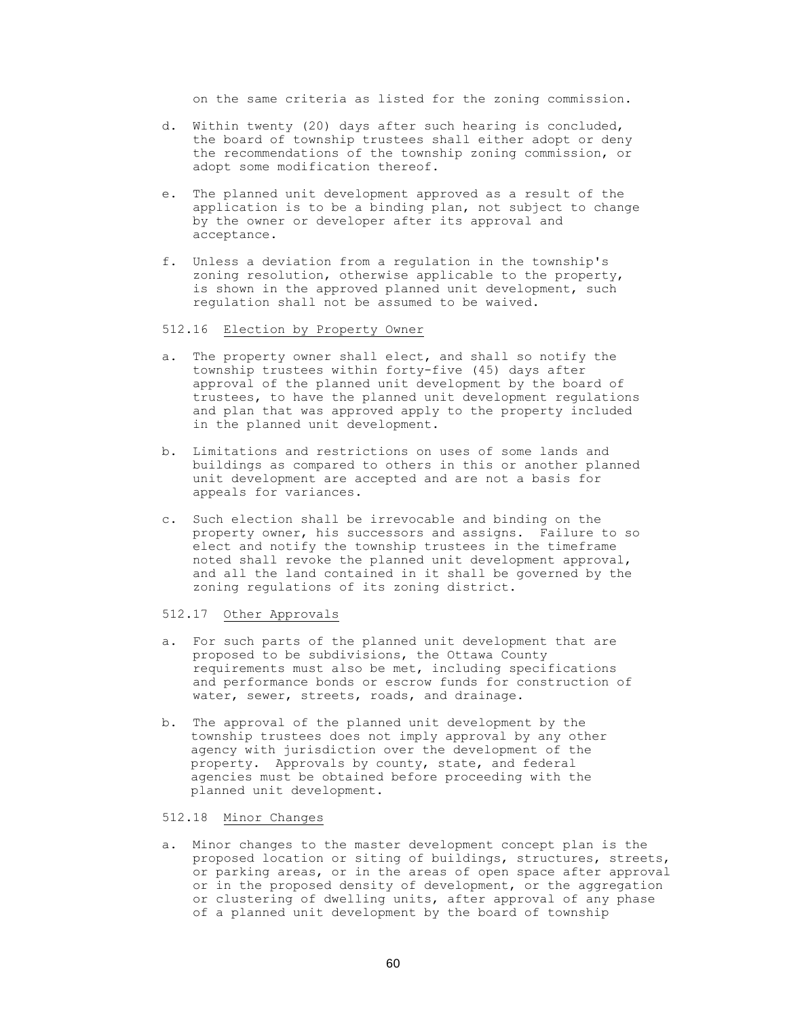on the same criteria as listed for the zoning commission.

- d. Within twenty (20) days after such hearing is concluded, the board of township trustees shall either adopt or deny the recommendations of the township zoning commission, or adopt some modification thereof.
- e. The planned unit development approved as a result of the application is to be a binding plan, not subject to change by the owner or developer after its approval and acceptance.
- f. Unless a deviation from a regulation in the township's zoning resolution, otherwise applicable to the property, is shown in the approved planned unit development, such regulation shall not be assumed to be waived.

# 512.16 Election by Property Owner

- a. The property owner shall elect, and shall so notify the township trustees within forty-five (45) days after approval of the planned unit development by the board of trustees, to have the planned unit development regulations and plan that was approved apply to the property included in the planned unit development.
- b. Limitations and restrictions on uses of some lands and buildings as compared to others in this or another planned unit development are accepted and are not a basis for appeals for variances.
- c. Such election shall be irrevocable and binding on the property owner, his successors and assigns. Failure to so elect and notify the township trustees in the timeframe noted shall revoke the planned unit development approval, and all the land contained in it shall be governed by the zoning regulations of its zoning district.

# 512.17 Other Approvals

- a. For such parts of the planned unit development that are proposed to be subdivisions, the Ottawa County requirements must also be met, including specifications and performance bonds or escrow funds for construction of water, sewer, streets, roads, and drainage.
- b. The approval of the planned unit development by the township trustees does not imply approval by any other agency with jurisdiction over the development of the property. Approvals by county, state, and federal agencies must be obtained before proceeding with the planned unit development.

# 512.18 Minor Changes

a. Minor changes to the master development concept plan is the proposed location or siting of buildings, structures, streets, or parking areas, or in the areas of open space after approval or in the proposed density of development, or the aggregation or clustering of dwelling units, after approval of any phase of a planned unit development by the board of township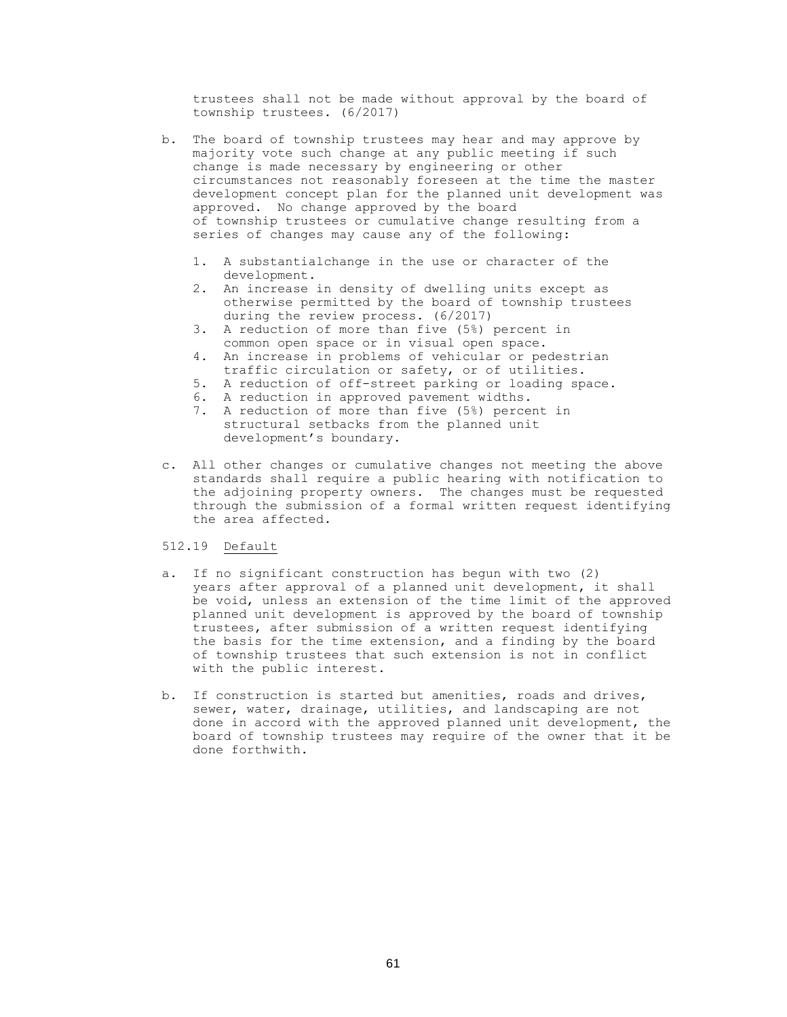trustees shall not be made without approval by the board of township trustees. (6/2017)

- b. The board of township trustees may hear and may approve by majority vote such change at any public meeting if such change is made necessary by engineering or other circumstances not reasonably foreseen at the time the master development concept plan for the planned unit development was approved. No change approved by the board of township trustees or cumulative change resulting from a series of changes may cause any of the following:
	- 1. A substantialchange in the use or character of the development.
	- 2. An increase in density of dwelling units except as otherwise permitted by the board of township trustees during the review process. (6/2017)
	- 3. A reduction of more than five (5%) percent in common open space or in visual open space.
	- 4. An increase in problems of vehicular or pedestrian traffic circulation or safety, or of utilities.
	- 5. A reduction of off-street parking or loading space.
	- 6. A reduction in approved pavement widths.
	- 7. A reduction of more than five (5%) percent in structural setbacks from the planned unit development's boundary.
- c. All other changes or cumulative changes not meeting the above standards shall require a public hearing with notification to the adjoining property owners. The changes must be requested through the submission of a formal written request identifying the area affected.

# 512.19 Default

- a. If no significant construction has begun with two (2) years after approval of a planned unit development, it shall be void, unless an extension of the time limit of the approved planned unit development is approved by the board of township trustees, after submission of a written request identifying the basis for the time extension, and a finding by the board of township trustees that such extension is not in conflict with the public interest.
- b. If construction is started but amenities, roads and drives, sewer, water, drainage, utilities, and landscaping are not done in accord with the approved planned unit development, the board of township trustees may require of the owner that it be done forthwith.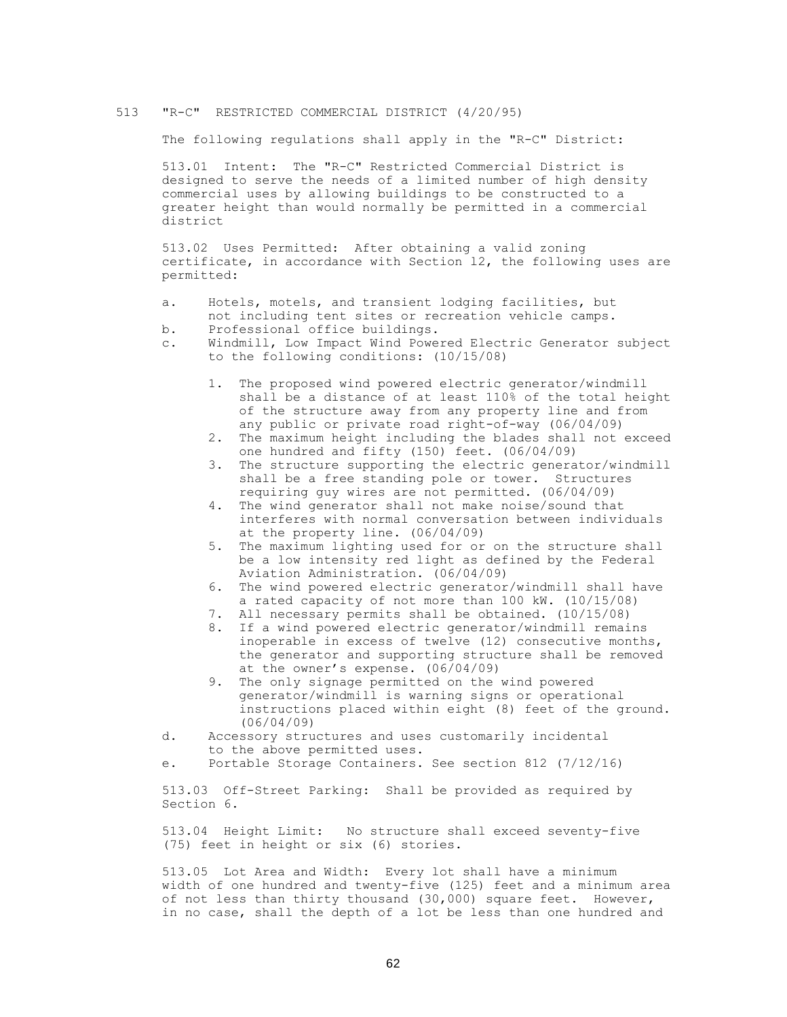## 513 "R-C" RESTRICTED COMMERCIAL DISTRICT (4/20/95)

The following regulations shall apply in the "R-C" District:

513.01 Intent: The "R-C" Restricted Commercial District is designed to serve the needs of a limited number of high density commercial uses by allowing buildings to be constructed to a greater height than would normally be permitted in a commercial district

513.02 Uses Permitted: After obtaining a valid zoning certificate, in accordance with Section l2, the following uses are permitted:

- a. Hotels, motels, and transient lodging facilities, but not including tent sites or recreation vehicle camps.
- b. Professional office buildings.
- c. Windmill, Low Impact Wind Powered Electric Generator subject to the following conditions: (10/15/08)
	- 1. The proposed wind powered electric generator/windmill shall be a distance of at least 110% of the total height of the structure away from any property line and from any public or private road right-of-way (06/04/09)
	- 2. The maximum height including the blades shall not exceed one hundred and fifty (150) feet. (06/04/09)
	- 3. The structure supporting the electric generator/windmill shall be a free standing pole or tower. Structures requiring guy wires are not permitted. (06/04/09)
	- 4. The wind generator shall not make noise/sound that interferes with normal conversation between individuals at the property line. (06/04/09)
	- 5. The maximum lighting used for or on the structure shall be a low intensity red light as defined by the Federal Aviation Administration. (06/04/09)
	- 6. The wind powered electric generator/windmill shall have a rated capacity of not more than 100 kW. (10/15/08)
	- 7. All necessary permits shall be obtained. (10/15/08)
	- 8. If a wind powered electric generator/windmill remains inoperable in excess of twelve (12) consecutive months, the generator and supporting structure shall be removed at the owner's expense. (06/04/09)
	- 9. The only signage permitted on the wind powered generator/windmill is warning signs or operational instructions placed within eight (8) feet of the ground. (06/04/09)
- d. Accessory structures and uses customarily incidental to the above permitted uses.
- e. Portable Storage Containers. See section 812 (7/12/16)

513.03 Off-Street Parking: Shall be provided as required by Section 6.

513.04 Height Limit: No structure shall exceed seventy-five (75) feet in height or six (6) stories.

513.05 Lot Area and Width: Every lot shall have a minimum width of one hundred and twenty-five (125) feet and a minimum area of not less than thirty thousand (30,000) square feet. However, in no case, shall the depth of a lot be less than one hundred and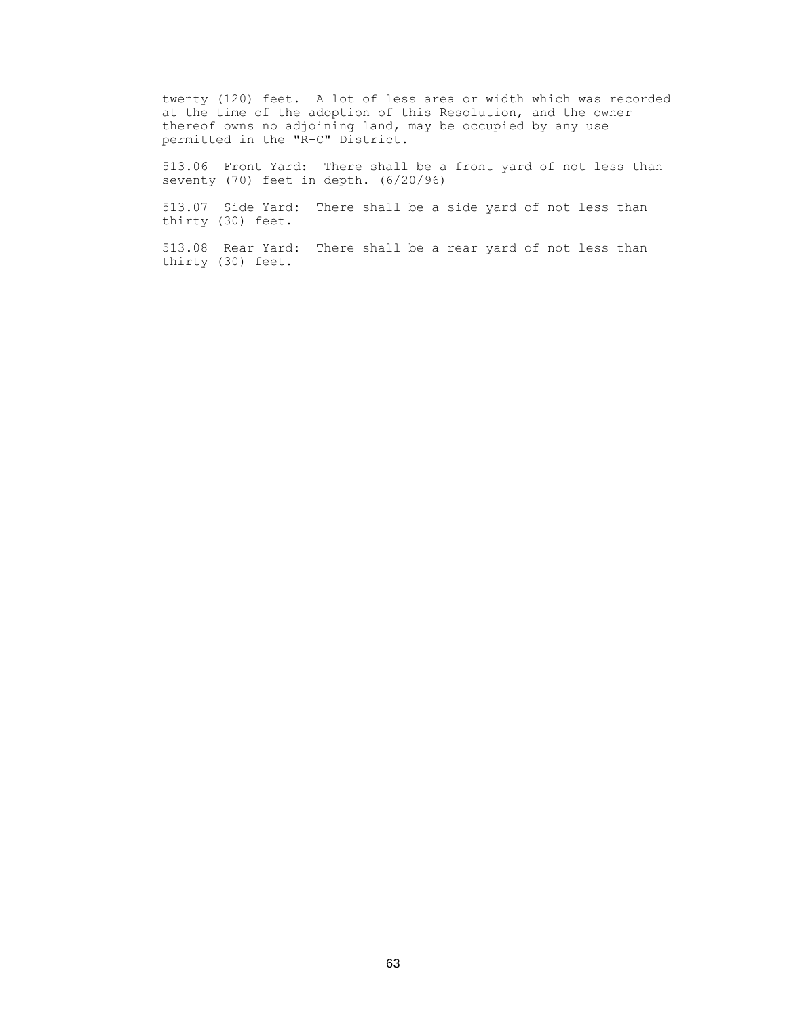twenty (120) feet. A lot of less area or width which was recorded at the time of the adoption of this Resolution, and the owner thereof owns no adjoining land, may be occupied by any use permitted in the "R-C" District.

513.06 Front Yard: There shall be a front yard of not less than seventy (70) feet in depth. (6/20/96)

513.07 Side Yard: There shall be a side yard of not less than thirty (30) feet.

513.08 Rear Yard: There shall be a rear yard of not less than thirty (30) feet.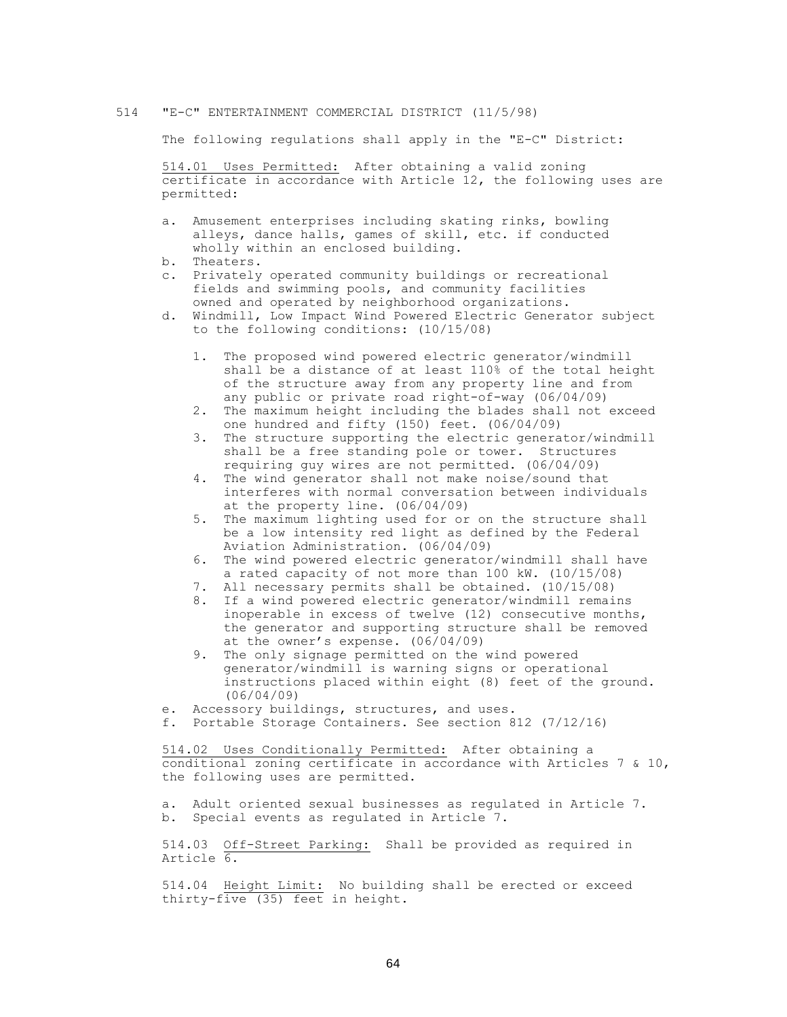## 514 "E-C" ENTERTAINMENT COMMERCIAL DISTRICT (11/5/98)

The following regulations shall apply in the "E-C" District:

514.01 Uses Permitted: After obtaining a valid zoning certificate in accordance with Article 12, the following uses are permitted:

- a. Amusement enterprises including skating rinks, bowling alleys, dance halls, games of skill, etc. if conducted wholly within an enclosed building.
- b. Theaters.
- c. Privately operated community buildings or recreational fields and swimming pools, and community facilities owned and operated by neighborhood organizations.
- d. Windmill, Low Impact Wind Powered Electric Generator subject to the following conditions: (10/15/08)
	- 1. The proposed wind powered electric generator/windmill shall be a distance of at least 110% of the total height of the structure away from any property line and from any public or private road right-of-way (06/04/09)
	- 2. The maximum height including the blades shall not exceed one hundred and fifty (150) feet. (06/04/09)
	- 3. The structure supporting the electric generator/windmill shall be a free standing pole or tower. Structures requiring guy wires are not permitted. (06/04/09)
	- 4. The wind generator shall not make noise/sound that interferes with normal conversation between individuals at the property line. (06/04/09)
	- 5. The maximum lighting used for or on the structure shall be a low intensity red light as defined by the Federal Aviation Administration. (06/04/09)
	- 6. The wind powered electric generator/windmill shall have a rated capacity of not more than 100 kW. (10/15/08)
	- 7. All necessary permits shall be obtained. (10/15/08)
	- 8. If a wind powered electric generator/windmill remains inoperable in excess of twelve (12) consecutive months, the generator and supporting structure shall be removed at the owner's expense. (06/04/09)
	- 9. The only signage permitted on the wind powered generator/windmill is warning signs or operational instructions placed within eight (8) feet of the ground. (06/04/09)
- e. Accessory buildings, structures, and uses.
- f. Portable Storage Containers. See section 812 (7/12/16)

514.02 Uses Conditionally Permitted: After obtaining a conditional zoning certificate in accordance with Articles 7 & 10, the following uses are permitted.

a. Adult oriented sexual businesses as regulated in Article 7. b. Special events as regulated in Article 7.

514.03 Off-Street Parking: Shall be provided as required in Article 6.

514.04 Height Limit: No building shall be erected or exceed thirty-five (35) feet in height.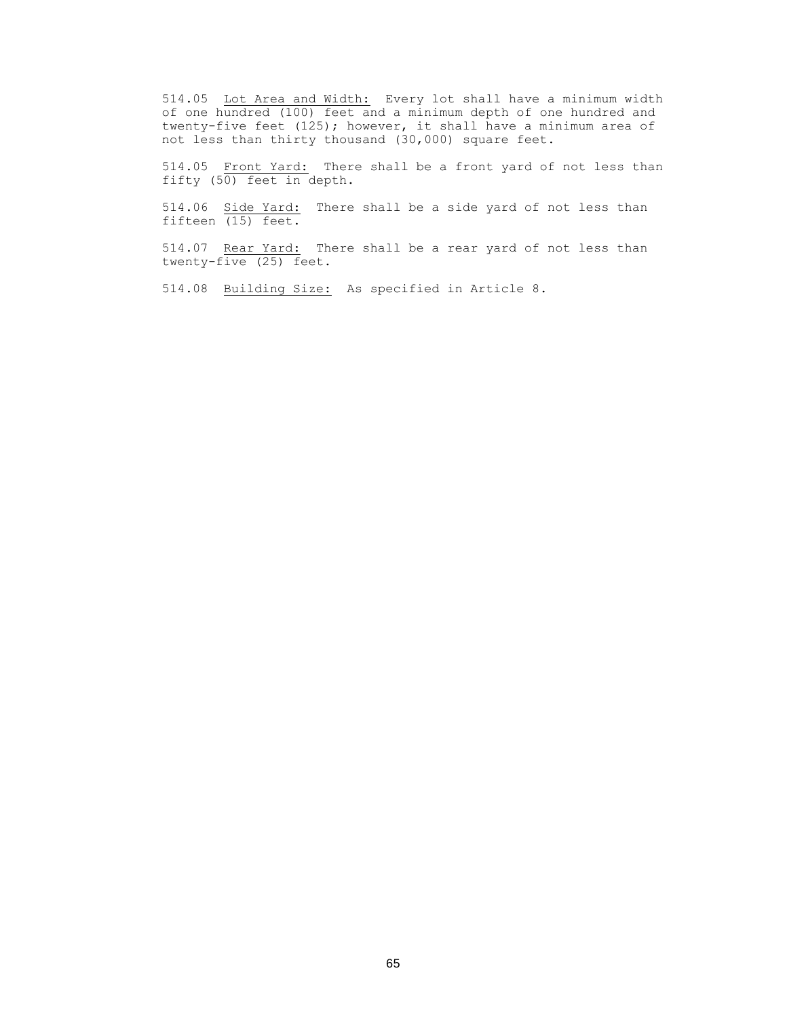514.05 Lot Area and Width: Every lot shall have a minimum width of one hundred (100) feet and a minimum depth of one hundred and twenty-five feet (125); however, it shall have a minimum area of not less than thirty thousand (30,000) square feet.

514.05 Front Yard: There shall be a front yard of not less than fifty (50) feet in depth.

514.06 Side Yard: There shall be a side yard of not less than fifteen (15) feet.

514.07 Rear Yard: There shall be a rear yard of not less than twenty-five (25) feet.

514.08 Building Size: As specified in Article 8.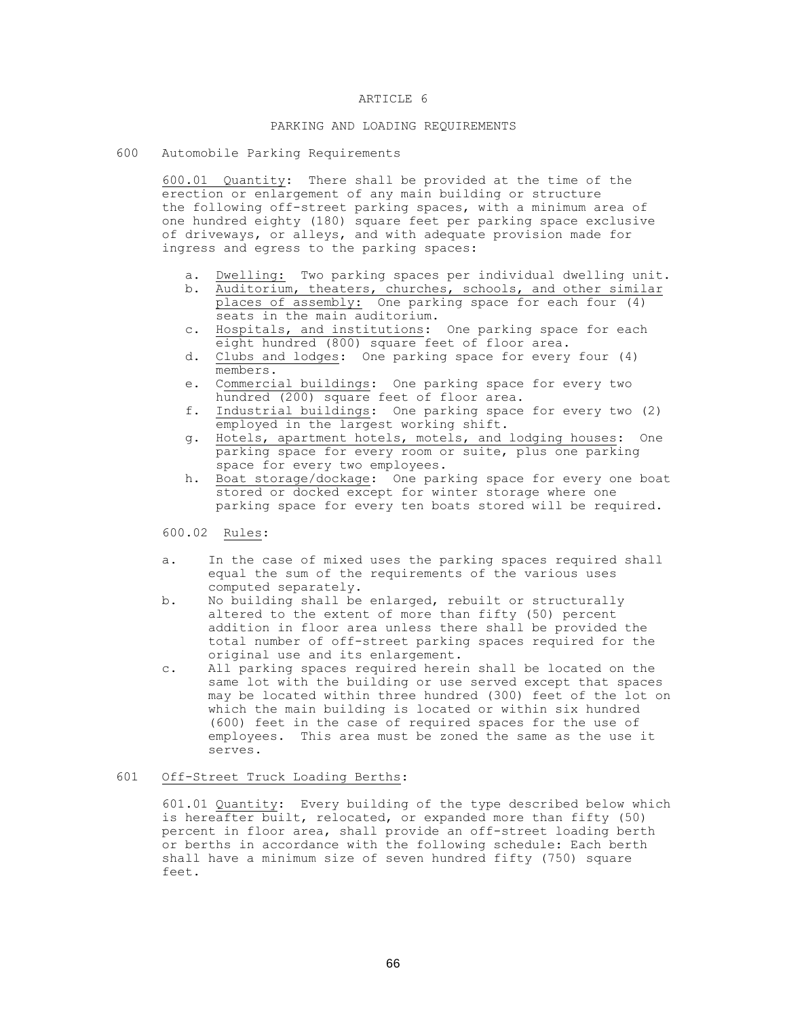#### ARTICLE 6

# PARKING AND LOADING REQUIREMENTS

600 Automobile Parking Requirements

600.01 Quantity: There shall be provided at the time of the erection or enlargement of any main building or structure the following off-street parking spaces, with a minimum area of one hundred eighty (180) square feet per parking space exclusive of driveways, or alleys, and with adequate provision made for ingress and egress to the parking spaces:

- a. Dwelling: Two parking spaces per individual dwelling unit.
- b. Auditorium, theaters, churches, schools, and other similar places of assembly: One parking space for each four (4) seats in the main auditorium.
- c. Hospitals, and institutions: One parking space for each eight hundred (800) square feet of floor area.
- d. Clubs and lodges: One parking space for every four (4) members.
- e. Commercial buildings: One parking space for every two hundred (200) square feet of floor area.
- f. Industrial buildings: One parking space for every two (2) employed in the largest working shift.
- g. Hotels, apartment hotels, motels, and lodging houses: One parking space for every room or suite, plus one parking space for every two employees.
- h. Boat storage/dockage: One parking space for every one boat stored or docked except for winter storage where one parking space for every ten boats stored will be required.

600.02 Rules:

- a. In the case of mixed uses the parking spaces required shall equal the sum of the requirements of the various uses computed separately.
- b. No building shall be enlarged, rebuilt or structurally altered to the extent of more than fifty (50) percent addition in floor area unless there shall be provided the total number of off-street parking spaces required for the original use and its enlargement.
- c. All parking spaces required herein shall be located on the same lot with the building or use served except that spaces may be located within three hundred (300) feet of the lot on which the main building is located or within six hundred (600) feet in the case of required spaces for the use of employees. This area must be zoned the same as the use it serves.

# 601 Off-Street Truck Loading Berths:

601.01 Quantity: Every building of the type described below which is hereafter built, relocated, or expanded more than fifty (50) percent in floor area, shall provide an off-street loading berth or berths in accordance with the following schedule: Each berth shall have a minimum size of seven hundred fifty (750) square feet.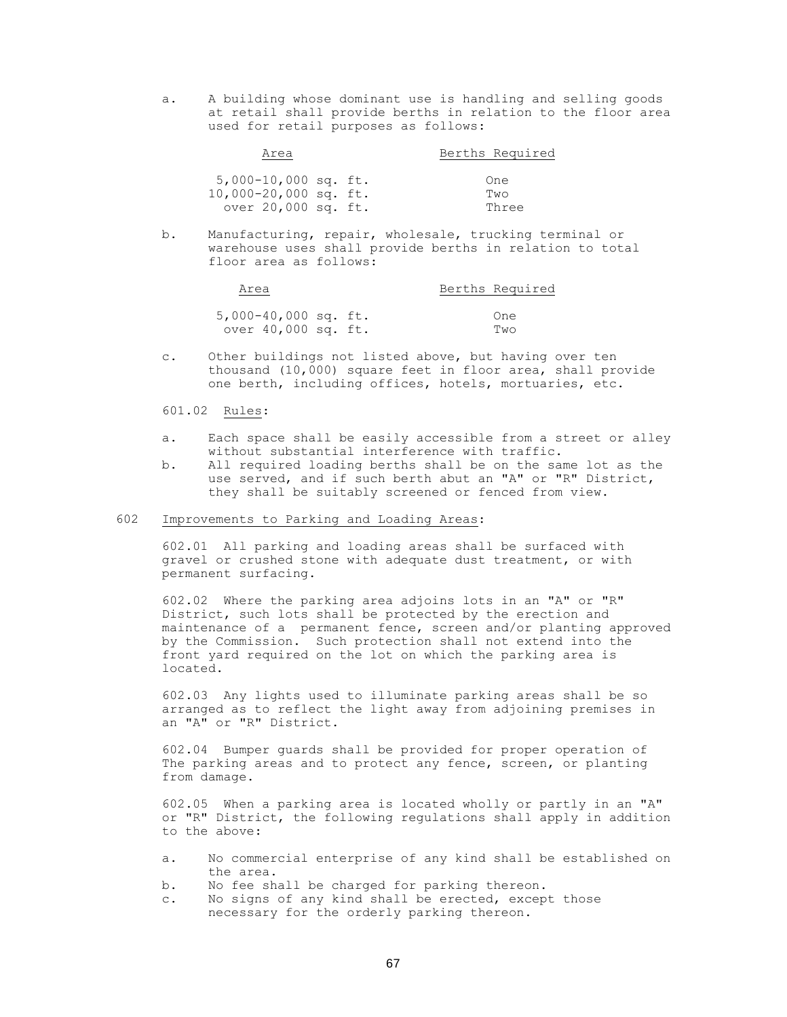a. A building whose dominant use is handling and selling goods at retail shall provide berths in relation to the floor area used for retail purposes as follows:

| Area                    |  | Berths Required |  |
|-------------------------|--|-----------------|--|
|                         |  |                 |  |
| $5,000-10,000$ sq. ft.  |  | One             |  |
| $10,000-20,000$ sq. ft. |  | Two             |  |
| over 20,000 sq. ft.     |  | Three           |  |

b. Manufacturing, repair, wholesale, trucking terminal or warehouse uses shall provide berths in relation to total floor area as follows:

| Area                 |  | Berths Required |
|----------------------|--|-----------------|
|                      |  |                 |
| 5,000-40,000 sq. ft. |  | One             |
| over 40,000 sq. ft.  |  | Two             |

c. Other buildings not listed above, but having over ten thousand (10,000) square feet in floor area, shall provide one berth, including offices, hotels, mortuaries, etc.

# 601.02 Rules:

- a. Each space shall be easily accessible from a street or alley without substantial interference with traffic.
- b. All required loading berths shall be on the same lot as the use served, and if such berth abut an "A" or "R" District, they shall be suitably screened or fenced from view.

# 602 Improvements to Parking and Loading Areas:

602.01 All parking and loading areas shall be surfaced with gravel or crushed stone with adequate dust treatment, or with permanent surfacing.

602.02 Where the parking area adjoins lots in an "A" or "R" District, such lots shall be protected by the erection and maintenance of a permanent fence, screen and/or planting approved by the Commission. Such protection shall not extend into the front yard required on the lot on which the parking area is located.

602.03 Any lights used to illuminate parking areas shall be so arranged as to reflect the light away from adjoining premises in an "A" or "R" District.

602.04 Bumper guards shall be provided for proper operation of The parking areas and to protect any fence, screen, or planting from damage.

602.05 When a parking area is located wholly or partly in an "A" or "R" District, the following regulations shall apply in addition to the above:

- a. No commercial enterprise of any kind shall be established on the area.
- b. No fee shall be charged for parking thereon.
- c. No signs of any kind shall be erected, except those necessary for the orderly parking thereon.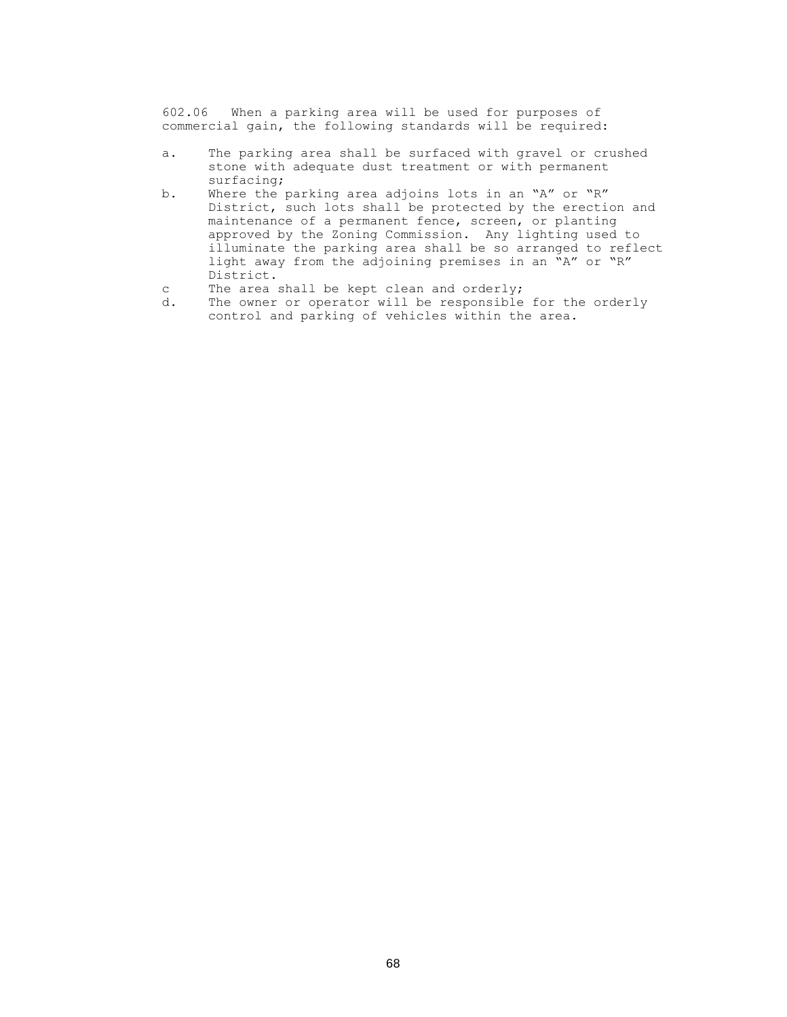602.06 When a parking area will be used for purposes of commercial gain, the following standards will be required:

- a. The parking area shall be surfaced with gravel or crushed stone with adequate dust treatment or with permanent surfacing;
- b. Where the parking area adjoins lots in an "A" or "R" District, such lots shall be protected by the erection and maintenance of a permanent fence, screen, or planting approved by the Zoning Commission. Any lighting used to illuminate the parking area shall be so arranged to reflect light away from the adjoining premises in an "A" or "R" District.
- c The area shall be kept clean and orderly;
- d. The owner or operator will be responsible for the orderly control and parking of vehicles within the area.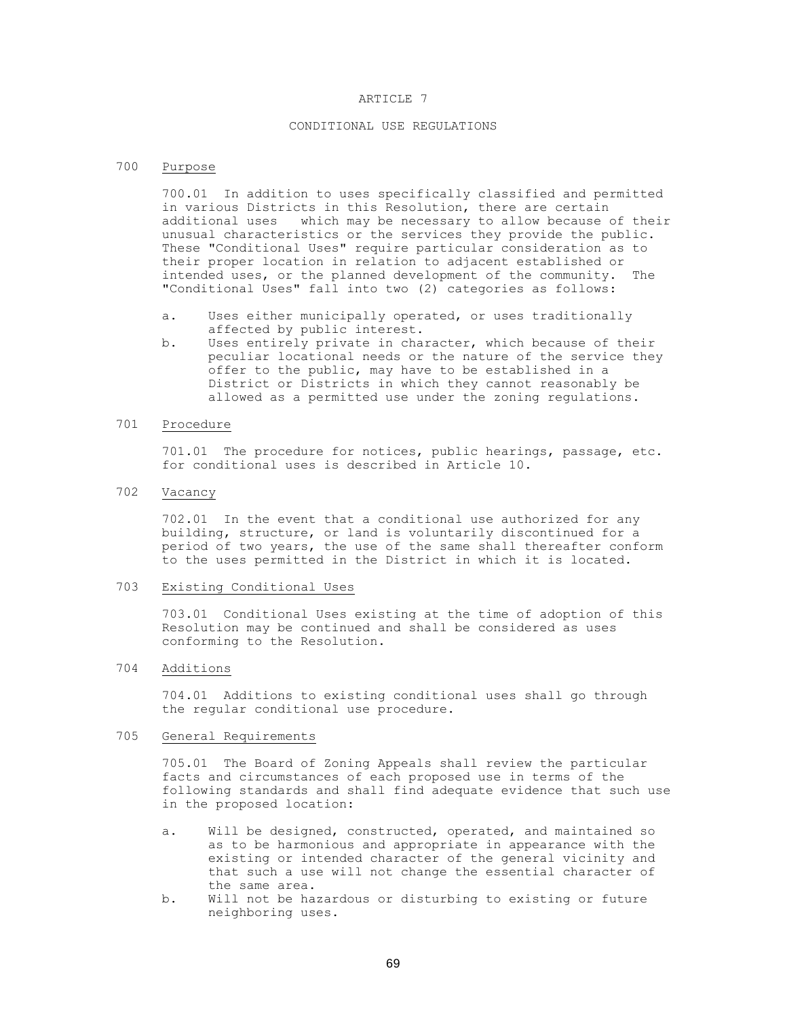#### ARTICLE 7

# CONDITIONAL USE REGULATIONS

# 700 Purpose

700.01 In addition to uses specifically classified and permitted in various Districts in this Resolution, there are certain additional uses which may be necessary to allow because of their unusual characteristics or the services they provide the public. These "Conditional Uses" require particular consideration as to their proper location in relation to adjacent established or intended uses, or the planned development of the community. The "Conditional Uses" fall into two (2) categories as follows:

- a. Uses either municipally operated, or uses traditionally affected by public interest.
- b. Uses entirely private in character, which because of their peculiar locational needs or the nature of the service they offer to the public, may have to be established in a District or Districts in which they cannot reasonably be allowed as a permitted use under the zoning regulations.

## 701 Procedure

701.01 The procedure for notices, public hearings, passage, etc. for conditional uses is described in Article 10.

702 Vacancy

702.01 In the event that a conditional use authorized for any building, structure, or land is voluntarily discontinued for a period of two years, the use of the same shall thereafter conform to the uses permitted in the District in which it is located.

### 703 Existing Conditional Uses

703.01 Conditional Uses existing at the time of adoption of this Resolution may be continued and shall be considered as uses conforming to the Resolution.

### 704 Additions

704.01 Additions to existing conditional uses shall go through the regular conditional use procedure.

## 705 General Requirements

705.01 The Board of Zoning Appeals shall review the particular facts and circumstances of each proposed use in terms of the following standards and shall find adequate evidence that such use in the proposed location:

- a. Will be designed, constructed, operated, and maintained so as to be harmonious and appropriate in appearance with the existing or intended character of the general vicinity and that such a use will not change the essential character of the same area.
- b. Will not be hazardous or disturbing to existing or future neighboring uses.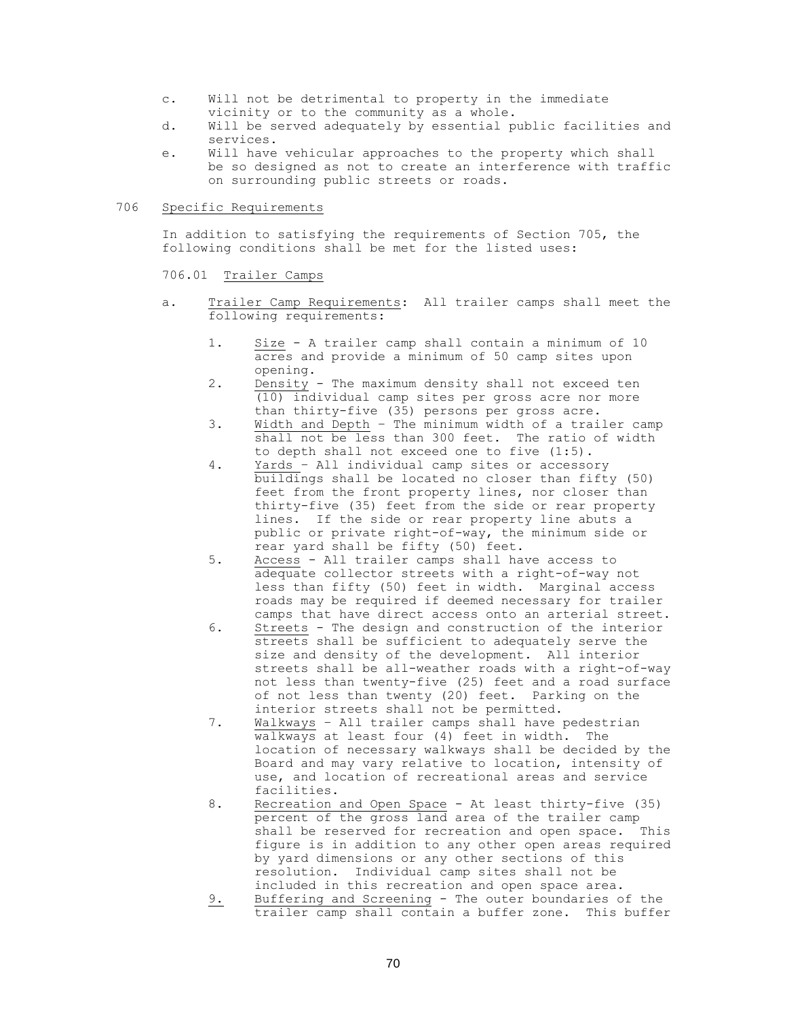- c. Will not be detrimental to property in the immediate vicinity or to the community as a whole.
- d. Will be served adequately by essential public facilities and services.
- e. Will have vehicular approaches to the property which shall be so designed as not to create an interference with traffic on surrounding public streets or roads.

## 706 Specific Requirements

In addition to satisfying the requirements of Section 705, the following conditions shall be met for the listed uses:

## 706.01 Trailer Camps

- a. Trailer Camp Requirements: All trailer camps shall meet the following requirements:
	- 1. Size A trailer camp shall contain a minimum of 10 acres and provide a minimum of 50 camp sites upon opening.
	- 2. Density The maximum density shall not exceed ten (10) individual camp sites per gross acre nor more than thirty-five (35) persons per gross acre.
	- 3. Width and Depth The minimum width of a trailer camp shall not be less than 300 feet. The ratio of width to depth shall not exceed one to five (1:5).
	- 4. Yards All individual camp sites or accessory buildings shall be located no closer than fifty (50) feet from the front property lines, nor closer than thirty-five (35) feet from the side or rear property lines. If the side or rear property line abuts a public or private right-of-way, the minimum side or rear yard shall be fifty (50) feet.
	- 5. Access All trailer camps shall have access to adequate collector streets with a right-of-way not less than fifty (50) feet in width. Marginal access roads may be required if deemed necessary for trailer camps that have direct access onto an arterial street.
	- 6. Streets The design and construction of the interior streets shall be sufficient to adequately serve the size and density of the development. All interior streets shall be all-weather roads with a right-of-way not less than twenty-five (25) feet and a road surface of not less than twenty (20) feet. Parking on the interior streets shall not be permitted.
	- 7. Walkways All trailer camps shall have pedestrian walkways at least four (4) feet in width. The location of necessary walkways shall be decided by the Board and may vary relative to location, intensity of use, and location of recreational areas and service facilities.
	- 8. Recreation and Open Space At least thirty-five (35) percent of the gross land area of the trailer camp shall be reserved for recreation and open space. This figure is in addition to any other open areas required by yard dimensions or any other sections of this resolution. Individual camp sites shall not be included in this recreation and open space area.
	- 9. Buffering and Screening The outer boundaries of the trailer camp shall contain a buffer zone. This buffer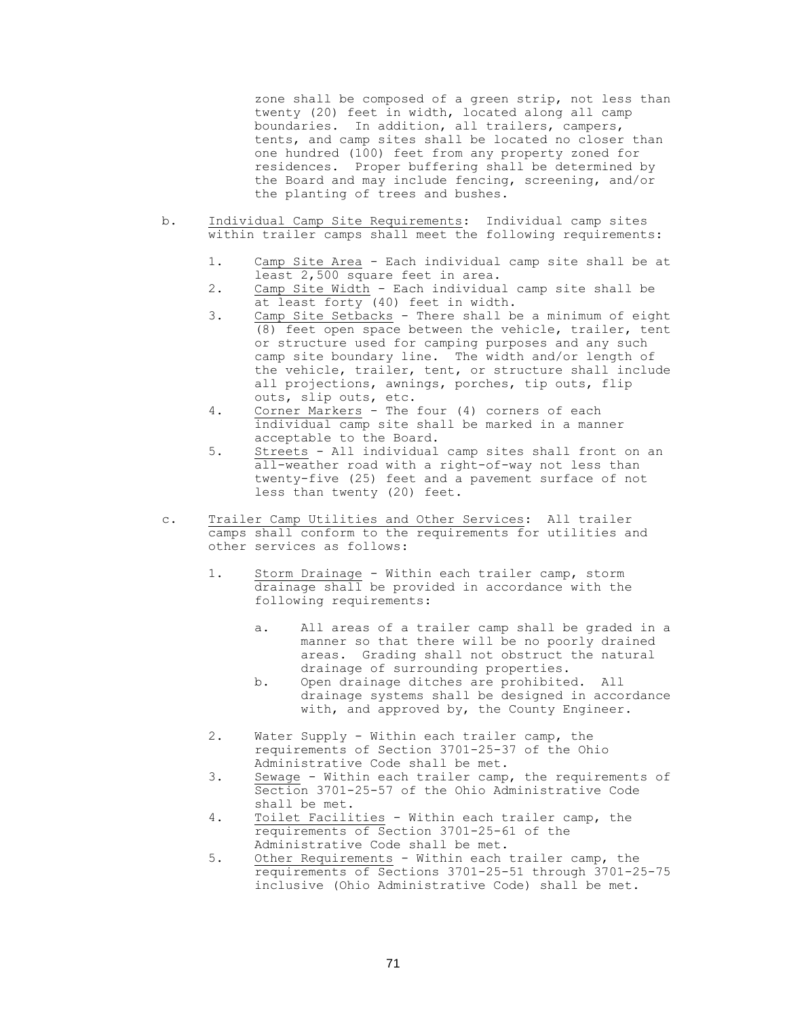zone shall be composed of a green strip, not less than twenty (20) feet in width, located along all camp boundaries. In addition, all trailers, campers, tents, and camp sites shall be located no closer than one hundred (100) feet from any property zoned for residences. Proper buffering shall be determined by the Board and may include fencing, screening, and/or the planting of trees and bushes.

- b. Individual Camp Site Requirements: Individual camp sites within trailer camps shall meet the following requirements:
	- 1. Camp Site Area Each individual camp site shall be at least 2,500 square feet in area.
	- 2. Camp Site Width Each individual camp site shall be at least forty (40) feet in width.
	- 3. Camp Site Setbacks There shall be a minimum of eight (8) feet open space between the vehicle, trailer, tent or structure used for camping purposes and any such camp site boundary line. The width and/or length of the vehicle, trailer, tent, or structure shall include all projections, awnings, porches, tip outs, flip outs, slip outs, etc.
	- 4. Corner Markers The four (4) corners of each individual camp site shall be marked in a manner acceptable to the Board.
	- 5. Streets All individual camp sites shall front on an all-weather road with a right-of-way not less than twenty-five (25) feet and a pavement surface of not less than twenty (20) feet.
- c. Trailer Camp Utilities and Other Services: All trailer camps shall conform to the requirements for utilities and other services as follows:
	- 1. Storm Drainage Within each trailer camp, storm drainage shall be provided in accordance with the following requirements:
		- a. All areas of a trailer camp shall be graded in a manner so that there will be no poorly drained areas. Grading shall not obstruct the natural drainage of surrounding properties.
		- b. Open drainage ditches are prohibited. All drainage systems shall be designed in accordance with, and approved by, the County Engineer.
	- 2. Water Supply Within each trailer camp, the requirements of Section 3701-25-37 of the Ohio Administrative Code shall be met.
	- 3. Sewage Within each trailer camp, the requirements of Section 3701-25-57 of the Ohio Administrative Code shall be met.
	- 4. Toilet Facilities Within each trailer camp, the requirements of Section 3701-25-61 of the Administrative Code shall be met.
	- 5. Other Requirements Within each trailer camp, the requirements of Sections 3701-25-51 through 3701-25-75 inclusive (Ohio Administrative Code) shall be met.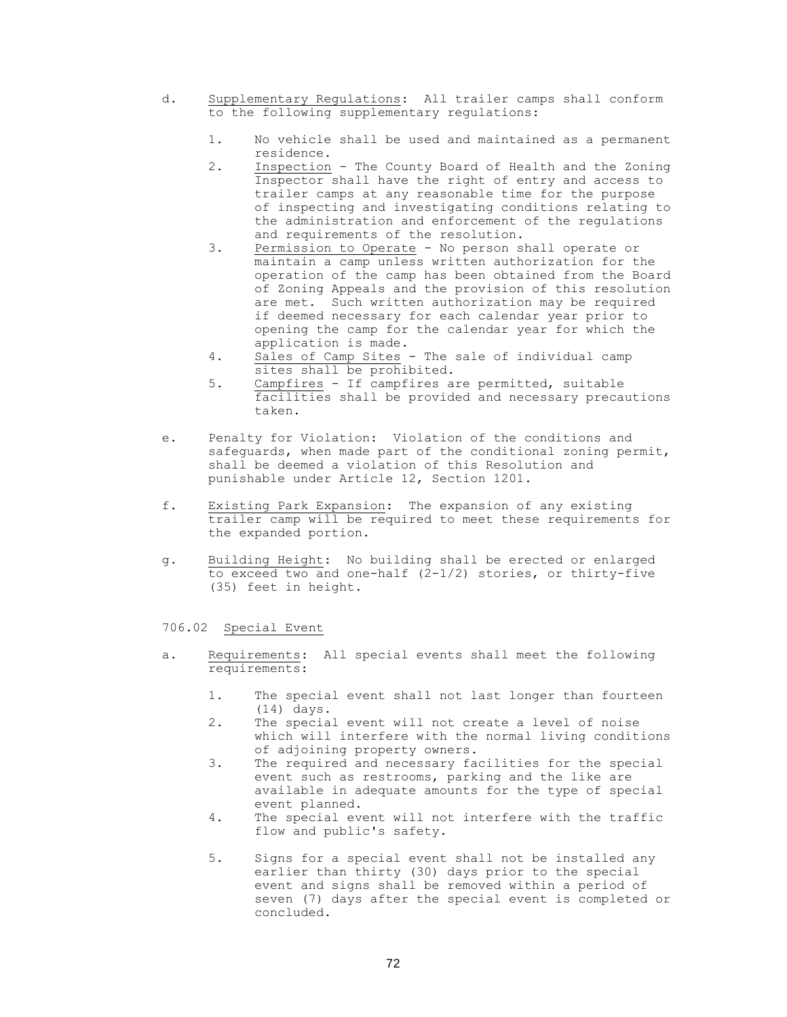- d. Supplementary Regulations: All trailer camps shall conform to the following supplementary regulations:
	- 1. No vehicle shall be used and maintained as a permanent residence.
	- 2. Inspection The County Board of Health and the Zoning Inspector shall have the right of entry and access to trailer camps at any reasonable time for the purpose of inspecting and investigating conditions relating to the administration and enforcement of the regulations and requirements of the resolution.
	- 3. Permission to Operate No person shall operate or maintain a camp unless written authorization for the operation of the camp has been obtained from the Board of Zoning Appeals and the provision of this resolution are met. Such written authorization may be required if deemed necessary for each calendar year prior to opening the camp for the calendar year for which the application is made.
	- 4. Sales of Camp Sites The sale of individual camp sites shall be prohibited.
	- 5. Campfires If campfires are permitted, suitable facilities shall be provided and necessary precautions taken.
- e. Penalty for Violation: Violation of the conditions and safeguards, when made part of the conditional zoning permit, shall be deemed a violation of this Resolution and punishable under Article 12, Section 1201.
- f. Existing Park Expansion: The expansion of any existing trailer camp will be required to meet these requirements for the expanded portion.
- g. Building Height: No building shall be erected or enlarged to exceed two and one-half  $(2-1/2)$  stories, or thirty-five (35) feet in height.

# 706.02 Special Event

- a. Requirements: All special events shall meet the following requirements:
	- 1. The special event shall not last longer than fourteen (14) days.
	- 2. The special event will not create a level of noise which will interfere with the normal living conditions of adjoining property owners.
	- 3. The required and necessary facilities for the special event such as restrooms, parking and the like are available in adequate amounts for the type of special event planned.
	- 4. The special event will not interfere with the traffic flow and public's safety.
	- 5. Signs for a special event shall not be installed any earlier than thirty (30) days prior to the special event and signs shall be removed within a period of seven (7) days after the special event is completed or concluded.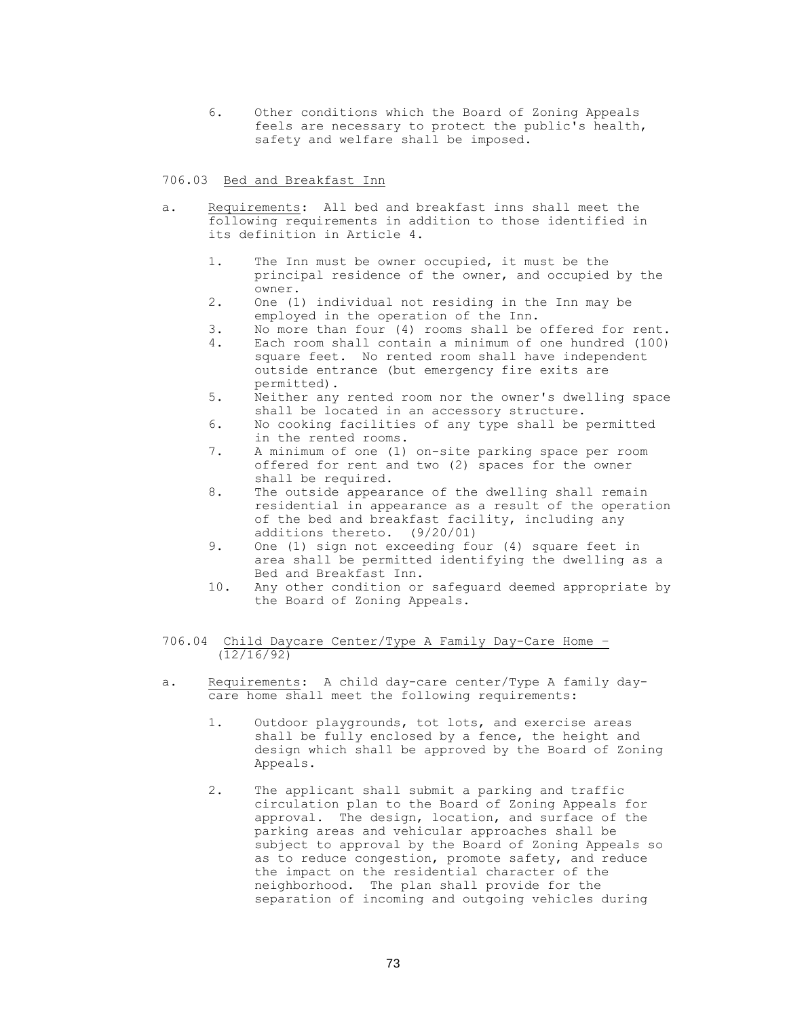6. Other conditions which the Board of Zoning Appeals feels are necessary to protect the public's health, safety and welfare shall be imposed.

## 706.03 Bed and Breakfast Inn

- a. Requirements: All bed and breakfast inns shall meet the following requirements in addition to those identified in its definition in Article 4.
	- 1. The Inn must be owner occupied, it must be the principal residence of the owner, and occupied by the owner.
	- 2. One (1) individual not residing in the Inn may be employed in the operation of the Inn.
	- 3. No more than four (4) rooms shall be offered for rent.
	- 4. Each room shall contain a minimum of one hundred (100) square feet. No rented room shall have independent outside entrance (but emergency fire exits are permitted).
	- 5. Neither any rented room nor the owner's dwelling space shall be located in an accessory structure.
	- 6. No cooking facilities of any type shall be permitted in the rented rooms.
	- 7. A minimum of one (1) on-site parking space per room offered for rent and two (2) spaces for the owner shall be required.
	- 8. The outside appearance of the dwelling shall remain residential in appearance as a result of the operation of the bed and breakfast facility, including any additions thereto. (9/20/01)
	- 9. One (1) sign not exceeding four (4) square feet in area shall be permitted identifying the dwelling as a Bed and Breakfast Inn.
	- 10. Any other condition or safeguard deemed appropriate by the Board of Zoning Appeals.

706.04 Child Daycare Center/Type A Family Day-Care Home – (12/16/92)

- a. Requirements: A child day-care center/Type A family daycare home shall meet the following requirements:
	- 1. Outdoor playgrounds, tot lots, and exercise areas shall be fully enclosed by a fence, the height and design which shall be approved by the Board of Zoning Appeals.
	- 2. The applicant shall submit a parking and traffic circulation plan to the Board of Zoning Appeals for approval. The design, location, and surface of the parking areas and vehicular approaches shall be subject to approval by the Board of Zoning Appeals so as to reduce congestion, promote safety, and reduce the impact on the residential character of the neighborhood. The plan shall provide for the separation of incoming and outgoing vehicles during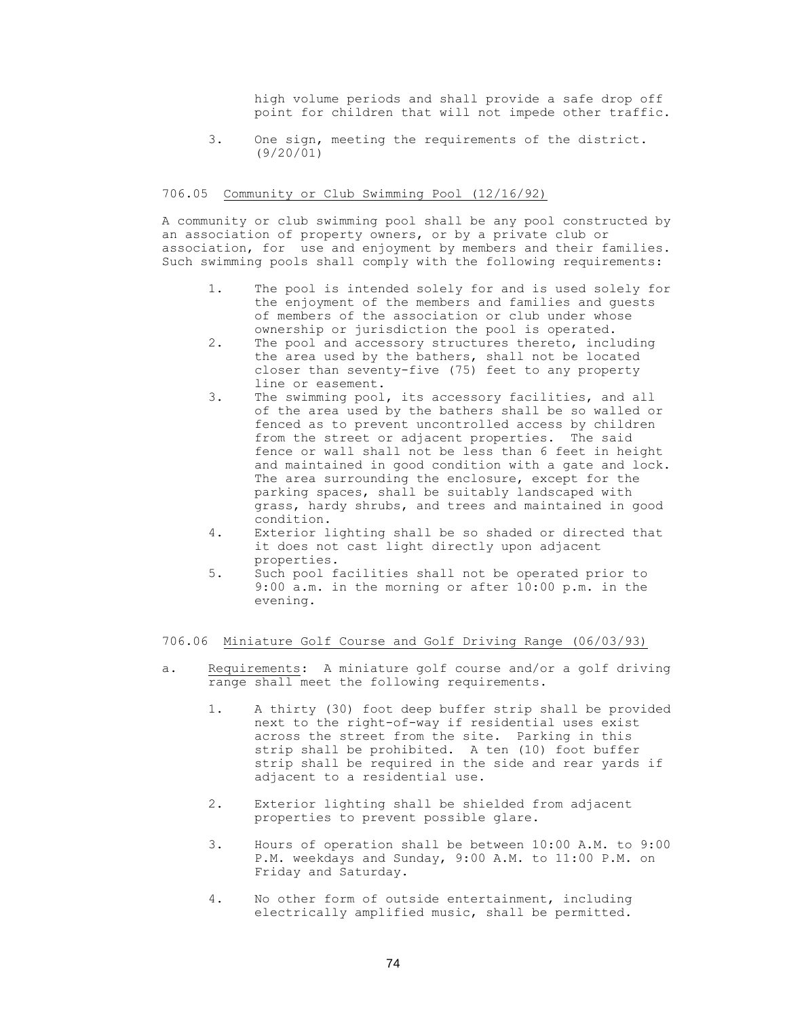high volume periods and shall provide a safe drop off point for children that will not impede other traffic.

3. One sign, meeting the requirements of the district. (9/20/01)

#### 706.05 Community or Club Swimming Pool (12/16/92)

A community or club swimming pool shall be any pool constructed by an association of property owners, or by a private club or association, for use and enjoyment by members and their families. Such swimming pools shall comply with the following requirements:

- 1. The pool is intended solely for and is used solely for the enjoyment of the members and families and guests of members of the association or club under whose ownership or jurisdiction the pool is operated.
- 2. The pool and accessory structures thereto, including the area used by the bathers, shall not be located closer than seventy-five (75) feet to any property line or easement.
- 3. The swimming pool, its accessory facilities, and all of the area used by the bathers shall be so walled or fenced as to prevent uncontrolled access by children from the street or adjacent properties. The said fence or wall shall not be less than 6 feet in height and maintained in good condition with a gate and lock. The area surrounding the enclosure, except for the parking spaces, shall be suitably landscaped with grass, hardy shrubs, and trees and maintained in good condition.
- 4. Exterior lighting shall be so shaded or directed that it does not cast light directly upon adjacent properties.
- 5. Such pool facilities shall not be operated prior to 9:00 a.m. in the morning or after 10:00 p.m. in the evening.

### 706.06 Miniature Golf Course and Golf Driving Range (06/03/93)

- a. Requirements: A miniature golf course and/or a golf driving range shall meet the following requirements.
	- 1. A thirty (30) foot deep buffer strip shall be provided next to the right-of-way if residential uses exist across the street from the site. Parking in this strip shall be prohibited. A ten (10) foot buffer strip shall be required in the side and rear yards if adjacent to a residential use.
	- 2. Exterior lighting shall be shielded from adjacent properties to prevent possible glare.
	- 3. Hours of operation shall be between 10:00 A.M. to 9:00 P.M. weekdays and Sunday, 9:00 A.M. to 11:00 P.M. on Friday and Saturday.
	- 4. No other form of outside entertainment, including electrically amplified music, shall be permitted.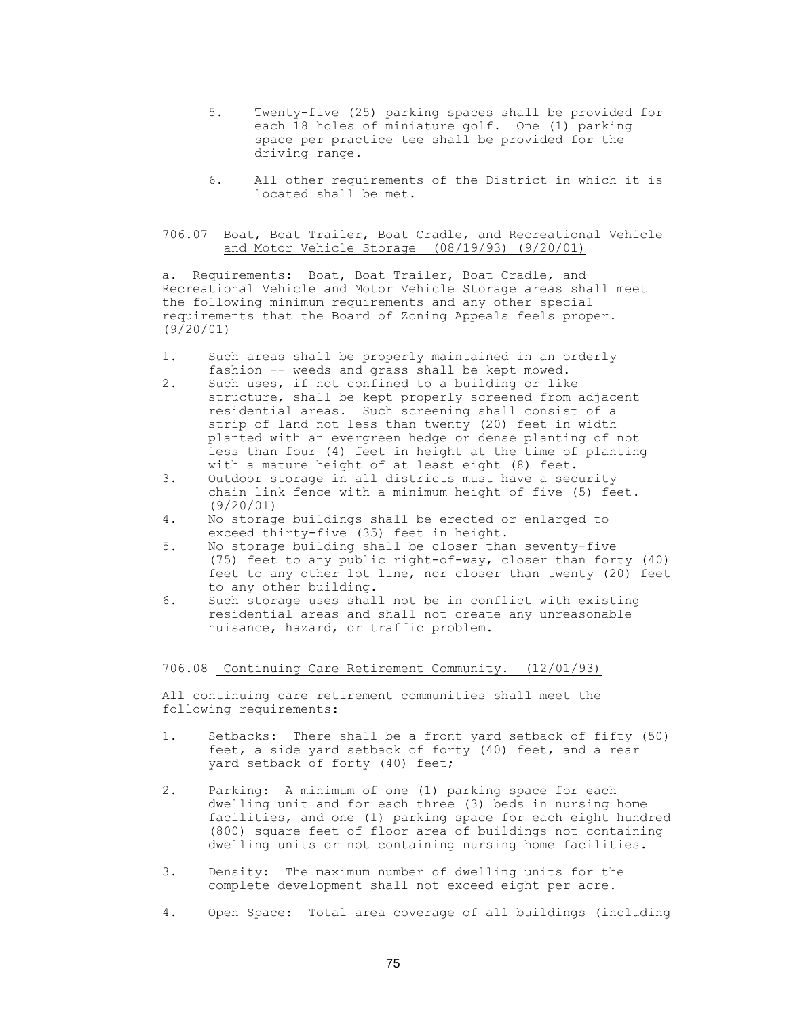- 5. Twenty-five (25) parking spaces shall be provided for each 18 holes of miniature golf. One (1) parking space per practice tee shall be provided for the driving range.
- 6. All other requirements of the District in which it is located shall be met.

### 706.07 Boat, Boat Trailer, Boat Cradle, and Recreational Vehicle and Motor Vehicle Storage (08/19/93) (9/20/01)

a. Requirements: Boat, Boat Trailer, Boat Cradle, and Recreational Vehicle and Motor Vehicle Storage areas shall meet the following minimum requirements and any other special requirements that the Board of Zoning Appeals feels proper. (9/20/01)

- 1. Such areas shall be properly maintained in an orderly fashion -- weeds and grass shall be kept mowed.
- 2. Such uses, if not confined to a building or like structure, shall be kept properly screened from adjacent residential areas. Such screening shall consist of a strip of land not less than twenty (20) feet in width planted with an evergreen hedge or dense planting of not less than four (4) feet in height at the time of planting with a mature height of at least eight (8) feet.
- 3. Outdoor storage in all districts must have a security chain link fence with a minimum height of five (5) feet. (9/20/01)
- 4. No storage buildings shall be erected or enlarged to exceed thirty-five (35) feet in height.
- 5. No storage building shall be closer than seventy-five (75) feet to any public right-of-way, closer than forty (40) feet to any other lot line, nor closer than twenty (20) feet to any other building.
- 6. Such storage uses shall not be in conflict with existing residential areas and shall not create any unreasonable nuisance, hazard, or traffic problem.

706.08 Continuing Care Retirement Community. (12/01/93)

All continuing care retirement communities shall meet the following requirements:

- 1. Setbacks: There shall be a front yard setback of fifty (50) feet, a side yard setback of forty (40) feet, and a rear yard setback of forty (40) feet;
- 2. Parking: A minimum of one (1) parking space for each dwelling unit and for each three (3) beds in nursing home facilities, and one (1) parking space for each eight hundred (800) square feet of floor area of buildings not containing dwelling units or not containing nursing home facilities.
- 3. Density: The maximum number of dwelling units for the complete development shall not exceed eight per acre.
- 4. Open Space: Total area coverage of all buildings (including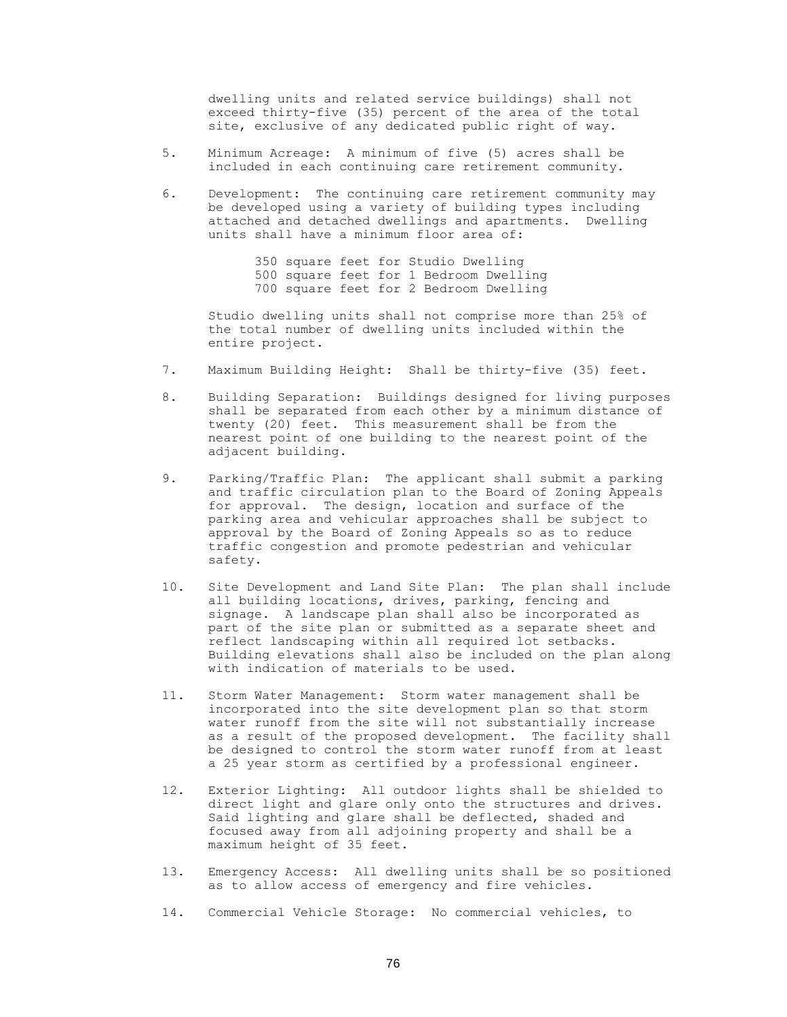dwelling units and related service buildings) shall not exceed thirty-five (35) percent of the area of the total site, exclusive of any dedicated public right of way.

- 5. Minimum Acreage: A minimum of five (5) acres shall be included in each continuing care retirement community.
- 6. Development: The continuing care retirement community may be developed using a variety of building types including attached and detached dwellings and apartments. Dwelling units shall have a minimum floor area of:

350 square feet for Studio Dwelling 500 square feet for 1 Bedroom Dwelling 700 square feet for 2 Bedroom Dwelling

Studio dwelling units shall not comprise more than 25% of the total number of dwelling units included within the entire project.

- 7. Maximum Building Height: Shall be thirty-five (35) feet.
- 8. Building Separation: Buildings designed for living purposes shall be separated from each other by a minimum distance of twenty (20) feet. This measurement shall be from the nearest point of one building to the nearest point of the adjacent building.
- 9. Parking/Traffic Plan: The applicant shall submit a parking and traffic circulation plan to the Board of Zoning Appeals for approval. The design, location and surface of the parking area and vehicular approaches shall be subject to approval by the Board of Zoning Appeals so as to reduce traffic congestion and promote pedestrian and vehicular safety.
- 10. Site Development and Land Site Plan: The plan shall include all building locations, drives, parking, fencing and signage. A landscape plan shall also be incorporated as part of the site plan or submitted as a separate sheet and reflect landscaping within all required lot setbacks. Building elevations shall also be included on the plan along with indication of materials to be used.
- 11. Storm Water Management: Storm water management shall be incorporated into the site development plan so that storm water runoff from the site will not substantially increase as a result of the proposed development. The facility shall be designed to control the storm water runoff from at least a 25 year storm as certified by a professional engineer.
- 12. Exterior Lighting: All outdoor lights shall be shielded to direct light and glare only onto the structures and drives. Said lighting and glare shall be deflected, shaded and focused away from all adjoining property and shall be a maximum height of 35 feet.
- 13. Emergency Access: All dwelling units shall be so positioned as to allow access of emergency and fire vehicles.
- 14. Commercial Vehicle Storage: No commercial vehicles, to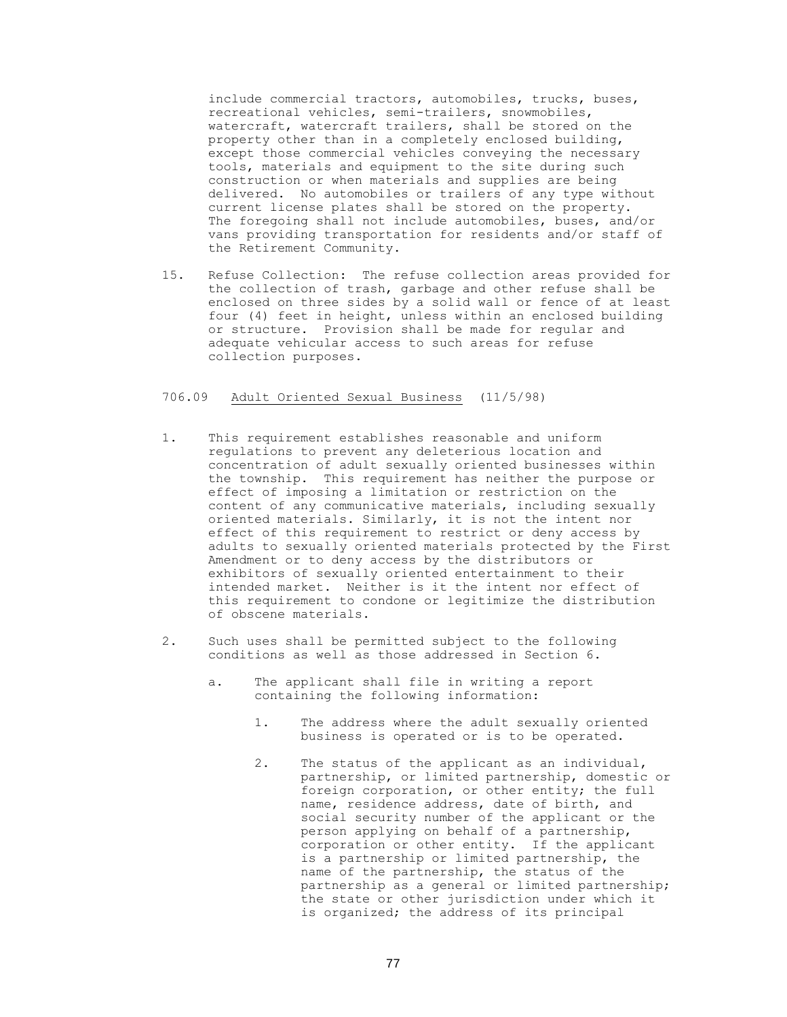include commercial tractors, automobiles, trucks, buses, recreational vehicles, semi-trailers, snowmobiles, watercraft, watercraft trailers, shall be stored on the property other than in a completely enclosed building, except those commercial vehicles conveying the necessary tools, materials and equipment to the site during such construction or when materials and supplies are being delivered. No automobiles or trailers of any type without current license plates shall be stored on the property. The foregoing shall not include automobiles, buses, and/or vans providing transportation for residents and/or staff of the Retirement Community.

15. Refuse Collection: The refuse collection areas provided for the collection of trash, garbage and other refuse shall be enclosed on three sides by a solid wall or fence of at least four (4) feet in height, unless within an enclosed building or structure. Provision shall be made for regular and adequate vehicular access to such areas for refuse collection purposes.

# 706.09 Adult Oriented Sexual Business (11/5/98)

- 1. This requirement establishes reasonable and uniform regulations to prevent any deleterious location and concentration of adult sexually oriented businesses within the township. This requirement has neither the purpose or effect of imposing a limitation or restriction on the content of any communicative materials, including sexually oriented materials. Similarly, it is not the intent nor effect of this requirement to restrict or deny access by adults to sexually oriented materials protected by the First Amendment or to deny access by the distributors or exhibitors of sexually oriented entertainment to their intended market. Neither is it the intent nor effect of this requirement to condone or legitimize the distribution of obscene materials.
- 2. Such uses shall be permitted subject to the following conditions as well as those addressed in Section 6.
	- a. The applicant shall file in writing a report containing the following information:
		- 1. The address where the adult sexually oriented business is operated or is to be operated.
		- 2. The status of the applicant as an individual, partnership, or limited partnership, domestic or foreign corporation, or other entity; the full name, residence address, date of birth, and social security number of the applicant or the person applying on behalf of a partnership, corporation or other entity. If the applicant is a partnership or limited partnership, the name of the partnership, the status of the partnership as a general or limited partnership; the state or other jurisdiction under which it is organized; the address of its principal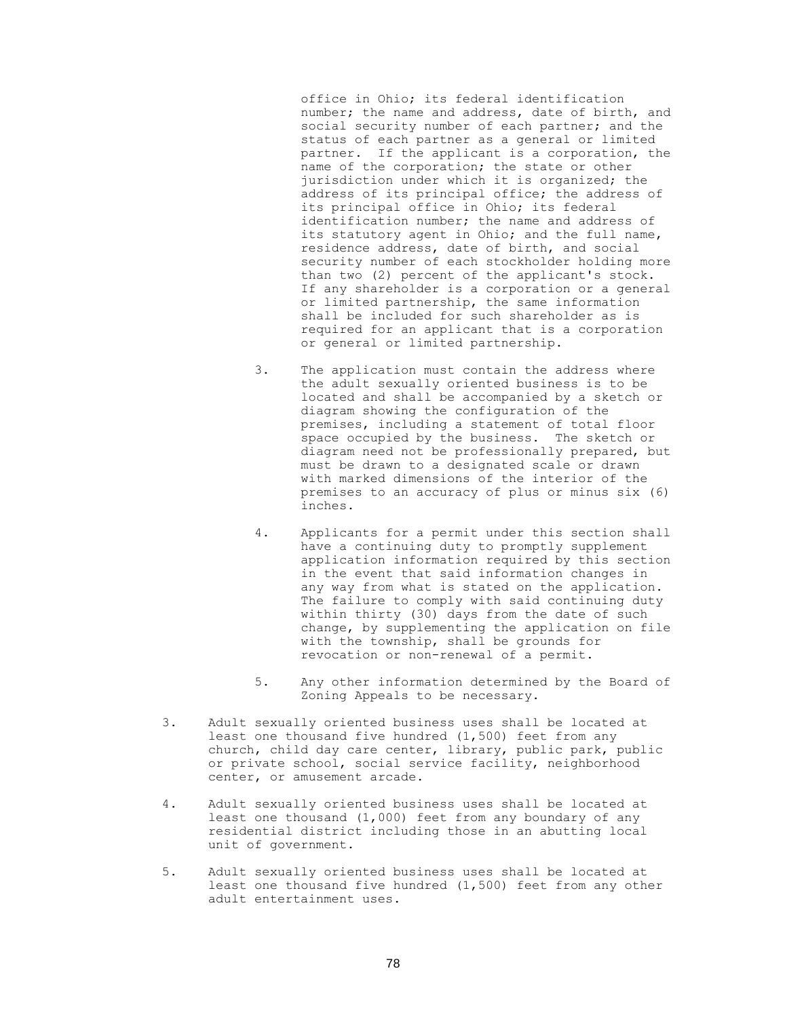office in Ohio; its federal identification number; the name and address, date of birth, and social security number of each partner; and the status of each partner as a general or limited partner. If the applicant is a corporation, the name of the corporation; the state or other jurisdiction under which it is organized; the address of its principal office; the address of its principal office in Ohio; its federal identification number; the name and address of its statutory agent in Ohio; and the full name, residence address, date of birth, and social security number of each stockholder holding more than two (2) percent of the applicant's stock. If any shareholder is a corporation or a general or limited partnership, the same information shall be included for such shareholder as is required for an applicant that is a corporation or general or limited partnership.

- 3. The application must contain the address where the adult sexually oriented business is to be located and shall be accompanied by a sketch or diagram showing the configuration of the premises, including a statement of total floor space occupied by the business. The sketch or diagram need not be professionally prepared, but must be drawn to a designated scale or drawn with marked dimensions of the interior of the premises to an accuracy of plus or minus six (6) inches.
- 4. Applicants for a permit under this section shall have a continuing duty to promptly supplement application information required by this section in the event that said information changes in any way from what is stated on the application. The failure to comply with said continuing duty within thirty (30) days from the date of such change, by supplementing the application on file with the township, shall be grounds for revocation or non-renewal of a permit.
- 5. Any other information determined by the Board of Zoning Appeals to be necessary.
- 3. Adult sexually oriented business uses shall be located at least one thousand five hundred (1,500) feet from any church, child day care center, library, public park, public or private school, social service facility, neighborhood center, or amusement arcade.
- 4. Adult sexually oriented business uses shall be located at least one thousand (1,000) feet from any boundary of any residential district including those in an abutting local unit of government.
- 5. Adult sexually oriented business uses shall be located at least one thousand five hundred (1,500) feet from any other adult entertainment uses.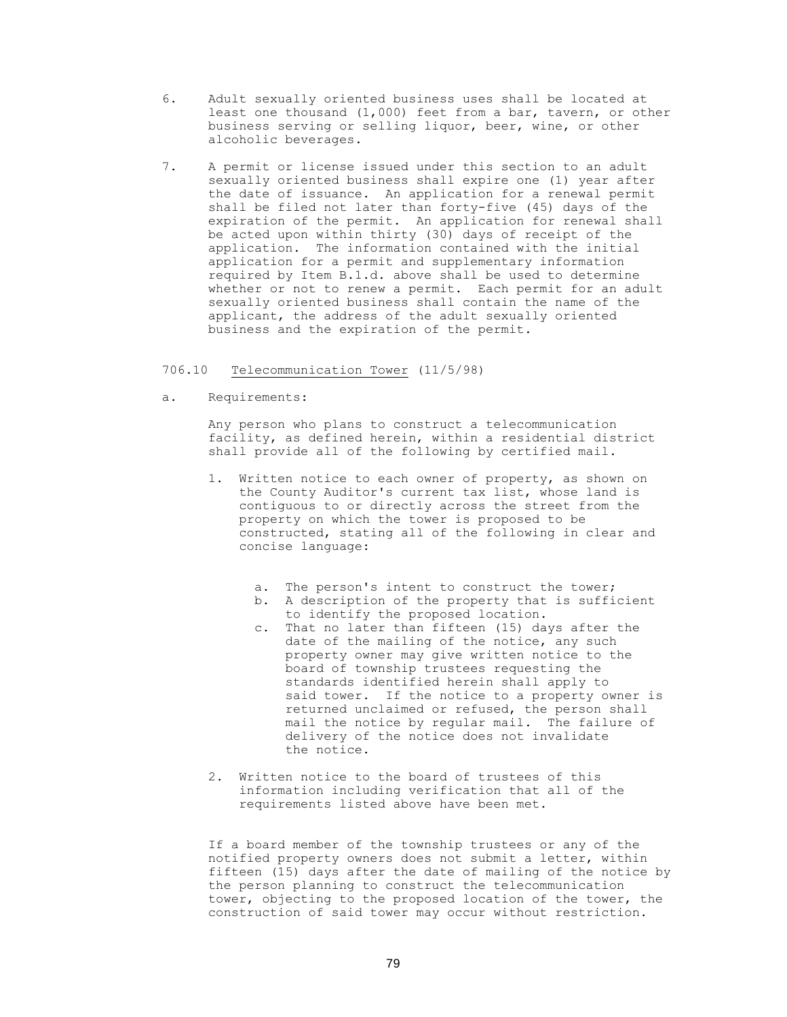- 6. Adult sexually oriented business uses shall be located at least one thousand (1,000) feet from a bar, tavern, or other business serving or selling liquor, beer, wine, or other alcoholic beverages.
- 7. A permit or license issued under this section to an adult sexually oriented business shall expire one (1) year after the date of issuance. An application for a renewal permit shall be filed not later than forty-five (45) days of the expiration of the permit. An application for renewal shall be acted upon within thirty (30) days of receipt of the application. The information contained with the initial application for a permit and supplementary information required by Item B.1.d. above shall be used to determine whether or not to renew a permit. Each permit for an adult sexually oriented business shall contain the name of the applicant, the address of the adult sexually oriented business and the expiration of the permit.

### 706.10 Telecommunication Tower (11/5/98)

a. Requirements:

Any person who plans to construct a telecommunication facility, as defined herein, within a residential district shall provide all of the following by certified mail.

- 1. Written notice to each owner of property, as shown on the County Auditor's current tax list, whose land is contiguous to or directly across the street from the property on which the tower is proposed to be constructed, stating all of the following in clear and concise language:
	- a. The person's intent to construct the tower;
	- b. A description of the property that is sufficient to identify the proposed location.
	- c. That no later than fifteen (15) days after the date of the mailing of the notice, any such property owner may give written notice to the board of township trustees requesting the standards identified herein shall apply to said tower. If the notice to a property owner is returned unclaimed or refused, the person shall mail the notice by regular mail. The failure of delivery of the notice does not invalidate the notice.
- 2. Written notice to the board of trustees of this information including verification that all of the requirements listed above have been met.

If a board member of the township trustees or any of the notified property owners does not submit a letter, within fifteen (15) days after the date of mailing of the notice by the person planning to construct the telecommunication tower, objecting to the proposed location of the tower, the construction of said tower may occur without restriction.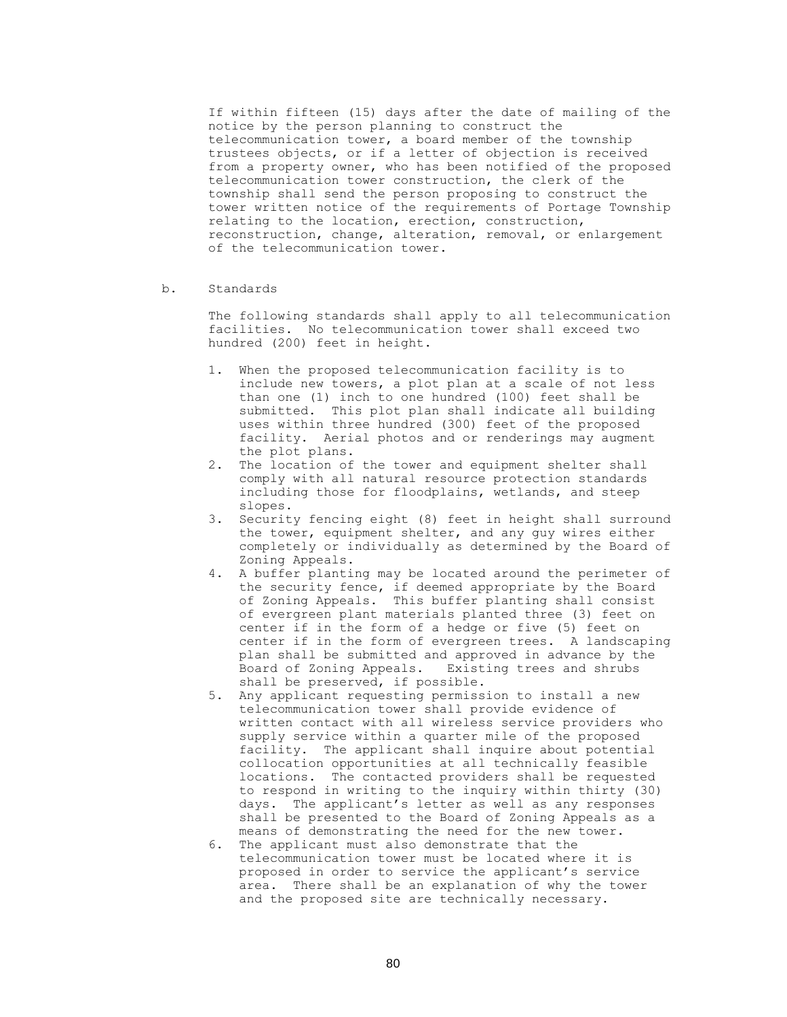If within fifteen (15) days after the date of mailing of the notice by the person planning to construct the telecommunication tower, a board member of the township trustees objects, or if a letter of objection is received from a property owner, who has been notified of the proposed telecommunication tower construction, the clerk of the township shall send the person proposing to construct the tower written notice of the requirements of Portage Township relating to the location, erection, construction, reconstruction, change, alteration, removal, or enlargement of the telecommunication tower.

b. Standards

 The following standards shall apply to all telecommunication facilities. No telecommunication tower shall exceed two hundred (200) feet in height.

- 1. When the proposed telecommunication facility is to include new towers, a plot plan at a scale of not less than one (1) inch to one hundred (100) feet shall be submitted. This plot plan shall indicate all building uses within three hundred (300) feet of the proposed facility. Aerial photos and or renderings may augment the plot plans.
- 2. The location of the tower and equipment shelter shall comply with all natural resource protection standards including those for floodplains, wetlands, and steep slopes.
- 3. Security fencing eight (8) feet in height shall surround the tower, equipment shelter, and any guy wires either completely or individually as determined by the Board of Zoning Appeals.
- 4. A buffer planting may be located around the perimeter of the security fence, if deemed appropriate by the Board of Zoning Appeals. This buffer planting shall consist of evergreen plant materials planted three (3) feet on center if in the form of a hedge or five (5) feet on center if in the form of evergreen trees. A landscaping plan shall be submitted and approved in advance by the Board of Zoning Appeals. Existing trees and shrubs shall be preserved, if possible.
- 5. Any applicant requesting permission to install a new telecommunication tower shall provide evidence of written contact with all wireless service providers who supply service within a quarter mile of the proposed facility. The applicant shall inquire about potential collocation opportunities at all technically feasible locations. The contacted providers shall be requested to respond in writing to the inquiry within thirty (30) days. The applicant's letter as well as any responses shall be presented to the Board of Zoning Appeals as a means of demonstrating the need for the new tower.
- 6. The applicant must also demonstrate that the telecommunication tower must be located where it is proposed in order to service the applicant's service area. There shall be an explanation of why the tower and the proposed site are technically necessary.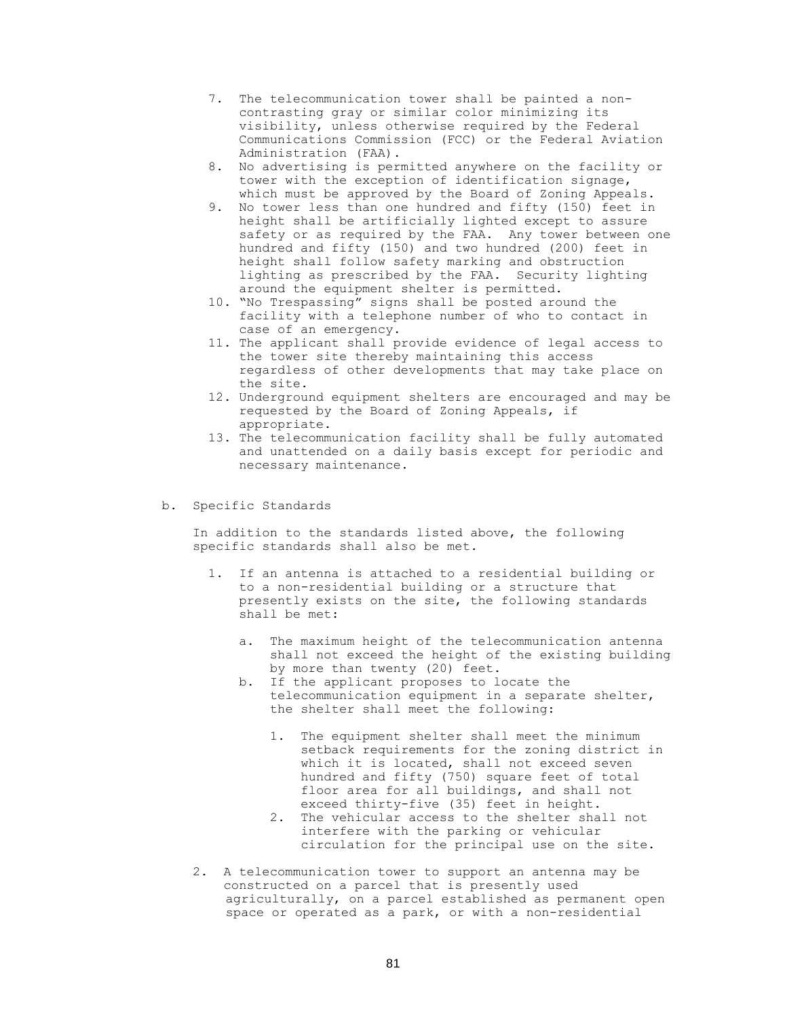- 7. The telecommunication tower shall be painted a noncontrasting gray or similar color minimizing its visibility, unless otherwise required by the Federal Communications Commission (FCC) or the Federal Aviation Administration (FAA).
- 8. No advertising is permitted anywhere on the facility or tower with the exception of identification signage, which must be approved by the Board of Zoning Appeals.
- 9. No tower less than one hundred and fifty (150) feet in height shall be artificially lighted except to assure safety or as required by the FAA. Any tower between one hundred and fifty (150) and two hundred (200) feet in height shall follow safety marking and obstruction lighting as prescribed by the FAA. Security lighting around the equipment shelter is permitted.
- 10. "No Trespassing" signs shall be posted around the facility with a telephone number of who to contact in case of an emergency.
- 11. The applicant shall provide evidence of legal access to the tower site thereby maintaining this access regardless of other developments that may take place on the site.
- 12. Underground equipment shelters are encouraged and may be requested by the Board of Zoning Appeals, if appropriate.
- 13. The telecommunication facility shall be fully automated and unattended on a daily basis except for periodic and necessary maintenance.
- b. Specific Standards

In addition to the standards listed above, the following specific standards shall also be met.

- 1. If an antenna is attached to a residential building or to a non-residential building or a structure that presently exists on the site, the following standards shall be met:
	- a. The maximum height of the telecommunication antenna shall not exceed the height of the existing building by more than twenty (20) feet.
	- b. If the applicant proposes to locate the telecommunication equipment in a separate shelter, the shelter shall meet the following:
		- 1. The equipment shelter shall meet the minimum setback requirements for the zoning district in which it is located, shall not exceed seven hundred and fifty (750) square feet of total floor area for all buildings, and shall not exceed thirty-five (35) feet in height.
		- 2. The vehicular access to the shelter shall not interfere with the parking or vehicular circulation for the principal use on the site.
- 2. A telecommunication tower to support an antenna may be constructed on a parcel that is presently used agriculturally, on a parcel established as permanent open space or operated as a park, or with a non-residential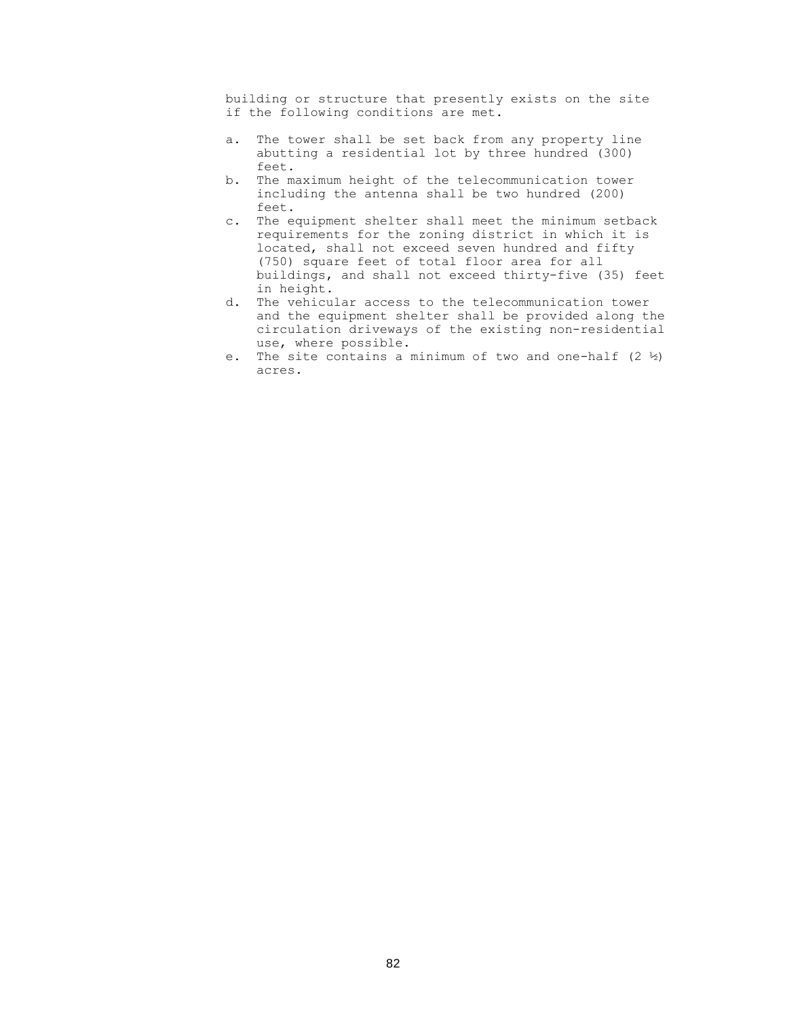building or structure that presently exists on the site if the following conditions are met.

- a. The tower shall be set back from any property line abutting a residential lot by three hundred (300) feet.
- b. The maximum height of the telecommunication tower including the antenna shall be two hundred (200) feet.
- c. The equipment shelter shall meet the minimum setback requirements for the zoning district in which it is located, shall not exceed seven hundred and fifty (750) square feet of total floor area for all buildings, and shall not exceed thirty-five (35) feet in height.
- d. The vehicular access to the telecommunication tower and the equipment shelter shall be provided along the circulation driveways of the existing non-residential use, where possible.
- e. The site contains a minimum of two and one-half  $(2 \frac{1}{2})$ acres.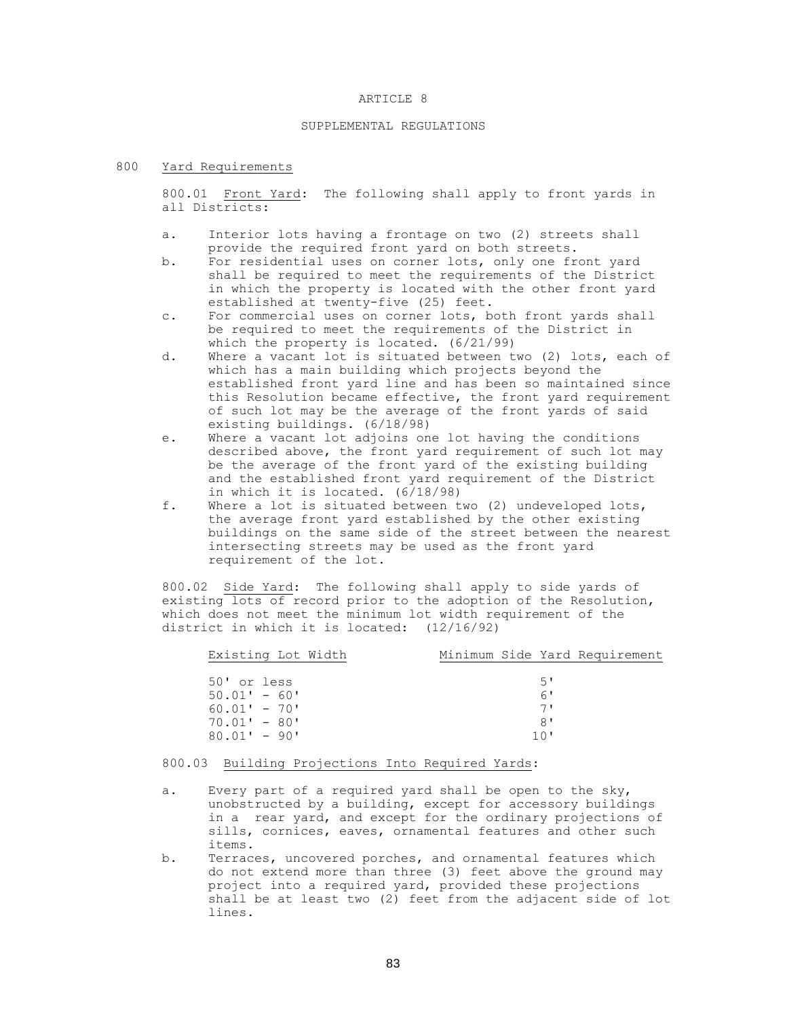#### ARTICLE 8

## SUPPLEMENTAL REGULATIONS

### 800 Yard Requirements

800.01 Front Yard: The following shall apply to front yards in all Districts:

- a. Interior lots having a frontage on two (2) streets shall provide the required front yard on both streets.
- b. For residential uses on corner lots, only one front yard shall be required to meet the requirements of the District in which the property is located with the other front yard established at twenty-five (25) feet.
- c. For commercial uses on corner lots, both front yards shall be required to meet the requirements of the District in which the property is located. (6/21/99)
- d. Where a vacant lot is situated between two (2) lots, each of which has a main building which projects beyond the established front yard line and has been so maintained since this Resolution became effective, the front yard requirement of such lot may be the average of the front yards of said existing buildings. (6/18/98)
- e. Where a vacant lot adjoins one lot having the conditions described above, the front yard requirement of such lot may be the average of the front yard of the existing building and the established front yard requirement of the District in which it is located. (6/18/98)
- f. Where a lot is situated between two (2) undeveloped lots, the average front yard established by the other existing buildings on the same side of the street between the nearest intersecting streets may be used as the front yard requirement of the lot.

800.02 Side Yard: The following shall apply to side yards of existing lots of record prior to the adoption of the Resolution, which does not meet the minimum lot width requirement of the district in which it is located: (12/16/92)

| Existing Lot Width |  |     | Minimum Side Yard Requirement |
|--------------------|--|-----|-------------------------------|
|                    |  |     |                               |
| 50' or less        |  | 5'  |                               |
| $50.01' - 60'$     |  | 6'  |                               |
| $60.01' - 70'$     |  | 71  |                               |
| $70.01' - 80'$     |  | 8'  |                               |
| $80.01' - 90'$     |  | 10' |                               |
|                    |  |     |                               |

# 800.03 Building Projections Into Required Yards:

- a. Every part of a required yard shall be open to the sky, unobstructed by a building, except for accessory buildings in a rear yard, and except for the ordinary projections of sills, cornices, eaves, ornamental features and other such items.
- b. Terraces, uncovered porches, and ornamental features which do not extend more than three (3) feet above the ground may project into a required yard, provided these projections shall be at least two (2) feet from the adjacent side of lot lines.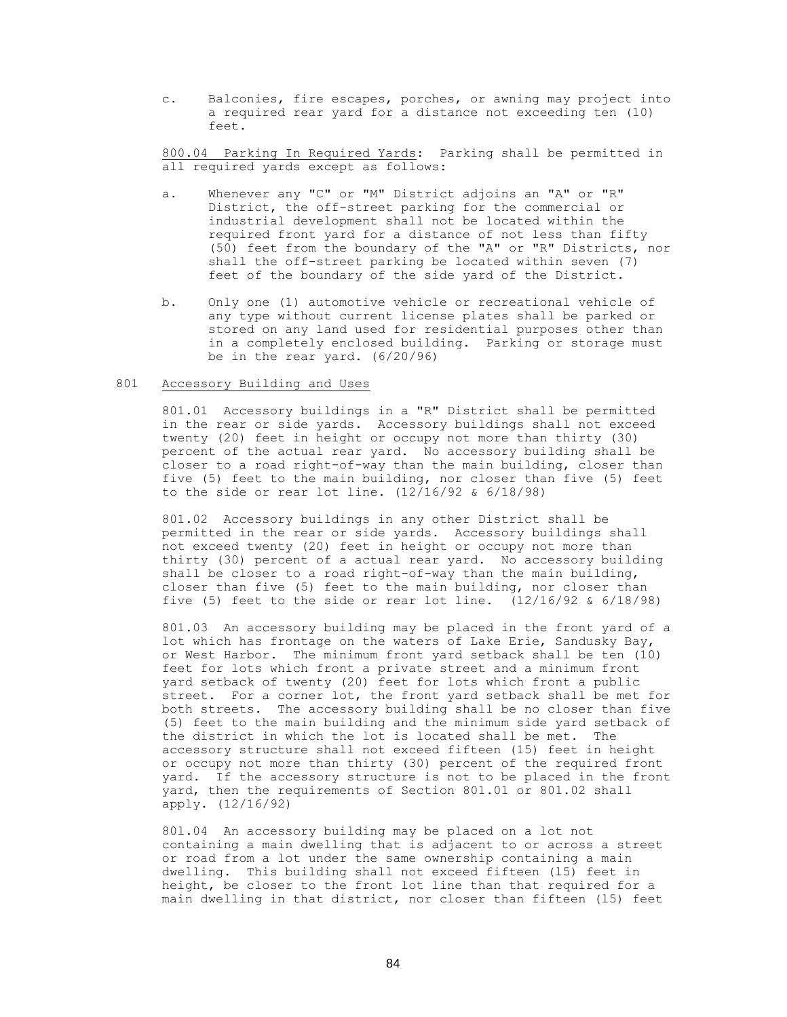c. Balconies, fire escapes, porches, or awning may project into a required rear yard for a distance not exceeding ten (10) feet.

800.04 Parking In Required Yards: Parking shall be permitted in all required yards except as follows:

- a. Whenever any "C" or "M" District adjoins an "A" or "R" District, the off-street parking for the commercial or industrial development shall not be located within the required front yard for a distance of not less than fifty (50) feet from the boundary of the "A" or "R" Districts, nor shall the off-street parking be located within seven (7) feet of the boundary of the side yard of the District.
- b. Only one (1) automotive vehicle or recreational vehicle of any type without current license plates shall be parked or stored on any land used for residential purposes other than in a completely enclosed building. Parking or storage must be in the rear yard. (6/20/96)

#### 801 Accessory Building and Uses

801.01 Accessory buildings in a "R" District shall be permitted in the rear or side yards. Accessory buildings shall not exceed twenty (20) feet in height or occupy not more than thirty (30) percent of the actual rear yard. No accessory building shall be closer to a road right-of-way than the main building, closer than five (5) feet to the main building, nor closer than five (5) feet to the side or rear lot line.  $(12/16/92 \& 6/18/98)$ 

801.02 Accessory buildings in any other District shall be permitted in the rear or side yards. Accessory buildings shall not exceed twenty (20) feet in height or occupy not more than thirty (30) percent of a actual rear yard. No accessory building shall be closer to a road right-of-way than the main building, closer than five (5) feet to the main building, nor closer than five (5) feet to the side or rear lot line.  $(12/16/92 \& 6/18/98)$ 

801.03 An accessory building may be placed in the front yard of a lot which has frontage on the waters of Lake Erie, Sandusky Bay, or West Harbor. The minimum front yard setback shall be ten (10) feet for lots which front a private street and a minimum front yard setback of twenty (20) feet for lots which front a public street. For a corner lot, the front yard setback shall be met for both streets. The accessory building shall be no closer than five (5) feet to the main building and the minimum side yard setback of the district in which the lot is located shall be met. The accessory structure shall not exceed fifteen (15) feet in height or occupy not more than thirty (30) percent of the required front yard. If the accessory structure is not to be placed in the front yard, then the requirements of Section 801.01 or 801.02 shall apply. (12/16/92)

80l.04 An accessory building may be placed on a lot not containing a main dwelling that is adjacent to or across a street or road from a lot under the same ownership containing a main dwelling. This building shall not exceed fifteen (l5) feet in height, be closer to the front lot line than that required for a main dwelling in that district, nor closer than fifteen (l5) feet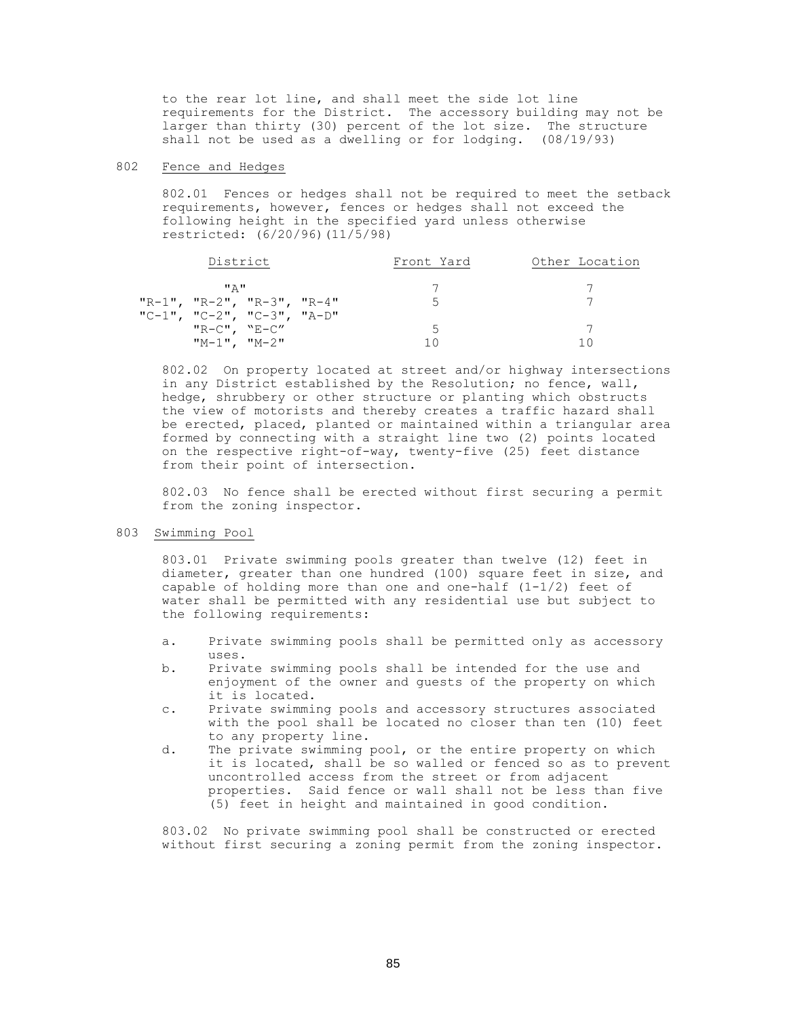to the rear lot line, and shall meet the side lot line requirements for the District. The accessory building may not be larger than thirty (30) percent of the lot size. The structure shall not be used as a dwelling or for lodging. (08/19/93)

#### 802 Fence and Hedges

802.01 Fences or hedges shall not be required to meet the setback requirements, however, fences or hedges shall not exceed the following height in the specified yard unless otherwise restricted: (6/20/96)(11/5/98)

| District                   | Front Yard | Other Location |
|----------------------------|------------|----------------|
| <b>"A"</b>                 |            |                |
| "R-1", "R-2", "R-3", "R-4" | Б.         |                |
| "C-1", "C-2", "C-3", "A-D" |            |                |
| $"R-C"$ , $"E-C"$          |            |                |
| $"M-1"$ , $'M-2"$          |            |                |

802.02 On property located at street and/or highway intersections in any District established by the Resolution; no fence, wall, hedge, shrubbery or other structure or planting which obstructs the view of motorists and thereby creates a traffic hazard shall be erected, placed, planted or maintained within a triangular area formed by connecting with a straight line two (2) points located on the respective right-of-way, twenty-five (25) feet distance from their point of intersection.

802.03 No fence shall be erected without first securing a permit from the zoning inspector.

#### 803 Swimming Pool

803.01 Private swimming pools greater than twelve (12) feet in diameter, greater than one hundred (100) square feet in size, and capable of holding more than one and one-half  $(1-1/2)$  feet of water shall be permitted with any residential use but subject to the following requirements:

- a. Private swimming pools shall be permitted only as accessory uses.
- b. Private swimming pools shall be intended for the use and enjoyment of the owner and guests of the property on which it is located.
- c. Private swimming pools and accessory structures associated with the pool shall be located no closer than ten (10) feet to any property line.
- d. The private swimming pool, or the entire property on which it is located, shall be so walled or fenced so as to prevent uncontrolled access from the street or from adjacent properties. Said fence or wall shall not be less than five (5) feet in height and maintained in good condition.

803.02 No private swimming pool shall be constructed or erected without first securing a zoning permit from the zoning inspector.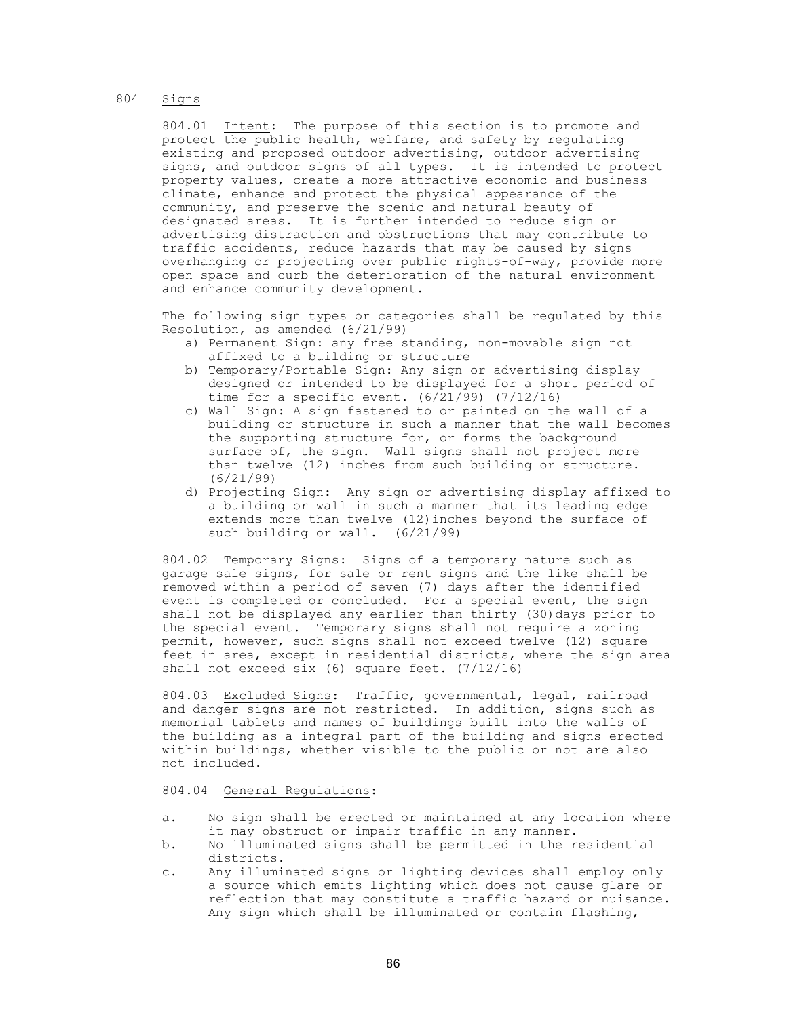## 804 Signs

804.01 Intent: The purpose of this section is to promote and protect the public health, welfare, and safety by regulating existing and proposed outdoor advertising, outdoor advertising signs, and outdoor signs of all types. It is intended to protect property values, create a more attractive economic and business climate, enhance and protect the physical appearance of the community, and preserve the scenic and natural beauty of designated areas. It is further intended to reduce sign or advertising distraction and obstructions that may contribute to traffic accidents, reduce hazards that may be caused by signs overhanging or projecting over public rights-of-way, provide more open space and curb the deterioration of the natural environment and enhance community development.

The following sign types or categories shall be regulated by this Resolution, as amended (6/21/99)

- a) Permanent Sign: any free standing, non-movable sign not affixed to a building or structure
- b) Temporary/Portable Sign: Any sign or advertising display designed or intended to be displayed for a short period of time for a specific event. (6/21/99) (7/12/16)
- c) Wall Sign: A sign fastened to or painted on the wall of a building or structure in such a manner that the wall becomes the supporting structure for, or forms the background surface of, the sign. Wall signs shall not project more than twelve (12) inches from such building or structure. (6/21/99)
- d) Projecting Sign: Any sign or advertising display affixed to a building or wall in such a manner that its leading edge extends more than twelve (12)inches beyond the surface of such building or wall. (6/21/99)

804.02 Temporary Signs: Signs of a temporary nature such as garage sale signs, for sale or rent signs and the like shall be removed within a period of seven (7) days after the identified event is completed or concluded. For a special event, the sign shall not be displayed any earlier than thirty (30)days prior to the special event. Temporary signs shall not require a zoning permit, however, such signs shall not exceed twelve (12) square feet in area, except in residential districts, where the sign area shall not exceed six (6) square feet. (7/12/16)

804.03 Excluded Signs: Traffic, governmental, legal, railroad and danger signs are not restricted. In addition, signs such as memorial tablets and names of buildings built into the walls of the building as a integral part of the building and signs erected within buildings, whether visible to the public or not are also not included.

### 804.04 General Regulations:

- a. No sign shall be erected or maintained at any location where it may obstruct or impair traffic in any manner.
- b. No illuminated signs shall be permitted in the residential districts.
- c. Any illuminated signs or lighting devices shall employ only a source which emits lighting which does not cause glare or reflection that may constitute a traffic hazard or nuisance. Any sign which shall be illuminated or contain flashing,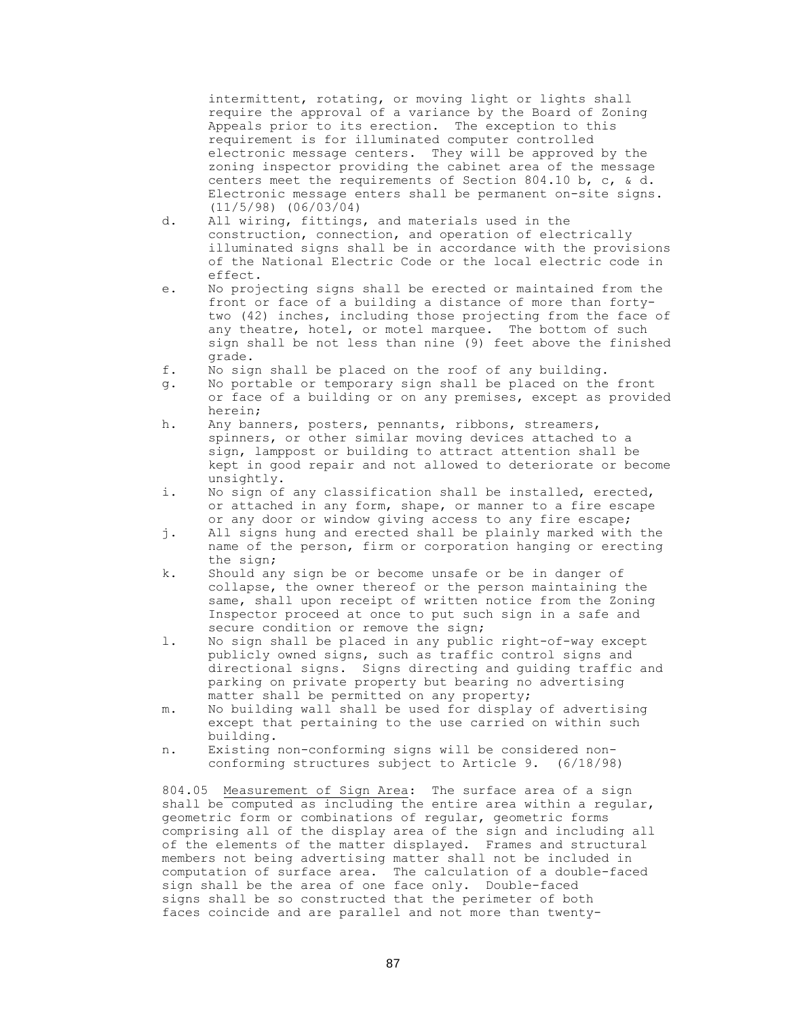intermittent, rotating, or moving light or lights shall require the approval of a variance by the Board of Zoning Appeals prior to its erection. The exception to this requirement is for illuminated computer controlled electronic message centers. They will be approved by the zoning inspector providing the cabinet area of the message centers meet the requirements of Section 804.10 b, c, & d. Electronic message enters shall be permanent on-site signs. (11/5/98) (06/03/04)

- d. All wiring, fittings, and materials used in the construction, connection, and operation of electrically illuminated signs shall be in accordance with the provisions of the National Electric Code or the local electric code in effect.
- e. No projecting signs shall be erected or maintained from the front or face of a building a distance of more than fortytwo (42) inches, including those projecting from the face of any theatre, hotel, or motel marquee. The bottom of such sign shall be not less than nine (9) feet above the finished grade.
- f. No sign shall be placed on the roof of any building.
- g. No portable or temporary sign shall be placed on the front or face of a building or on any premises, except as provided herein;
- h. Any banners, posters, pennants, ribbons, streamers, spinners, or other similar moving devices attached to a sign, lamppost or building to attract attention shall be kept in good repair and not allowed to deteriorate or become unsightly.
- i. No sign of any classification shall be installed, erected, or attached in any form, shape, or manner to a fire escape or any door or window giving access to any fire escape;
- j. All signs hung and erected shall be plainly marked with the name of the person, firm or corporation hanging or erecting the sign;
- k. Should any sign be or become unsafe or be in danger of collapse, the owner thereof or the person maintaining the same, shall upon receipt of written notice from the Zoning Inspector proceed at once to put such sign in a safe and secure condition or remove the sign;
- l. No sign shall be placed in any public right-of-way except publicly owned signs, such as traffic control signs and directional signs. Signs directing and guiding traffic and parking on private property but bearing no advertising matter shall be permitted on any property;
- m. No building wall shall be used for display of advertising except that pertaining to the use carried on within such building.
- n. Existing non-conforming signs will be considered nonconforming structures subject to Article 9. (6/18/98)

804.05 Measurement of Sign Area: The surface area of a sign shall be computed as including the entire area within a regular, geometric form or combinations of regular, geometric forms comprising all of the display area of the sign and including all of the elements of the matter displayed. Frames and structural members not being advertising matter shall not be included in computation of surface area. The calculation of a double-faced sign shall be the area of one face only. Double-faced signs shall be so constructed that the perimeter of both faces coincide and are parallel and not more than twenty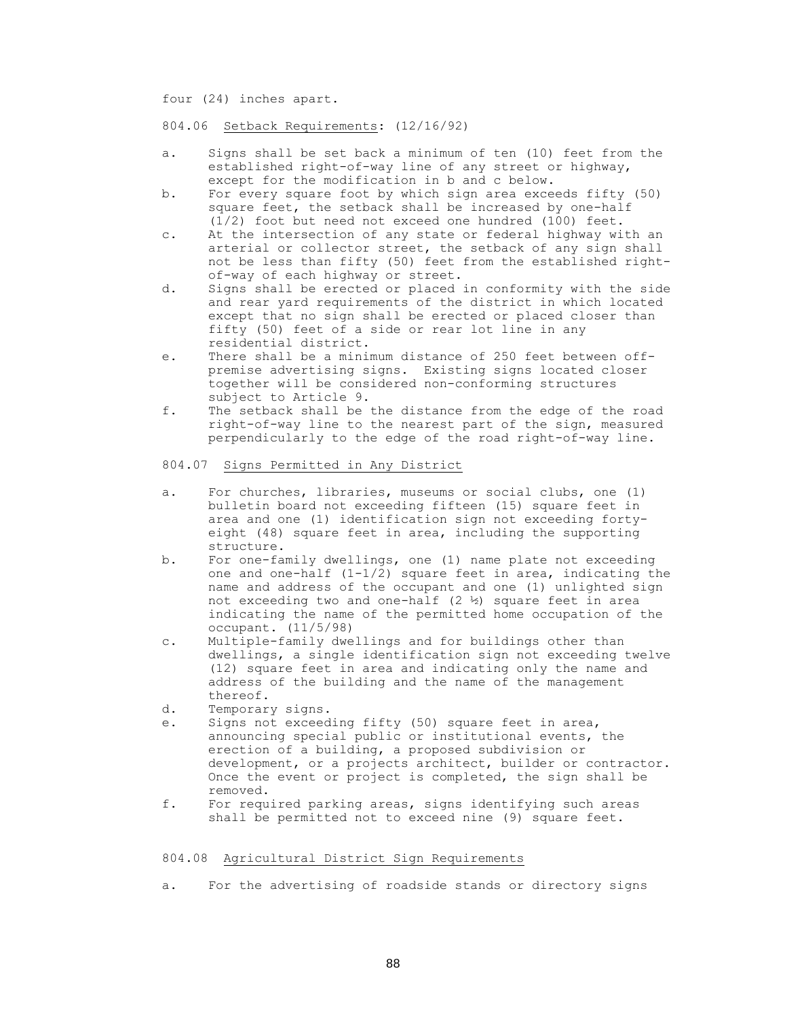four (24) inches apart.

804.06 Setback Requirements: (12/16/92)

- a. Signs shall be set back a minimum of ten (10) feet from the established right-of-way line of any street or highway, except for the modification in b and c below.
- b. For every square foot by which sign area exceeds fifty (50) square feet, the setback shall be increased by one-half (1/2) foot but need not exceed one hundred (100) feet.
- c. At the intersection of any state or federal highway with an arterial or collector street, the setback of any sign shall not be less than fifty (50) feet from the established rightof-way of each highway or street.
- d. Signs shall be erected or placed in conformity with the side and rear yard requirements of the district in which located except that no sign shall be erected or placed closer than fifty (50) feet of a side or rear lot line in any residential district.
- e. There shall be a minimum distance of 250 feet between offpremise advertising signs. Existing signs located closer together will be considered non-conforming structures subject to Article 9.
- f. The setback shall be the distance from the edge of the road right-of-way line to the nearest part of the sign, measured perpendicularly to the edge of the road right-of-way line.

### 804.07 Signs Permitted in Any District

- a. For churches, libraries, museums or social clubs, one (1) bulletin board not exceeding fifteen (15) square feet in area and one (1) identification sign not exceeding fortyeight (48) square feet in area, including the supporting structure.
- b. For one-family dwellings, one (1) name plate not exceeding one and one-half  $(1-1/2)$  square feet in area, indicating the name and address of the occupant and one (1) unlighted sign not exceeding two and one-half  $(2 \frac{1}{2})$  square feet in area indicating the name of the permitted home occupation of the occupant. (11/5/98)
- c. Multiple-family dwellings and for buildings other than dwellings, a single identification sign not exceeding twelve (12) square feet in area and indicating only the name and address of the building and the name of the management thereof.
- d. Temporary signs.
- e. Signs not exceeding fifty (50) square feet in area, announcing special public or institutional events, the erection of a building, a proposed subdivision or development, or a projects architect, builder or contractor. Once the event or project is completed, the sign shall be removed.
- f. For required parking areas, signs identifying such areas shall be permitted not to exceed nine (9) square feet.

#### 804.08 Agricultural District Sign Requirements

a. For the advertising of roadside stands or directory signs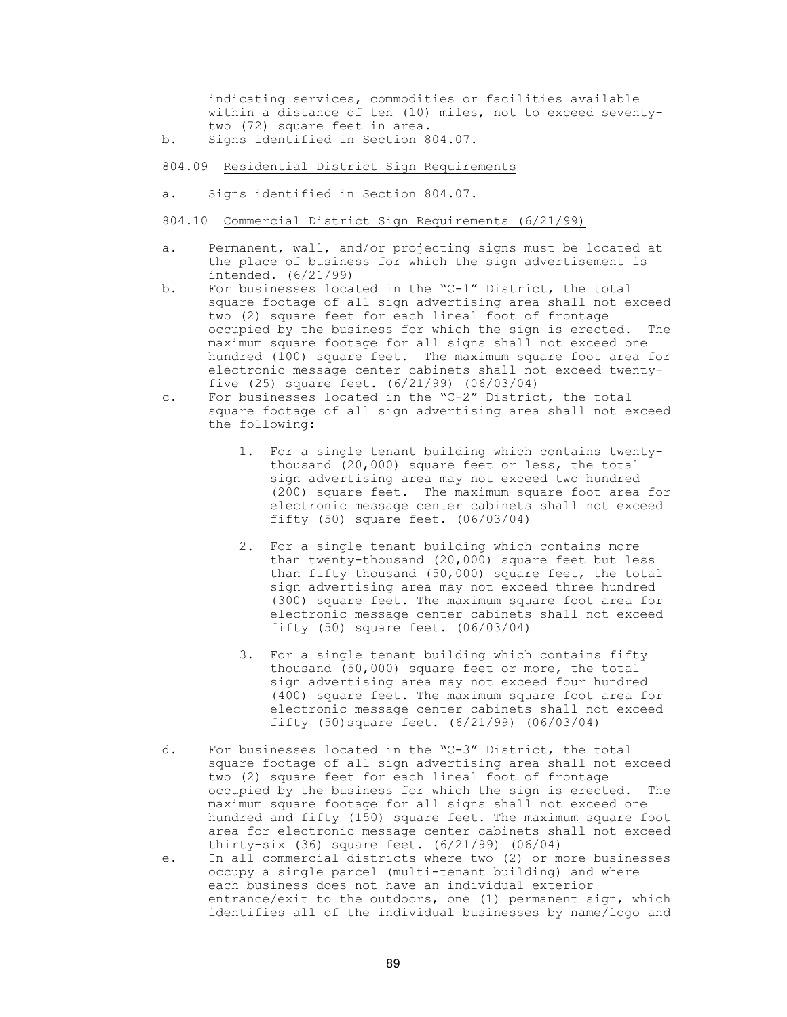indicating services, commodities or facilities available within a distance of ten (10) miles, not to exceed seventytwo (72) square feet in area.

b. Signs identified in Section 804.07.

## 804.09 Residential District Sign Requirements

- a. Signs identified in Section 804.07.
- 804.10 Commercial District Sign Requirements (6/21/99)
- a. Permanent, wall, and/or projecting signs must be located at the place of business for which the sign advertisement is intended. (6/21/99)
- b. For businesses located in the "C-1" District, the total square footage of all sign advertising area shall not exceed two (2) square feet for each lineal foot of frontage occupied by the business for which the sign is erected. The maximum square footage for all signs shall not exceed one hundred (100) square feet. The maximum square foot area for electronic message center cabinets shall not exceed twentyfive (25) square feet. (6/21/99) (06/03/04)
- c. For businesses located in the "C-2" District, the total square footage of all sign advertising area shall not exceed the following:
	- 1. For a single tenant building which contains twentythousand (20,000) square feet or less, the total sign advertising area may not exceed two hundred (200) square feet. The maximum square foot area for electronic message center cabinets shall not exceed fifty (50) square feet. (06/03/04)
	- 2. For a single tenant building which contains more than twenty-thousand (20,000) square feet but less than fifty thousand (50,000) square feet, the total sign advertising area may not exceed three hundred (300) square feet. The maximum square foot area for electronic message center cabinets shall not exceed fifty (50) square feet. (06/03/04)
	- 3. For a single tenant building which contains fifty thousand (50,000) square feet or more, the total sign advertising area may not exceed four hundred (400) square feet. The maximum square foot area for electronic message center cabinets shall not exceed fifty (50)square feet. (6/21/99) (06/03/04)
- d. For businesses located in the "C-3" District, the total square footage of all sign advertising area shall not exceed two (2) square feet for each lineal foot of frontage occupied by the business for which the sign is erected. The maximum square footage for all signs shall not exceed one hundred and fifty (150) square feet. The maximum square foot area for electronic message center cabinets shall not exceed thirty-six (36) square feet. (6/21/99) (06/04)
- e. In all commercial districts where two (2) or more businesses occupy a single parcel (multi-tenant building) and where each business does not have an individual exterior entrance/exit to the outdoors, one (1) permanent sign, which identifies all of the individual businesses by name/logo and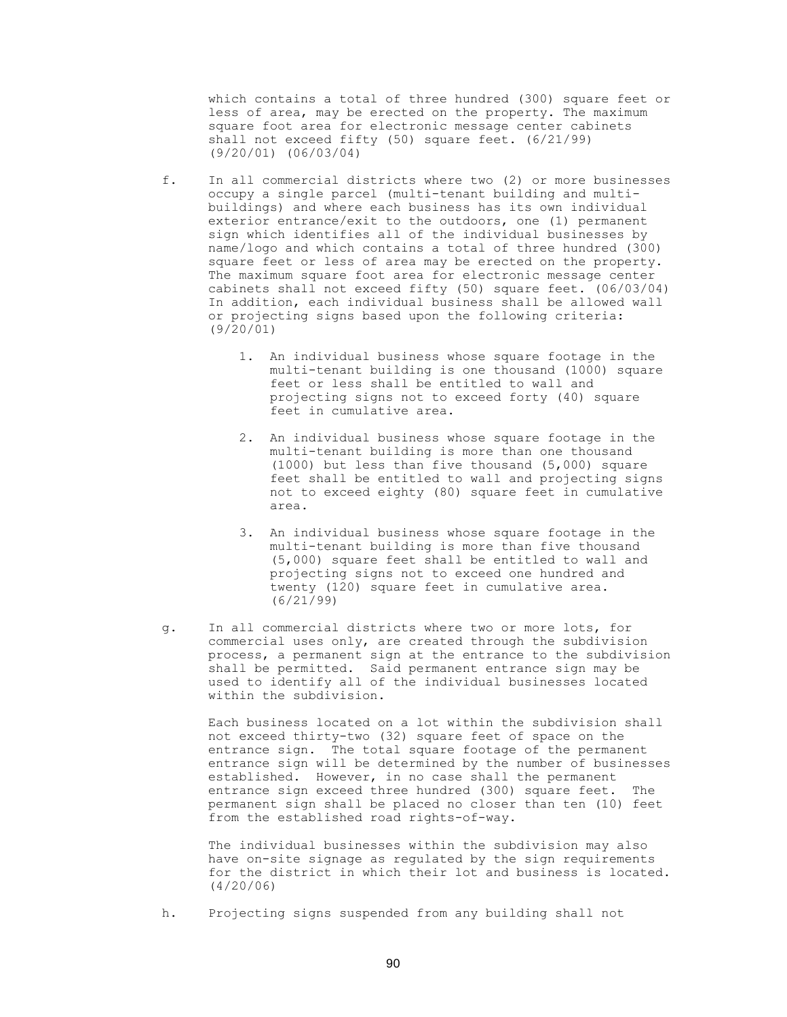which contains a total of three hundred (300) square feet or less of area, may be erected on the property. The maximum square foot area for electronic message center cabinets shall not exceed fifty (50) square feet. (6/21/99) (9/20/01) (06/03/04)

- f. In all commercial districts where two (2) or more businesses occupy a single parcel (multi-tenant building and multibuildings) and where each business has its own individual exterior entrance/exit to the outdoors, one (1) permanent sign which identifies all of the individual businesses by name/logo and which contains a total of three hundred (300) square feet or less of area may be erected on the property. The maximum square foot area for electronic message center cabinets shall not exceed fifty (50) square feet. (06/03/04) In addition, each individual business shall be allowed wall or projecting signs based upon the following criteria: (9/20/01)
	- 1. An individual business whose square footage in the multi-tenant building is one thousand (1000) square feet or less shall be entitled to wall and projecting signs not to exceed forty (40) square feet in cumulative area.
	- 2. An individual business whose square footage in the multi-tenant building is more than one thousand (1000) but less than five thousand (5,000) square feet shall be entitled to wall and projecting signs not to exceed eighty (80) square feet in cumulative area.
	- 3. An individual business whose square footage in the multi-tenant building is more than five thousand (5,000) square feet shall be entitled to wall and projecting signs not to exceed one hundred and twenty (120) square feet in cumulative area. (6/21/99)
- g. In all commercial districts where two or more lots, for commercial uses only, are created through the subdivision process, a permanent sign at the entrance to the subdivision shall be permitted. Said permanent entrance sign may be used to identify all of the individual businesses located within the subdivision.

Each business located on a lot within the subdivision shall not exceed thirty-two (32) square feet of space on the entrance sign. The total square footage of the permanent entrance sign will be determined by the number of businesses established. However, in no case shall the permanent entrance sign exceed three hundred (300) square feet. The permanent sign shall be placed no closer than ten (10) feet from the established road rights-of-way.

The individual businesses within the subdivision may also have on-site signage as regulated by the sign requirements for the district in which their lot and business is located. (4/20/06)

h. Projecting signs suspended from any building shall not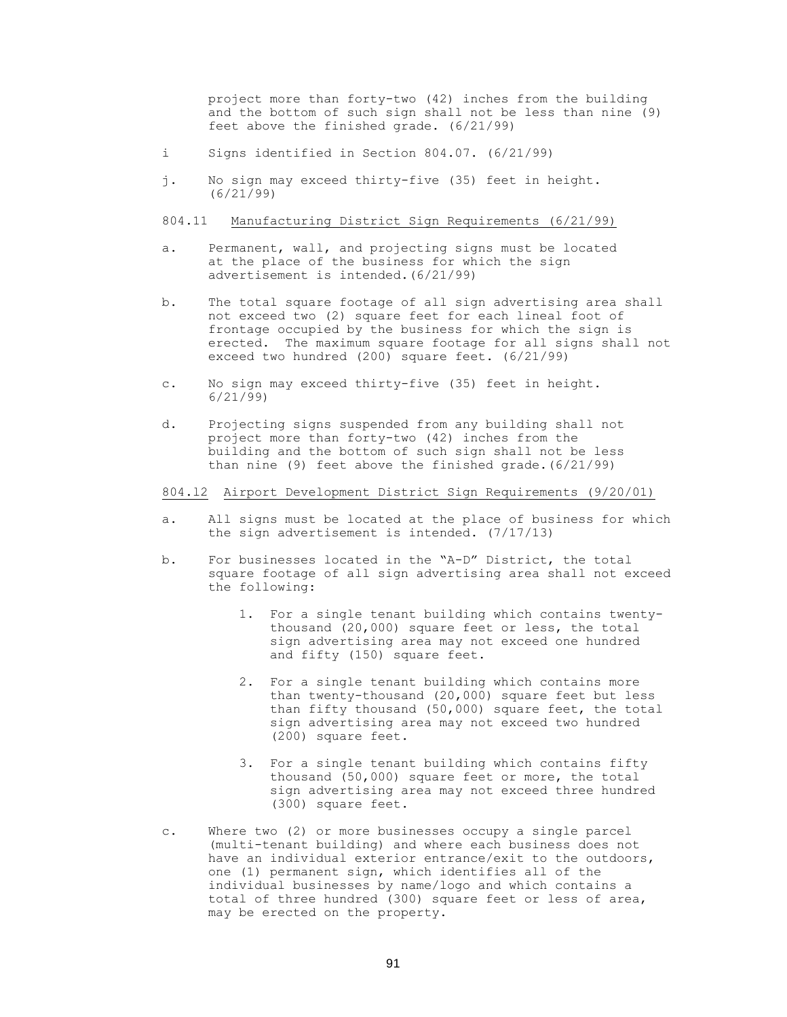project more than forty-two (42) inches from the building and the bottom of such sign shall not be less than nine (9) feet above the finished grade. (6/21/99)

- i Signs identified in Section 804.07. (6/21/99)
- j. No sign may exceed thirty-five (35) feet in height. (6/21/99)

### 804.11 Manufacturing District Sign Requirements (6/21/99)

- a. Permanent, wall, and projecting signs must be located at the place of the business for which the sign advertisement is intended.(6/21/99)
- b. The total square footage of all sign advertising area shall not exceed two (2) square feet for each lineal foot of frontage occupied by the business for which the sign is erected. The maximum square footage for all signs shall not exceed two hundred (200) square feet. (6/21/99)
- c. No sign may exceed thirty-five (35) feet in height. 6/21/99)
- d. Projecting signs suspended from any building shall not project more than forty-two (42) inches from the building and the bottom of such sign shall not be less than nine (9) feet above the finished grade.(6/21/99)

## 804.l2 Airport Development District Sign Requirements (9/20/01)

- a. All signs must be located at the place of business for which the sign advertisement is intended. (7/17/13)
- b. For businesses located in the "A-D" District, the total square footage of all sign advertising area shall not exceed the following:
	- 1. For a single tenant building which contains twenty thousand (20,000) square feet or less, the total sign advertising area may not exceed one hundred and fifty (150) square feet.
	- 2. For a single tenant building which contains more than twenty-thousand (20,000) square feet but less than fifty thousand (50,000) square feet, the total sign advertising area may not exceed two hundred (200) square feet.
	- 3. For a single tenant building which contains fifty thousand (50,000) square feet or more, the total sign advertising area may not exceed three hundred (300) square feet.
- c. Where two (2) or more businesses occupy a single parcel (multi-tenant building) and where each business does not have an individual exterior entrance/exit to the outdoors, one (1) permanent sign, which identifies all of the individual businesses by name/logo and which contains a total of three hundred (300) square feet or less of area, may be erected on the property.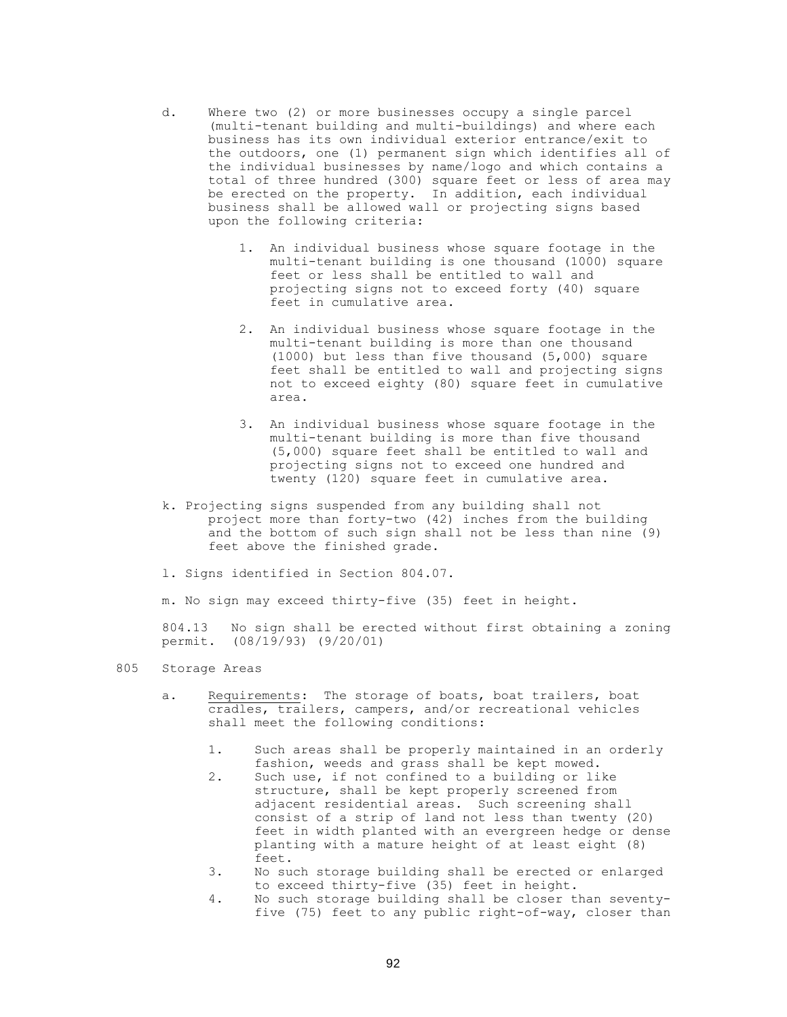- d. Where two (2) or more businesses occupy a single parcel (multi-tenant building and multi-buildings) and where each business has its own individual exterior entrance/exit to the outdoors, one (1) permanent sign which identifies all of the individual businesses by name/logo and which contains a total of three hundred (300) square feet or less of area may be erected on the property. In addition, each individual business shall be allowed wall or projecting signs based upon the following criteria:
	- 1. An individual business whose square footage in the multi-tenant building is one thousand (1000) square feet or less shall be entitled to wall and projecting signs not to exceed forty (40) square feet in cumulative area.
	- 2. An individual business whose square footage in the multi-tenant building is more than one thousand (1000) but less than five thousand (5,000) square feet shall be entitled to wall and projecting signs not to exceed eighty (80) square feet in cumulative area.
	- 3. An individual business whose square footage in the multi-tenant building is more than five thousand (5,000) square feet shall be entitled to wall and projecting signs not to exceed one hundred and twenty (120) square feet in cumulative area.
- k. Projecting signs suspended from any building shall not project more than forty-two (42) inches from the building and the bottom of such sign shall not be less than nine (9) feet above the finished grade.
- l. Signs identified in Section 804.07.

m. No sign may exceed thirty-five (35) feet in height.

804.13 No sign shall be erected without first obtaining a zoning permit. (08/19/93) (9/20/01)

- 805 Storage Areas
	- a. Requirements: The storage of boats, boat trailers, boat cradles, trailers, campers, and/or recreational vehicles shall meet the following conditions:
		- 1. Such areas shall be properly maintained in an orderly fashion, weeds and grass shall be kept mowed.
		- 2. Such use, if not confined to a building or like structure, shall be kept properly screened from adjacent residential areas. Such screening shall consist of a strip of land not less than twenty (20) feet in width planted with an evergreen hedge or dense planting with a mature height of at least eight (8) feet.
		- 3. No such storage building shall be erected or enlarged to exceed thirty-five (35) feet in height.
		- 4. No such storage building shall be closer than seventyfive (75) feet to any public right-of-way, closer than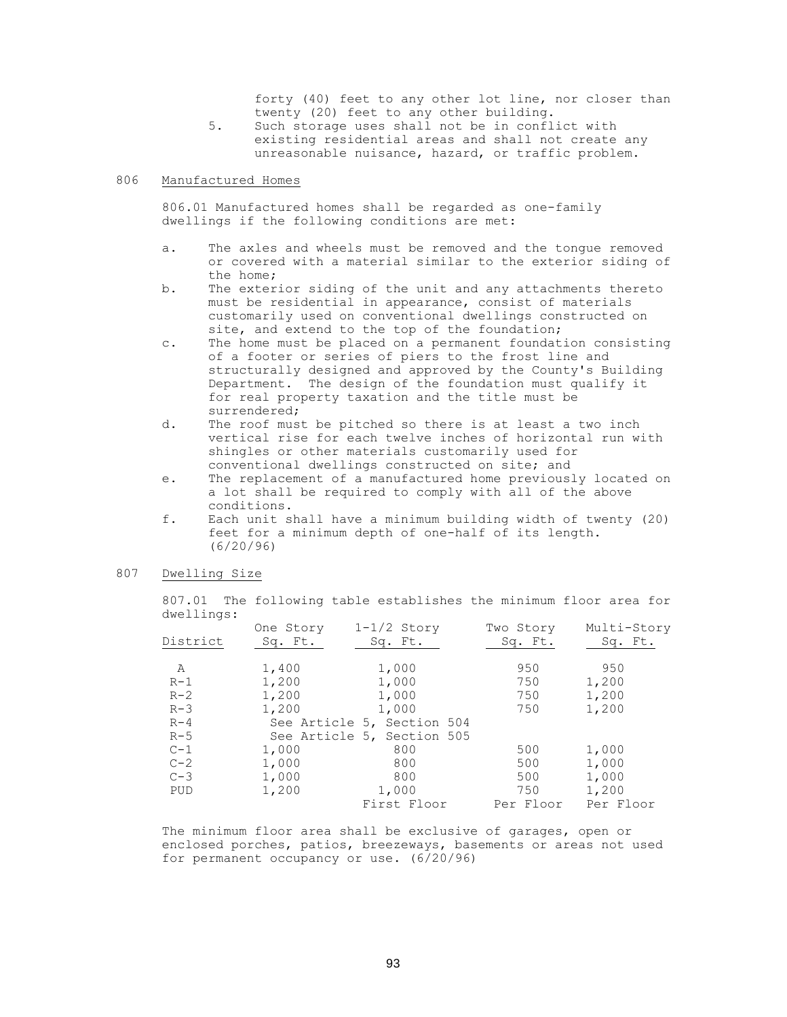forty (40) feet to any other lot line, nor closer than twenty (20) feet to any other building.

5. Such storage uses shall not be in conflict with existing residential areas and shall not create any unreasonable nuisance, hazard, or traffic problem.

## 806 Manufactured Homes

806.01 Manufactured homes shall be regarded as one-family dwellings if the following conditions are met:

- a. The axles and wheels must be removed and the tongue removed or covered with a material similar to the exterior siding of the home;
- b. The exterior siding of the unit and any attachments thereto must be residential in appearance, consist of materials customarily used on conventional dwellings constructed on site, and extend to the top of the foundation;
- c. The home must be placed on a permanent foundation consisting of a footer or series of piers to the frost line and structurally designed and approved by the County's Building Department. The design of the foundation must qualify it for real property taxation and the title must be surrendered;
- d. The roof must be pitched so there is at least a two inch vertical rise for each twelve inches of horizontal run with shingles or other materials customarily used for conventional dwellings constructed on site; and
- e. The replacement of a manufactured home previously located on a lot shall be required to comply with all of the above conditions.
- f. Each unit shall have a minimum building width of twenty (20) feet for a minimum depth of one-half of its length. (6/20/96)

## 807 Dwelling Size

807.01 The following table establishes the minimum floor area for dwellings:

|            | One Story | $1-1/2$ Story              | Two Story | Multi-Story |
|------------|-----------|----------------------------|-----------|-------------|
| District   | Sq. Ft.   | Sq. Ft.                    | Sq. Ft.   | Sq. Ft.     |
|            |           |                            |           |             |
| Α          | 1,400     | 1,000                      | 950       | 950         |
| $R-1$      | 1,200     | 1,000                      | 750       | 1,200       |
| $R-2$      | 1,200     | 1,000                      | 750       | 1,200       |
| $R-3$      | 1,200     | 1,000                      | 750       | 1,200       |
| $R-4$      |           | See Article 5, Section 504 |           |             |
| $R-5$      |           | See Article 5, Section 505 |           |             |
| $C-1$      | 1,000     | 800                        | 500       | 1,000       |
| $C-2$      | 1,000     | 800                        | 500       | 1,000       |
| $C-3$      | 1,000     | 800                        | 500       | 1,000       |
| <b>PUD</b> | 1,200     | 1,000                      | 750       | 1,200       |
|            |           | First Floor                | Per Floor | Per Floor   |

The minimum floor area shall be exclusive of garages, open or enclosed porches, patios, breezeways, basements or areas not used for permanent occupancy or use. (6/20/96)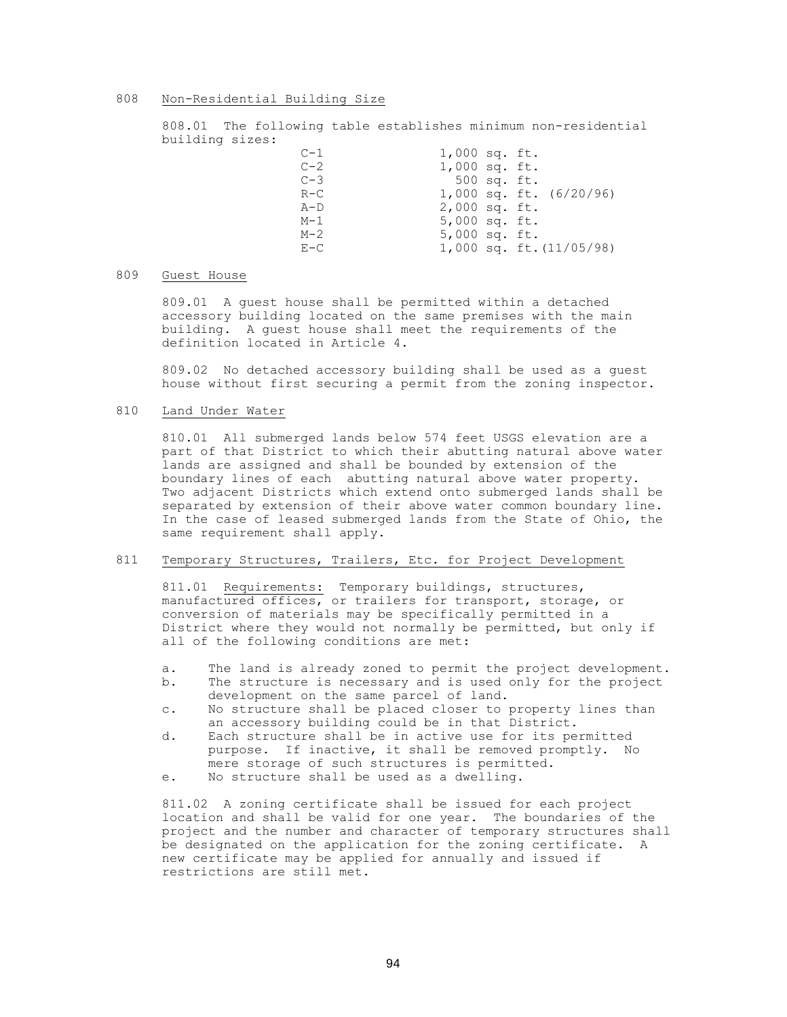#### 808 Non-Residential Building Size

808.01 The following table establishes minimum non-residential building sizes:

| $C-1$   | $1,000$ sq. ft. |                              |
|---------|-----------------|------------------------------|
| $C-2$   | $1,000$ sq. ft. |                              |
| $C-3$   | 500 sq. ft.     |                              |
| $R-C$   |                 | 1,000 sq. ft. (6/20/96)      |
| $A-D$   | $2,000$ sq. ft. |                              |
| $M-1$   | $5,000$ sq. ft. |                              |
| $M-2$   | $5,000$ sq. ft. |                              |
| $E - C$ |                 | $1,000$ sq. ft. $(11/05/98)$ |

## 809 Guest House

809.01 A guest house shall be permitted within a detached accessory building located on the same premises with the main building. A guest house shall meet the requirements of the definition located in Article 4.

809.02 No detached accessory building shall be used as a guest house without first securing a permit from the zoning inspector.

## 810 Land Under Water

810.01 All submerged lands below 574 feet USGS elevation are a part of that District to which their abutting natural above water lands are assigned and shall be bounded by extension of the boundary lines of each abutting natural above water property. Two adjacent Districts which extend onto submerged lands shall be separated by extension of their above water common boundary line. In the case of leased submerged lands from the State of Ohio, the same requirement shall apply.

# 811 Temporary Structures, Trailers, Etc. for Project Development

811.01 Requirements: Temporary buildings, structures, manufactured offices, or trailers for transport, storage, or conversion of materials may be specifically permitted in a District where they would not normally be permitted, but only if all of the following conditions are met:

- a. The land is already zoned to permit the project development.
- b. The structure is necessary and is used only for the project development on the same parcel of land.
- c. No structure shall be placed closer to property lines than an accessory building could be in that District.
- d. Each structure shall be in active use for its permitted purpose. If inactive, it shall be removed promptly. No mere storage of such structures is permitted.
- e. No structure shall be used as a dwelling.

811.02 A zoning certificate shall be issued for each project location and shall be valid for one year. The boundaries of the project and the number and character of temporary structures shall be designated on the application for the zoning certificate. A new certificate may be applied for annually and issued if restrictions are still met.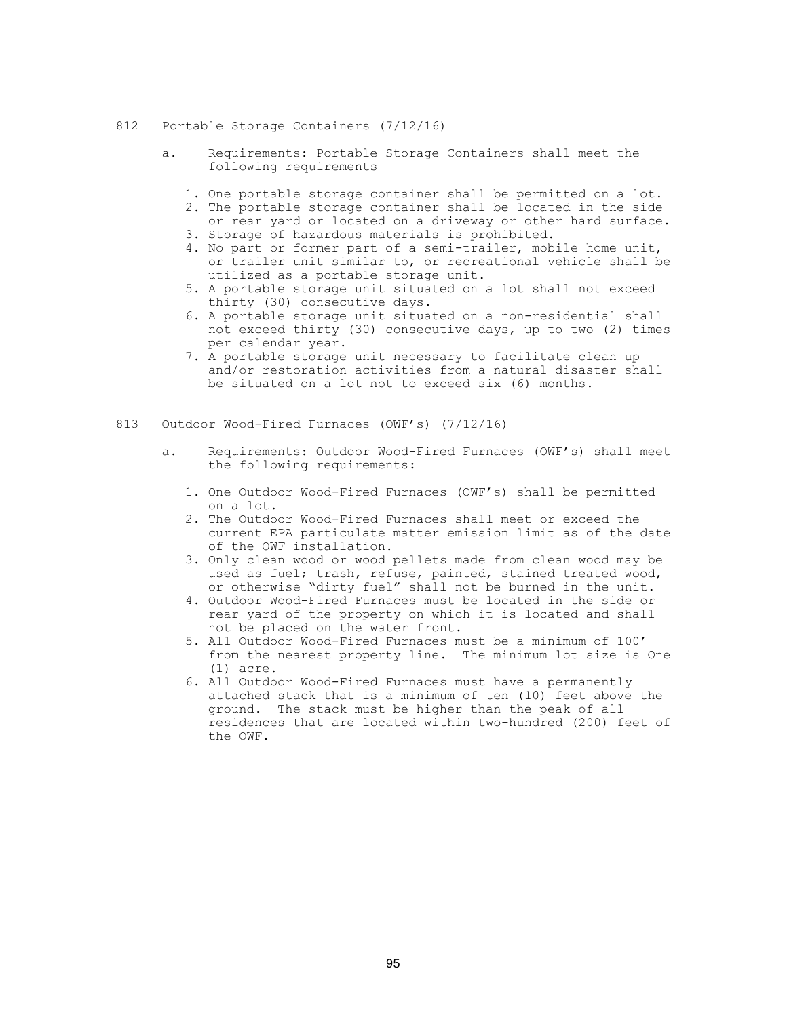- 812 Portable Storage Containers (7/12/16)
	- a. Requirements: Portable Storage Containers shall meet the following requirements
		- 1. One portable storage container shall be permitted on a lot.
		- 2. The portable storage container shall be located in the side or rear yard or located on a driveway or other hard surface.
		- 3. Storage of hazardous materials is prohibited.
		- 4. No part or former part of a semi-trailer, mobile home unit, or trailer unit similar to, or recreational vehicle shall be utilized as a portable storage unit.
		- 5. A portable storage unit situated on a lot shall not exceed thirty (30) consecutive days.
		- 6. A portable storage unit situated on a non-residential shall not exceed thirty (30) consecutive days, up to two (2) times per calendar year.
		- 7. A portable storage unit necessary to facilitate clean up and/or restoration activities from a natural disaster shall be situated on a lot not to exceed six (6) months.
- 813 Outdoor Wood-Fired Furnaces (OWF's) (7/12/16)
	- a. Requirements: Outdoor Wood-Fired Furnaces (OWF's) shall meet the following requirements:
		- 1. One Outdoor Wood-Fired Furnaces (OWF's) shall be permitted on a lot.
		- 2. The Outdoor Wood-Fired Furnaces shall meet or exceed the current EPA particulate matter emission limit as of the date of the OWF installation.
		- 3. Only clean wood or wood pellets made from clean wood may be used as fuel; trash, refuse, painted, stained treated wood, or otherwise "dirty fuel" shall not be burned in the unit.
		- 4. Outdoor Wood-Fired Furnaces must be located in the side or rear yard of the property on which it is located and shall not be placed on the water front.
		- 5. All Outdoor Wood-Fired Furnaces must be a minimum of 100' from the nearest property line. The minimum lot size is One (1) acre.
		- 6. All Outdoor Wood-Fired Furnaces must have a permanently attached stack that is a minimum of ten (10) feet above the ground. The stack must be higher than the peak of all residences that are located within two-hundred (200) feet of the OWF.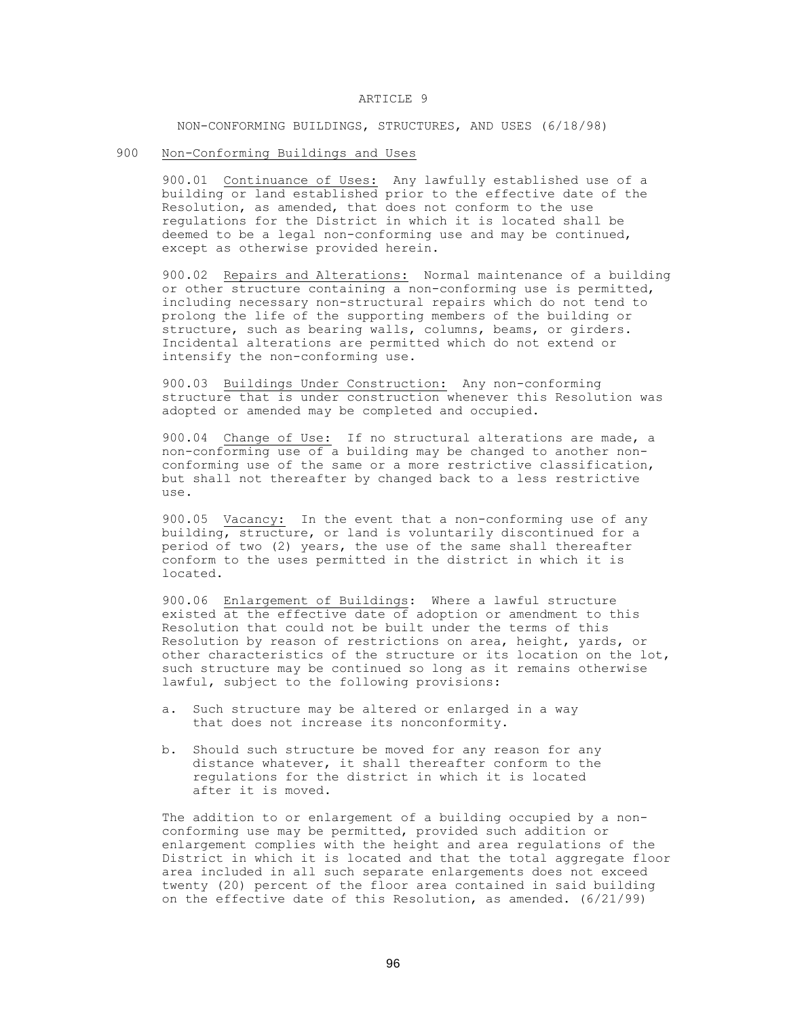#### ARTICLE 9

NON-CONFORMING BUILDINGS, STRUCTURES, AND USES (6/18/98)

900 Non-Conforming Buildings and Uses

900.01 Continuance of Uses: Any lawfully established use of a building or land established prior to the effective date of the Resolution, as amended, that does not conform to the use regulations for the District in which it is located shall be deemed to be a legal non-conforming use and may be continued, except as otherwise provided herein.

900.02 Repairs and Alterations: Normal maintenance of a building or other structure containing a non-conforming use is permitted, including necessary non-structural repairs which do not tend to prolong the life of the supporting members of the building or structure, such as bearing walls, columns, beams, or girders. Incidental alterations are permitted which do not extend or intensify the non-conforming use.

900.03 Buildings Under Construction: Any non-conforming structure that is under construction whenever this Resolution was adopted or amended may be completed and occupied.

900.04 Change of Use: If no structural alterations are made, a non-conforming use of a building may be changed to another nonconforming use of the same or a more restrictive classification, but shall not thereafter by changed back to a less restrictive use.

900.05 Vacancy: In the event that a non-conforming use of any building, structure, or land is voluntarily discontinued for a period of two (2) years, the use of the same shall thereafter conform to the uses permitted in the district in which it is located.

900.06 Enlargement of Buildings: Where a lawful structure existed at the effective date of adoption or amendment to this Resolution that could not be built under the terms of this Resolution by reason of restrictions on area, height, yards, or other characteristics of the structure or its location on the lot, such structure may be continued so long as it remains otherwise lawful, subject to the following provisions:

- a. Such structure may be altered or enlarged in a way that does not increase its nonconformity.
- b. Should such structure be moved for any reason for any distance whatever, it shall thereafter conform to the regulations for the district in which it is located after it is moved.

The addition to or enlargement of a building occupied by a nonconforming use may be permitted, provided such addition or enlargement complies with the height and area regulations of the District in which it is located and that the total aggregate floor area included in all such separate enlargements does not exceed twenty (20) percent of the floor area contained in said building on the effective date of this Resolution, as amended. (6/21/99)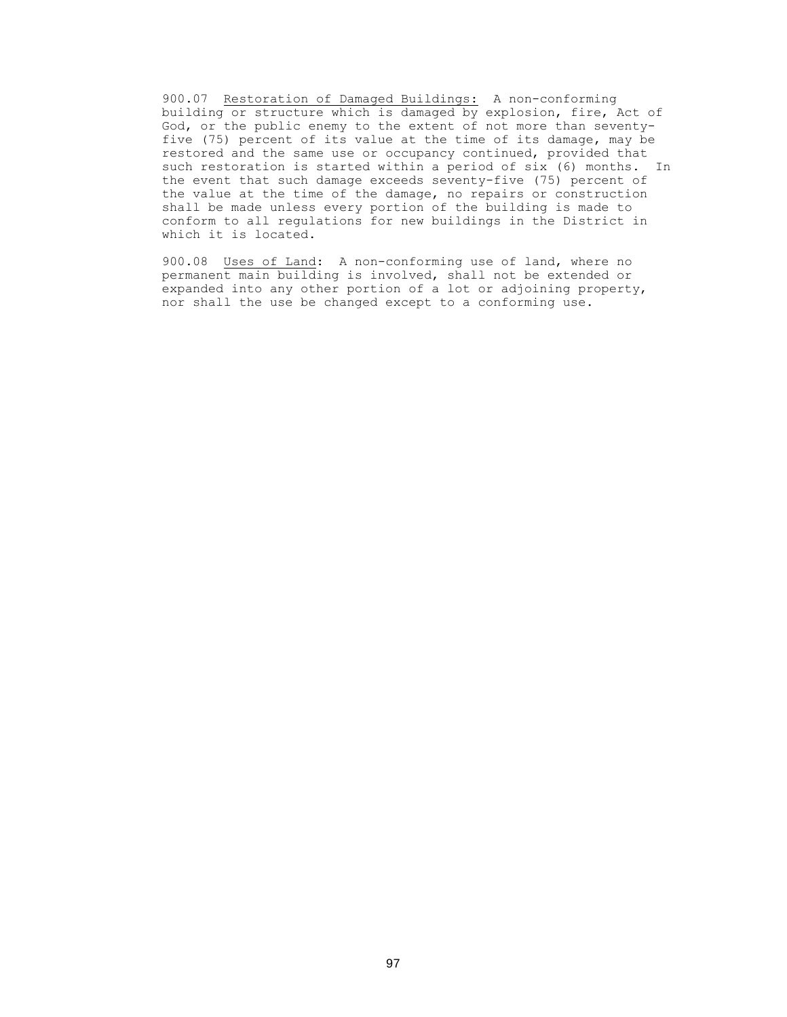900.07 Restoration of Damaged Buildings: A non-conforming building or structure which is damaged by explosion, fire, Act of God, or the public enemy to the extent of not more than seventyfive (75) percent of its value at the time of its damage, may be restored and the same use or occupancy continued, provided that such restoration is started within a period of six (6) months. In the event that such damage exceeds seventy-five (75) percent of the value at the time of the damage, no repairs or construction shall be made unless every portion of the building is made to conform to all regulations for new buildings in the District in which it is located.

900.08 Uses of Land: A non-conforming use of land, where no permanent main building is involved, shall not be extended or expanded into any other portion of a lot or adjoining property, nor shall the use be changed except to a conforming use.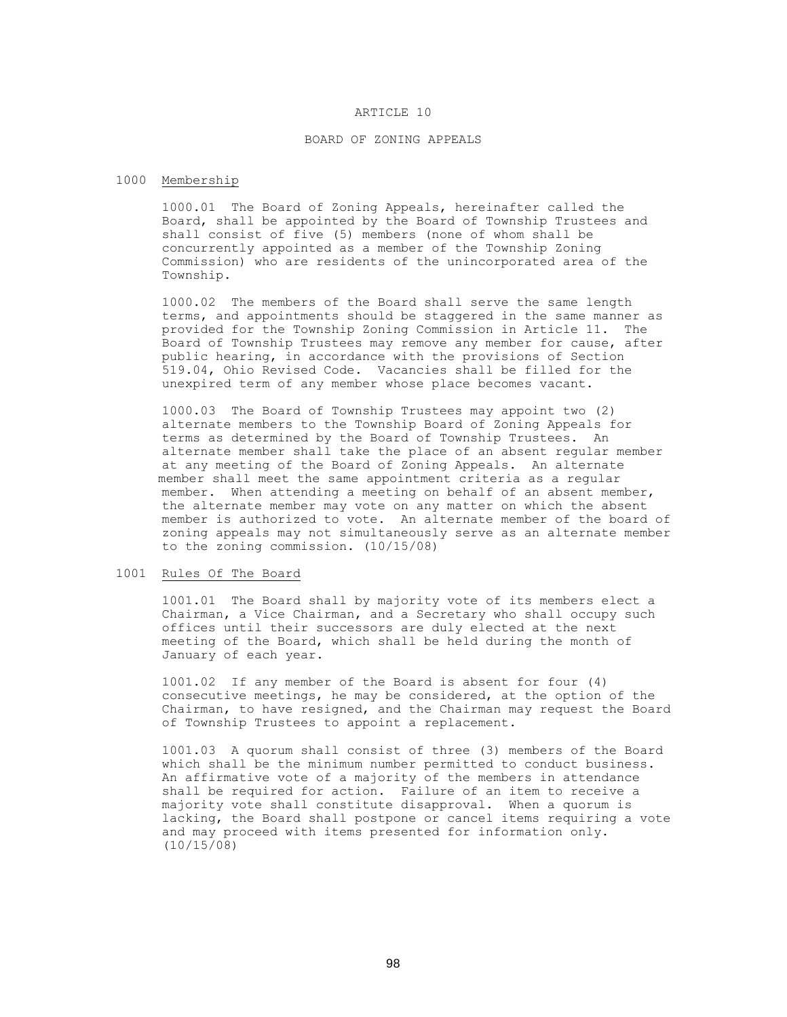### ARTICLE 10

#### BOARD OF ZONING APPEALS

#### 1000 Membership

1000.01 The Board of Zoning Appeals, hereinafter called the Board, shall be appointed by the Board of Township Trustees and shall consist of five (5) members (none of whom shall be concurrently appointed as a member of the Township Zoning Commission) who are residents of the unincorporated area of the Township.

1000.02 The members of the Board shall serve the same length terms, and appointments should be staggered in the same manner as provided for the Township Zoning Commission in Article 11. The Board of Township Trustees may remove any member for cause, after public hearing, in accordance with the provisions of Section 519.04, Ohio Revised Code. Vacancies shall be filled for the unexpired term of any member whose place becomes vacant.

 1000.03 The Board of Township Trustees may appoint two (2) alternate members to the Township Board of Zoning Appeals for terms as determined by the Board of Township Trustees. An alternate member shall take the place of an absent regular member at any meeting of the Board of Zoning Appeals. An alternate member shall meet the same appointment criteria as a regular member. When attending a meeting on behalf of an absent member, the alternate member may vote on any matter on which the absent member is authorized to vote. An alternate member of the board of zoning appeals may not simultaneously serve as an alternate member to the zoning commission. (10/15/08)

## 1001 Rules Of The Board

1001.01 The Board shall by majority vote of its members elect a Chairman, a Vice Chairman, and a Secretary who shall occupy such offices until their successors are duly elected at the next meeting of the Board, which shall be held during the month of January of each year.

1001.02 If any member of the Board is absent for four (4) consecutive meetings, he may be considered, at the option of the Chairman, to have resigned, and the Chairman may request the Board of Township Trustees to appoint a replacement.

 1001.03 A quorum shall consist of three (3) members of the Board which shall be the minimum number permitted to conduct business. An affirmative vote of a majority of the members in attendance shall be required for action. Failure of an item to receive a majority vote shall constitute disapproval. When a quorum is lacking, the Board shall postpone or cancel items requiring a vote and may proceed with items presented for information only. (10/15/08)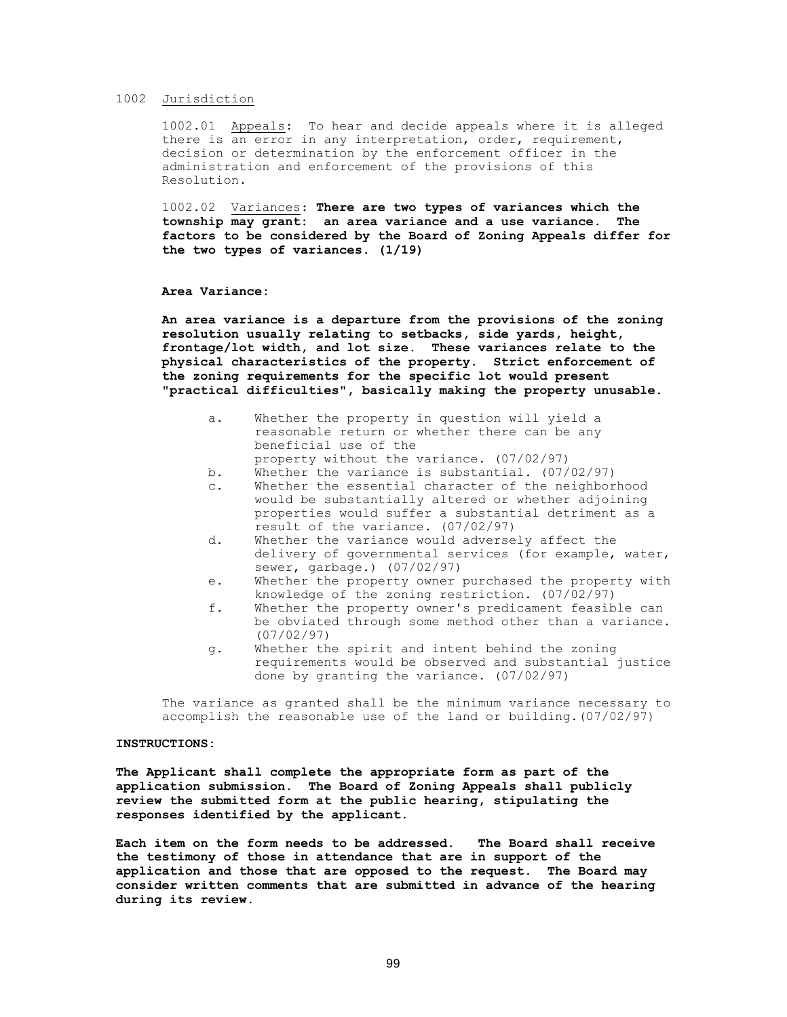## 1002 Jurisdiction

1002.01 Appeals: To hear and decide appeals where it is alleged there is an error in any interpretation, order, requirement, decision or determination by the enforcement officer in the administration and enforcement of the provisions of this Resolution.

1002.02 Variances: **There are two types of variances which the township may grant: an area variance and a use variance. The factors to be considered by the Board of Zoning Appeals differ for the two types of variances. (1/19)**

### **Area Variance:**

**An area variance is a departure from the provisions of the zoning resolution usually relating to setbacks, side yards, height, frontage/lot width, and lot size. These variances relate to the physical characteristics of the property. Strict enforcement of the zoning requirements for the specific lot would present "practical difficulties", basically making the property unusable.**

- a. Whether the property in question will yield a reasonable return or whether there can be any beneficial use of the property without the variance. (07/02/97)
- b. Whether the variance is substantial. (07/02/97)
- c. Whether the essential character of the neighborhood would be substantially altered or whether adjoining properties would suffer a substantial detriment as a result of the variance. (07/02/97)
- d. Whether the variance would adversely affect the delivery of governmental services (for example, water, sewer, garbage.) (07/02/97)
- e. Whether the property owner purchased the property with knowledge of the zoning restriction. (07/02/97)
- f. Whether the property owner's predicament feasible can be obviated through some method other than a variance. (07/02/97)
- g. Whether the spirit and intent behind the zoning requirements would be observed and substantial justice done by granting the variance. (07/02/97)

The variance as granted shall be the minimum variance necessary to accomplish the reasonable use of the land or building.(07/02/97)

#### **INSTRUCTIONS:**

**The Applicant shall complete the appropriate form as part of the application submission. The Board of Zoning Appeals shall publicly review the submitted form at the public hearing, stipulating the responses identified by the applicant.**

**Each item on the form needs to be addressed. The Board shall receive the testimony of those in attendance that are in support of the application and those that are opposed to the request. The Board may consider written comments that are submitted in advance of the hearing during its review.**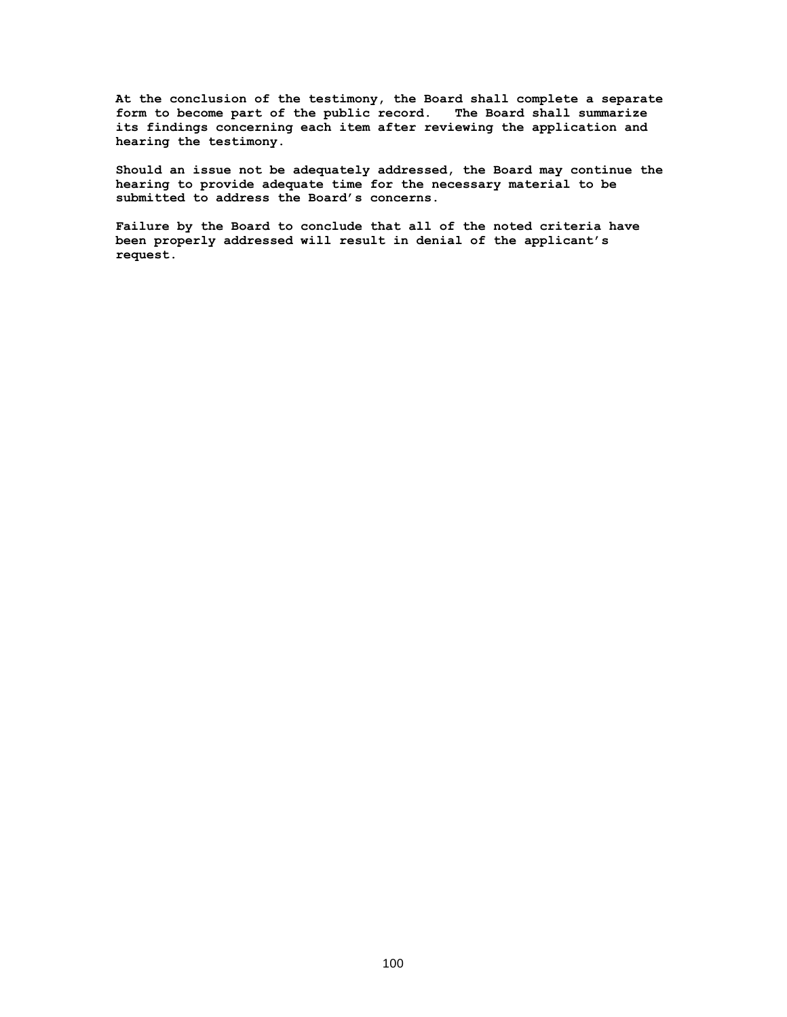**At the conclusion of the testimony, the Board shall complete a separate form to become part of the public record. The Board shall summarize its findings concerning each item after reviewing the application and hearing the testimony.**

**Should an issue not be adequately addressed, the Board may continue the hearing to provide adequate time for the necessary material to be submitted to address the Board's concerns.** 

**Failure by the Board to conclude that all of the noted criteria have been properly addressed will result in denial of the applicant's request**.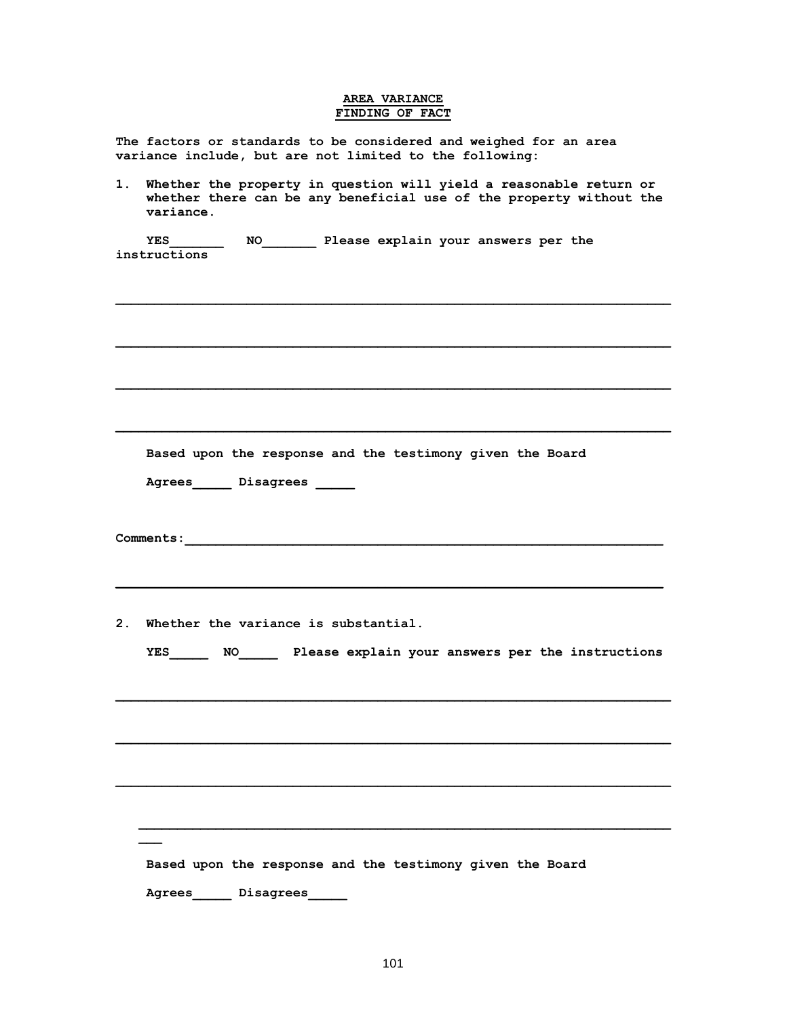# **AREA VARIANCE FINDING OF FACT**

**The factors or standards to be considered and weighed for an area variance include, but are not limited to the following:** 

**1. Whether the property in question will yield a reasonable return or whether there can be any beneficial use of the property without the variance.** 

 $\mathcal{L} = \{ \mathcal{L} \mathcal{L} \mathcal{L} \mathcal{L} \mathcal{L} \mathcal{L} \mathcal{L} \mathcal{L} \mathcal{L} \mathcal{L} \mathcal{L} \mathcal{L} \mathcal{L} \mathcal{L} \mathcal{L} \mathcal{L} \mathcal{L} \mathcal{L} \mathcal{L} \mathcal{L} \mathcal{L} \mathcal{L} \mathcal{L} \mathcal{L} \mathcal{L} \mathcal{L} \mathcal{L} \mathcal{L} \mathcal{L} \mathcal{L} \mathcal{L} \mathcal{L} \mathcal{L} \mathcal{L} \mathcal{L} \$ 

 $\mathcal{L} = \{ \mathcal{L} \mathcal{L} \mathcal{L} \mathcal{L} \mathcal{L} \mathcal{L} \mathcal{L} \mathcal{L} \mathcal{L} \mathcal{L} \mathcal{L} \mathcal{L} \mathcal{L} \mathcal{L} \mathcal{L} \mathcal{L} \mathcal{L} \mathcal{L} \mathcal{L} \mathcal{L} \mathcal{L} \mathcal{L} \mathcal{L} \mathcal{L} \mathcal{L} \mathcal{L} \mathcal{L} \mathcal{L} \mathcal{L} \mathcal{L} \mathcal{L} \mathcal{L} \mathcal{L} \mathcal{L} \mathcal{L} \$ 

 $\mathcal{L} = \{ \mathcal{L} \mathcal{L} \mathcal{L} \mathcal{L} \mathcal{L} \mathcal{L} \mathcal{L} \mathcal{L} \mathcal{L} \mathcal{L} \mathcal{L} \mathcal{L} \mathcal{L} \mathcal{L} \mathcal{L} \mathcal{L} \mathcal{L} \mathcal{L} \mathcal{L} \mathcal{L} \mathcal{L} \mathcal{L} \mathcal{L} \mathcal{L} \mathcal{L} \mathcal{L} \mathcal{L} \mathcal{L} \mathcal{L} \mathcal{L} \mathcal{L} \mathcal{L} \mathcal{L} \mathcal{L} \mathcal{L} \$ 

 **YES\_\_\_\_\_\_\_ NO\_\_\_\_\_\_\_ Please explain your answers per the instructions** 

 **Based upon the response and the testimony given the Board** 

 **Agrees\_\_\_\_\_ Disagrees \_\_\_\_\_**

**Comments:** 

**2. Whether the variance is substantial.** 

**\_\_\_**

| YES<br>NO. |  |  |  |  |  |  | Please explain your answers per the instructions |
|------------|--|--|--|--|--|--|--------------------------------------------------|
|------------|--|--|--|--|--|--|--------------------------------------------------|

 $\mathcal{L} = \{ \mathcal{L} \mathcal{L} \mathcal{L} \mathcal{L} \mathcal{L} \mathcal{L} \mathcal{L} \mathcal{L} \mathcal{L} \mathcal{L} \mathcal{L} \mathcal{L} \mathcal{L} \mathcal{L} \mathcal{L} \mathcal{L} \mathcal{L} \mathcal{L} \mathcal{L} \mathcal{L} \mathcal{L} \mathcal{L} \mathcal{L} \mathcal{L} \mathcal{L} \mathcal{L} \mathcal{L} \mathcal{L} \mathcal{L} \mathcal{L} \mathcal{L} \mathcal{L} \mathcal{L} \mathcal{L} \mathcal{L} \$ 

 $\mathcal{L} = \{ \mathcal{L} \mathcal{L} \mathcal{L} \mathcal{L} \mathcal{L} \mathcal{L} \mathcal{L} \mathcal{L} \mathcal{L} \mathcal{L} \mathcal{L} \mathcal{L} \mathcal{L} \mathcal{L} \mathcal{L} \mathcal{L} \mathcal{L} \mathcal{L} \mathcal{L} \mathcal{L} \mathcal{L} \mathcal{L} \mathcal{L} \mathcal{L} \mathcal{L} \mathcal{L} \mathcal{L} \mathcal{L} \mathcal{L} \mathcal{L} \mathcal{L} \mathcal{L} \mathcal{L} \mathcal{L} \mathcal{L} \$ 

 $\mathcal{L} = \{ \mathcal{L} \mathcal{L} \mathcal{L} \mathcal{L} \mathcal{L} \mathcal{L} \mathcal{L} \mathcal{L} \mathcal{L} \mathcal{L} \mathcal{L} \mathcal{L} \mathcal{L} \mathcal{L} \mathcal{L} \mathcal{L} \mathcal{L} \mathcal{L} \mathcal{L} \mathcal{L} \mathcal{L} \mathcal{L} \mathcal{L} \mathcal{L} \mathcal{L} \mathcal{L} \mathcal{L} \mathcal{L} \mathcal{L} \mathcal{L} \mathcal{L} \mathcal{L} \mathcal{L} \mathcal{L} \mathcal{L} \$ 

 $\mathcal{L} = \{ \mathcal{L} \mathcal{L} \mathcal{L} \mathcal{L} \mathcal{L} \mathcal{L} \mathcal{L} \mathcal{L} \mathcal{L} \mathcal{L} \mathcal{L} \mathcal{L} \mathcal{L} \mathcal{L} \mathcal{L} \mathcal{L} \mathcal{L} \mathcal{L} \mathcal{L} \mathcal{L} \mathcal{L} \mathcal{L} \mathcal{L} \mathcal{L} \mathcal{L} \mathcal{L} \mathcal{L} \mathcal{L} \mathcal{L} \mathcal{L} \mathcal{L} \mathcal{L} \mathcal{L} \mathcal{L} \mathcal{L} \$ 

|        | Based upon the response and the testimony given the Board |  |  |  |
|--------|-----------------------------------------------------------|--|--|--|
| Agrees | Disagrees                                                 |  |  |  |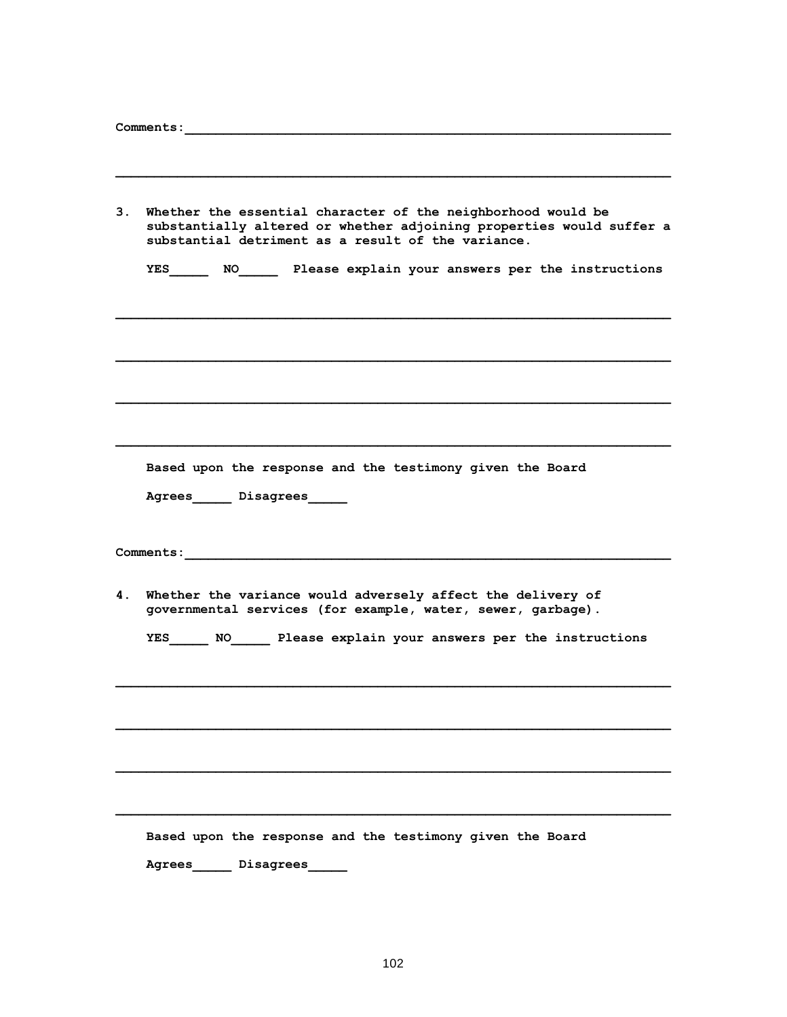| 3. | Whether the essential character of the neighborhood would be<br>substantially altered or whether adjoining properties would suffer a<br>substantial detriment as a result of the variance. |
|----|--------------------------------------------------------------------------------------------------------------------------------------------------------------------------------------------|
|    | YES NO Please explain your answers per the instructions                                                                                                                                    |
|    |                                                                                                                                                                                            |
|    |                                                                                                                                                                                            |
|    |                                                                                                                                                                                            |
|    | Based upon the response and the testimony given the Board                                                                                                                                  |
|    | Agrees_______ Disagrees______                                                                                                                                                              |
|    | Comments:<br>the control of the control of the control of the control of the control of                                                                                                    |
| 4. | Whether the variance would adversely affect the delivery of<br>governmental services (for example, water, sewer, garbage).                                                                 |
|    | YES NO Please explain your answers per the instructions                                                                                                                                    |
|    |                                                                                                                                                                                            |
|    |                                                                                                                                                                                            |
|    |                                                                                                                                                                                            |
|    | Based upon the response and the testimony given the Board                                                                                                                                  |
|    | Agrees<br>Disagrees                                                                                                                                                                        |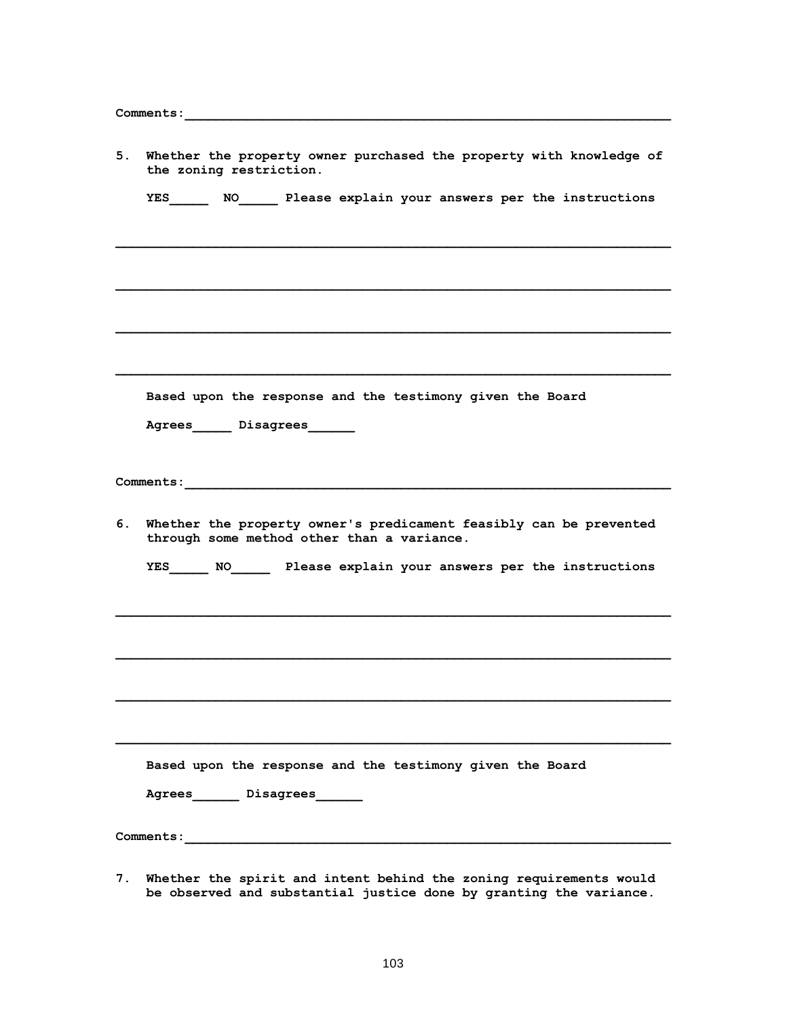| 5. | Whether the property owner purchased the property with knowledge of<br>the zoning restriction.                      |
|----|---------------------------------------------------------------------------------------------------------------------|
|    | YES _______ NO _______ Please explain your answers per the instructions                                             |
|    |                                                                                                                     |
|    |                                                                                                                     |
|    |                                                                                                                     |
|    | Based upon the response and the testimony given the Board                                                           |
|    | Agrees______ Disagrees_______                                                                                       |
|    |                                                                                                                     |
|    | 6. Whether the property owner's predicament feasibly can be prevented<br>through some method other than a variance. |
|    | YES NO Please explain your answers per the instructions                                                             |
|    |                                                                                                                     |
|    |                                                                                                                     |
|    |                                                                                                                     |
|    | Based upon the response and the testimony given the Board                                                           |
|    | Agrees_______ Disagrees_______                                                                                      |
|    |                                                                                                                     |

**7. Whether the spirit and intent behind the zoning requirements would be observed and substantial justice done by granting the variance.**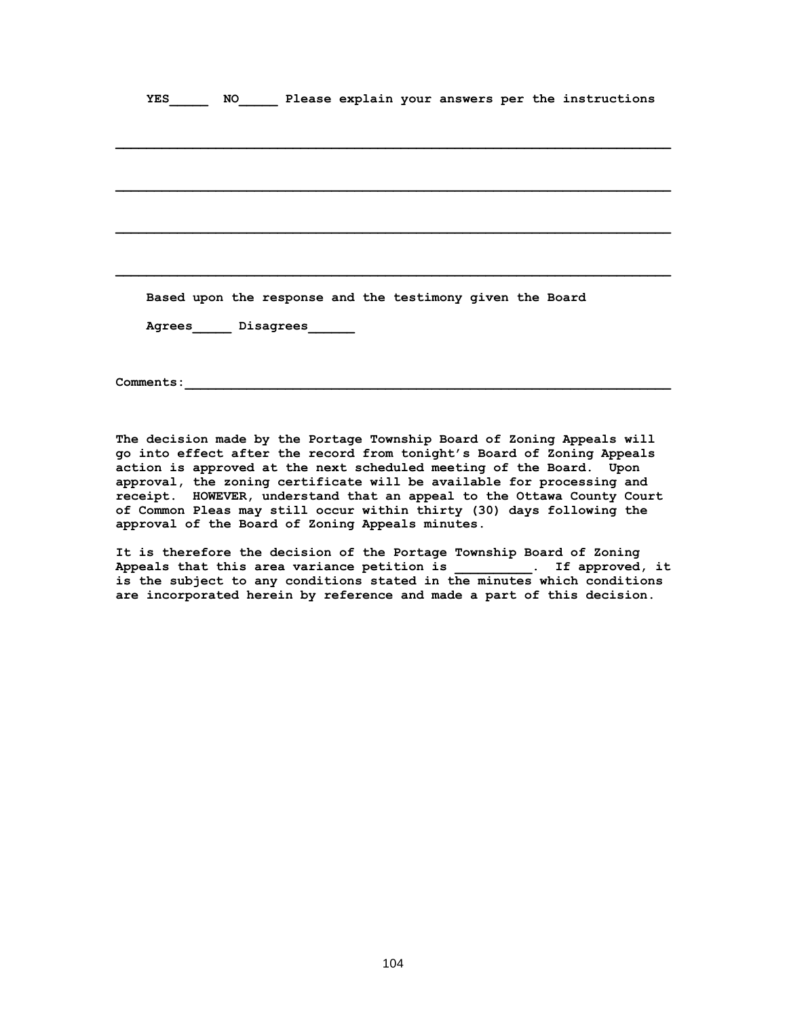|  |                                                                                                                |  |  |  | YES NO Please explain your answers per the instructions |  |
|--|----------------------------------------------------------------------------------------------------------------|--|--|--|---------------------------------------------------------|--|
|  |                                                                                                                |  |  |  |                                                         |  |
|  |                                                                                                                |  |  |  |                                                         |  |
|  |                                                                                                                |  |  |  |                                                         |  |
|  |                                                                                                                |  |  |  |                                                         |  |
|  |                                                                                                                |  |  |  |                                                         |  |
|  |                                                                                                                |  |  |  |                                                         |  |
|  |                                                                                                                |  |  |  |                                                         |  |
|  |                                                                                                                |  |  |  |                                                         |  |
|  | Based upon the response and the testimony given the Board                                                      |  |  |  |                                                         |  |
|  |                                                                                                                |  |  |  |                                                         |  |
|  | Agrees______ Disagrees_______                                                                                  |  |  |  |                                                         |  |
|  |                                                                                                                |  |  |  |                                                         |  |
|  |                                                                                                                |  |  |  |                                                         |  |
|  | Comments: 2008. 2009. 2009. 2009. 2012. 2013. 2014. 2015. 2016. 2016. 2016. 2016. 2016. 2016. 2016. 2016. 2016 |  |  |  |                                                         |  |

**The decision made by the Portage Township Board of Zoning Appeals will go into effect after the record from tonight's Board of Zoning Appeals action is approved at the next scheduled meeting of the Board. Upon approval, the zoning certificate will be available for processing and receipt. HOWEVER, understand that an appeal to the Ottawa County Court of Common Pleas may still occur within thirty (30) days following the approval of the Board of Zoning Appeals minutes.** 

**It is therefore the decision of the Portage Township Board of Zoning Appeals that this area variance petition is \_\_\_\_\_\_\_\_\_\_. If approved, it is the subject to any conditions stated in the minutes which conditions are incorporated herein by reference and made a part of this decision.**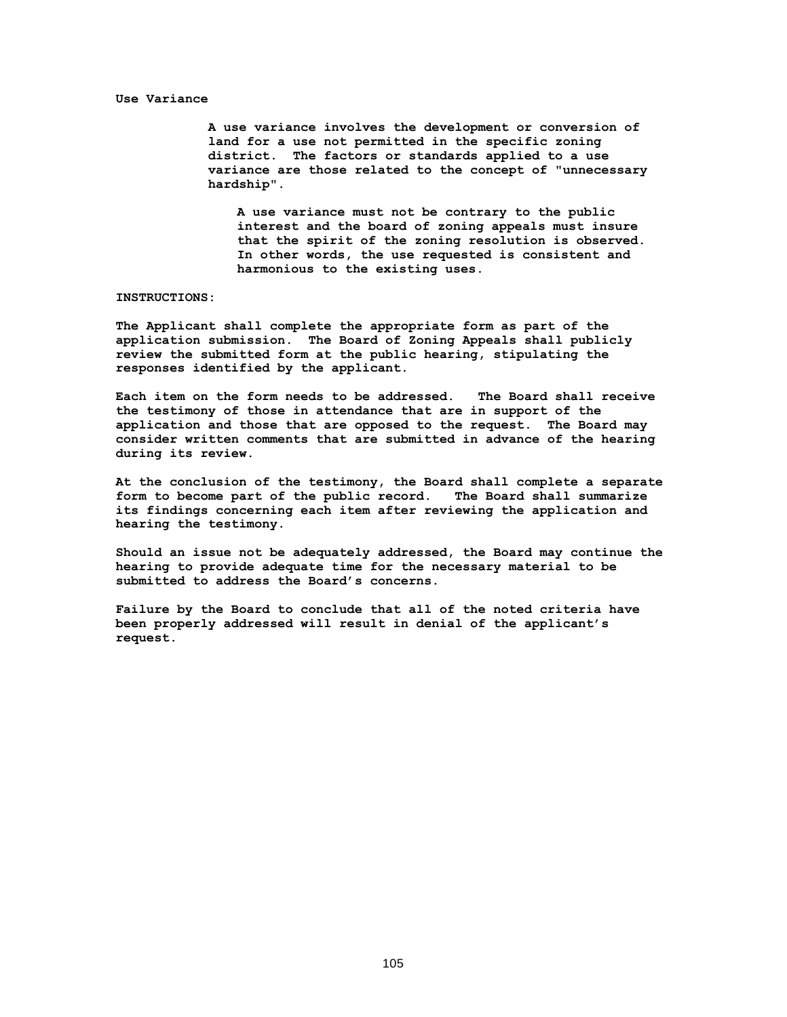#### **Use Variance**

**A use variance involves the development or conversion of land for a use not permitted in the specific zoning district. The factors or standards applied to a use variance are those related to the concept of "unnecessary hardship".**

**A use variance must not be contrary to the public interest and the board of zoning appeals must insure that the spirit of the zoning resolution is observed. In other words, the use requested is consistent and harmonious to the existing uses.** 

### **INSTRUCTIONS:**

**The Applicant shall complete the appropriate form as part of the application submission. The Board of Zoning Appeals shall publicly review the submitted form at the public hearing, stipulating the responses identified by the applicant.**

**Each item on the form needs to be addressed. The Board shall receive the testimony of those in attendance that are in support of the application and those that are opposed to the request. The Board may consider written comments that are submitted in advance of the hearing during its review.**

**At the conclusion of the testimony, the Board shall complete a separate form to become part of the public record. The Board shall summarize its findings concerning each item after reviewing the application and hearing the testimony.**

**Should an issue not be adequately addressed, the Board may continue the hearing to provide adequate time for the necessary material to be submitted to address the Board's concerns.** 

**Failure by the Board to conclude that all of the noted criteria have been properly addressed will result in denial of the applicant's request.**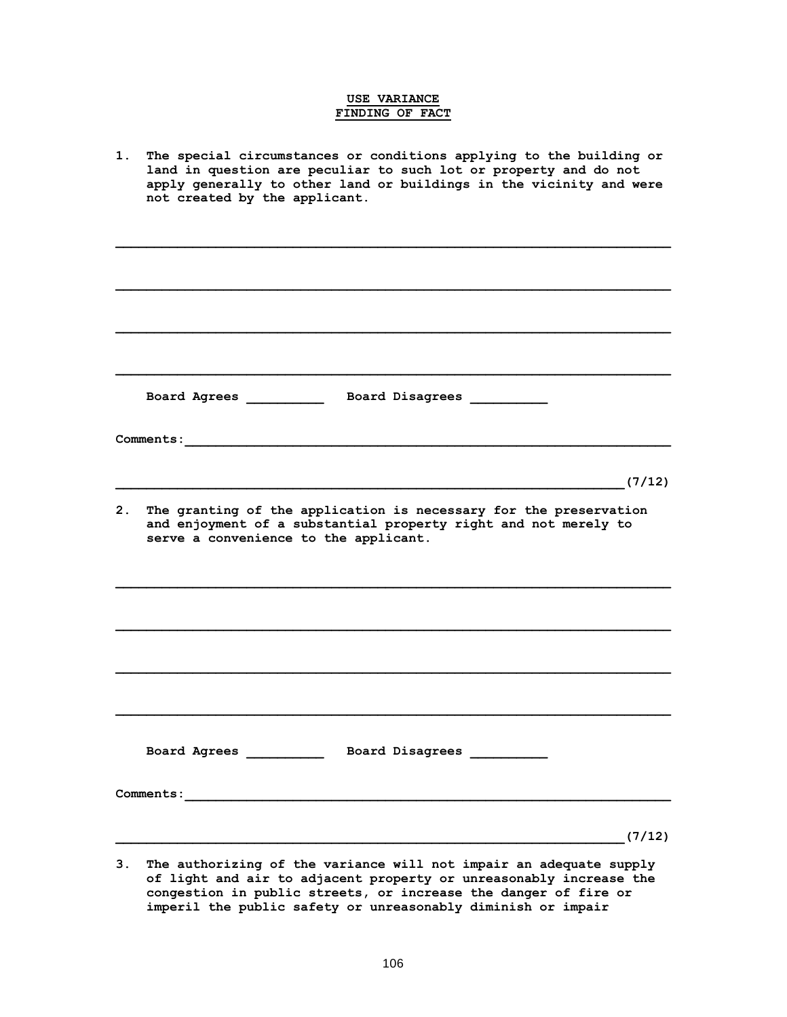# **USE VARIANCE FINDING OF FACT**

- **1. The special circumstances or conditions applying to the building or land in question are peculiar to such lot or property and do not apply generally to other land or buildings in the vicinity and were not created by the applicant.**   $\mathcal{L} = \{ \mathcal{L} \mathcal{L} \mathcal{L} \mathcal{L} \mathcal{L} \mathcal{L} \mathcal{L} \mathcal{L} \mathcal{L} \mathcal{L} \mathcal{L} \mathcal{L} \mathcal{L} \mathcal{L} \mathcal{L} \mathcal{L} \mathcal{L} \mathcal{L} \mathcal{L} \mathcal{L} \mathcal{L} \mathcal{L} \mathcal{L} \mathcal{L} \mathcal{L} \mathcal{L} \mathcal{L} \mathcal{L} \mathcal{L} \mathcal{L} \mathcal{L} \mathcal{L} \mathcal{L} \mathcal{L} \mathcal{L} \$  $\mathcal{L} = \{ \mathcal{L} \mathcal{L} \mathcal{L} \mathcal{L} \mathcal{L} \mathcal{L} \mathcal{L} \mathcal{L} \mathcal{L} \mathcal{L} \mathcal{L} \mathcal{L} \mathcal{L} \mathcal{L} \mathcal{L} \mathcal{L} \mathcal{L} \mathcal{L} \mathcal{L} \mathcal{L} \mathcal{L} \mathcal{L} \mathcal{L} \mathcal{L} \mathcal{L} \mathcal{L} \mathcal{L} \mathcal{L} \mathcal{L} \mathcal{L} \mathcal{L} \mathcal{L} \mathcal{L} \mathcal{L} \mathcal{L} \$  $\mathcal{L} = \{ \mathcal{L} \mathcal{L} \mathcal{L} \mathcal{L} \mathcal{L} \mathcal{L} \mathcal{L} \mathcal{L} \mathcal{L} \mathcal{L} \mathcal{L} \mathcal{L} \mathcal{L} \mathcal{L} \mathcal{L} \mathcal{L} \mathcal{L} \mathcal{L} \mathcal{L} \mathcal{L} \mathcal{L} \mathcal{L} \mathcal{L} \mathcal{L} \mathcal{L} \mathcal{L} \mathcal{L} \mathcal{L} \mathcal{L} \mathcal{L} \mathcal{L} \mathcal{L} \mathcal{L} \mathcal{L} \mathcal{L} \$  $\mathcal{L} = \{ \mathcal{L} \mathcal{L} \mathcal{L} \mathcal{L} \mathcal{L} \mathcal{L} \mathcal{L} \mathcal{L} \mathcal{L} \mathcal{L} \mathcal{L} \mathcal{L} \mathcal{L} \mathcal{L} \mathcal{L} \mathcal{L} \mathcal{L} \mathcal{L} \mathcal{L} \mathcal{L} \mathcal{L} \mathcal{L} \mathcal{L} \mathcal{L} \mathcal{L} \mathcal{L} \mathcal{L} \mathcal{L} \mathcal{L} \mathcal{L} \mathcal{L} \mathcal{L} \mathcal{L} \mathcal{L} \mathcal{L} \$  **Board Agrees \_\_\_\_\_\_\_\_\_\_ Board Disagrees \_\_\_\_\_\_\_\_\_\_ Comments:**  $(7/12)$ **2. The granting of the application is necessary for the preservation and enjoyment of a substantial property right and not merely to serve a convenience to the applicant.**   $\mathcal{L} = \{ \mathcal{L} \mathcal{L} \mathcal{L} \mathcal{L} \mathcal{L} \mathcal{L} \mathcal{L} \mathcal{L} \mathcal{L} \mathcal{L} \mathcal{L} \mathcal{L} \mathcal{L} \mathcal{L} \mathcal{L} \mathcal{L} \mathcal{L} \mathcal{L} \mathcal{L} \mathcal{L} \mathcal{L} \mathcal{L} \mathcal{L} \mathcal{L} \mathcal{L} \mathcal{L} \mathcal{L} \mathcal{L} \mathcal{L} \mathcal{L} \mathcal{L} \mathcal{L} \mathcal{L} \mathcal{L} \mathcal{L} \$  $\mathcal{L} = \{ \mathcal{L} \mathcal{L} \mathcal{L} \mathcal{L} \mathcal{L} \mathcal{L} \mathcal{L} \mathcal{L} \mathcal{L} \mathcal{L} \mathcal{L} \mathcal{L} \mathcal{L} \mathcal{L} \mathcal{L} \mathcal{L} \mathcal{L} \mathcal{L} \mathcal{L} \mathcal{L} \mathcal{L} \mathcal{L} \mathcal{L} \mathcal{L} \mathcal{L} \mathcal{L} \mathcal{L} \mathcal{L} \mathcal{L} \mathcal{L} \mathcal{L} \mathcal{L} \mathcal{L} \mathcal{L} \mathcal{L} \$  **Board Agrees \_\_\_\_\_\_\_\_\_\_ Board Disagrees \_\_\_\_\_\_\_\_\_\_ Comments:\_\_\_\_\_\_\_\_\_\_\_\_\_\_\_\_\_\_\_\_\_\_\_\_\_\_\_\_\_\_\_\_\_\_\_\_\_\_\_\_\_\_\_\_\_\_\_\_\_\_\_\_\_\_\_\_\_\_\_\_\_\_\_**  $(7/12)$
- **3. The authorizing of the variance will not impair an adequate supply of light and air to adjacent property or unreasonably increase the congestion in public streets, or increase the danger of fire or imperil the public safety or unreasonably diminish or impair**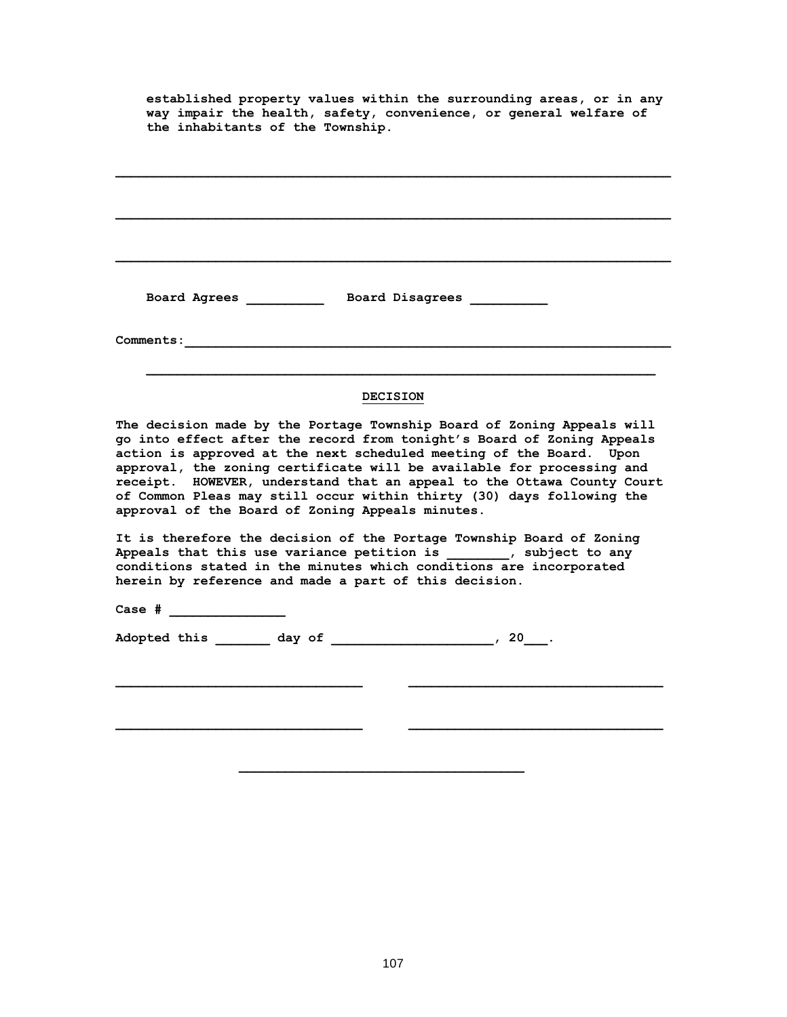**established property values within the surrounding areas, or in any way impair the health, safety, convenience, or general welfare of the inhabitants of the Township.** 

 $\mathcal{L} = \{ \mathcal{L} \mathcal{L} \mathcal{L} \mathcal{L} \mathcal{L} \mathcal{L} \mathcal{L} \mathcal{L} \mathcal{L} \mathcal{L} \mathcal{L} \mathcal{L} \mathcal{L} \mathcal{L} \mathcal{L} \mathcal{L} \mathcal{L} \mathcal{L} \mathcal{L} \mathcal{L} \mathcal{L} \mathcal{L} \mathcal{L} \mathcal{L} \mathcal{L} \mathcal{L} \mathcal{L} \mathcal{L} \mathcal{L} \mathcal{L} \mathcal{L} \mathcal{L} \mathcal{L} \mathcal{L} \mathcal{L} \$ 

 **Board Agrees \_\_\_\_\_\_\_\_\_\_ Board Disagrees \_\_\_\_\_\_\_\_\_\_**

| <b>Comments:</b>                                                                                                                                                                                                                                                                                                                                                                                                                                                                                        |
|---------------------------------------------------------------------------------------------------------------------------------------------------------------------------------------------------------------------------------------------------------------------------------------------------------------------------------------------------------------------------------------------------------------------------------------------------------------------------------------------------------|
| <b>DECISION</b>                                                                                                                                                                                                                                                                                                                                                                                                                                                                                         |
| The decision made by the Portage Township Board of Zoning Appeals will<br>go into effect after the record from tonight's Board of Zoning Appeals<br>action is approved at the next scheduled meeting of the Board. Upon<br>approval, the zoning certificate will be available for processing and<br>receipt. HOWEVER, understand that an appeal to the Ottawa County Court<br>of Common Pleas may still occur within thirty (30) days following the<br>approval of the Board of Zoning Appeals minutes. |
| It is therefore the decision of the Portage Township Board of Zoning<br>Appeals that this use variance petition is _________, subject to any<br>conditions stated in the minutes which conditions are incorporated<br>herein by reference and made a part of this decision.                                                                                                                                                                                                                             |
| Case # _______________                                                                                                                                                                                                                                                                                                                                                                                                                                                                                  |
| Adopted this day of the control of the control of the control of the control of the control of the control of the control of the control of the control of the control of the control of the control of the control of the con                                                                                                                                                                                                                                                                          |

 $\mathcal{L} = \{ \mathcal{L} \mathcal{L} \mathcal{L} \mathcal{L} \mathcal{L} \mathcal{L} \mathcal{L} \mathcal{L} \mathcal{L} \mathcal{L} \mathcal{L} \mathcal{L} \mathcal{L} \mathcal{L} \mathcal{L} \mathcal{L} \mathcal{L} \mathcal{L} \mathcal{L} \mathcal{L} \mathcal{L} \mathcal{L} \mathcal{L} \mathcal{L} \mathcal{L} \mathcal{L} \mathcal{L} \mathcal{L} \mathcal{L} \mathcal{L} \mathcal{L} \mathcal{L} \mathcal{L} \mathcal{L} \mathcal{L} \$ 

 $\mathcal{L} = \{ \mathcal{L} \mathcal{L} \mathcal{L} \mathcal{L} \mathcal{L} \mathcal{L} \mathcal{L} \mathcal{L} \mathcal{L} \mathcal{L} \mathcal{L} \mathcal{L} \mathcal{L} \mathcal{L} \mathcal{L} \mathcal{L} \mathcal{L} \mathcal{L} \mathcal{L} \mathcal{L} \mathcal{L} \mathcal{L} \mathcal{L} \mathcal{L} \mathcal{L} \mathcal{L} \mathcal{L} \mathcal{L} \mathcal{L} \mathcal{L} \mathcal{L} \mathcal{L} \mathcal{L} \mathcal{L} \mathcal{L} \$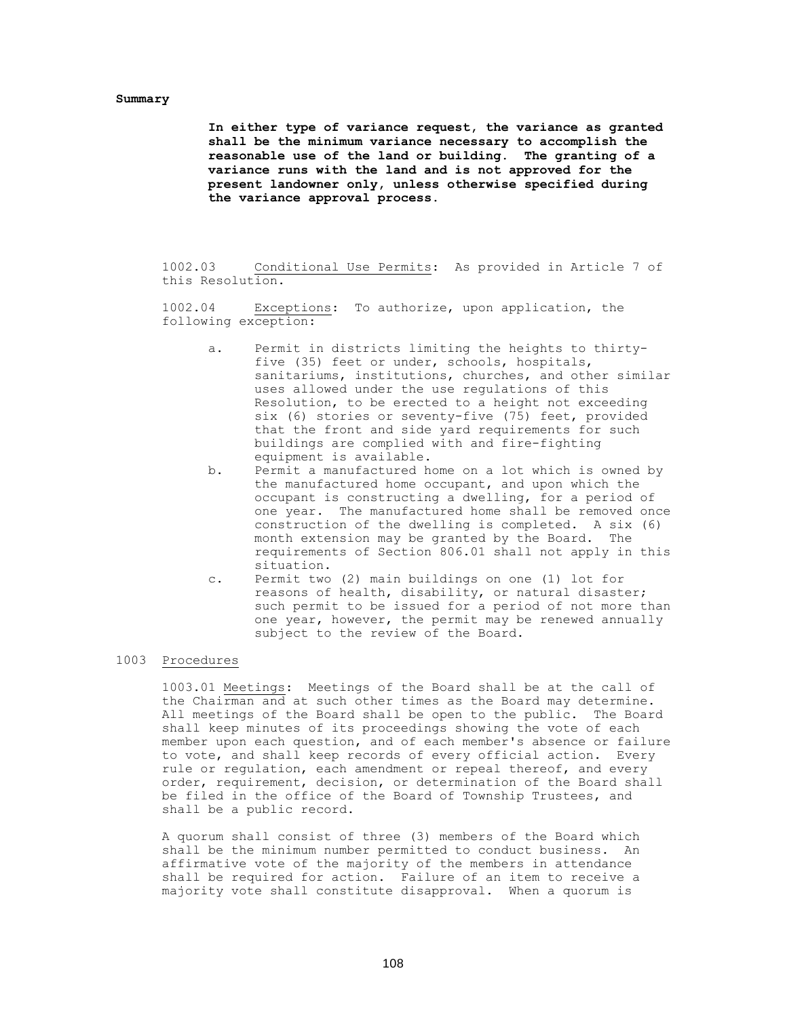## **Summary**

**In either type of variance request, the variance as granted shall be the minimum variance necessary to accomplish the reasonable use of the land or building. The granting of a variance runs with the land and is not approved for the present landowner only, unless otherwise specified during the variance approval process.**

1002.03 Conditional Use Permits: As provided in Article 7 of this Resolution.

1002.04 Exceptions: To authorize, upon application, the following exception:

- a. Permit in districts limiting the heights to thirtyfive (35) feet or under, schools, hospitals, sanitariums, institutions, churches, and other similar uses allowed under the use regulations of this Resolution, to be erected to a height not exceeding six (6) stories or seventy-five (75) feet, provided that the front and side yard requirements for such buildings are complied with and fire-fighting equipment is available.
- b. Permit a manufactured home on a lot which is owned by the manufactured home occupant, and upon which the occupant is constructing a dwelling, for a period of one year. The manufactured home shall be removed once construction of the dwelling is completed. A six (6) month extension may be granted by the Board. The requirements of Section 806.01 shall not apply in this situation.
- c. Permit two (2) main buildings on one (1) lot for reasons of health, disability, or natural disaster; such permit to be issued for a period of not more than one year, however, the permit may be renewed annually subject to the review of the Board.

#### 1003 Procedures

1003.01 Meetings: Meetings of the Board shall be at the call of the Chairman and at such other times as the Board may determine. All meetings of the Board shall be open to the public. The Board shall keep minutes of its proceedings showing the vote of each member upon each question, and of each member's absence or failure to vote, and shall keep records of every official action. Every rule or regulation, each amendment or repeal thereof, and every order, requirement, decision, or determination of the Board shall be filed in the office of the Board of Township Trustees, and shall be a public record.

A quorum shall consist of three (3) members of the Board which shall be the minimum number permitted to conduct business. An affirmative vote of the majority of the members in attendance shall be required for action. Failure of an item to receive a majority vote shall constitute disapproval. When a quorum is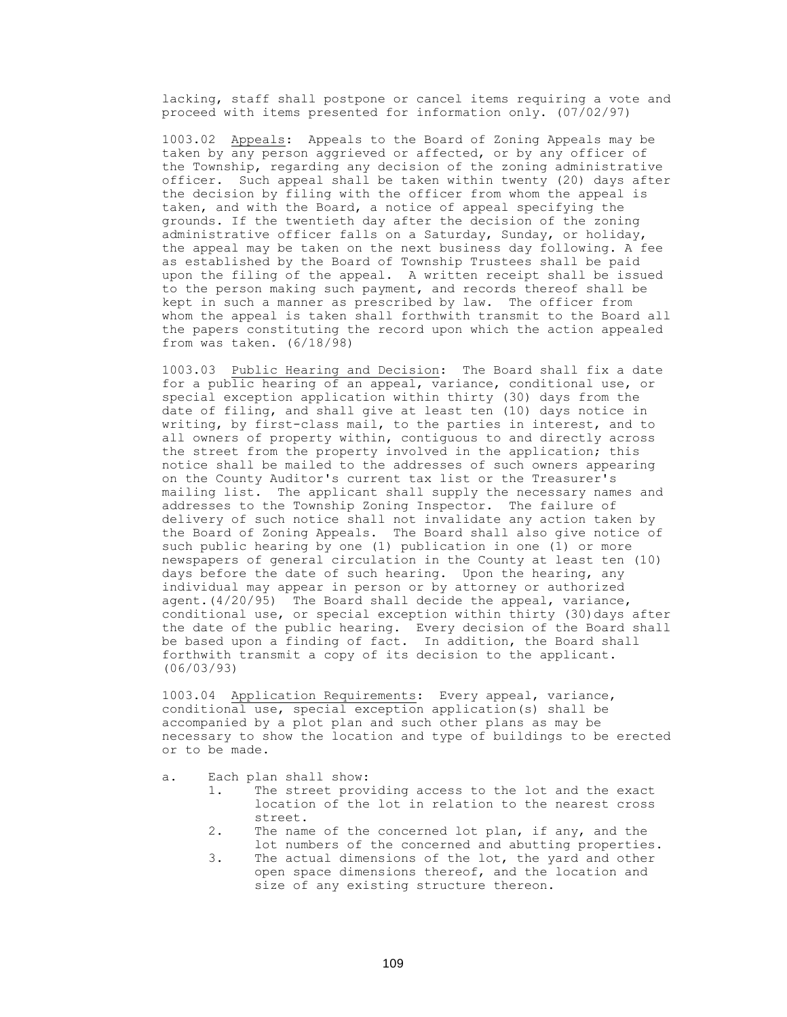lacking, staff shall postpone or cancel items requiring a vote and proceed with items presented for information only. (07/02/97)

1003.02 Appeals: Appeals to the Board of Zoning Appeals may be taken by any person aggrieved or affected, or by any officer of the Township, regarding any decision of the zoning administrative officer. Such appeal shall be taken within twenty (20) days after the decision by filing with the officer from whom the appeal is taken, and with the Board, a notice of appeal specifying the grounds. If the twentieth day after the decision of the zoning administrative officer falls on a Saturday, Sunday, or holiday, the appeal may be taken on the next business day following. A fee as established by the Board of Township Trustees shall be paid upon the filing of the appeal. A written receipt shall be issued to the person making such payment, and records thereof shall be kept in such a manner as prescribed by law. The officer from whom the appeal is taken shall forthwith transmit to the Board all the papers constituting the record upon which the action appealed from was taken. (6/18/98)

1003.03 Public Hearing and Decision: The Board shall fix a date for a public hearing of an appeal, variance, conditional use, or special exception application within thirty (30) days from the date of filing, and shall give at least ten (10) days notice in writing, by first-class mail, to the parties in interest, and to all owners of property within, contiguous to and directly across the street from the property involved in the application; this notice shall be mailed to the addresses of such owners appearing on the County Auditor's current tax list or the Treasurer's mailing list. The applicant shall supply the necessary names and addresses to the Township Zoning Inspector. The failure of delivery of such notice shall not invalidate any action taken by the Board of Zoning Appeals. The Board shall also give notice of such public hearing by one (1) publication in one (1) or more newspapers of general circulation in the County at least ten (10) days before the date of such hearing. Upon the hearing, any individual may appear in person or by attorney or authorized agent.(4/20/95) The Board shall decide the appeal, variance, conditional use, or special exception within thirty (30)days after the date of the public hearing. Every decision of the Board shall be based upon a finding of fact. In addition, the Board shall forthwith transmit a copy of its decision to the applicant. (06/03/93)

1003.04 Application Requirements: Every appeal, variance, conditional use, special exception application(s) shall be accompanied by a plot plan and such other plans as may be necessary to show the location and type of buildings to be erected or to be made.

- a. Each plan shall show:
	- 1. The street providing access to the lot and the exact location of the lot in relation to the nearest cross street.
	- 2. The name of the concerned lot plan, if any, and the lot numbers of the concerned and abutting properties.
	- 3. The actual dimensions of the lot, the yard and other open space dimensions thereof, and the location and size of any existing structure thereon.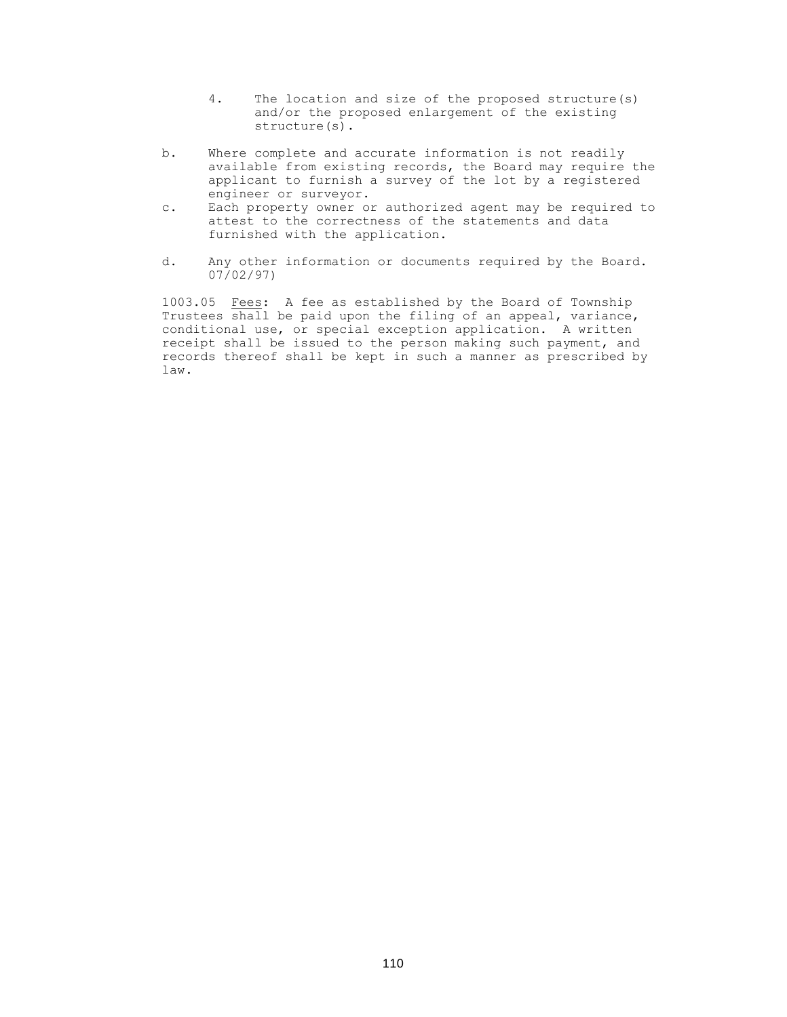- 4. The location and size of the proposed structure(s) and/or the proposed enlargement of the existing structure(s).
- b. Where complete and accurate information is not readily available from existing records, the Board may require the applicant to furnish a survey of the lot by a registered engineer or surveyor.
- c. Each property owner or authorized agent may be required to attest to the correctness of the statements and data furnished with the application.
- d. Any other information or documents required by the Board. 07/02/97)

1003.05 Fees: A fee as established by the Board of Township Trustees shall be paid upon the filing of an appeal, variance, conditional use, or special exception application. A written receipt shall be issued to the person making such payment, and records thereof shall be kept in such a manner as prescribed by law.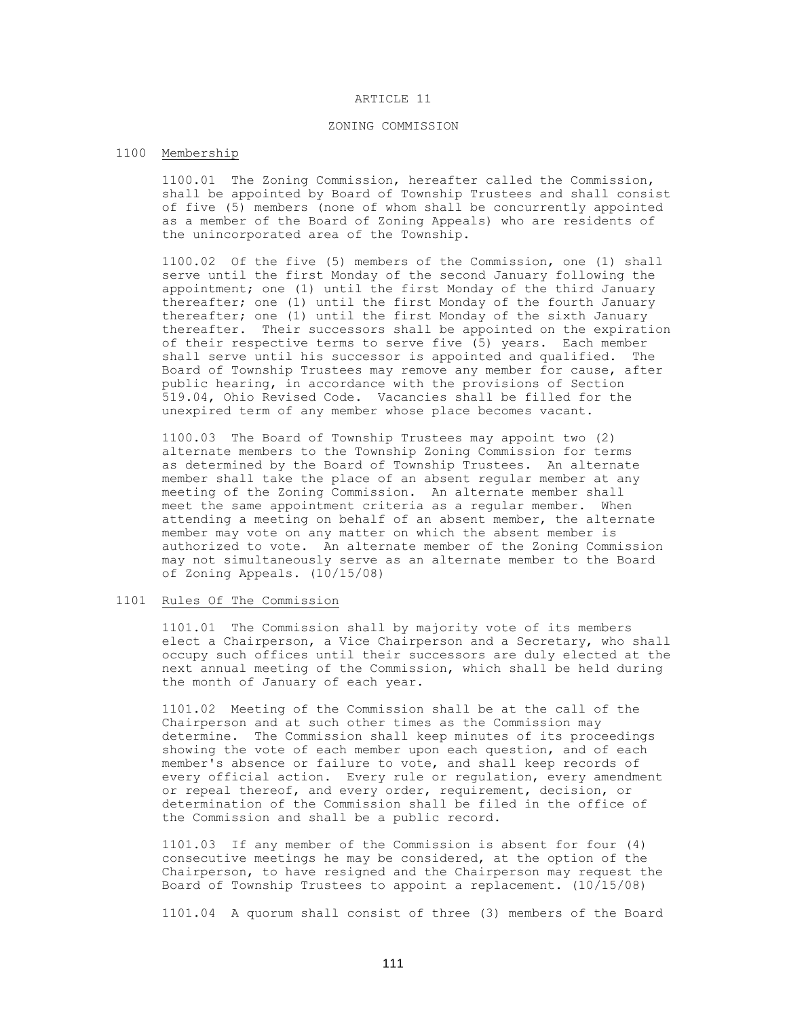#### ARTICLE 11

### ZONING COMMISSION

# 1100 Membership

1100.01 The Zoning Commission, hereafter called the Commission, shall be appointed by Board of Township Trustees and shall consist of five (5) members (none of whom shall be concurrently appointed as a member of the Board of Zoning Appeals) who are residents of the unincorporated area of the Township.

1100.02 Of the five (5) members of the Commission, one (1) shall serve until the first Monday of the second January following the appointment; one (1) until the first Monday of the third January thereafter; one (1) until the first Monday of the fourth January thereafter; one (1) until the first Monday of the sixth January thereafter. Their successors shall be appointed on the expiration of their respective terms to serve five (5) years. Each member shall serve until his successor is appointed and qualified. The Board of Township Trustees may remove any member for cause, after public hearing, in accordance with the provisions of Section 519.04, Ohio Revised Code. Vacancies shall be filled for the unexpired term of any member whose place becomes vacant.

1100.03 The Board of Township Trustees may appoint two (2) alternate members to the Township Zoning Commission for terms as determined by the Board of Township Trustees. An alternate member shall take the place of an absent regular member at any meeting of the Zoning Commission. An alternate member shall meet the same appointment criteria as a regular member. When attending a meeting on behalf of an absent member, the alternate member may vote on any matter on which the absent member is authorized to vote. An alternate member of the Zoning Commission may not simultaneously serve as an alternate member to the Board of Zoning Appeals. (10/15/08)

### 1101 Rules Of The Commission

1101.01 The Commission shall by majority vote of its members elect a Chairperson, a Vice Chairperson and a Secretary, who shall occupy such offices until their successors are duly elected at the next annual meeting of the Commission, which shall be held during the month of January of each year.

1101.02 Meeting of the Commission shall be at the call of the Chairperson and at such other times as the Commission may determine. The Commission shall keep minutes of its proceedings showing the vote of each member upon each question, and of each member's absence or failure to vote, and shall keep records of every official action. Every rule or regulation, every amendment or repeal thereof, and every order, requirement, decision, or determination of the Commission shall be filed in the office of the Commission and shall be a public record.

1101.03 If any member of the Commission is absent for four (4) consecutive meetings he may be considered, at the option of the Chairperson, to have resigned and the Chairperson may request the Board of Township Trustees to appoint a replacement. (10/15/08)

1101.04 A quorum shall consist of three (3) members of the Board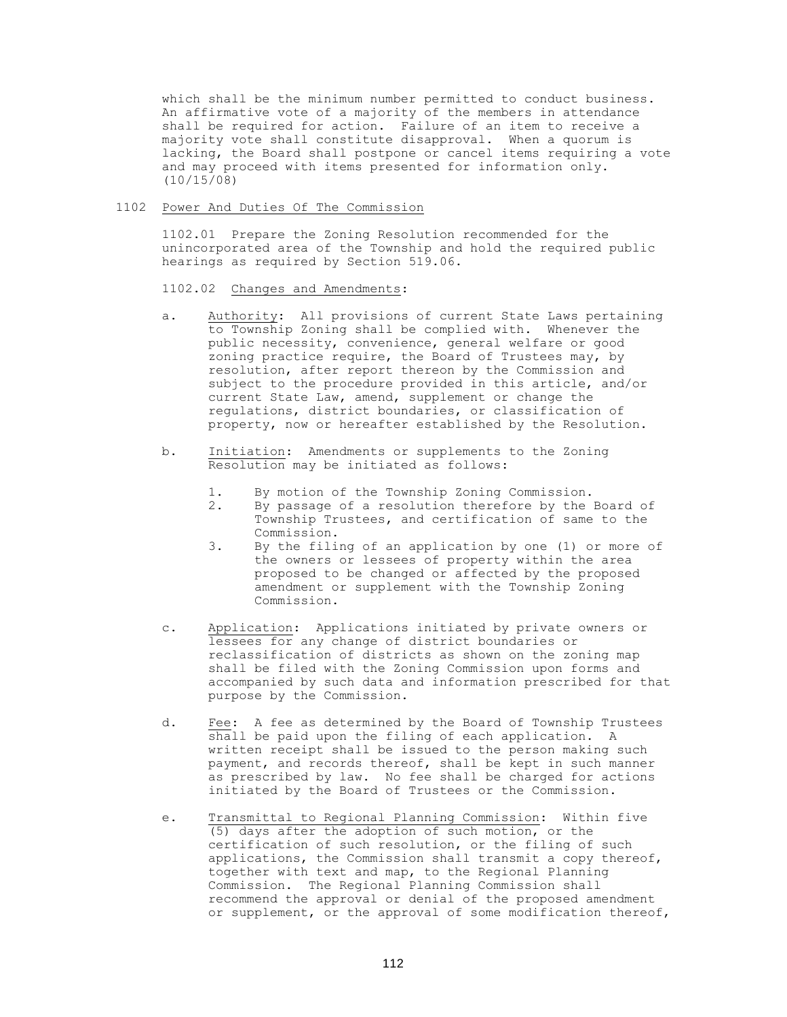which shall be the minimum number permitted to conduct business. An affirmative vote of a majority of the members in attendance shall be required for action. Failure of an item to receive a majority vote shall constitute disapproval. When a quorum is lacking, the Board shall postpone or cancel items requiring a vote and may proceed with items presented for information only. (10/15/08)

### 1102 Power And Duties Of The Commission

1102.01 Prepare the Zoning Resolution recommended for the unincorporated area of the Township and hold the required public hearings as required by Section 519.06.

1102.02 Changes and Amendments:

- a. Authority: All provisions of current State Laws pertaining to Township Zoning shall be complied with. Whenever the public necessity, convenience, general welfare or good zoning practice require, the Board of Trustees may, by resolution, after report thereon by the Commission and subject to the procedure provided in this article, and/or current State Law, amend, supplement or change the regulations, district boundaries, or classification of property, now or hereafter established by the Resolution.
- b. Initiation: Amendments or supplements to the Zoning Resolution may be initiated as follows:
	- 1. By motion of the Township Zoning Commission.
	- 2. By passage of a resolution therefore by the Board of Township Trustees, and certification of same to the Commission.
	- 3. By the filing of an application by one (1) or more of the owners or lessees of property within the area proposed to be changed or affected by the proposed amendment or supplement with the Township Zoning Commission.
- c. Application: Applications initiated by private owners or lessees for any change of district boundaries or reclassification of districts as shown on the zoning map shall be filed with the Zoning Commission upon forms and accompanied by such data and information prescribed for that purpose by the Commission.
- d. Fee: A fee as determined by the Board of Township Trustees shall be paid upon the filing of each application. A written receipt shall be issued to the person making such payment, and records thereof, shall be kept in such manner as prescribed by law. No fee shall be charged for actions initiated by the Board of Trustees or the Commission.
- e. Transmittal to Regional Planning Commission: Within five (5) days after the adoption of such motion, or the certification of such resolution, or the filing of such applications, the Commission shall transmit a copy thereof, together with text and map, to the Regional Planning Commission. The Regional Planning Commission shall recommend the approval or denial of the proposed amendment or supplement, or the approval of some modification thereof,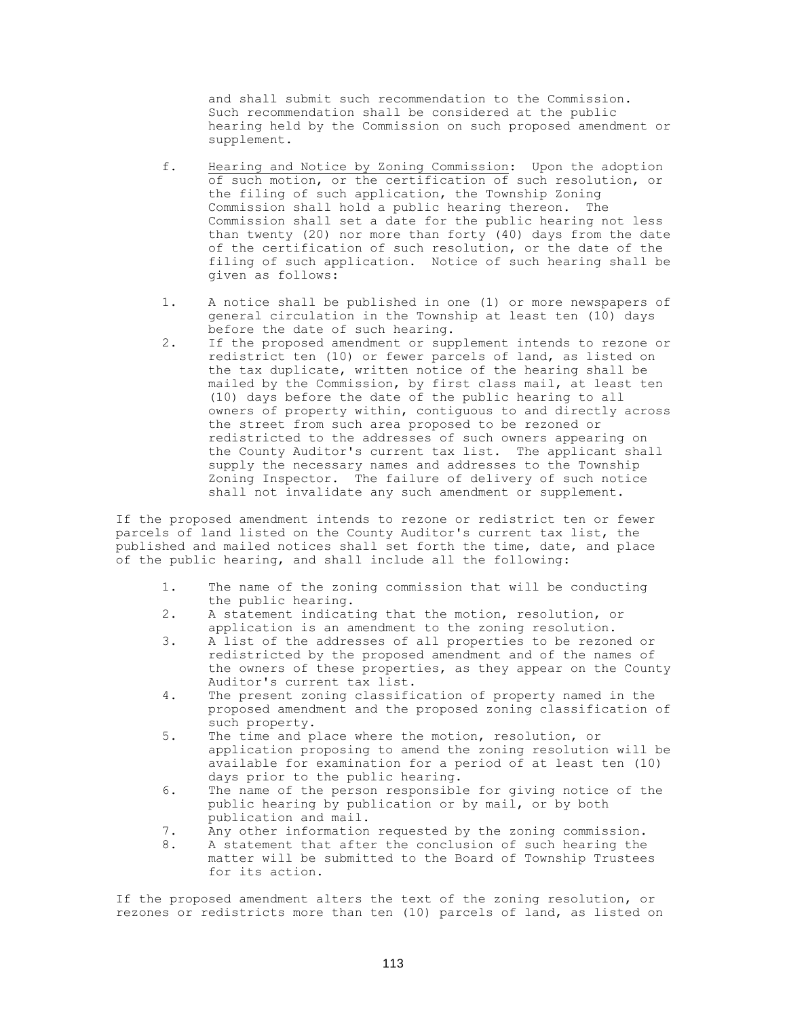and shall submit such recommendation to the Commission. Such recommendation shall be considered at the public hearing held by the Commission on such proposed amendment or supplement.

- f. Hearing and Notice by Zoning Commission: Upon the adoption of such motion, or the certification of such resolution, or the filing of such application, the Township Zoning Commission shall hold a public hearing thereon. The Commission shall set a date for the public hearing not less than twenty (20) nor more than forty (40) days from the date of the certification of such resolution, or the date of the filing of such application. Notice of such hearing shall be given as follows:
- 1. A notice shall be published in one (1) or more newspapers of general circulation in the Township at least ten (10) days before the date of such hearing.
- 2. If the proposed amendment or supplement intends to rezone or redistrict ten (10) or fewer parcels of land, as listed on the tax duplicate, written notice of the hearing shall be mailed by the Commission, by first class mail, at least ten (10) days before the date of the public hearing to all owners of property within, contiguous to and directly across the street from such area proposed to be rezoned or redistricted to the addresses of such owners appearing on the County Auditor's current tax list. The applicant shall supply the necessary names and addresses to the Township Zoning Inspector. The failure of delivery of such notice shall not invalidate any such amendment or supplement.

If the proposed amendment intends to rezone or redistrict ten or fewer parcels of land listed on the County Auditor's current tax list, the published and mailed notices shall set forth the time, date, and place of the public hearing, and shall include all the following:

- 1. The name of the zoning commission that will be conducting the public hearing.
- 2. A statement indicating that the motion, resolution, or application is an amendment to the zoning resolution.
- 3. A list of the addresses of all properties to be rezoned or redistricted by the proposed amendment and of the names of the owners of these properties, as they appear on the County Auditor's current tax list.
- 4. The present zoning classification of property named in the proposed amendment and the proposed zoning classification of such property.
- 5. The time and place where the motion, resolution, or application proposing to amend the zoning resolution will be available for examination for a period of at least ten (10) days prior to the public hearing.
- 6. The name of the person responsible for giving notice of the public hearing by publication or by mail, or by both publication and mail.
- 7. Any other information requested by the zoning commission.
- 8. A statement that after the conclusion of such hearing the matter will be submitted to the Board of Township Trustees for its action.

If the proposed amendment alters the text of the zoning resolution, or rezones or redistricts more than ten (10) parcels of land, as listed on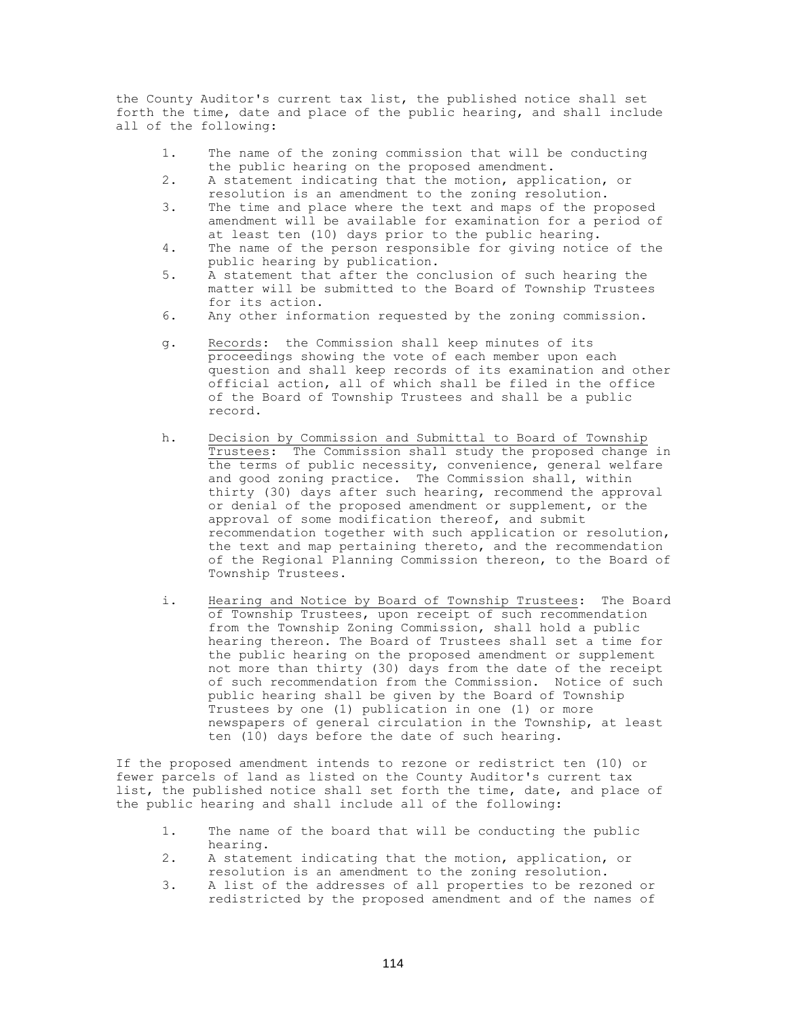the County Auditor's current tax list, the published notice shall set forth the time, date and place of the public hearing, and shall include all of the following:

- 1. The name of the zoning commission that will be conducting the public hearing on the proposed amendment.
- 2. A statement indicating that the motion, application, or resolution is an amendment to the zoning resolution.
- 3. The time and place where the text and maps of the proposed amendment will be available for examination for a period of at least ten (10) days prior to the public hearing.
- 4. The name of the person responsible for giving notice of the public hearing by publication.
- 5. A statement that after the conclusion of such hearing the matter will be submitted to the Board of Township Trustees for its action.
- 6. Any other information requested by the zoning commission.
- g. Records: the Commission shall keep minutes of its proceedings showing the vote of each member upon each question and shall keep records of its examination and other official action, all of which shall be filed in the office of the Board of Township Trustees and shall be a public record.
- h. Decision by Commission and Submittal to Board of Township Trustees: The Commission shall study the proposed change in the terms of public necessity, convenience, general welfare and good zoning practice. The Commission shall, within thirty (30) days after such hearing, recommend the approval or denial of the proposed amendment or supplement, or the approval of some modification thereof, and submit recommendation together with such application or resolution, the text and map pertaining thereto, and the recommendation of the Regional Planning Commission thereon, to the Board of Township Trustees.
- i. Hearing and Notice by Board of Township Trustees: The Board of Township Trustees, upon receipt of such recommendation from the Township Zoning Commission, shall hold a public hearing thereon. The Board of Trustees shall set a time for the public hearing on the proposed amendment or supplement not more than thirty (30) days from the date of the receipt of such recommendation from the Commission. Notice of such public hearing shall be given by the Board of Township Trustees by one (1) publication in one (1) or more newspapers of general circulation in the Township, at least ten (10) days before the date of such hearing.

If the proposed amendment intends to rezone or redistrict ten (10) or fewer parcels of land as listed on the County Auditor's current tax list, the published notice shall set forth the time, date, and place of the public hearing and shall include all of the following:

- 1. The name of the board that will be conducting the public hearing.
- 2. A statement indicating that the motion, application, or resolution is an amendment to the zoning resolution.
- 3. A list of the addresses of all properties to be rezoned or redistricted by the proposed amendment and of the names of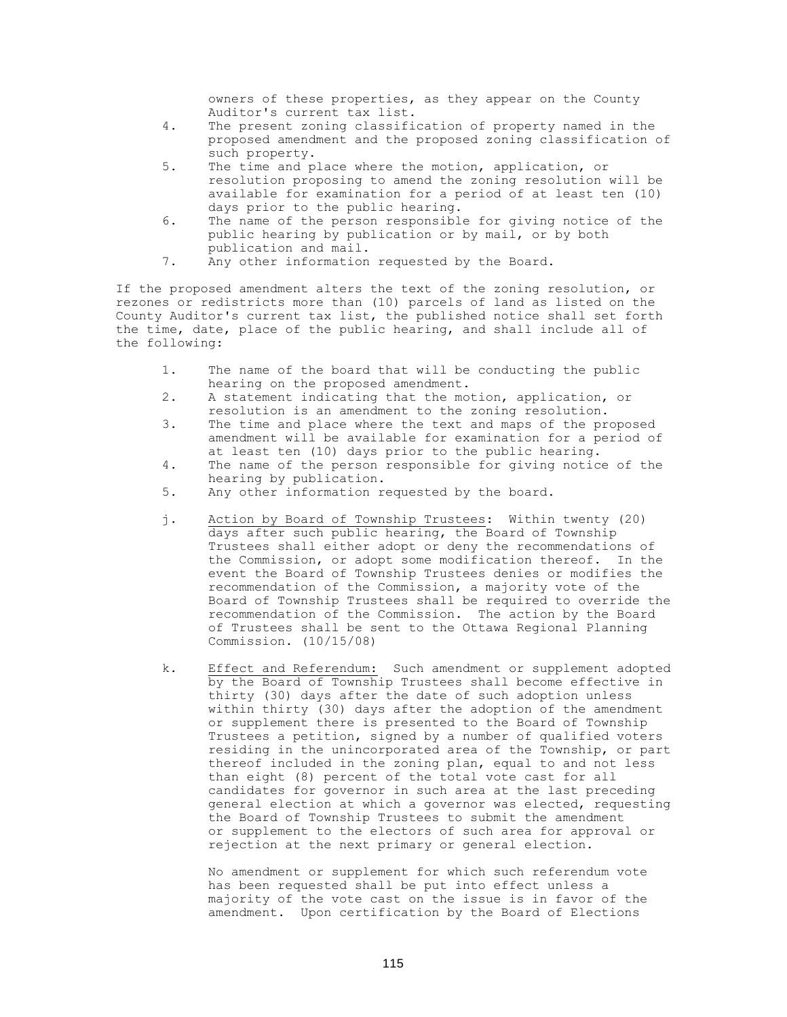owners of these properties, as they appear on the County Auditor's current tax list.

- 4. The present zoning classification of property named in the proposed amendment and the proposed zoning classification of such property.
- 5. The time and place where the motion, application, or resolution proposing to amend the zoning resolution will be available for examination for a period of at least ten (10) days prior to the public hearing.
- 6. The name of the person responsible for giving notice of the public hearing by publication or by mail, or by both publication and mail.
- 7. Any other information requested by the Board.

If the proposed amendment alters the text of the zoning resolution, or rezones or redistricts more than (10) parcels of land as listed on the County Auditor's current tax list, the published notice shall set forth the time, date, place of the public hearing, and shall include all of the following:

- 1. The name of the board that will be conducting the public hearing on the proposed amendment.
- 2. A statement indicating that the motion, application, or resolution is an amendment to the zoning resolution.
- 3. The time and place where the text and maps of the proposed amendment will be available for examination for a period of at least ten (10) days prior to the public hearing.
- 4. The name of the person responsible for giving notice of the hearing by publication.
- 5. Any other information requested by the board.
- j. Action by Board of Township Trustees: Within twenty (20) days after such public hearing, the Board of Township Trustees shall either adopt or deny the recommendations of the Commission, or adopt some modification thereof. In the event the Board of Township Trustees denies or modifies the recommendation of the Commission, a majority vote of the Board of Township Trustees shall be required to override the recommendation of the Commission. The action by the Board of Trustees shall be sent to the Ottawa Regional Planning Commission. (10/15/08)
- k. Effect and Referendum: Such amendment or supplement adopted by the Board of Township Trustees shall become effective in thirty (30) days after the date of such adoption unless within thirty (30) days after the adoption of the amendment or supplement there is presented to the Board of Township Trustees a petition, signed by a number of qualified voters residing in the unincorporated area of the Township, or part thereof included in the zoning plan, equal to and not less than eight (8) percent of the total vote cast for all candidates for governor in such area at the last preceding general election at which a governor was elected, requesting the Board of Township Trustees to submit the amendment or supplement to the electors of such area for approval or rejection at the next primary or general election.

No amendment or supplement for which such referendum vote has been requested shall be put into effect unless a majority of the vote cast on the issue is in favor of the amendment. Upon certification by the Board of Elections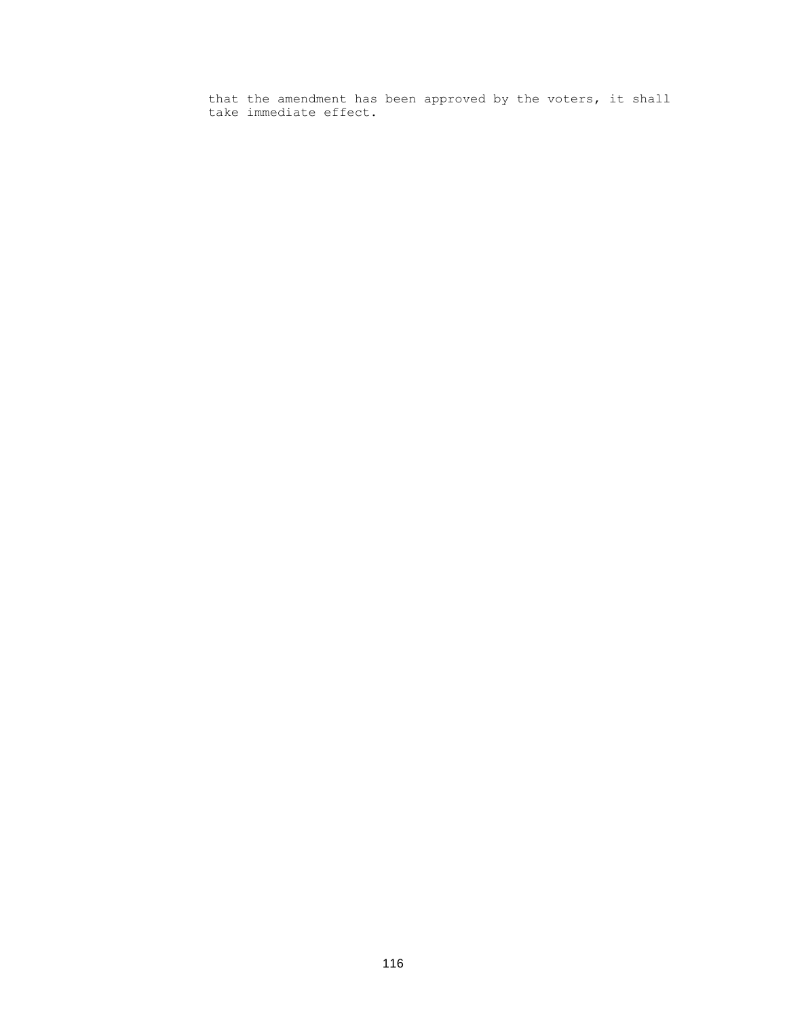that the amendment has been approved by the voters, it shall take immediate effect.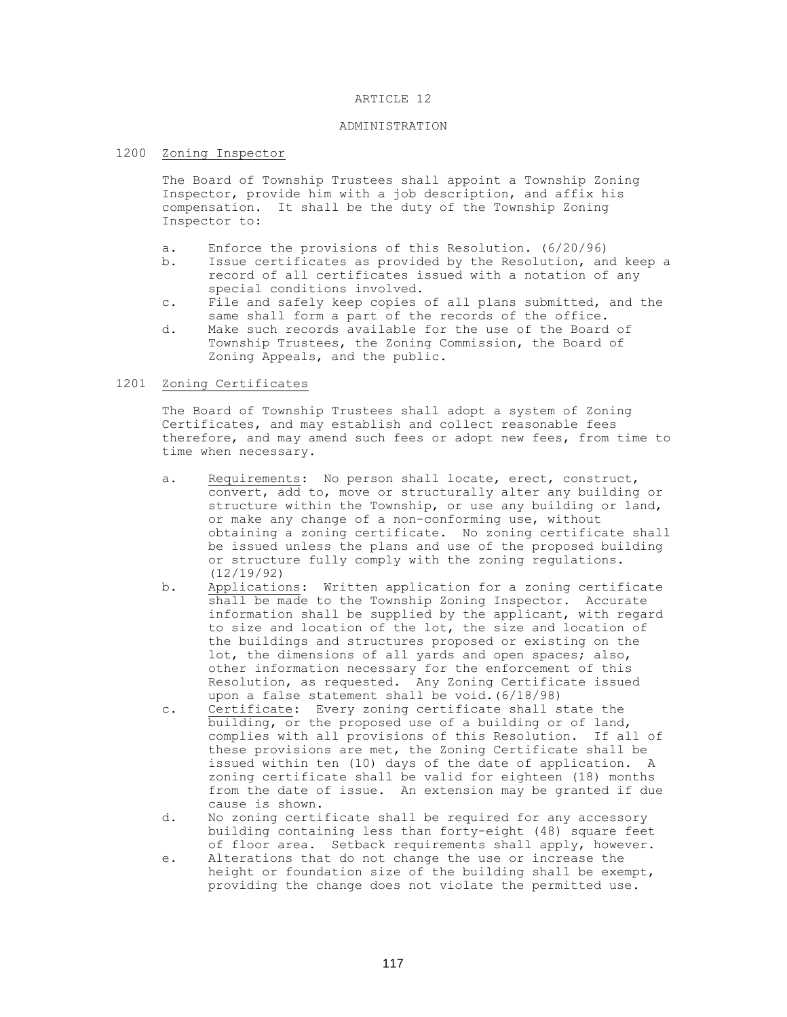#### ARTICLE 12

### ADMINISTRATION

# 1200 Zoning Inspector

The Board of Township Trustees shall appoint a Township Zoning Inspector, provide him with a job description, and affix his compensation. It shall be the duty of the Township Zoning Inspector to:

- a. Enforce the provisions of this Resolution. (6/20/96)
- b. Issue certificates as provided by the Resolution, and keep a record of all certificates issued with a notation of any special conditions involved.
- c. File and safely keep copies of all plans submitted, and the same shall form a part of the records of the office.
- d. Make such records available for the use of the Board of Township Trustees, the Zoning Commission, the Board of Zoning Appeals, and the public.

### 1201 Zoning Certificates

The Board of Township Trustees shall adopt a system of Zoning Certificates, and may establish and collect reasonable fees therefore, and may amend such fees or adopt new fees, from time to time when necessary.

- a. Requirements: No person shall locate, erect, construct, convert, add to, move or structurally alter any building or structure within the Township, or use any building or land, or make any change of a non-conforming use, without obtaining a zoning certificate. No zoning certificate shall be issued unless the plans and use of the proposed building or structure fully comply with the zoning regulations. (12/19/92)
- b. Applications: Written application for a zoning certificate shall be made to the Township Zoning Inspector. Accurate information shall be supplied by the applicant, with regard to size and location of the lot, the size and location of the buildings and structures proposed or existing on the lot, the dimensions of all yards and open spaces; also, other information necessary for the enforcement of this Resolution, as requested. Any Zoning Certificate issued upon a false statement shall be void.(6/18/98)
- c. Certificate: Every zoning certificate shall state the building, or the proposed use of a building or of land, complies with all provisions of this Resolution. If all of these provisions are met, the Zoning Certificate shall be issued within ten (10) days of the date of application. A zoning certificate shall be valid for eighteen (18) months from the date of issue. An extension may be granted if due cause is shown.
- d. No zoning certificate shall be required for any accessory building containing less than forty-eight (48) square feet of floor area. Setback requirements shall apply, however.
- e. Alterations that do not change the use or increase the height or foundation size of the building shall be exempt, providing the change does not violate the permitted use.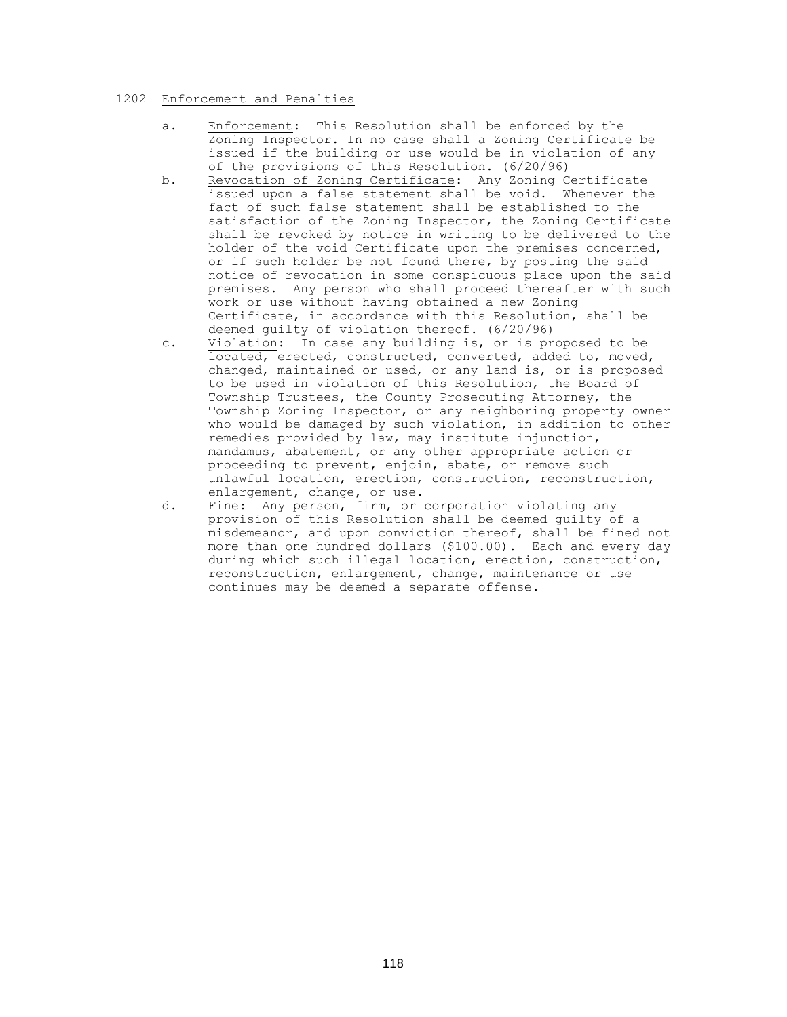### 1202 Enforcement and Penalties

- a. Enforcement: This Resolution shall be enforced by the Zoning Inspector. In no case shall a Zoning Certificate be issued if the building or use would be in violation of any of the provisions of this Resolution. (6/20/96)
- b. Revocation of Zoning Certificate: Any Zoning Certificate issued upon a false statement shall be void. Whenever the fact of such false statement shall be established to the satisfaction of the Zoning Inspector, the Zoning Certificate shall be revoked by notice in writing to be delivered to the holder of the void Certificate upon the premises concerned, or if such holder be not found there, by posting the said notice of revocation in some conspicuous place upon the said premises. Any person who shall proceed thereafter with such work or use without having obtained a new Zoning Certificate, in accordance with this Resolution, shall be deemed guilty of violation thereof. (6/20/96)
- c. Violation: In case any building is, or is proposed to be located, erected, constructed, converted, added to, moved, changed, maintained or used, or any land is, or is proposed to be used in violation of this Resolution, the Board of Township Trustees, the County Prosecuting Attorney, the Township Zoning Inspector, or any neighboring property owner who would be damaged by such violation, in addition to other remedies provided by law, may institute injunction, mandamus, abatement, or any other appropriate action or proceeding to prevent, enjoin, abate, or remove such unlawful location, erection, construction, reconstruction, enlargement, change, or use.
- d. Fine: Any person, firm, or corporation violating any provision of this Resolution shall be deemed guilty of a misdemeanor, and upon conviction thereof, shall be fined not more than one hundred dollars (\$100.00). Each and every day during which such illegal location, erection, construction, reconstruction, enlargement, change, maintenance or use continues may be deemed a separate offense.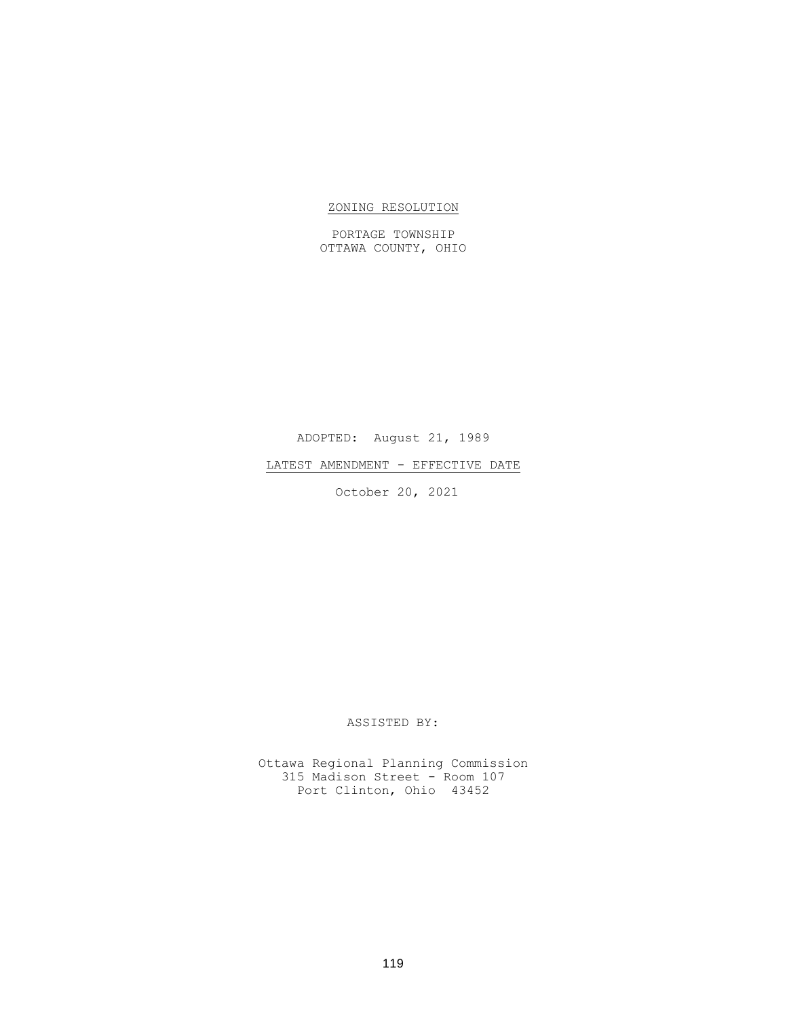# ZONING RESOLUTION

PORTAGE TOWNSHIP OTTAWA COUNTY, OHIO

ADOPTED: August 21, 1989

LATEST AMENDMENT - EFFECTIVE DATE

October 20, 2021

ASSISTED BY:

Ottawa Regional Planning Commission 315 Madison Street - Room 107 Port Clinton, Ohio 43452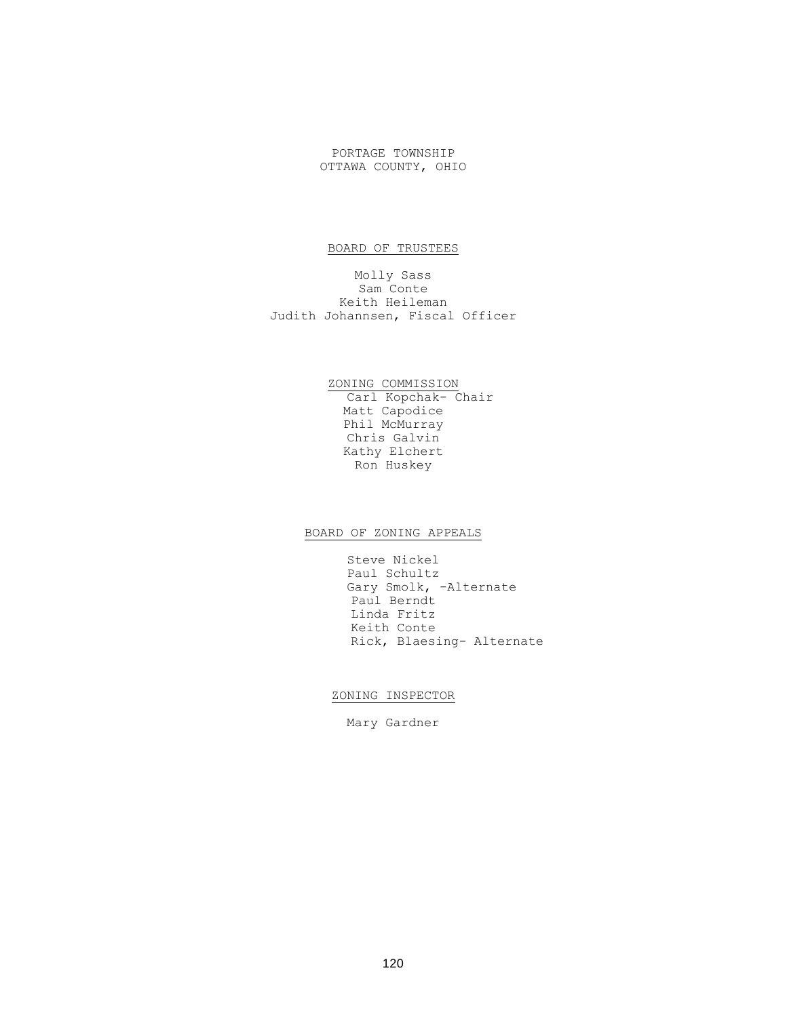PORTAGE TOWNSHIP OTTAWA COUNTY, OHIO

# BOARD OF TRUSTEES

Molly Sass Sam Conte Keith Heileman Judith Johannsen, Fiscal Officer

> ZONING COMMISSION Carl Kopchak- Chair Matt Capodice Phil McMurray Chris Galvin Kathy Elchert Ron Huskey

# BOARD OF ZONING APPEALS

Steve Nickel Paul Schultz Gary Smolk, -Alternate Paul Berndt Linda Fritz Keith Conte Rick, Blaesing- Alternate

### ZONING INSPECTOR

Mary Gardner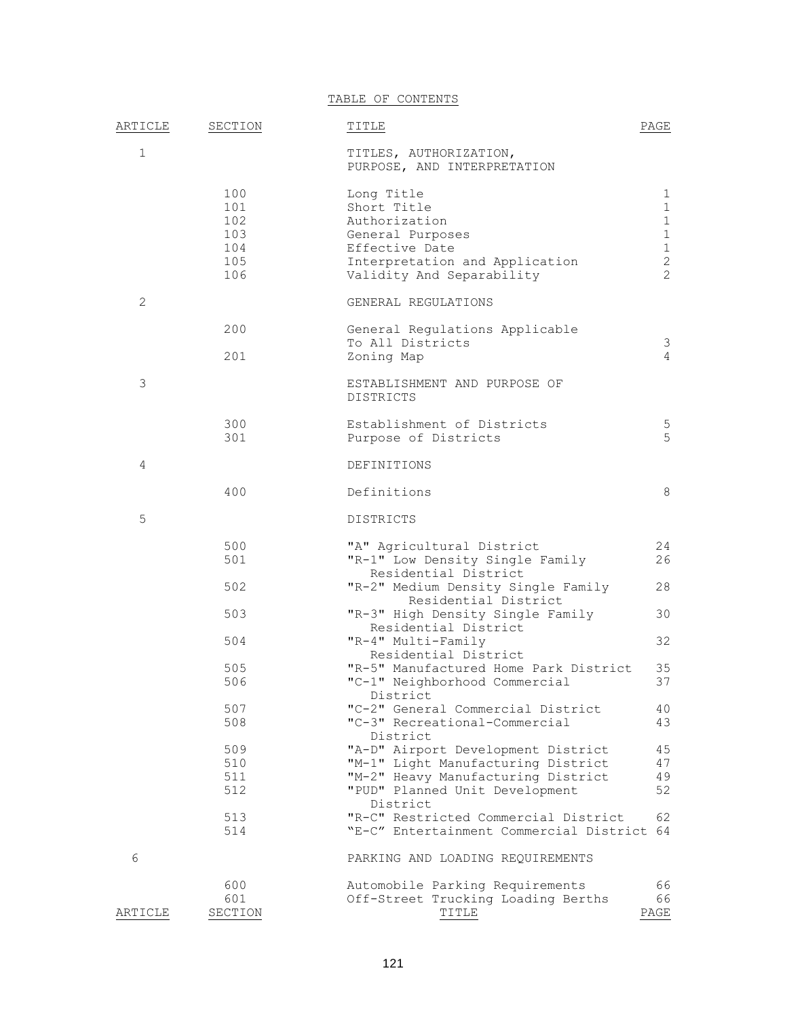TABLE OF CONTENTS

| ARTICLE     | SECTION                         | TITLE                                                                                                                                            | PAGE                                                              |
|-------------|---------------------------------|--------------------------------------------------------------------------------------------------------------------------------------------------|-------------------------------------------------------------------|
| $\mathbf 1$ |                                 | TITLES, AUTHORIZATION,<br>PURPOSE, AND INTERPRETATION                                                                                            |                                                                   |
|             | 100<br>101<br>102<br>103<br>104 | Long Title<br>Short Title<br>Authorization<br>General Purposes<br>Effective Date                                                                 | 1<br>$\mathbf{1}$<br>$\mathbf{1}$<br>$\mathbf{1}$<br>$\mathbf{1}$ |
|             | 105<br>106                      | Interpretation and Application<br>Validity And Separability                                                                                      | $\mathbf{2}$<br>$\overline{2}$                                    |
| 2           |                                 | GENERAL REGULATIONS                                                                                                                              |                                                                   |
|             | 200                             | General Regulations Applicable<br>To All Districts                                                                                               | 3                                                                 |
|             | 201                             | Zoning Map                                                                                                                                       | $\overline{4}$                                                    |
| 3           |                                 | ESTABLISHMENT AND PURPOSE OF<br><b>DISTRICTS</b>                                                                                                 |                                                                   |
|             | 300<br>301                      | Establishment of Districts<br>Purpose of Districts                                                                                               | 5<br>5                                                            |
| 4           |                                 | DEFINITIONS                                                                                                                                      |                                                                   |
|             | 400                             | Definitions                                                                                                                                      | 8                                                                 |
| 5           |                                 | <b>DISTRICTS</b>                                                                                                                                 |                                                                   |
|             | 500<br>501                      | "A" Agricultural District<br>"R-1" Low Density Single Family<br>Residential District                                                             | 24<br>26                                                          |
|             | 502                             | "R-2" Medium Density Single Family<br>Residential District                                                                                       | 28                                                                |
|             | 503                             | "R-3" High Density Single Family<br>Residential District                                                                                         | 30                                                                |
|             | 504                             | "R-4" Multi-Family<br>Residential District                                                                                                       | 32                                                                |
|             | 505<br>506                      | "R-5" Manufactured Home Park District<br>"C-1" Neighborhood Commercial<br>District                                                               | 35<br>37                                                          |
|             | 507<br>508                      | "C-2" General Commercial District<br>"C-3" Recreational-Commercial<br>District                                                                   | 40<br>43                                                          |
|             | 509<br>510<br>511<br>512        | "A-D" Airport Development District<br>"M-1" Light Manufacturing District<br>"M-2" Heavy Manufacturing District<br>"PUD" Planned Unit Development | 45<br>47<br>49<br>52                                              |
|             | 513<br>514                      | District<br>"R-C" Restricted Commercial District<br>"E-C" Entertainment Commercial District                                                      | 62<br>64                                                          |
| 6           |                                 | PARKING AND LOADING REQUIREMENTS                                                                                                                 |                                                                   |
| ARTICLE     | 600<br>601<br>SECTION           | Automobile Parking Requirements<br>Off-Street Trucking Loading Berths<br>TITLE                                                                   | 66<br>66<br>PAGE                                                  |